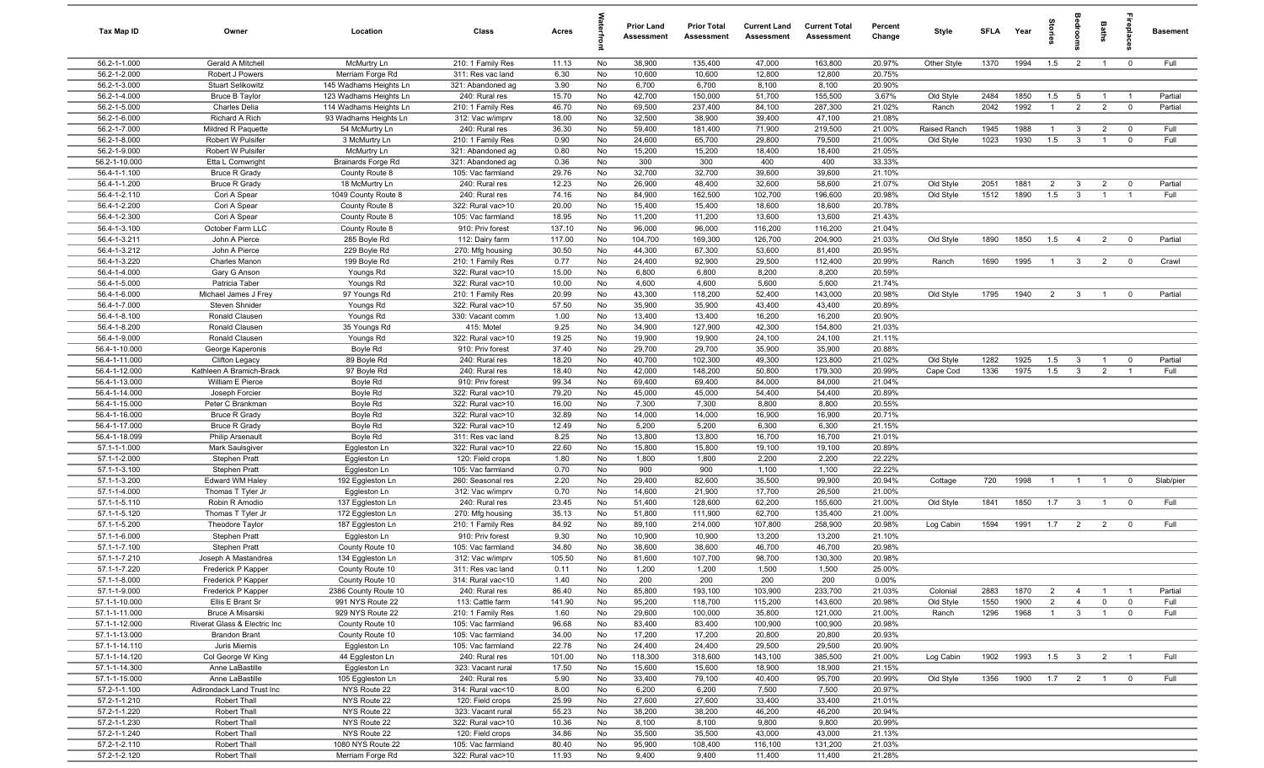| Tax Map ID                     | Owner                                      | Location                                         | Class                                  | Acres           |          | <b>Prior Land</b><br>Assessment | <b>Prior Total</b><br>Assessment | <b>Current Land</b><br><b>Assessment</b> | <b>Current Total</b><br>Assessment | Percent<br>Change | Style              | <b>SFI A</b> | Year         | <b>Stories</b>        | edroon                  | Baths                            | ireplace                | <b>Basement</b>    |
|--------------------------------|--------------------------------------------|--------------------------------------------------|----------------------------------------|-----------------|----------|---------------------------------|----------------------------------|------------------------------------------|------------------------------------|-------------------|--------------------|--------------|--------------|-----------------------|-------------------------|----------------------------------|-------------------------|--------------------|
| 56.2-1-1.000                   | Gerald A Mitchell                          | McMurtry Ln                                      | 210: 1 Family Res                      | 11.13           | No       | 38,900                          | 135,400                          | 47,000                                   | 163,800                            | 20.97%            | Other Style        | 1370         | 1994         | 1.5                   | $\overline{2}$          | $\overline{1}$                   | $\overline{0}$          | Full               |
| 56.2-1-2.000                   | Robert J Powers                            | Merriam Forge Rd                                 | 311: Res vac land                      | 6.30            | No       | 10,600                          | 10,600                           | 12,800                                   | 12,800                             | 20.75%            |                    |              |              |                       |                         |                                  |                         |                    |
| 56.2-1-3.000                   | <b>Stuart Selikowitz</b>                   | 145 Wadhams Heights Ln                           | 321: Abandoned ag                      | 3.90            | No       | 6,700                           | 6,700                            | 8,100                                    | 8,100                              | 20.90%            |                    |              |              |                       |                         |                                  |                         |                    |
| 56.2-1-4.000<br>56.2-1-5.000   | <b>Bruce B Taylor</b><br>Charles Delia     | 123 Wadhams Heights Ln<br>114 Wadhams Heights Ln | 240: Rural res<br>210: 1 Family Res    | 15.70<br>46.70  | No<br>No | 42,700<br>69,500                | 150,000<br>237,400               | 51,700<br>84,100                         | 155,500<br>287,300                 | 3.67%<br>21.02%   | Old Style<br>Ranch | 2484<br>2042 | 1850<br>1992 | 1.5<br>$\overline{1}$ | 5<br>$\overline{2}$     | $\overline{1}$<br>$\overline{2}$ | - 1<br>$\mathbf 0$      | Partial<br>Partial |
| 56.2-1-6.000                   | Richard A Rich                             | 93 Wadhams Heights Ln                            | 312: Vac w/imprv                       | 18.00           | No       | 32,500                          | 38,900                           | 39,400                                   | 47,100                             | 21.08%            |                    |              |              |                       |                         |                                  |                         |                    |
| 56.2-1-7.000                   | Mildred R Paquette                         | 54 McMurtry Ln                                   | 240: Rural res                         | 36.30           | No       | 59,400                          | 181,400                          | 71,900                                   | 219,500                            | 21.00%            | Raised Ranch       | 1945         | 1988         | $\mathbf{1}$          | $\mathbf{3}$            | $\overline{2}$                   | $^{\circ}$              | Full               |
| 56.2-1-8.000                   | Robert W Pulsifer                          | 3 McMurtry Ln                                    | 210: 1 Family Res                      | 0.90            | No       | 24,600                          | 65,700                           | 29,800                                   | 79,500                             | 21.00%            | Old Style          | 1023         | 1930         | 1.5                   | $\mathbf{3}$            |                                  | $\mathbf 0$             | Full               |
| 56.2-1-9.000                   | Robert W Pulsifer                          | McMurtry Ln                                      | 321: Abandoned ag                      | 0.80            | No       | 15,200                          | 15,200                           | 18,400                                   | 18,400                             | 21.05%            |                    |              |              |                       |                         |                                  |                         |                    |
| 56.2-1-10.000                  | Etta L Cornwright                          | <b>Brainards Forge Rd</b>                        | 321: Abandoned ag                      | 0.36            | No       | 300                             | 300                              | 400                                      | 400                                | 33.33%            |                    |              |              |                       |                         |                                  |                         |                    |
| 56.4-1-1.100                   | <b>Bruce R Grady</b>                       | County Route 8                                   | 105: Vac farmland                      | 29.76           | No       | 32,700                          | 32,700                           | 39,600                                   | 39,600                             | 21.10%            |                    |              |              |                       |                         |                                  |                         |                    |
| 56.4-1-1.200                   | <b>Bruce R Grady</b>                       | 18 McMurtry Ln                                   | 240: Rural res                         | 12.23           | No       | 26,900                          | 48,400                           | 32,600                                   | 58,600                             | 21.07%            | Old Style          | 2051         | 1881         | $\overline{2}$        | $\mathbf{3}$            | $\overline{2}$                   | $^{\circ}$              | Partial            |
| 56.4-1-2.110                   | Cori A Spear                               | 1049 County Route 8                              | 240: Rural res                         | 74.16           | No       | 84,900                          | 162,500                          | 102,700                                  | 196,600                            | 20.98%            | Old Style          | 1512         | 1890         | 1.5                   | $\mathbf{3}$            | $\overline{1}$                   | $\overline{1}$          | Full               |
| 56.4-1-2.200<br>56.4-1-2.300   | Cori A Spear<br>Cori A Spear               | County Route 8<br>County Route 8                 | 322: Rural vac>10<br>105: Vac farmland | 20.00<br>18.95  | No<br>No | 15,400<br>11,200                | 15,400<br>11,200                 | 18,600<br>13,600                         | 18,600<br>13,600                   | 20.78%<br>21.43%  |                    |              |              |                       |                         |                                  |                         |                    |
| 56.4-1-3.100                   | October Farm LLC                           | County Route 8                                   | 910: Priv forest                       | 137.10          | No       | 96,000                          | 96,000                           | 116,200                                  | 116,200                            | 21.04%            |                    |              |              |                       |                         |                                  |                         |                    |
| 56.4-1-3.211                   | John A Pierce                              | 285 Boyle Rd                                     | 112: Dairy farm                        | 117.00          | No       | 104,700                         | 169,300                          | 126,700                                  | 204,900                            | 21.03%            | Old Style          | 1890         | 1850         | 1.5                   | $\overline{4}$          | $\overline{2}$                   | $^{\circ}$              | Partial            |
| 56.4-1-3.212                   | John A Pierce                              | 229 Boyle Rd                                     | 270: Mfg housing                       | 30.50           | No       | 44,300                          | 67,300                           | 53,600                                   | 81,400                             | 20.95%            |                    |              |              |                       |                         |                                  |                         |                    |
| 56.4-1-3.220                   | Charles Manon                              | 199 Boyle Rd                                     | 210: 1 Family Res                      | 0.77            | No       | 24,400                          | 92,900                           | 29,500                                   | 112,400                            | 20.99%            | Ranch              | 1690         | 1995         | $\mathbf{1}$          | $\mathbf{3}$            | $\overline{2}$                   | $\mathbf 0$             | Crawl              |
| 56.4-1-4.000                   | Gary G Anson                               | Youngs Rd                                        | 322: Rural vac>10                      | 15.00           | No       | 6,800                           | 6,800                            | 8,200                                    | 8,200                              | 20.59%            |                    |              |              |                       |                         |                                  |                         |                    |
| 56.4-1-5.000                   | Patricia Taber                             | Youngs Rd                                        | 322: Rural vac>10                      | 10.00           | No       | 4,600                           | 4,600                            | 5,600                                    | 5,600                              | 21.74%            |                    |              |              |                       |                         |                                  |                         |                    |
| 56.4-1-6.000                   | Michael James J Frey                       | 97 Youngs Rd                                     | 210: 1 Family Res                      | 20.99           | No       | 43,300                          | 118,200                          | 52,400                                   | 143,000                            | 20.98%            | Old Style          | 1795         | 1940         | $\overline{2}$        | $\mathbf{3}$            | $\overline{1}$                   | $^{\circ}$              | Partial            |
| 56.4-1-7.000                   | Steven Shnider                             | Youngs Rd                                        | 322: Rural vac>10                      | 57.50           | No       | 35,900                          | 35,900                           | 43,400                                   | 43,400                             | 20.89%            |                    |              |              |                       |                         |                                  |                         |                    |
| 56.4-1-8.100                   | Ronald Clausen                             | Youngs Rd                                        | 330: Vacant comm                       | 1.00            | No       | 13,400                          | 13,400                           | 16,200                                   | 16,200                             | 20.90%            |                    |              |              |                       |                         |                                  |                         |                    |
| 56.4-1-8.200<br>56.4-1-9.000   | Ronald Clausen<br>Ronald Clausen           | 35 Youngs Rd<br>Youngs Rd                        | 415: Motel<br>322: Rural vac>10        | 9.25<br>19.25   | No<br>No | 34,900<br>19,900                | 127,900<br>19,900                | 42,300<br>24,100                         | 154,800<br>24,100                  | 21.03%<br>21.11%  |                    |              |              |                       |                         |                                  |                         |                    |
| 56.4-1-10.000                  | George Kaperonis                           | Boyle Rd                                         | 910: Priv forest                       | 37.40           | No       | 29,700                          | 29,700                           | 35,900                                   | 35,900                             | 20.88%            |                    |              |              |                       |                         |                                  |                         |                    |
| 56.4-1-11.000                  | <b>Clifton Legacy</b>                      | 89 Boyle Rd                                      | 240: Rural res                         | 18.20           | No       | 40,700                          | 102,300                          | 49,300                                   | 123,800                            | 21.02%            | Old Style          | 1282         | 1925         | 1.5                   | $\mathbf{3}$            | $\overline{1}$                   | $^{\circ}$              | Partial            |
| 56.4-1-12.000                  | Kathleen A Bramich-Brack                   | 97 Boyle Rd                                      | 240: Rural res                         | 18.40           | No       | 42,000                          | 148,200                          | 50,800                                   | 179,300                            | 20.99%            | Cape Cod           | 1336         | 1975         | 1.5                   | $\mathbf{3}$            | $\overline{2}$                   |                         | Full               |
| 56.4-1-13.000                  | William E Pierce                           | Boyle Rd                                         | 910: Priv forest                       | 99.34           | No       | 69,400                          | 69,400                           | 84,000                                   | 84,000                             | 21.04%            |                    |              |              |                       |                         |                                  |                         |                    |
| 56.4-1-14.000                  | Joseph Forcier                             | Boyle Rd                                         | 322: Rural vac>10                      | 79.20           | No       | 45,000                          | 45,000                           | 54,400                                   | 54,400                             | 20.89%            |                    |              |              |                       |                         |                                  |                         |                    |
| 56.4-1-15.000                  | Peter C Brankman                           | Boyle Rd                                         | 322: Rural vac>10                      | 16.00           | No       | 7,300                           | 7,300                            | 8,800                                    | 8,800                              | 20.55%            |                    |              |              |                       |                         |                                  |                         |                    |
| 56.4-1-16.000                  | <b>Bruce R Grady</b>                       | Boyle Rd                                         | 322: Rural vac>10                      | 32.89           | No       | 14,000                          | 14,000                           | 16,900                                   | 16,900                             | 20.71%            |                    |              |              |                       |                         |                                  |                         |                    |
| 56.4-1-17.000                  | <b>Bruce R Grady</b>                       | Boyle Rd                                         | 322: Rural vac>10                      | 12.49           | No       | 5,200                           | 5,200                            | 6,300                                    | 6,300                              | 21.15%            |                    |              |              |                       |                         |                                  |                         |                    |
| 56.4-1-18.099<br>57.1-1-1.000  | <b>Philip Arsenault</b><br>Mark Saulsgiver | Boyle Rd<br>Eggleston Ln                         | 311: Res vac land<br>322: Rural vac>10 | 8.25<br>22.60   | No<br>No | 13,800<br>15,800                | 13,800<br>15,800                 | 16,700<br>19,100                         | 16,700<br>19,100                   | 21.01%<br>20.89%  |                    |              |              |                       |                         |                                  |                         |                    |
| 57.1-1-2.000                   | Stephen Pratt                              | Eggleston Ln                                     | 120: Field crops                       | 1.80            | No       | 1,800                           | 1,800                            | 2,200                                    | 2,200                              | 22.22%            |                    |              |              |                       |                         |                                  |                         |                    |
| 57.1-1-3.100                   | Stephen Pratt                              | Eggleston Ln                                     | 105: Vac farmland                      | 0.70            | No       | 900                             | 900                              | 1,100                                    | 1,100                              | 22.22%            |                    |              |              |                       |                         |                                  |                         |                    |
| 57.1-1-3.200                   | Edward WM Haley                            | 192 Eggleston Ln                                 | 260: Seasonal res                      | 2.20            | No       | 29,400                          | 82,600                           | 35,500                                   | 99,900                             | 20.94%            | Cottage            | 720          | 1998         | $\overline{1}$        | $\overline{1}$          | $\overline{1}$                   | $^{\circ}$              | Slab/pier          |
| 57.1-1-4.000                   | Thomas T Tyler Jr                          | Eggleston Ln                                     | 312: Vac w/imprv                       | 0.70            | No       | 14,600                          | 21,900                           | 17,700                                   | 26,500                             | 21.00%            |                    |              |              |                       |                         |                                  |                         |                    |
| 57.1-1-5.110                   | Robin R Amodio                             | 137 Eggleston Ln                                 | 240: Rural res                         | 23.45           | No       | 51,400                          | 128,600                          | 62,200                                   | 155,600                            | 21.00%            | Old Style          | 1841         | 1850         | 1.7                   | $\mathbf{3}$            | $\overline{1}$                   | $^{\circ}$              | Full               |
| 57.1-1-5.120                   | Thomas T Tyler Jr                          | 172 Eggleston Ln                                 | 270: Mfg housing                       | 35.13           | No       | 51,800                          | 111,900                          | 62,700                                   | 135,400                            | 21.00%            |                    |              |              |                       |                         |                                  |                         |                    |
| 57.1-1-5.200                   | Theodore Taylor                            | 187 Eggleston Ln                                 | 210: 1 Family Res                      | 84.92           | No       | 89,100                          | 214,000                          | 107,800                                  | 258,900                            | 20.98%            | Log Cabin          | 1594         | 1991         | 1.7                   | $\overline{2}$          | $\overline{2}$                   | $^{\circ}$              | Full               |
| 57.1-1-6.000<br>57.1-1-7.100   | Stephen Pratt                              | Eggleston Ln                                     | 910: Priv forest                       | 9.30            | No<br>No | 10,900<br>38,600                | 10,900<br>38,600                 | 13,200                                   | 13,200                             | 21.10%<br>20.98%  |                    |              |              |                       |                         |                                  |                         |                    |
| 57.1-1-7.210                   | Stephen Pratt<br>Joseph A Mastandrea       | County Route 10<br>134 Eggleston Ln              | 105: Vac farmland<br>312: Vac w/imprv  | 34.80<br>105.50 | No       | 81,600                          | 107,700                          | 46,700<br>98,700                         | 46,700<br>130,300                  | 20.98%            |                    |              |              |                       |                         |                                  |                         |                    |
| 57.1-1-7.220                   | Frederick P Kapper                         | County Route 10                                  | 311: Res vac land                      | 0.11            | No       | 1,200                           | 1,200                            | 1,500                                    | 1,500                              | 25.00%            |                    |              |              |                       |                         |                                  |                         |                    |
| 57.1-1-8.000                   | Frederick P Kapper                         | County Route 10                                  | 314: Rural vac<10                      | 1.40            | No       | 200                             | 200                              | 200                                      | 200                                | 0.00%             |                    |              |              |                       |                         |                                  |                         |                    |
| 57.1-1-9.000                   | Frederick P Kapper                         | 2386 County Route 10                             | 240: Rural res                         | 86.40           | No       | 85,800                          | 193,100                          | 103,900                                  | 233,700                            | 21.03%            | Colonial           | 2883         | 1870         | $\overline{2}$        | $\overline{4}$          | $\overline{1}$                   | $\overline{1}$          | Partial            |
| 57.1-1-10.000                  | Ellis E Brant Sr                           | 991 NYS Route 22                                 | 113: Cattle farm                       | 141.90          | No       | 95,200                          | 118,700                          | 115,200                                  | 143,600                            | 20.98%            | Old Style          | 1550         | 1900         | $\overline{2}$        | $\overline{4}$          | $\mathbf 0$                      | $\overline{0}$          | Full               |
| 57.1-1-11.000                  | Bruce A Misarski                           | 929 NYS Route 22                                 | 210: 1 Family Res                      | 1.60            | No       | 29,600                          | 100,000                          | 35,800                                   | 121,000                            | 21.00%            | Ranch              | 1296         | 1968         | $\overline{1}$        | 3 <sup>3</sup>          | $\overline{1}$                   | $\mathbf 0$             | Full               |
| 57.1-1-12.000                  | Riverat Glass & Electric Inc               | County Route 10                                  | 105: Vac farmland                      | 96.68           | No       | 83,400                          | 83,400                           | 100,900                                  | 100,900                            | 20.98%            |                    |              |              |                       |                         |                                  |                         |                    |
| 57.1-1-13.000                  | <b>Brandon Brant</b>                       | County Route 10                                  | 105: Vac farmland                      | 34.00           | No       | 17,200                          | 17,200                           | 20,800                                   | 20,800                             | 20.93%            |                    |              |              |                       |                         |                                  |                         |                    |
| 57.1-1-14.110                  | Juris Miemis                               | Eggleston Ln                                     | 105: Vac farmland                      | 22.78           | No       | 24,400                          | 24,400                           | 29,500                                   | 29,500<br>385,500                  | 20.90%            |                    |              |              |                       |                         |                                  |                         | Full               |
| 57.1-1-14.120<br>57.1-1-14.300 | Col George W King<br>Anne LaBastille       | 44 Eggleston Ln<br>Eggleston Ln                  | 240: Rural res<br>323: Vacant rural    | 101.00<br>17.50 | No<br>No | 118,300<br>15,600               | 318,600<br>15,600                | 143,100<br>18,900                        | 18,900                             | 21.00%<br>21.15%  | Log Cabin          | 1902         | 1993         | 1.5                   | $\overline{\mathbf{3}}$ | $\overline{2}$                   | $\overline{1}$          |                    |
| 57.1-1-15.000                  | Anne LaBastille                            | 105 Eggleston Ln                                 | 240: Rural res                         | 5.90            | No       | 33,400                          | 79,100                           | 40,400                                   | 95,700                             | 20.99%            | Old Style          | 1356         | 1900         | $1.7 \t 2$            |                         | $\overline{1}$                   | $\overline{\mathbf{0}}$ | Full               |
| 57.2-1-1.100                   | Adirondack Land Trust Inc                  | NYS Route 22                                     | 314: Rural vac<10                      | 8.00            | No       | 6,200                           | 6,200                            | 7,500                                    | 7,500                              | 20.97%            |                    |              |              |                       |                         |                                  |                         |                    |
| 57.2-1-1.210                   | Robert Thall                               | NYS Route 22                                     | 120: Field crops                       | 25.99           | No       | 27,600                          | 27,600                           | 33,400                                   | 33,400                             | 21.01%            |                    |              |              |                       |                         |                                  |                         |                    |
| 57.2-1-1.220                   | Robert Thall                               | NYS Route 22                                     | 323: Vacant rural                      | 55.23           | No       | 38,200                          | 38,200                           | 46,200                                   | 46,200                             | 20.94%            |                    |              |              |                       |                         |                                  |                         |                    |
| 57.2-1-1.230                   | Robert Thall                               | NYS Route 22                                     | 322: Rural vac>10                      | 10.36           | No       | 8,100                           | 8,100                            | 9,800                                    | 9,800                              | 20.99%            |                    |              |              |                       |                         |                                  |                         |                    |
| 57.2-1-1.240                   | Robert Thall                               | NYS Route 22                                     | 120: Field crops                       | 34.86           | No       | 35,500                          | 35,500                           | 43,000                                   | 43,000                             | 21.13%            |                    |              |              |                       |                         |                                  |                         |                    |
| 57.2-1-2.110                   | Robert Thall                               | 1080 NYS Route 22                                | 105: Vac farmland                      | 80.40           | No       | 95,900                          | 108,400                          | 116,100                                  | 131,200                            | 21.03%            |                    |              |              |                       |                         |                                  |                         |                    |
| 57.2-1-2.120                   | Robert Thall                               | Merriam Forge Rd                                 | 322: Rural vac>10                      | 11.93           | No       | 9,400                           | 9,400                            | 11,400                                   | 11,400                             | 21.28%            |                    |              |              |                       |                         |                                  |                         |                    |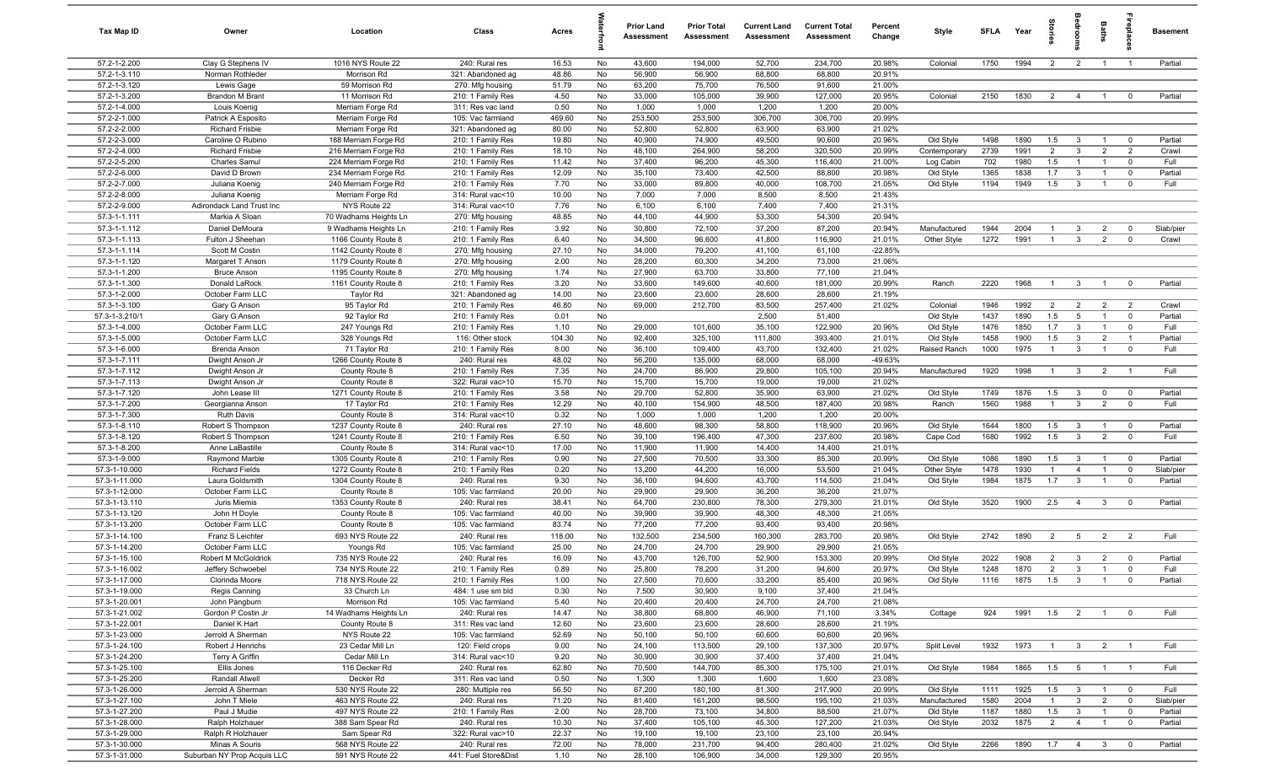| Tax Map ID                     | Owner                                        | Location                                 | Class                                  | Acres           |          | <b>Prior Land</b><br>Assessment | <b>Prior Total</b><br>Assessment | <b>Current Land</b><br>Assessment | <b>Current Total</b><br>Assessment | Percent<br>Change | Style        | <b>SFLA</b> | Year | $\frac{1}{2}$  |                         | <b>Baths</b>   | repla                   | <b>Basement</b> |
|--------------------------------|----------------------------------------------|------------------------------------------|----------------------------------------|-----------------|----------|---------------------------------|----------------------------------|-----------------------------------|------------------------------------|-------------------|--------------|-------------|------|----------------|-------------------------|----------------|-------------------------|-----------------|
| 57.2-1-2.200                   | Clay G Stephens IV                           | 1016 NYS Route 22                        | 240: Rural res                         | 16.53           | No       | 43,600                          | 194,000                          | 52,700                            | 234,700                            | 20.98%            | Colonial     | 1750        | 1994 | $\overline{2}$ | $\overline{2}$          | $\overline{1}$ | $\overline{1}$          | Partial         |
| 57.2-1-3.110                   | Norman Rothleder                             | Morrison Rd                              | 321: Abandoned ag                      | 48.86           | No       | 56,900                          | 56,900                           | 68,800                            | 68,800                             | 20.91%            |              |             |      |                |                         |                |                         |                 |
| 57.2-1-3.120                   | Lewis Gage                                   | 59 Morrison Rd                           | 270: Mfg housing                       | 51.79           | No       | 63,200                          | 75,700                           | 76,500                            | 91,600                             | 21.00%            |              |             |      |                |                         |                |                         |                 |
| 57.2-1-3.200                   | Brandon M Brant                              | 11 Morrison Rd                           | 210: 1 Family Res                      | 4.50            | No       | 33,000                          | 105,000                          | 39,900                            | 127,000                            | 20.95%            | Colonial     | 2150        | 1830 | $\overline{2}$ | $\overline{4}$          | $\overline{1}$ | $\mathbf 0$             | Partial         |
| 57.2-1-4.000                   | Louis Koenig                                 | Merriam Forge Rd                         | 311: Res vac land                      | 0.50            | No       | 1,000                           | 1,000                            | 1,200                             | 1,200                              | 20.00%            |              |             |      |                |                         |                |                         |                 |
| 57.2-2-1.000<br>57.2-2-2.000   | Patrick A Esposito<br><b>Richard Frisbie</b> | Merriam Forge Rd                         | 105: Vac farmland                      | 469.60<br>80.00 | No<br>No | 253,500<br>52,800               | 253,500<br>52,800                | 306,700<br>63,900                 | 306,700<br>63,900                  | 20.99%<br>21.02%  |              |             |      |                |                         |                |                         |                 |
| 57.2-2-3.000                   | Caroline O Rubino                            | Merriam Forge Rd<br>188 Merriam Forge Rd | 321: Abandoned ag<br>210: 1 Family Res | 19.80           | No       | 40,900                          | 74,900                           | 49,500                            | 90,600                             | 20.96%            | Old Style    | 1498        | 1890 | 1.5            | $\overline{\mathbf{3}}$ | $\overline{1}$ | $\mathbf 0$             | Partial         |
| 57.2-2-4.000                   | <b>Richard Frisbie</b>                       | 216 Merriam Forge Rd                     | 210: 1 Family Res                      | 18.10           | No       | 48,100                          | 264,900                          | 58,200                            | 320,500                            | 20.99%            | Contemporary | 2739        | 1991 | $\overline{2}$ | $\mathbf{3}$            | $\overline{2}$ | $\overline{2}$          | Crawl           |
| 57.2-2-5.200                   | Charles Samul                                | 224 Merriam Forge Rd                     | 210: 1 Family Res                      | 11.42           | No       | 37,400                          | 96,200                           | 45,300                            | 116,400                            | 21.00%            | Log Cabin    | 702         | 1980 | 1.5            | $\overline{1}$          | $\overline{1}$ | $\mathbf 0$             | Full            |
| 57.2-2-6.000                   | David D Brown                                | 234 Merriam Forge Rd                     | 210: 1 Family Res                      | 12.09           | No       | 35,100                          | 73,400                           | 42,500                            | 88,800                             | 20.98%            | Old Style    | 1365        | 1838 | 1.7            | $\mathbf{3}$            | $\overline{1}$ | $\mathbf 0$             | Partial         |
| 57.2-2-7.000                   | Juliana Koenig                               | 240 Merriam Forge Rd                     | 210: 1 Family Res                      | 7.70            | No       | 33,000                          | 89,800                           | 40,000                            | 108,700                            | 21.05%            | Old Style    | 1194        | 1949 | 1.5            | $\mathbf{3}$            | $\overline{1}$ | $\mathbf{0}$            | Full            |
| 57.2-2-8.000                   | Juliana Koenig                               | Merriam Forge Rd                         | 314: Rural vac<10                      | 10.00           | No       | 7,000                           | 7,000                            | 8,500                             | 8,500                              | 21.43%            |              |             |      |                |                         |                |                         |                 |
| 57.2-2-9.000                   | Adirondack Land Trust Inc                    | NYS Route 22                             | 314: Rural vac<10                      | 7.76            | No       | 6,100                           | 6,100                            | 7,400                             | 7,400                              | 21.31%            |              |             |      |                |                         |                |                         |                 |
| 57.3-1-1.111                   | Markia A Sloan                               | 70 Wadhams Heights Ln                    | 270: Mfg housing                       | 48.85           | No       | 44,100                          | 44,900                           | 53,300                            | 54,300                             | 20.94%            |              |             |      |                |                         |                |                         |                 |
| 57.3-1-1.112                   | Daniel DeMoura                               | 9 Wadhams Heights Ln                     | 210: 1 Family Res                      | 3.92            | No       | 30,800                          | 72,100                           | 37,200                            | 87,200                             | 20.94%            | Manufactured | 1944        | 2004 | $\overline{1}$ | $\mathbf{3}$            | $\overline{2}$ | $\mathbf 0$             | Slab/pier       |
| 57.3-1-1.113                   | Fulton J Sheehan                             | 1166 County Route 8                      | 210: 1 Family Res                      | 6.40            | No       | 34,500                          | 96,600                           | 41,800                            | 116,900                            | 21.01%            | Other Style  | 1272        | 1991 | $\overline{1}$ | $\mathbf{3}$            | $\overline{2}$ | $\mathbf 0$             | Crawl           |
| 57.3-1-1.114                   | Scott M Costin                               | 1142 County Route 8                      | 270: Mfg housing                       | 27.10           | No       | 34,000                          | 79,200                           | 41,100                            | 61,100                             | $-22.85%$         |              |             |      |                |                         |                |                         |                 |
| 57.3-1-1.120                   | Margaret T Anson                             | 1179 County Route 8                      | 270: Mfg housing                       | 2.00            | No       | 28,200                          | 60,300                           | 34,200                            | 73,000                             | 21.06%            |              |             |      |                |                         |                |                         |                 |
| 57.3-1-1.200                   | <b>Bruce Anson</b>                           | 1195 County Route 8                      | 270: Mfg housing                       | 1.74            | No       | 27,900                          | 63,700                           | 33,800                            | 77,100                             | 21.04%            |              |             |      |                |                         |                |                         |                 |
| 57.3-1-1.300<br>57.3-1-2.000   | Donald LaRock<br>October Farm LLC            | 1161 County Route 8<br>Taylor Rd         | 210: 1 Family Res<br>321: Abandoned ag | 3.20<br>14.00   | No<br>No | 33,600<br>23,600                | 149,600<br>23,600                | 40,600<br>28,600                  | 181,000<br>28,600                  | 20.99%<br>21.19%  | Ranch        | 2220        | 1968 | $\overline{1}$ | $\overline{3}$          | $\overline{1}$ | $\overline{0}$          | Partial         |
| 57.3-1-3.100                   | Gary G Anson                                 | 95 Taylor Rd                             | 210: 1 Family Res                      | 46.80           | No       | 69,000                          | 212,700                          | 83,500                            | 257,400                            | 21.02%            | Colonial     | 1946        | 1992 | $\overline{2}$ | $\overline{2}$          | $\overline{2}$ | $\overline{2}$          | Crawl           |
| 57.3-1-3.210/1                 | Gary G Anson                                 | 92 Taylor Rd                             | 210: 1 Family Res                      | 0.01            | No       |                                 |                                  | 2,500                             | 51,400                             |                   | Old Style    | 1437        | 1890 | 1.5            | $5\overline{5}$         | $\overline{1}$ | $\overline{0}$          | Partial         |
| 57.3-1-4.000                   | October Farm LLC                             | 247 Youngs Rd                            | 210: 1 Family Res                      | 1.10            | No       | 29,000                          | 101,600                          | 35,100                            | 122,900                            | 20.96%            | Old Style    | 1476        | 1850 | 1.7            | $\mathbf{3}$            | $\overline{1}$ | $\Omega$                | Full            |
| 57.3-1-5.000                   | October Farm LLC                             | 328 Youngs Rd                            | 116: Other stock                       | 104.30          | No       | 92,400                          | 325,100                          | 111,800                           | 393,400                            | 21.01%            | Old Style    | 1458        | 1900 | 1.5            | $\mathbf{3}$            | $\overline{2}$ | $\overline{1}$          | Partial         |
| 57.3-1-6.000                   | Brenda Anson                                 | 71 Taylor Rd                             | 210: 1 Family Res                      | 8.00            | No       | 36,100                          | 109,400                          | 43,700                            | 132,400                            | 21.02%            | Raised Ranch | 1000        | 1975 | $\overline{1}$ | $\mathbf{3}$            | $\overline{1}$ | $\mathbf 0$             | Full            |
| 57.3-1-7.111                   | Dwight Anson Jr                              | 1266 County Route 8                      | 240: Rural res                         | 48.02           | No       | 56,200                          | 135,000                          | 68,000                            | 68,000                             | -49.63%           |              |             |      |                |                         |                |                         |                 |
| 57.3-1-7.112                   | Dwight Anson Jr                              | County Route 8                           | 210: 1 Family Res                      | 7.35            | No       | 24,700                          | 86,900                           | 29,800                            | 105,100                            | 20.94%            | Manufactured | 1920        | 1998 | $\overline{1}$ | $\mathbf{3}$            | $\overline{2}$ | $\overline{1}$          | Full            |
| 57.3-1-7.113                   | Dwight Anson Jr                              | County Route 8                           | 322: Rural vac>10                      | 15.70           | No       | 15,700                          | 15,700                           | 19,000                            | 19,000                             | 21.02%            |              |             |      |                |                         |                |                         |                 |
| 57.3-1-7.120                   | John Lease III                               | 1271 County Route 8                      | 210: 1 Family Res                      | 3.58            | No       | 29,700                          | 52,800                           | 35,900                            | 63,900                             | 21.02%            | Old Style    | 1749        | 1876 | 1.5            | $\mathbf{3}$            | $\overline{0}$ | $\overline{\mathbf{0}}$ | Partial         |
| 57.3-1-7.200                   | Georgianna Anson                             | 17 Taylor Rd                             | 210: 1 Family Res                      | 12.29           | No       | 40,100                          | 154,900                          | 48,500                            | 187,400                            | 20.98%            | Ranch        | 1560        | 1988 | $\overline{1}$ | $\mathbf{3}$            | $\overline{2}$ | $\mathbf 0$             | Full            |
| 57.3-1-7.300                   | <b>Ruth Davis</b>                            | County Route 8                           | 314: Rural vac<10                      | 0.32            | No       | 1,000                           | 1,000                            | 1,200                             | 1,200                              | 20.00%            |              |             |      |                |                         |                |                         |                 |
| 57.3-1-8.110                   | Robert S Thompson                            | 1237 County Route 8                      | 240: Rural res                         | 27.10           | No       | 48,600                          | 98,300                           | 58,800                            | 118,900                            | 20.96%            | Old Style    | 1644        | 1800 | 1.5            | $\mathbf{3}$            | $\overline{1}$ | $\overline{\mathbf{0}}$ | Partial         |
| 57.3-1-8.120<br>57.3-1-8.200   | Robert S Thompson                            | 1241 County Route 8                      | 210: 1 Family Res                      | 6.50            | No<br>No | 39,100                          | 196,400                          | 47,300                            | 237,600                            | 20.98%<br>21.01%  | Cape Cod     | 1680        | 1992 | 1.5            | $\mathbf{3}$            | $\overline{2}$ | $\mathbf 0$             | Full            |
| 57.3-1-9.000                   | Anne LaBastille<br>Raymond Marble            | County Route 8<br>1305 County Route 8    | 314: Rural vac<10<br>210: 1 Family Res | 17.00<br>0.90   | No       | 11,900<br>27,500                | 11,900<br>70,500                 | 14,400<br>33,300                  | 14,400<br>85,300                   | 20.99%            | Old Style    | 1086        | 1890 | 1.5            | $\mathbf{3}$            | $\overline{1}$ | $\overline{0}$          | Partial         |
| 57.3-1-10.000                  | <b>Richard Fields</b>                        | 1272 County Route 8                      | 210: 1 Family Res                      | 0.20            | No       | 13,200                          | 44,200                           | 16,000                            | 53,500                             | 21.04%            | Other Style  | 1478        | 1930 | $\overline{1}$ | $\overline{4}$          | $\overline{1}$ | $\mathbf 0$             | Slab/pier       |
| 57.3-1-11.000                  | Laura Goldsmith                              | 1304 County Route 8                      | 240: Rural res                         | 9.30            | No       | 36,100                          | 94,600                           | 43,700                            | 114,500                            | 21.04%            | Old Style    | 1984        | 1875 | 1.7            | $\mathbf{3}$            | $\overline{1}$ | $\mathbf 0$             | Partial         |
| 57.3-1-12.000                  | October Farm LLC                             | County Route 8                           | 105: Vac farmland                      | 20.00           | No       | 29,900                          | 29,900                           | 36,200                            | 36,200                             | 21.07%            |              |             |      |                |                         |                |                         |                 |
| 57.3-1-13.110                  | Juris Miemis                                 | 1353 County Route 8                      | 240: Rural res                         | 38.41           | No       | 64,700                          | 230,800                          | 78,300                            | 279,300                            | 21.01%            | Old Style    | 3520        | 1900 | 2.5            | $\overline{4}$          | $\mathbf{3}$   | $\mathbf 0$             | Partial         |
| 57.3-1-13.120                  | John H Doyle                                 | County Route 8                           | 105: Vac farmland                      | 40.00           | No       | 39,900                          | 39,900                           | 48,300                            | 48,300                             | 21.05%            |              |             |      |                |                         |                |                         |                 |
| 57.3-1-13.200                  | October Farm LLC                             | County Route 8                           | 105: Vac farmland                      | 83.74           | No       | 77,200                          | 77,200                           | 93,400                            | 93,400                             | 20.98%            |              |             |      |                |                         |                |                         |                 |
| 57.3-1-14.100                  | Franz S Leichter                             | 693 NYS Route 22                         | 240: Rural res                         | 118.00          | No       | 132,500                         | 234,500                          | 160,300                           | 283,700                            | 20.98%            | Old Style    | 2742        | 1890 | $\overline{2}$ | 5                       | $\overline{2}$ | 2                       | Full            |
| 57.3-1-14.200                  | October Farm LLC                             | Youngs Rd                                | 105: Vac farmland                      | 25.00           | No       | 24,700                          | 24,700                           | 29,900                            | 29,900                             | 21.05%            |              |             |      |                |                         |                |                         |                 |
| 57.3-1-15.100                  | Robert M McGoldrick                          | 735 NYS Route 22                         | 240: Rural res                         | 16.09           | No       | 43,700                          | 126,700                          | 52,900                            | 153,300                            | 20.99%            | Old Style    | 2022        | 1908 | $\overline{2}$ | $\overline{3}$          | $\overline{2}$ | $\mathbf 0$             | Partial         |
| 57.3-1-16.002                  | Jeffery Schwoebel                            | 734 NYS Route 22                         | 210: 1 Family Res                      | 0.89            | No       | 25,800                          | 78,200                           | 31,200                            | 94,600                             | 20.97%            | Old Style    | 1248        | 1870 | $\overline{2}$ | $\mathbf{3}$            | $\mathbf{1}$   |                         | Full            |
| 57.3-1-17.000                  | Clorinda Moore                               | 718 NYS Route 22                         | 210: 1 Family Res                      | 1.00            | No       | 27,500                          | 70,600                           | 33,200                            | 85,400                             | 20.96%            | Old Style    | 1116        | 1875 | $1.5\qquad 3$  |                         | $\overline{1}$ | $\overline{\mathbf{0}}$ | Partial         |
| 57.3-1-19.000<br>57.3-1-20.001 | Regis Canning<br>John Pangburn               | 33 Church Ln<br>Morrison Rd              | 484: 1 use sm bld<br>105: Vac farmland | 0.30<br>5.40    | No<br>No | 7,500<br>20,400                 | 30,900<br>20,400                 | 9,100<br>24,700                   | 37,400<br>24,700                   | 21.04%<br>21.08%  |              |             |      |                |                         |                |                         |                 |
| 57.3-1-21.002                  | Gordon P Costin Jr                           | 14 Wadhams Heights Ln                    | 240: Rural res                         | 14.47           | No       | 38,800                          | 68,800                           | 46,900                            | 71,100                             | 3.34%             | Cottage      | 924         | 1991 | 1.5            | $\overline{2}$          | $\overline{1}$ | $\overline{0}$          | Full            |
| 57.3-1-22.001                  | Daniel K Hart                                | County Route 8                           | 311: Res vac land                      | 12.60           | No       | 23,600                          | 23,600                           | 28,600                            | 28,600                             | 21.19%            |              |             |      |                |                         |                |                         |                 |
| 57.3-1-23.000                  | Jerrold A Sherman                            | NYS Route 22                             | 105: Vac farmland                      | 52.69           | No       | 50,100                          | 50,100                           | 60,600                            | 60,600                             | 20.96%            |              |             |      |                |                         |                |                         |                 |
| 57.3-1-24.100                  | Robert J Henrichs                            | 23 Cedar Mill Ln                         | 120: Field crops                       | 9.00            | No       | 24,100                          | 113,500                          | 29,100                            | 137,300                            | 20.97%            | Split Level  | 1932        | 1973 | $\overline{1}$ | $\mathbf{3}$            | $\overline{2}$ |                         | Full            |
| 57.3-1-24.200                  | Terry A Griffin                              | Cedar Mill Ln                            | 314: Rural vac<10                      | 9.20            | No       | 30,900                          | 30,900                           | 37,400                            | 37,400                             | 21.04%            |              |             |      |                |                         |                |                         |                 |
| 57.3-1-25.100                  | Ellis Jones                                  | 116 Decker Rd                            | 240: Rural res                         | 62.80           | No       | 70,500                          | 144,700                          | 85,300                            | 175,100                            | 21.01%            | Old Style    | 1984        | 1865 | 1.5            | 5                       | $\overline{1}$ |                         | Full            |
| 57.3-1-25.200                  | Randall Atwell                               | Decker Rd                                | 311: Res vac land                      | 0.50            | No       | 1,300                           | 1,300                            | 1,600                             | 1,600                              | 23.08%            |              |             |      |                |                         |                |                         |                 |
| 57.3-1-26.000                  | Jerrold A Sherman                            | 530 NYS Route 22                         | 280: Multiple res                      | 56.50           | No       | 67,200                          | 180,100                          | 81,300                            | 217,900                            | 20.99%            | Old Style    | 1111        | 1925 | 1.5            | $\overline{\mathbf{3}}$ | $\overline{1}$ | $\overline{\mathbf{0}}$ | Full            |
| 57.3-1-27.100                  | John T Miele                                 | 463 NYS Route 22                         | 240: Rural res                         | 71.20           | No       | 81,400                          | 161,200                          | 98,500                            | 195,100                            | 21.03%            | Manufactured | 1580        | 2004 | $\overline{1}$ | $\mathbf{3}$            | $\overline{2}$ | $\overline{0}$          | Slab/pier       |
| 57.3-1-27.200                  | Paul J Mudie                                 | 497 NYS Route 22                         | 210: 1 Family Res                      | 2.00            | No       | 28,700                          | 73,100                           | 34,800                            | 88,500                             | 21.07%            | Old Style    | 1187        | 1880 | 1.5            | $\overline{\mathbf{3}}$ | $\overline{1}$ | $\mathbf 0$             | Partial         |
| 57.3-1-28.000                  | Ralph Holzhauer                              | 388 Sam Spear Rd                         | 240: Rural res                         | 10.30           | No       | 37,400                          | 105,100                          | 45,300                            | 127,200                            | 21.03%            | Old Style    | 2032        | 1875 | $\overline{2}$ | $\overline{4}$          | $\overline{1}$ | $\overline{0}$          | Partial         |
| 57.3-1-29.000                  | Ralph R Holzhauer                            | Sam Spear Rd                             | 322: Rural vac>10                      | 22.37           | No       | 19,100                          | 19,100                           | 23,100                            | 23,100                             | 20.94%            |              |             |      |                |                         |                |                         |                 |
| 57.3-1-30.000<br>57.3-1-31.000 | Minas A Souris                               | 568 NYS Route 22                         | 240: Rural res<br>441: Fuel Store&Dist | 72.00           | No       | 78,000                          | 231,700                          | 94,400                            | 280,400                            | 21.02%<br>20.95%  | Old Style    | 2266        | 1890 | 1.7            | $\overline{4}$          | $\mathbf{3}$   | $\mathbf 0$             | Partial         |
|                                | Suburban NY Prop Acquis LLC                  | 591 NYS Route 22                         |                                        | 1.10            | No       | 28,100                          | 106,900                          | 34,000                            | 129,300                            |                   |              |             |      |                |                         |                |                         |                 |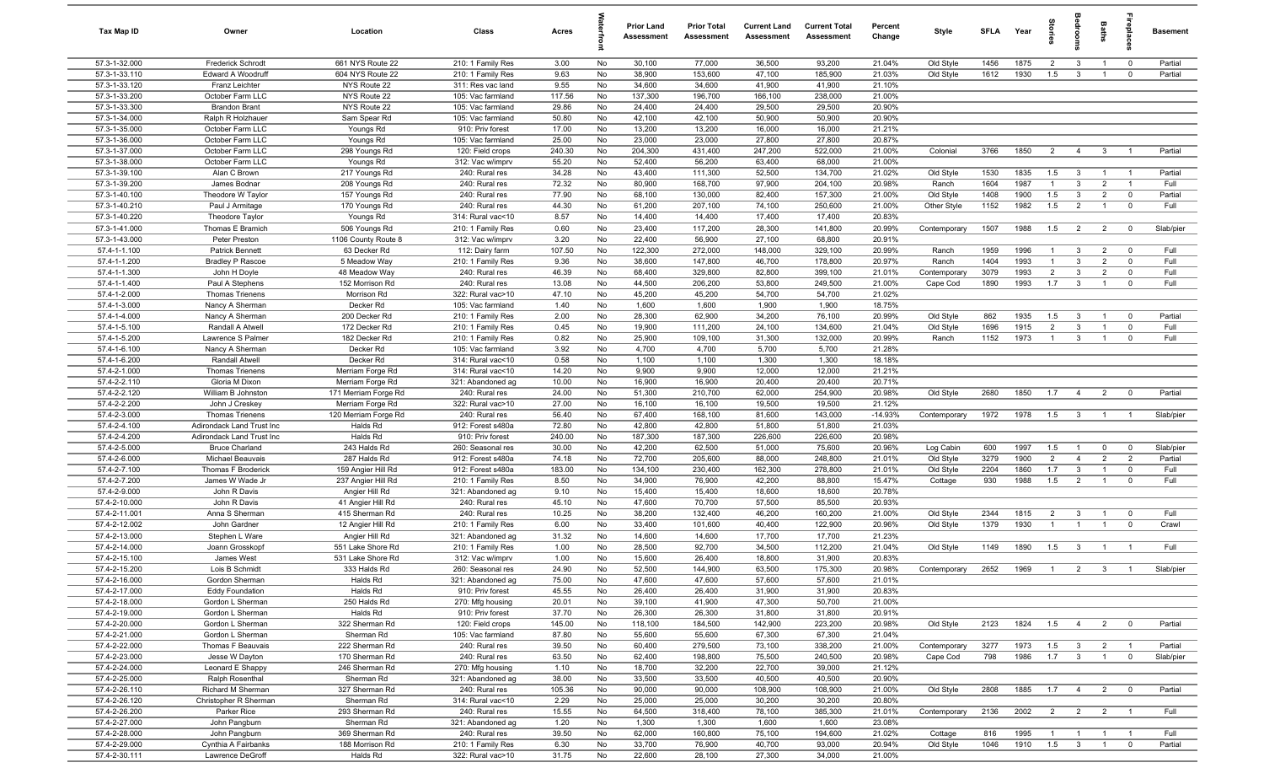| Tax Map ID                     | Owner                                | Location                          | Class                                 | Acres         |          | <b>Prior Land</b><br>Assessment | <b>Prior Total</b><br>Assessment | <b>Current Land</b><br>Assessment | <b>Current Total</b><br>Assessment | Percent<br>Change | Style                | <b>SFLA</b> | Year         | tories                | <b>idrool</b>                             | Baths                            | repla                         | <b>Basement</b> |
|--------------------------------|--------------------------------------|-----------------------------------|---------------------------------------|---------------|----------|---------------------------------|----------------------------------|-----------------------------------|------------------------------------|-------------------|----------------------|-------------|--------------|-----------------------|-------------------------------------------|----------------------------------|-------------------------------|-----------------|
| 57.3-1-32.000                  | <b>Frederick Schrodt</b>             | 661 NYS Route 22                  | 210: 1 Family Res                     | 3.00          | No       | 30,100                          | 77,000                           | 36,500                            | 93,200                             | 21.04%            | Old Style            | 1456        | 1875         | $\overline{2}$        | $\mathbf{3}$                              | $\overline{1}$                   | $\overline{0}$                | Partial         |
| 57.3-1-33.110                  | Edward A Woodruff                    | 604 NYS Route 22                  | 210: 1 Family Res                     | 9.63          | No       | 38,900                          | 153,600                          | 47,100                            | 185,900                            | 21.03%            | Old Style            | 1612        | 1930         | 1.5                   | $\mathbf{3}$                              | $\overline{1}$                   | $\mathbf 0$                   | Partial         |
| 57.3-1-33.120                  | Franz Leichter                       | NYS Route 22                      | 311: Res vac land                     | 9.55          | No       | 34,600                          | 34,600                           | 41,900                            | 41,900                             | 21.10%            |                      |             |              |                       |                                           |                                  |                               |                 |
| 57.3-1-33.200                  | October Farm LLC                     | NYS Route 22                      | 105: Vac farmland                     | 117.56        | No       | 137,300                         | 196,700                          | 166,100                           | 238,000                            | 21.00%            |                      |             |              |                       |                                           |                                  |                               |                 |
| 57.3-1-33.300                  | <b>Brandon Brant</b>                 | NYS Route 22                      | 105: Vac farmland                     | 29.86         | No       | 24,400                          | 24,400                           | 29,500                            | 29,500                             | 20.90%            |                      |             |              |                       |                                           |                                  |                               |                 |
| 57.3-1-34.000                  | Ralph R Holzhauer                    | Sam Spear Rd                      | 105: Vac farmland                     | 50.80         | No       | 42,100                          | 42,100                           | 50,900                            | 50,900                             | 20.90%            |                      |             |              |                       |                                           |                                  |                               |                 |
| 57.3-1-35.000                  | October Farm LLC                     | Youngs Rd                         | 910: Priv forest                      | 17.00         | No       | 13,200                          | 13,200                           | 16,000                            | 16,000                             | 21.21%            |                      |             |              |                       |                                           |                                  |                               |                 |
| 57.3-1-36.000                  | October Farm LLC                     | Youngs Rd                         | 105: Vac farmland                     | 25.00         | No       | 23,000                          | 23,000                           | 27,800                            | 27,800                             | 20.87%            |                      |             |              |                       |                                           |                                  |                               |                 |
| 57.3-1-37.000                  | October Farm LLC                     | 298 Youngs Rd                     | 120: Field crops                      | 240.30        | No       | 204,300                         | 431,400                          | 247,200                           | 522,000                            | 21.00%            | Colonial             | 3766        | 1850         | $\overline{2}$        | $\overline{4}$                            | $\mathbf{3}$                     | $\overline{1}$                | Partial         |
| 57.3-1-38.000                  | October Farm LLC                     | Youngs Rd                         | 312: Vac w/imprv                      | 55.20         | No       | 52,400                          | 56,200                           | 63,400                            | 68,000                             | 21.00%            |                      |             |              |                       |                                           |                                  |                               |                 |
| 57.3-1-39.100                  | Alan C Brown                         | 217 Youngs Rd                     | 240: Rural res                        | 34.28         | No       | 43,400                          | 111,300                          | 52,500                            | 134,700                            | 21.02%            | Old Style            | 1530        | 1835         | 1.5                   | $\overline{3}$                            | $\overline{1}$                   | $\overline{1}$                | Partial         |
| 57.3-1-39.200                  | James Bodnar                         | 208 Youngs Rd                     | 240: Rural res                        | 72.32         | No       | 80,900                          | 168,700                          | 97,900                            | 204,100                            | 20.98%            | Ranch                | 1604        | 1987         | $\overline{1}$        | $\mathbf{3}$                              | $\overline{2}$                   | $\overline{1}$                | Full            |
| 57.3-1-40.100<br>57.3-1-40.210 | Theodore W Taylor                    | 157 Youngs Rd                     | 240: Rural res                        | 77.90         | No       | 68,100                          | 130,000                          | 82,400                            | 157,300                            | 21.00%            | Old Style            | 1408        | 1900         | 1.5                   | $\mathbf{3}$                              | $\overline{2}$<br>$\overline{1}$ | $\mathbf 0$                   | Partial         |
|                                | Paul J Armitage                      | 170 Youngs Rd                     | 240: Rural res                        | 44.30         | No       | 61,200                          | 207,100                          | 74,100                            | 250,600                            | 21.00%            | Other Style          | 1152        | 1982         | 1.5                   | $\overline{2}$                            |                                  | $\mathbf 0$                   | Full            |
| 57.3-1-40.220<br>57.3-1-41.000 | Theodore Taylor                      | Youngs Rd<br>506 Youngs Rd        | 314: Rural vac<10                     | 8.57<br>0.60  | No<br>No | 14,400<br>23,400                | 14,400                           | 17,400<br>28,300                  | 17,400<br>141,800                  | 20.83%<br>20.99%  |                      | 1507        | 1988         | 1.5                   | $\overline{2}$                            |                                  | $\overline{0}$                | Slab/pier       |
| 57.3-1-43.000                  | Thomas E Bramich<br>Peter Preston    | 1106 County Route 8               | 210: 1 Family Res<br>312: Vac w/imprv | 3.20          | No       | 22,400                          | 117,200<br>56,900                | 27,100                            | 68,800                             | 20.91%            | Contemporary         |             |              |                       |                                           | $\overline{2}$                   |                               |                 |
| 57.4-1-1.100                   | Patrick Bennett                      | 63 Decker Rd                      | 112: Dairy farm                       | 107.50        | No       | 122,300                         | 272,000                          | 148,000                           | 329,100                            | 20.99%            |                      | 1959        | 1996         | $\mathbf{1}$          | $\mathbf{3}$                              | $\overline{2}$                   | $\mathbf 0$                   | Full            |
| 57.4-1-1.200                   | <b>Bradley P Rascoe</b>              | 5 Meadow Way                      | 210: 1 Family Res                     | 9.36          | No       | 38,600                          | 147,800                          | 46,700                            | 178,800                            | 20.97%            | Ranch<br>Ranch       | 1404        | 1993         | $\overline{1}$        | $\mathbf{3}$                              | $\overline{2}$                   | $\mathbf 0$                   | Full            |
| 57.4-1-1.300                   | John H Doyle                         | 48 Meadow Way                     | 240: Rural res                        | 46.39         | No       | 68,400                          | 329,800                          | 82,800                            | 399,100                            | 21.01%            | Contemporary         | 3079        | 1993         | $\overline{2}$        | $\mathbf{3}$                              | $\overline{2}$                   | $\mathbf 0$                   | Full            |
| 57.4-1-1.400                   | Paul A Stephens                      | 152 Morrison Rd                   | 240: Rural res                        | 13.08         | No       | 44,500                          | 206,200                          | 53,800                            | 249,500                            | 21.00%            | Cape Cod             | 1890        | 1993         | 1.7                   | $\mathbf{3}$                              | $\overline{1}$                   | $\mathbf 0$                   | Full            |
| 57.4-1-2.000                   | <b>Thomas Trienens</b>               | Morrison Rd                       | 322: Rural vac>10                     | 47.10         | No       | 45,200                          | 45,200                           | 54,700                            | 54,700                             | 21.02%            |                      |             |              |                       |                                           |                                  |                               |                 |
| 57.4-1-3.000                   | Nancy A Sherman                      | Decker Rd                         | 105: Vac farmland                     | 1.40          | No       | 1,600                           | 1,600                            | 1,900                             | 1,900                              | 18.75%            |                      |             |              |                       |                                           |                                  |                               |                 |
| 57.4-1-4.000                   | Nancy A Sherman                      | 200 Decker Rd                     | 210: 1 Family Res                     | 2.00          | No       | 28,300                          | 62,900                           | 34,200                            | 76,100                             | 20.99%            | Old Style            | 862         | 1935         | 1.5                   | $\overline{3}$                            | $\overline{1}$                   | $\overline{0}$                | Partial         |
| 57.4-1-5.100                   | Randall A Atwell                     | 172 Decker Rd                     | 210: 1 Family Res                     | 0.45          | No       | 19,900                          | 111,200                          | 24,100                            | 134,600                            | 21.04%            | Old Style            | 1696        | 1915         | $\overline{2}$        | $\mathbf{3}$                              | $\overline{1}$                   | $\mathbf 0$                   | Full            |
| 57.4-1-5.200                   | Lawrence S Palmer                    | 182 Decker Rd                     | 210: 1 Family Res                     | 0.82          | No       | 25,900                          | 109,100                          | 31,300                            | 132,000                            | 20.99%            | Ranch                | 1152        | 1973         | $\overline{1}$        | $\mathbf{3}$                              | $\overline{1}$                   | $\mathbf 0$                   | Full            |
| 57.4-1-6.100                   | Nancy A Sherman                      | Decker Rd                         | 105: Vac farmland                     | 3.92          | No       | 4,700                           | 4,700                            | 5,700                             | 5,700                              | 21.28%            |                      |             |              |                       |                                           |                                  |                               |                 |
| 57.4-1-6.200                   | Randall Atwell                       | Decker Rd                         | 314: Rural vac<10                     | 0.58          | No       | 1,100                           | 1,100                            | 1,300                             | 1,300                              | 18.18%            |                      |             |              |                       |                                           |                                  |                               |                 |
| 57.4-2-1.000                   | Thomas Trienens                      | Merriam Forge Rd                  | 314: Rural vac<10                     | 14.20         | No       | 9,900                           | 9,900                            | 12,000                            | 12,000                             | 21.21%            |                      |             |              |                       |                                           |                                  |                               |                 |
| 57.4-2-2.110                   | Gloria M Dixon                       | Merriam Forge Rd                  | 321: Abandoned ag                     | 10.00         | No       | 16,900                          | 16,900                           | 20,400                            | 20,400                             | 20.71%            |                      |             |              |                       |                                           |                                  |                               |                 |
| 57.4-2-2.120                   | William B Johnston                   | 171 Merriam Forge Rd              | 240: Rural res                        | 24.00         | No       | 51,300                          | 210,700                          | 62,000                            | 254,900                            | 20.98%            | Old Style            | 2680        | 1850         | 1.7                   | $\overline{4}$                            | $\overline{2}$                   | $\mathbf 0$                   | Partial         |
| 57.4-2-2.200                   | John J Creskey                       | Merriam Forge Rd                  | 322: Rural vac>10                     | 27.00         | No       | 16,100                          | 16,100                           | 19,500                            | 19,500                             | 21.12%            |                      |             |              |                       |                                           |                                  |                               |                 |
| 57.4-2-3.000                   | Thomas Trienens                      | 120 Merriam Forge Rd              | 240: Rural res                        | 56.40         | No       | 67,400                          | 168,100                          | 81,600                            | 143,000                            | $-14.93%$         | Contemporary         | 1972        | 1978         | 1.5                   | $\mathbf{3}$                              | $\overline{1}$                   |                               | Slab/pier       |
| 57.4-2-4.100                   | Adirondack Land Trust Inc            | Halds Rd                          | 912: Forest s480a                     | 72.80         | No       | 42,800                          | 42,800                           | 51,800                            | 51,800                             | 21.03%            |                      |             |              |                       |                                           |                                  |                               |                 |
| 57.4-2-4.200                   | Adirondack Land Trust Inc            | Halds Rd                          | 910: Priv forest                      | 240.00        | No       | 187,300                         | 187,300                          | 226,600                           | 226,600                            | 20.98%            |                      |             |              |                       |                                           |                                  |                               |                 |
| 57.4-2-5.000                   | <b>Bruce Charland</b>                | 243 Halds Rd                      | 260: Seasonal res                     | 30.00         | No       | 42,200                          | 62,500                           | 51,000                            | 75,600                             | 20.96%            | Log Cabin            | 600         | 1997         | 1.5                   | $\overline{1}$                            | $\mathbf{0}$                     | $\mathbf 0$                   | Slab/pier       |
| 57.4-2-6.000                   | Michael Beauvais                     | 287 Halds Rd                      | 912: Forest s480a                     | 74.18         | No       | 72,700                          | 205,600                          | 88,000                            | 248,800                            | 21.01%            | Old Style            | 3279        | 1900         | $\overline{2}$        | $\overline{4}$                            | $\overline{2}$                   | $\overline{2}$                | Partial         |
| 57.4-2-7.100                   | Thomas F Broderick                   | 159 Angier Hill Rd                | 912: Forest s480a                     | 183.00        | No       | 134,100                         | 230,400                          | 162,300                           | 278,800                            | 21.01%            | Old Style            | 2204        | 1860         | 1.7                   | $\mathbf{3}$                              | $\overline{1}$                   | $\mathbf 0$                   | Full            |
| 57.4-2-7.200                   | James W Wade Jr                      | 237 Angier Hill Rd                | 210: 1 Family Res                     | 8.50          | No       | 34,900                          | 76,900                           | 42,200                            | 88,800                             | 15.47%            | Cottage              | 930         | 1988         | 1.5                   | $\overline{2}$                            | $\overline{1}$                   | $\mathbf 0$                   | Full            |
| 57.4-2-9.000                   | John R Davis                         | Angier Hill Rd                    | 321: Abandoned ag                     | 9.10          | No       | 15,400                          | 15,400                           | 18,600                            | 18,600                             | 20.78%            |                      |             |              |                       |                                           |                                  |                               |                 |
| 57.4-2-10.000                  | John R Davis                         | 41 Angier Hill Rd                 | 240: Rural res                        | 45.10         | No       | 47,600                          | 70,700                           | 57,500                            | 85,500                             | 20.93%            |                      |             |              |                       |                                           |                                  |                               |                 |
| 57.4-2-11.001                  | Anna S Sherman                       | 415 Sherman Rd                    | 240: Rural res                        | 10.25         | No       | 38,200                          | 132,400                          | 46,200                            | 160,200                            | 21.00%            | Old Style            | 2344        | 1815         | $\overline{2}$        | $\overline{\mathbf{3}}$                   | $\overline{1}$                   | $\mathbf 0$                   | Full            |
| 57.4-2-12.002                  | John Gardner                         | 12 Angier Hill Rd                 | 210: 1 Family Res                     | 6.00          | No       | 33,400                          | 101,600                          | 40,400                            | 122,900                            | 20.96%            | Old Style            | 1379        | 1930         | $\overline{1}$        | $\overline{1}$                            | $\overline{1}$                   | $\mathbf 0$                   | Crawl           |
| 57.4-2-13.000                  | Stephen L Ware                       | Angier Hill Rd                    | 321: Abandoned ag                     | 31.32         | No       | 14,600                          | 14,600                           | 17,700                            | 17,700                             | 21.23%            |                      |             |              |                       |                                           |                                  |                               |                 |
| 57.4-2-14.000                  | Joann Grosskopf                      | 551 Lake Shore Rd                 | 210: 1 Family Res                     | 1.00          | No       | 28,500                          | 92,700                           | 34,500                            | 112,200                            | 21.04%            | Old Style            | 1149        | 1890         | 1.5                   | $\mathbf{3}$                              | $\mathbf{1}$                     |                               | Full            |
| 57.4-2-15.100                  | James West                           | 531 Lake Shore Rd                 | 312: Vac w/imprv                      | 1.00          | No       | 15,600                          | 26,400                           | 18,800                            | 31,900                             | 20.83%            |                      |             |              |                       |                                           |                                  |                               |                 |
| 57.4-2-15.200                  | Lois B Schmidt                       | 333 Halds Rd                      | 260: Seasonal res                     | 24.90         | No       | 52,500                          | 144,900                          | 63,500                            | 175,300                            | 20.98%            | Contemporary         | 2652        | 1969         |                       | $\overline{2}$                            |                                  |                               | Slab/pier       |
| 57.4-2-16.000                  | Gordon Sherman                       | Halds Rd                          | 321: Abandoned ag                     | 75.00         | No       | 47,600                          | 47,600                           | 57,600                            | 57,600                             | 21.01%            |                      |             |              |                       |                                           |                                  |                               |                 |
| 57.4-2-17.000                  | <b>Eddy Foundation</b>               | Halds Rd                          | 910: Priv forest                      | 45.55         | No       | 26,400                          | 26,400                           | 31,900                            | 31,900                             | 20.83%            |                      |             |              |                       |                                           |                                  |                               |                 |
| 57.4-2-18.000                  | Gordon L Sherman                     | 250 Halds Rd                      | 270: Mfg housing                      | 20.01         | No       | 39,100                          | 41,900                           | 47,300                            | 50,700                             | 21.00%            |                      |             |              |                       |                                           |                                  |                               |                 |
| 57.4-2-19.000                  | Gordon L Sherman                     | Halds Rd                          | 910: Priv forest                      | 37.70         | No       | 26,300                          | 26,300                           | 31,800                            | 31,800                             | 20.91%            |                      |             |              |                       |                                           |                                  |                               |                 |
| 57.4-2-20.000                  | Gordon L Sherman                     | 322 Sherman Rd                    | 120: Field crops                      | 145.00        | No       | 118,100                         | 184,500                          | 142,900                           | 223,200                            | 20.98%            | Old Style            | 2123        | 1824         | 1.5                   | $\overline{4}$                            | $\overline{2}$                   | $\overline{0}$                | Partial         |
| 57.4-2-21.000                  | Gordon L Sherman                     | Sherman Rd                        | 105: Vac farmland                     | 87.80         | No       | 55,600                          | 55,600                           | 67,300                            | 67,300                             | 21.04%            |                      |             |              |                       |                                           |                                  |                               |                 |
| 57.4-2-22.000                  | Thomas F Beauvais                    | 222 Sherman Rd                    | 240: Rural res                        | 39.50         | No       | 60,400                          | 279,500                          | 73,100                            | 338,200                            | 21.00%            | Contemporary         | 3277        | 1973         | 1.5                   | $\overline{\mathbf{3}}$                   | $\overline{2}$                   | $\overline{1}$                | Partial         |
| 57.4-2-23.000                  | Jesse W Dayton                       | 170 Sherman Rd                    | 240: Rural res                        | 63.50         | No       | 62,400                          | 198,800                          | 75,500                            | 240,500                            | 20.98%            | Cape Cod             | 798         | 1986         | 1.7                   | $\overline{\mathbf{3}}$                   | $\overline{1}$                   | $\overline{0}$                | Slab/pier       |
| 57.4-2-24.000                  | Leonard E Shappy                     | 246 Sherman Rd                    | 270: Mfg housing                      | 1.10          | No       | 18,700                          | 32,200                           | 22,700                            | 39,000                             | 21.12%            |                      |             |              |                       |                                           |                                  |                               |                 |
| 57.4-2-25.000                  | Ralph Rosenthal                      | Sherman Rd                        | 321: Abandoned ag                     | 38.00         | No       | 33,500                          | 33,500                           | 40,500                            | 40,500                             | 20.90%            |                      |             |              |                       |                                           |                                  |                               |                 |
| 57.4-2-26.110                  | Richard M Sherman                    | 327 Sherman Rd                    | 240: Rural res                        | 105.36        | No       | 90,000                          | 90,000                           | 108,900                           | 108,900                            | 21.00%            | Old Style            | 2808        | 1885         | 1.7                   | $\overline{4}$                            | $\overline{2}$                   | $\mathbf 0$                   | Partial         |
| 57.4-2-26.120                  | Christopher R Sherman                | Sherman Rd                        | 314: Rural vac<10                     | 2.29          | No       | 25,000                          | 25,000                           | 30,200                            | 30,200                             | 20.80%            |                      |             |              |                       |                                           |                                  |                               |                 |
| 57.4-2-26.200                  | Parker Rice                          | 293 Sherman Rd                    | 240: Rural res                        | 15.55         | No       | 64,500                          | 318,400                          | 78,100                            | 385,300                            | 21.01%            | Contemporary         | 2136        | 2002         | $\overline{2}$        | $\overline{\mathbf{c}}$                   | $\overline{2}$                   | $\overline{1}$                | Full            |
| 57.4-2-27.000                  | John Pangburn                        | Sherman Rd                        | 321: Abandoned ag                     | 1.20          | No       | 1,300                           | 1,300                            | 1,600                             | 1,600                              | 23.08%            |                      |             |              |                       |                                           |                                  |                               |                 |
| 57.4-2-28.000<br>57.4-2-29.000 | John Pangburn<br>Cynthia A Fairbanks | 369 Sherman Rd<br>188 Morrison Rd | 240: Rural res<br>210: 1 Family Res   | 39.50<br>6.30 | No<br>No | 62,000<br>33,700                | 160,800<br>76,900                | 75,100<br>40,700                  | 194,600<br>93,000                  | 21.02%<br>20.94%  | Cottage<br>Old Style | 816<br>1046 | 1995<br>1910 | $\overline{1}$<br>1.5 | $\overline{1}$<br>$\overline{\mathbf{3}}$ | $\overline{1}$<br>$\overline{1}$ | $\overline{1}$<br>$\mathbf 0$ | Full<br>Partial |
| 57.4-2-30.111                  | Lawrence DeGroff                     | Halds Rd                          | 322: Rural vac>10                     | 31.75         | No       | 22,600                          | 28,100                           | 27,300                            | 34,000                             | 21.00%            |                      |             |              |                       |                                           |                                  |                               |                 |
|                                |                                      |                                   |                                       |               |          |                                 |                                  |                                   |                                    |                   |                      |             |              |                       |                                           |                                  |                               |                 |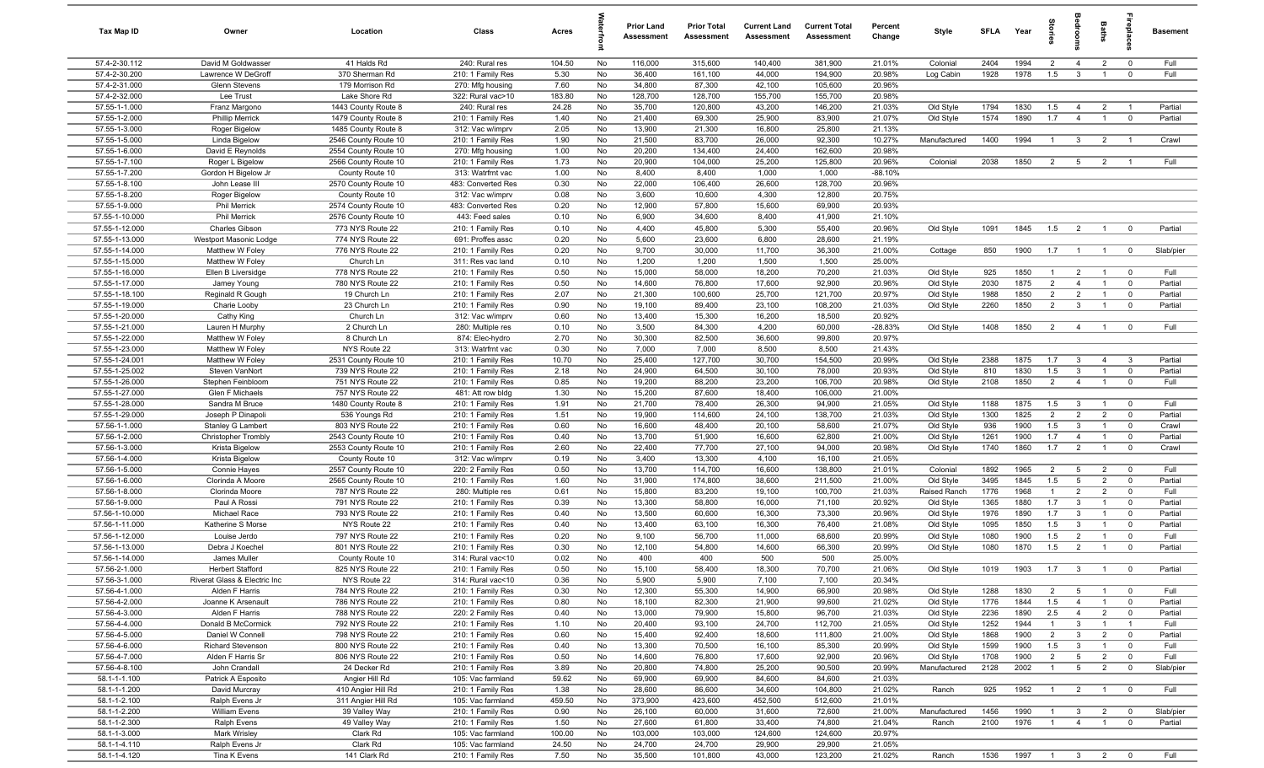| Tax Map ID                       | Owner                                   | Location                                   | Class                                  | Acres          |          | <b>Prior Land</b><br>Assessment | <b>Prior Total</b><br>Assessment | <b>Current Land</b><br>Assessment | <b>Current Total</b><br>Assessment | Percent<br>Change | Style                  | SFLA         | Year         | ĝ                     |                                  | <b>Baths</b>                     | irepla                     | <b>Basement</b>    |
|----------------------------------|-----------------------------------------|--------------------------------------------|----------------------------------------|----------------|----------|---------------------------------|----------------------------------|-----------------------------------|------------------------------------|-------------------|------------------------|--------------|--------------|-----------------------|----------------------------------|----------------------------------|----------------------------|--------------------|
| 57.4-2-30.112                    | David M Goldwasser                      | 41 Halds Rd                                | 240: Rural res                         | 104.50         | No       | 116,000                         | 315,600                          | 140,400                           | 381,900                            | 21.01%            | Colonial               | 2404         | 1994         | $\overline{2}$        | $\overline{4}$                   | $\overline{2}$                   | $\overline{0}$             | Full               |
| 57.4-2-30.200                    | Lawrence W DeGroff                      | 370 Sherman Rd                             | 210: 1 Family Res                      | 5.30           | No       | 36,400                          | 161,100                          | 44,000                            | 194,900                            | 20.98%            | Log Cabin              | 1928         | 1978         | 1.5                   | $\mathbf{3}$                     | $\overline{1}$                   | $\mathbf 0$                | Full               |
| 57.4-2-31.000                    | Glenn Stevens                           | 179 Morrison Rd                            | 270: Mfg housing                       | 7.60           | No       | 34,800                          | 87,300                           | 42,100                            | 105,600                            | 20.96%            |                        |              |              |                       |                                  |                                  |                            |                    |
| 57.4-2-32.000                    | Lee Trust                               | Lake Shore Rd                              | 322: Rural vac>10                      | 183.80         | No       | 128,700                         | 128,700                          | 155,700                           | 155,700                            | 20.98%            |                        |              |              |                       |                                  |                                  |                            |                    |
| 57.55-1-1.000<br>57.55-1-2.000   | Franz Margono<br><b>Phillip Merrick</b> | 1443 County Route 8                        | 240: Rural res<br>210: 1 Family Res    | 24.28<br>1.40  | No<br>No | 35,700<br>21,400                | 120,800<br>69,300                | 43,200<br>25,900                  | 146,200<br>83,900                  | 21.03%<br>21.07%  | Old Style<br>Old Style | 1794<br>1574 | 1830<br>1890 | 1.5<br>1.7            | $\overline{4}$<br>$\overline{4}$ | $\overline{2}$<br>$\overline{1}$ | $\mathbf 0$                | Partial<br>Partial |
| 57.55-1-3.000                    | Roger Bigelow                           | 1479 County Route 8<br>1485 County Route 8 | 312: Vac w/imprv                       | 2.05           | No       | 13,900                          | 21,300                           | 16,800                            | 25,800                             | 21.13%            |                        |              |              |                       |                                  |                                  |                            |                    |
| 57.55-1-5.000                    | Linda Bigelow                           | 2546 County Route 10                       | 210: 1 Family Res                      | 1.90           | No       | 21,500                          | 83,700                           | 26,000                            | 92,300                             | 10.27%            | Manufactured           | 1400         | 1994         | $\mathbf{1}$          | $\mathbf{3}$                     | $\overline{2}$                   | $\overline{1}$             | Crawl              |
| 57.55-1-6.000                    | David E Reynolds                        | 2554 County Route 10                       | 270: Mfg housing                       | 1.00           | No       | 20,200                          | 134,400                          | 24,400                            | 162,600                            | 20.98%            |                        |              |              |                       |                                  |                                  |                            |                    |
| 57.55-1-7.100                    | Roger L Bigelow                         | 2566 County Route 10                       | 210: 1 Family Res                      | 1.73           | No       | 20,900                          | 104,000                          | 25,200                            | 125,800                            | 20.96%            | Colonial               | 2038         | 1850         | $\overline{2}$        | 5                                | $\overline{2}$                   | $\overline{1}$             | Full               |
| 57.55-1-7.200                    | Gordon H Bigelow Jr                     | County Route 10                            | 313: Watrfrnt vac                      | 1.00           | No       | 8,400                           | 8,400                            | 1,000                             | 1,000                              | $-88.10%$         |                        |              |              |                       |                                  |                                  |                            |                    |
| 57.55-1-8.100                    | John Lease III                          | 2570 County Route 10                       | 483: Converted Res                     | 0.30           | No       | 22,000                          | 106,400                          | 26,600                            | 128,700                            | 20.96%            |                        |              |              |                       |                                  |                                  |                            |                    |
| 57.55-1-8.200                    | Roger Bigelow                           | County Route 10                            | 312: Vac w/imprv                       | 0.08           | No       | 3,600                           | 10,600                           | 4,300                             | 12,800                             | 20.75%            |                        |              |              |                       |                                  |                                  |                            |                    |
| 57.55-1-9.000                    | <b>Phil Merrick</b>                     | 2574 County Route 10                       | 483: Converted Res                     | 0.20           | No       | 12,900                          | 57,800                           | 15,600                            | 69,900                             | 20.93%            |                        |              |              |                       |                                  |                                  |                            |                    |
| 57.55-1-10.000                   | <b>Phil Merrick</b>                     | 2576 County Route 10                       | 443: Feed sales                        | 0.10           | No       | 6,900                           | 34,600                           | 8,400                             | 41,900                             | 21.10%            |                        |              |              |                       |                                  |                                  |                            |                    |
| 57.55-1-12.000                   | Charles Gibson                          | 773 NYS Route 22                           | 210: 1 Family Res                      | 0.10           | No       | 4,400                           | 45,800                           | 5,300                             | 55,400                             | 20.96%            | Old Style              | 1091         | 1845         | 1.5                   | $\overline{2}$                   | $\overline{1}$                   | $\mathbf 0$                | Partial            |
| 57.55-1-13.000                   | Westport Masonic Lodge                  | 774 NYS Route 22                           | 691: Proffes assc                      | 0.20           | No       | 5,600                           | 23,600                           | 6,800                             | 28,600                             | 21.19%            |                        |              |              |                       |                                  |                                  |                            |                    |
| 57.55-1-14.000                   | Matthew W Foley                         | 776 NYS Route 22                           | 210: 1 Family Res                      | 0.20           | No       | 9,700                           | 30,000                           | 11,700                            | 36,300                             | 21.00%            | Cottage                | 850          | 1900         | 1.7                   | $\overline{1}$                   | $\overline{1}$                   | $\overline{0}$             | Slab/pier          |
| 57.55-1-15.000<br>57.55-1-16.000 | Matthew W Foley<br>Ellen B Liversidge   | Church Ln<br>778 NYS Route 22              | 311: Res vac land<br>210: 1 Family Res | 0.10<br>0.50   | No<br>No | 1,200<br>15,000                 | 1,200<br>58,000                  | 1,500<br>18,200                   | 1,500<br>70,200                    | 25.00%<br>21.03%  | Old Style              | 925          | 1850         | $\mathbf{1}$          | $\overline{2}$                   | $\overline{1}$                   | $\overline{0}$             | Full               |
| 57.55-1-17.000                   | Jamey Young                             | 780 NYS Route 22                           | 210: 1 Family Res                      | 0.50           | No       | 14,600                          | 76,800                           | 17,600                            | 92,900                             | 20.96%            | Old Style              | 2030         | 1875         | $\overline{2}$        | $\overline{4}$                   | $\overline{1}$                   | $\overline{0}$             | Partial            |
| 57.55-1-18.100                   | Reginald R Gough                        | 19 Church Ln                               | 210: 1 Family Res                      | 2.07           | No       | 21,300                          | 100,600                          | 25,700                            | 121,700                            | 20.97%            | Old Style              | 1988         | 1850         | $\overline{2}$        | $\overline{2}$                   | $\overline{1}$                   | $\mathbf 0$                | Partial            |
| 57.55-1-19.000                   | Charie Looby                            | 23 Church Ln                               | 210: 1 Family Res                      | 0.90           | No       | 19,100                          | 89,400                           | 23,100                            | 108,200                            | 21.03%            | Old Style              | 2260         | 1850         | 2                     | $\mathbf{3}$                     | $\overline{1}$                   | $\overline{0}$             | Partial            |
| 57.55-1-20.000                   | Cathy King                              | Church Ln                                  | 312: Vac w/imprv                       | 0.60           | No       | 13,400                          | 15,300                           | 16,200                            | 18,500                             | 20.92%            |                        |              |              |                       |                                  |                                  |                            |                    |
| 57.55-1-21.000                   | Lauren H Murphy                         | 2 Church Ln                                | 280: Multiple res                      | 0.10           | No       | 3,500                           | 84,300                           | 4,200                             | 60,000                             | $-28.83%$         | Old Style              | 1408         | 1850         | $\overline{2}$        | $\overline{4}$                   | $\overline{1}$                   | $\mathbf 0$                | Full               |
| 57.55-1-22.000                   | Matthew W Foley                         | 8 Church Ln                                | 874: Elec-hydro                        | 2.70           | No       | 30,300                          | 82,500                           | 36,600                            | 99,800                             | 20.97%            |                        |              |              |                       |                                  |                                  |                            |                    |
| 57.55-1-23.000                   | Matthew W Foley                         | NYS Route 22                               | 313: Watrfrnt vac                      | 0.30           | No       | 7,000                           | 7,000                            | 8,500                             | 8,500                              | 21.43%            |                        |              |              |                       |                                  |                                  |                            |                    |
| 57.55-1-24.001                   | Matthew W Foley                         | 2531 County Route 10                       | 210: 1 Family Res                      | 10.70          | No       | 25,400                          | 127,700                          | 30,700                            | 154,500                            | 20.99%            | Old Style              | 2388         | 1875         | 1.7                   | $\mathbf{3}$                     | $\overline{4}$                   | $\mathbf{3}$               | Partial            |
| 57.55-1-25.002                   | Steven VanNort                          | 739 NYS Route 22                           | 210: 1 Family Res                      | 2.18           | No       | 24,900                          | 64,500                           | 30,100                            | 78,000                             | 20.93%            | Old Style              | 810          | 1830         | 1.5                   | $\mathbf{3}$                     | $\overline{1}$                   | $\mathbf 0$                | Partial            |
| 57.55-1-26.000                   | Stephen Feinbloom                       | 751 NYS Route 22                           | 210: 1 Family Res                      | 0.85           | No       | 19,200                          | 88,200                           | 23,200                            | 106,700                            | 20.98%            | Old Style              | 2108         | 1850         | $\overline{2}$        | $\overline{4}$                   | $\overline{1}$                   | $\mathbf{0}$               | Full               |
| 57.55-1-27.000                   | Glen F Michaels                         | 757 NYS Route 22                           | 481: Att row bldg                      | 1.30           | No       | 15,200                          | 87,600                           | 18,400                            | 106,000                            | 21.00%            |                        |              |              |                       |                                  |                                  |                            |                    |
| 57.55-1-28.000<br>57.55-1-29.000 | Sandra M Bruce<br>Joseph P Dinapoli     | 1480 County Route 8<br>536 Youngs Rd       | 210: 1 Family Res<br>210: 1 Family Res | 1.91<br>1.51   | No<br>No | 21,700<br>19,900                | 78,400<br>114,600                | 26,300<br>24,100                  | 94,900<br>138,700                  | 21.05%<br>21.03%  | Old Style<br>Old Style | 1188<br>1300 | 1875<br>1825 | 1.5<br>$\overline{2}$ | $\mathbf{3}$<br>$\overline{2}$   | $\overline{1}$<br>$\overline{2}$ | $\mathbf 0$<br>$\mathbf 0$ | Full<br>Partial    |
| 57.56-1-1.000                    | Stanley G Lambert                       | 803 NYS Route 22                           | 210: 1 Family Res                      | 0.60           | No       | 16,600                          | 48,400                           | 20,100                            | 58,600                             | 21.07%            | Old Style              | 936          | 1900         | 1.5                   | $\mathbf{3}$                     | $\overline{1}$                   | $\mathbf 0$                | Crawl              |
| 57.56-1-2.000                    | <b>Christopher Trombly</b>              | 2543 County Route 10                       | 210: 1 Family Res                      | 0.40           | No       | 13,700                          | 51,900                           | 16,600                            | 62,800                             | 21.00%            | Old Style              | 1261         | 1900         | 1.7                   | $\overline{4}$                   | $\overline{1}$                   | $\mathbf 0$                | Partial            |
| 57.56-1-3.000                    | Krista Bigelow                          | 2553 County Route 10                       | 210: 1 Family Res                      | 2.60           | No       | 22,400                          | 77,700                           | 27,100                            | 94,000                             | 20.98%            | Old Style              | 1740         | 1860         | 1.7                   | $\overline{2}$                   | $\overline{1}$                   | $\overline{0}$             | Crawl              |
| 57.56-1-4.000                    | Krista Bigelow                          | County Route 10                            | 312: Vac w/imprv                       | 0.19           | No       | 3,400                           | 13,300                           | 4,100                             | 16,100                             | 21.05%            |                        |              |              |                       |                                  |                                  |                            |                    |
| 57.56-1-5.000                    | Connie Hayes                            | 2557 County Route 10                       | 220: 2 Family Res                      | 0.50           | No       | 13,700                          | 114,700                          | 16,600                            | 138,800                            | 21.01%            | Colonial               | 1892         | 1965         | $\overline{2}$        | 5                                | $\overline{2}$                   | $\overline{0}$             | Full               |
| 57.56-1-6.000                    | Clorinda A Moore                        | 2565 County Route 10                       | 210: 1 Family Res                      | 1.60           | No       | 31,900                          | 174,800                          | 38,600                            | 211,500                            | 21.00%            | Old Style              | 3495         | 1845         | 1.5                   | 5                                | 2                                | $\mathbf 0$                | Partial            |
| 57.56-1-8.000                    | Clorinda Moore                          | 787 NYS Route 22                           | 280: Multiple res                      | 0.61           | No       | 15,800                          | 83,200                           | 19,100                            | 100,700                            | 21.03%            | Raised Ranch           | 1776         | 1968         | $\mathbf{1}$          | 2                                | 2                                | $\mathbf 0$                | Full               |
| 57.56-1-9.000                    | Paul A Rossi                            | 791 NYS Route 22                           | 210: 1 Family Res                      | 0.39           | No       | 13,300                          | 58,800                           | 16,000                            | 71,100                             | 20.92%            | Old Style              | 1365         | 1880         | 1.7                   | $\mathbf{3}$                     | $\overline{1}$                   | $\mathbf 0$                | Partial            |
| 57.56-1-10.000                   | Michael Race                            | 793 NYS Route 22                           | 210: 1 Family Res                      | 0.40           | No       | 13,500                          | 60,600                           | 16,300                            | 73,300                             | 20.96%            | Old Style              | 1976         | 1890         | 1.7                   | $\mathbf{3}$                     | $\overline{1}$                   | $\mathbf 0$                | Partial            |
| 57.56-1-11.000                   | Katherine S Morse                       | NYS Route 22                               | 210: 1 Family Res                      | 0.40           | No       | 13,400                          | 63,100                           | 16,300                            | 76,400                             | 21.08%            | Old Style              | 1095         | 1850         | 1.5                   | $\mathbf{3}$                     |                                  | $\mathbf 0$                | Partial            |
| 57.56-1-12.000                   | Louise Jerdo                            | 797 NYS Route 22                           | 210: 1 Family Res                      | 0.20           | No       | 9,100                           | 56,700                           | 11,000                            | 68,600                             | 20.99%            | Old Style              | 1080         | 1900<br>1870 | 1.5                   | $\overline{2}$                   | $\overline{1}$<br>$\overline{1}$ | $\Omega$<br>$\Omega$       | Full               |
| 57.56-1-13.000<br>57.56-1-14.000 | Debra J Koechel<br>James Muller         | 801 NYS Route 22<br>County Route 10        | 210: 1 Family Res<br>314: Rural vac<10 | 0.30<br>0.02   | No<br>No | 12,100<br>400                   | 54,800<br>400                    | 14,600<br>500                     | 66,300<br>500                      | 20.99%<br>25.00%  | Old Style              | 1080         |              | 1.5                   | $\overline{2}$                   |                                  |                            | Partial            |
| 57.56-2-1.000                    | Herbert Stafford                        | 825 NYS Route 22                           | 210: 1 Family Res                      | 0.50           | No       | 15,100                          | 58,400                           | 18,300                            | 70,700                             | 21.06%            | Old Style              | 1019         | 1903         | 1.7                   | $\mathbf{3}$                     | $\overline{1}$                   |                            | Partial            |
| 57.56-3-1.000                    | Riverat Glass & Electric Inc            | NYS Route 22                               | 314: Rural vac<10                      | 0.36           | No       | 5,900                           | 5,900                            | 7,100                             | 7,100                              | 20.34%            |                        |              |              |                       |                                  |                                  |                            |                    |
| 57.56-4-1.000                    | Alden F Harris                          | 784 NYS Route 22                           | 210: 1 Family Res                      | 0.30           | No       | 12,300                          | 55,300                           | 14,900                            | 66,900                             | 20.98%            | Old Style              | 1288         | 1830         | $\overline{2}$        | $5\overline{5}$                  | $\overline{1}$                   | $\overline{\mathbf{0}}$    | Full               |
| 57.56-4-2.000                    | Joanne K Arsenault                      | 786 NYS Route 22                           | 210: 1 Family Res                      | 0.80           | No       | 18,100                          | 82,300                           | 21,900                            | 99,600                             | 21.02%            | Old Style              | 1776         | 1844         | 1.5                   | $\overline{4}$                   | $\overline{1}$                   | $\mathbf 0$                | Partial            |
| 57.56-4-3.000                    | Alden F Harris                          | 788 NYS Route 22                           | 220: 2 Family Res                      | 0.40           | No       | 13,000                          | 79,900                           | 15,800                            | 96,700                             | 21.03%            | Old Style              | 2236         | 1890         | 2.5                   | $\overline{4}$                   | $\overline{2}$                   | $\overline{0}$             | Partial            |
| 57.56-4-4.000                    | Donald B McCormick                      | 792 NYS Route 22                           | 210: 1 Family Res                      | 1.10           | No       | 20,400                          | 93,100                           | 24,700                            | 112,700                            | 21.05%            | Old Style              | 1252         | 1944         | $\mathbf{1}$          | $\mathbf{3}$                     | $\overline{1}$                   | $\overline{1}$             | Full               |
| 57.56-4-5.000                    | Daniel W Connell                        | 798 NYS Route 22                           | 210: 1 Family Res                      | 0.60           | No       | 15,400                          | 92,400                           | 18,600                            | 111,800                            | 21.00%            | Old Style              | 1868         | 1900         | $\overline{2}$        | $\mathbf{3}$                     | $\overline{2}$                   | $\mathbf 0$                | Partial            |
| 57.56-4-6.000                    | <b>Richard Stevenson</b>                | 800 NYS Route 22                           | 210: 1 Family Res                      | 0.40           | No       | 13,300                          | 70,500                           | 16,100                            | 85,300                             | 20.99%            | Old Style              | 1599         | 1900         | 1.5                   | $\mathbf{3}$                     | $\overline{1}$                   | $\mathbf 0$                | Full               |
| 57.56-4-7.000                    | Alden F Harris Sr                       | 806 NYS Route 22                           | 210: 1 Family Res                      | 0.50           | No       | 14,600                          | 76,800                           | 17,600                            | 92,900                             | 20.96%            | Old Style              | 1708         | 1900         | $\overline{2}$        | $5\overline{5}$                  | $\overline{2}$                   | $\mathbf 0$                | Full               |
| 57.56-4-8.100                    | John Crandall                           | 24 Decker Rd                               | 210: 1 Family Res                      | 3.89           | No       | 20,800                          | 74,800                           | 25,200                            | 90,500                             | 20.99%            | Manufactured           | 2128         | 2002         | $\mathbf{1}$          | $5\phantom{.0}$                  | $\overline{2}$                   | $\mathbf 0$                | Slab/pier          |
| 58.1-1-1.100                     | Patrick A Esposito                      | Angier Hill Rd                             | 105: Vac farmland                      | 59.62          | No       | 69,900                          | 69,900                           | 84,600                            | 84,600                             | 21.03%            |                        |              |              |                       |                                  |                                  |                            |                    |
| 58.1-1-1.200                     | David Murcray                           | 410 Angier Hill Rd                         | 210: 1 Family Res                      | 1.38           | No       | 28,600                          | 86,600                           | 34,600                            | 104,800                            | 21.02%            | Ranch                  | 925          | 1952         | $\overline{1}$        | $\overline{2}$                   | $\overline{1}$                   | $\overline{\mathbf{0}}$    | Full               |
| 58.1-1-2.100<br>58.1-1-2.200     | Ralph Evens Jr<br>William Evens         | 311 Angier Hill Rd<br>39 Valley Way        | 105: Vac farmland<br>210: 1 Family Res | 459.50<br>0.90 | No<br>No | 373,900<br>26,100               | 423,600<br>60,000                | 452,500<br>31,600                 | 512,600<br>72,600                  | 21.01%<br>21.00%  | Manufactured           | 1456         | 1990         | $\overline{1}$        | $\mathbf{3}$                     | $\overline{2}$                   | $\overline{0}$             | Slab/pier          |
| 58.1-1-2.300                     | Ralph Evens                             | 49 Valley Way                              | 210: 1 Family Res                      | 1.50           | No       | 27,600                          | 61,800                           | 33,400                            | 74,800                             | 21.04%            | Ranch                  | 2100         | 1976         | $\overline{1}$        | $\overline{4}$                   | $\overline{1}$                   | $\mathbf 0$                | Partial            |
| 58.1-1-3.000                     | Mark Wrisley                            | Clark Rd                                   | 105: Vac farmland                      | 100.00         | No       | 103,000                         | 103,000                          | 124,600                           | 124,600                            | 20.97%            |                        |              |              |                       |                                  |                                  |                            |                    |
| 58.1-1-4.110                     | Ralph Evens Jr                          | Clark Rd                                   | 105: Vac farmland                      | 24.50          | No       | 24,700                          | 24,700                           | 29,900                            | 29,900                             | 21.05%            |                        |              |              |                       |                                  |                                  |                            |                    |
| 58.1-1-4.120                     | Tina K Evens                            | 141 Clark Rd                               | 210: 1 Family Res                      | 7.50           | No       | 35,500                          | 101,800                          | 43,000                            | 123,200                            | 21.02%            | Ranch                  | 1536         | 1997         |                       | $1 \quad 3 \quad 2$              |                                  | $\overline{0}$             | Full               |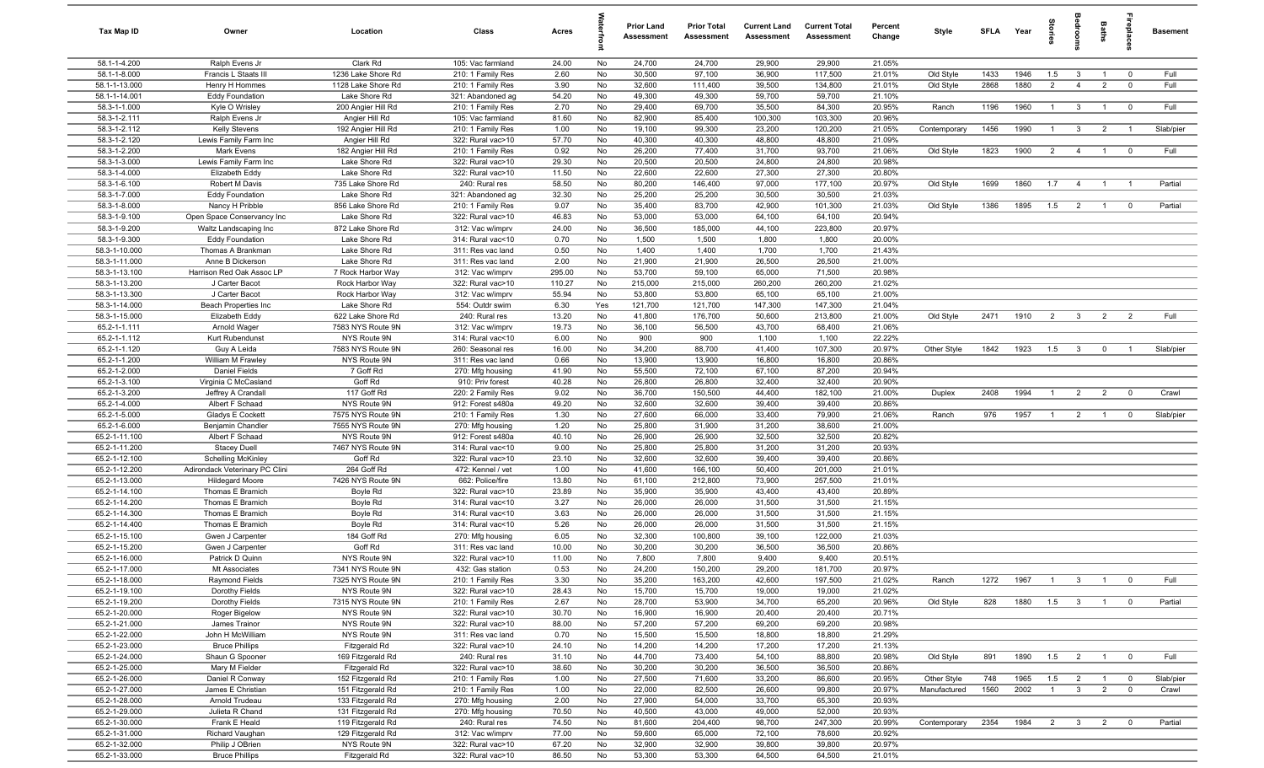| Tax Map ID                     | Owner                                 | Location                               | Class                                  | Acres         |          | <b>Prior Land</b><br>Assessment | <b>Prior Total</b><br>Assessment | <b>Current Land</b><br><b>Assessment</b> | <b>Current Total</b><br><b>Assessment</b> | Percent<br>Change | Style        | SFLA Year |      | tories         | adroom                  | <b>Baths</b>   | ireplace                | <b>Basement</b> |
|--------------------------------|---------------------------------------|----------------------------------------|----------------------------------------|---------------|----------|---------------------------------|----------------------------------|------------------------------------------|-------------------------------------------|-------------------|--------------|-----------|------|----------------|-------------------------|----------------|-------------------------|-----------------|
| 58.1-1-4.200                   | Ralph Evens Jr                        | Clark Rd                               | 105: Vac farmland                      | 24.00         | No       | 24,700                          | 24,700                           | 29,900                                   | 29,900                                    | 21.05%            |              |           |      |                |                         |                |                         |                 |
| 58.1-1-8.000                   | Francis L Staats III                  | 1236 Lake Shore Rd                     | 210: 1 Family Res                      | 2.60          | No       | 30,500                          | 97,100                           | 36,900                                   | 117,500                                   | 21.01%            | Old Style    | 1433      | 1946 | 1.5            | $\mathbf{3}$            | $\overline{1}$ | $\mathbf 0$             | Full            |
| 58.1-1-13.000                  | Henry H Hommes                        | 1128 Lake Shore Rd                     | 210: 1 Family Res                      | 3.90          | No       | 32,600                          | 111,400                          | 39,500                                   | 134,800                                   | 21.01%            | Old Style    | 2868      | 1880 | 2              | $\overline{4}$          | $\overline{2}$ | $\mathbf 0$             | Full            |
| 58.1-1-14.001                  | <b>Eddy Foundation</b>                | Lake Shore Rd                          | 321: Abandoned ag                      | 54.20         | No       | 49,300                          | 49,300                           | 59,700                                   | 59,700                                    | 21.10%            |              |           |      |                |                         |                |                         |                 |
| 58.3-1-1.000                   | Kyle O Wrisley                        | 200 Angier Hill Rd                     | 210: 1 Family Res                      | 2.70          | No       | 29,400                          | 69,700                           | 35,500                                   | 84,300                                    | 20.95%            | Ranch        | 1196      | 1960 | $\overline{1}$ | $\mathbf{3}$            | $\overline{1}$ | $\overline{\mathbf{0}}$ | Full            |
| 58.3-1-2.111                   | Ralph Evens Jr                        | Angier Hill Rd                         | 105: Vac farmland                      | 81.60         | No       | 82,900                          | 85,400                           | 100,300                                  | 103,300                                   | 20.96%            |              |           |      |                |                         |                |                         |                 |
| 58.3-1-2.112                   | <b>Kelly Stevens</b>                  | 192 Angier Hill Rd                     | 210: 1 Family Res                      | 1.00          | No       | 19,100                          | 99,300                           | 23,200                                   | 120,200                                   | 21.05%            | Contemporary | 1456      | 1990 | $\overline{1}$ | $\mathbf{3}$            | $\overline{2}$ | $\overline{1}$          | Slab/pier       |
| 58.3-1-2.120                   | Lewis Family Farm Inc                 | Angier Hill Rd                         | 322: Rural vac>10                      | 57.70         | No       | 40,300                          | 40,300                           | 48,800                                   | 48,800                                    | 21.09%            |              |           |      |                |                         |                |                         |                 |
| 58.3-1-2.200<br>58.3-1-3.000   | Mark Evens<br>Lewis Family Farm Inc   | 182 Angier Hill Rd<br>Lake Shore Rd    | 210: 1 Family Res<br>322: Rural vac>10 | 0.92<br>29.30 | No<br>No | 26,200<br>20,500                | 77,400<br>20,500                 | 31,700<br>24,800                         | 93,700<br>24,800                          | 21.06%<br>20.98%  | Old Style    | 1823      | 1900 | $\overline{2}$ | $\overline{4}$          | $\overline{1}$ | $\overline{0}$          | Full            |
| 58.3-1-4.000                   | Elizabeth Eddy                        | Lake Shore Rd                          | 322: Rural vac>10                      | 11.50         | No       | 22,600                          | 22,600                           | 27,300                                   | 27,300                                    | 20.80%            |              |           |      |                |                         |                |                         |                 |
| 58.3-1-6.100                   | Robert M Davis                        | 735 Lake Shore Rd                      | 240: Rural res                         | 58.50         | No       | 80,200                          | 146,400                          | 97,000                                   | 177,100                                   | 20.97%            | Old Style    | 1699      | 1860 | 1.7            | $\overline{4}$          | $\overline{1}$ | $\overline{1}$          | Partial         |
| 58.3-1-7.000                   | <b>Eddy Foundation</b>                | Lake Shore Rd                          | 321: Abandoned ag                      | 32.30         | No       | 25,200                          | 25,200                           | 30,500                                   | 30,500                                    | 21.03%            |              |           |      |                |                         |                |                         |                 |
| 58.3-1-8.000                   | Nancy H Pribble                       | 856 Lake Shore Rd                      | 210: 1 Family Res                      | 9.07          | No       | 35,400                          | 83,700                           | 42,900                                   | 101,300                                   | 21.03%            | Old Style    | 1386      | 1895 | 1.5            | $\overline{2}$          | $\overline{1}$ | $\overline{0}$          | Partial         |
| 58.3-1-9.100                   | Open Space Conservancy Inc            | Lake Shore Rd                          | 322: Rural vac>10                      | 46.83         | No       | 53,000                          | 53,000                           | 64,100                                   | 64,100                                    | 20.94%            |              |           |      |                |                         |                |                         |                 |
| 58.3-1-9.200                   | Waltz Landscaping Inc                 | 872 Lake Shore Rd                      | 312: Vac w/imprv                       | 24.00         | No       | 36,500                          | 185,000                          | 44,100                                   | 223,800                                   | 20.97%            |              |           |      |                |                         |                |                         |                 |
| 58.3-1-9.300                   | <b>Eddy Foundation</b>                | Lake Shore Rd                          | 314: Rural vac<10                      | 0.70          | No       | 1,500                           | 1,500                            | 1,800                                    | 1,800                                     | 20.00%            |              |           |      |                |                         |                |                         |                 |
| 58.3-1-10.000                  | Thomas A Brankman                     | Lake Shore Rd                          | 311: Res vac land                      | 0.50          | No       | 1,400                           | 1,400                            | 1,700                                    | 1,700                                     | 21.43%            |              |           |      |                |                         |                |                         |                 |
| 58.3-1-11.000                  | Anne B Dickerson                      | Lake Shore Rd                          | 311: Res vac land                      | 2.00          | No       | 21,900                          | 21,900                           | 26,500                                   | 26,500                                    | 21.00%            |              |           |      |                |                         |                |                         |                 |
| 58.3-1-13.100                  | Harrison Red Oak Assoc LP             | 7 Rock Harbor Way                      | 312: Vac w/imprv                       | 295.00        | No       | 53,700                          | 59,100                           | 65,000                                   | 71,500                                    | 20.98%            |              |           |      |                |                         |                |                         |                 |
| 58.3-1-13.200                  | J Carter Bacot                        | Rock Harbor Way                        | 322: Rural vac>10                      | 110.27        | No       | 215,000                         | 215,000                          | 260,200                                  | 260,200                                   | 21.02%            |              |           |      |                |                         |                |                         |                 |
| 58.3-1-13.300                  | J Carter Bacot                        | Rock Harbor Way                        | 312: Vac w/imprv                       | 55.94         | No       | 53,800                          | 53,800                           | 65,100                                   | 65,100                                    | 21.00%            |              |           |      |                |                         |                |                         |                 |
| 58.3-1-14.000                  | Beach Properties Inc                  | Lake Shore Rd                          | 554: Outdr swim                        | 6.30          | Yes      | 121,700                         | 121,700                          | 147,300                                  | 147,300                                   | 21.04%            |              |           |      |                |                         |                |                         |                 |
| 58.3-1-15.000                  | Elizabeth Eddy                        | 622 Lake Shore Rd                      | 240: Rural res                         | 13.20         | No       | 41,800                          | 176,700                          | 50,600                                   | 213,800                                   | 21.00%            | Old Style    | 2471      | 1910 | 2              | $\overline{3}$          | $\overline{2}$ | $\overline{2}$          | Full            |
| 65.2-1-1.111                   | Arnold Wager                          | 7583 NYS Route 9N                      | 312: Vac w/imprv                       | 19.73         | No       | 36,100                          | 56,500                           | 43,700                                   | 68,400                                    | 21.06%            |              |           |      |                |                         |                |                         |                 |
| 65.2-1-1.112                   | Kurt Rubendunst                       | NYS Route 9N                           | 314: Rural vac<10                      | 6.00          | No       | 900                             | 900                              | 1,100                                    | 1,100                                     | 22.22%            |              |           |      |                |                         |                |                         |                 |
| 65.2-1-1.120                   | Guy A Leida                           | 7583 NYS Route 9N                      | 260: Seasonal res                      | 16.00         | No       | 34,200                          | 88,700                           | 41,400                                   | 107,300                                   | 20.97%            | Other Style  | 1842      | 1923 | 1.5            | $\overline{\mathbf{3}}$ | $\overline{0}$ | $\overline{1}$          | Slab/pier       |
| 65.2-1-1.200                   | William M Frawley                     | NYS Route 9N                           | 311: Res vac land                      | 0.66<br>41.90 | No       | 13,900                          | 13,900                           | 16,800                                   | 16,800                                    | 20.86%            |              |           |      |                |                         |                |                         |                 |
| 65.2-1-2.000<br>65.2-1-3.100   | Daniel Fields<br>Virginia C McCasland | 7 Goff Rd<br>Goff Rd                   | 270: Mfg housing<br>910: Priv forest   | 40.28         | No<br>No | 55,500<br>26,800                | 72,100<br>26,800                 | 67,100<br>32,400                         | 87,200<br>32,400                          | 20.94%<br>20.90%  |              |           |      |                |                         |                |                         |                 |
| 65.2-1-3.200                   | Jeffrey A Crandall                    | 117 Goff Rd                            | 220: 2 Family Res                      | 9.02          | No       | 36,700                          | 150,500                          | 44,400                                   | 182,100                                   | 21.00%            | Duplex       | 2408      | 1994 | $\overline{1}$ | $\overline{2}$          | 2              | $\overline{0}$          | Crawl           |
| 65.2-1-4.000                   | Albert F Schaad                       | NYS Route 9N                           | 912: Forest s480a                      | 49.20         | No       | 32,600                          | 32,600                           | 39,400                                   | 39,400                                    | 20.86%            |              |           |      |                |                         |                |                         |                 |
| 65.2-1-5.000                   | Gladys E Cockett                      | 7575 NYS Route 9N                      | 210: 1 Family Res                      | 1.30          | No       | 27,600                          | 66,000                           | 33,400                                   | 79,900                                    | 21.06%            | Ranch        | 976       | 1957 | $\overline{1}$ | $\overline{2}$          | $\overline{1}$ | $^{\circ}$              | Slab/pier       |
| 65.2-1-6.000                   | Benjamin Chandler                     | 7555 NYS Route 9N                      | 270: Mfg housing                       | 1.20          | No       | 25,800                          | 31,900                           | 31,200                                   | 38,600                                    | 21.00%            |              |           |      |                |                         |                |                         |                 |
| 65.2-1-11.100                  | Albert F Schaad                       | NYS Route 9N                           | 912: Forest s480a                      | 40.10         | No       | 26,900                          | 26,900                           | 32,500                                   | 32,500                                    | 20.82%            |              |           |      |                |                         |                |                         |                 |
| 65.2-1-11.200                  | <b>Stacey Duell</b>                   | 7467 NYS Route 9N                      | 314: Rural vac<10                      | 9.00          | No       | 25,800                          | 25,800                           | 31,200                                   | 31,200                                    | 20.93%            |              |           |      |                |                         |                |                         |                 |
| 65.2-1-12.100                  | <b>Schelling McKinley</b>             | Goff Rd                                | 322: Rural vac>10                      | 23.10         | No       | 32,600                          | 32,600                           | 39,400                                   | 39,400                                    | 20.86%            |              |           |      |                |                         |                |                         |                 |
| 65.2-1-12.200                  | Adirondack Veterinary PC Clini        | 264 Goff Rd                            | 472: Kennel / vet                      | 1.00          | No       | 41,600                          | 166,100                          | 50,400                                   | 201,000                                   | 21.01%            |              |           |      |                |                         |                |                         |                 |
| 65.2-1-13.000                  | <b>Hildegard Moore</b>                | 7426 NYS Route 9N                      | 662: Police/fire                       | 13.80         | No       | 61,100                          | 212,800                          | 73,900                                   | 257,500                                   | 21.01%            |              |           |      |                |                         |                |                         |                 |
| 65.2-1-14.100                  | Thomas E Bramich                      | Boyle Rd                               | 322: Rural vac>10                      | 23.89         | No       | 35,900                          | 35,900                           | 43,400                                   | 43,400                                    | 20.89%            |              |           |      |                |                         |                |                         |                 |
| 65.2-1-14.200                  | Thomas E Bramich                      | Boyle Rd                               | 314: Rural vac<10                      | 3.27          | No       | 26,000                          | 26,000                           | 31,500                                   | 31,500                                    | 21.15%            |              |           |      |                |                         |                |                         |                 |
| 65.2-1-14.300                  | Thomas E Bramich                      | Boyle Rd                               | 314: Rural vac<10                      | 3.63          | No       | 26,000                          | 26,000                           | 31,500                                   | 31,500                                    | 21.15%            |              |           |      |                |                         |                |                         |                 |
| 65.2-1-14.400<br>65.2-1-15.100 | Thomas E Bramich<br>Gwen J Carpenter  | Boyle Rd<br>184 Goff Rd                | 314: Rural vac<10<br>270: Mfg housing  | 5.26<br>6.05  | No<br>No | 26,000<br>32,300                | 26,000<br>100,800                | 31,500<br>39,100                         | 31,500<br>122,000                         | 21.15%<br>21.03%  |              |           |      |                |                         |                |                         |                 |
| 65.2-1-15.200                  | Gwen J Carpenter                      | Goff Rd                                | 311: Res vac land                      | 10.00         | No       | 30,200                          | 30,200                           | 36,500                                   | 36,500                                    | 20.86%            |              |           |      |                |                         |                |                         |                 |
| 65.2-1-16.000                  | Patrick D Quinn                       | NYS Route 9N                           | 322: Rural vac>10                      | 11.00         | No       | 7,800                           | 7,800                            | 9,400                                    | 9,400                                     | 20.51%            |              |           |      |                |                         |                |                         |                 |
| 65.2-1-17.000                  | Mt Associates                         | 7341 NYS Route 9N                      | 432: Gas station                       | 0.53          | No       | 24,200                          | 150,200                          | 29,200                                   | 181,700                                   | 20.97%            |              |           |      |                |                         |                |                         |                 |
| 65.2-1-18.000                  | Raymond Fields                        | 7325 NYS Route 9N                      | 210: 1 Family Res                      | 3.30          | No       | 35,200                          | 163,200                          | 42,600                                   | 197,500                                   | 21.02%            | Ranch        | 1272      | 1967 | $\overline{1}$ | $\overline{\mathbf{3}}$ | $\overline{1}$ | $\overline{\mathbf{0}}$ | Full            |
| 65.2-1-19.100                  | Dorothy Fields                        | NYS Route 9N                           | 322: Rural vac>10                      | 28.43         | No       | 15,700                          | 15,700                           | 19,000                                   | 19,000                                    | 21.02%            |              |           |      |                |                         |                |                         |                 |
| 65.2-1-19.200                  | Dorothy Fields                        | 7315 NYS Route 9N                      | 210: 1 Family Res                      | 2.67          | No       | 28,700                          | 53,900                           | 34,700                                   | 65,200                                    | 20.96%            | Old Style    | 828       | 1880 | 1.5            | $\overline{\mathbf{3}}$ | $\mathbf{1}$   | $\overline{0}$          | Partial         |
| $65.2 - 1 - 20.000$            | Roger Bigelow                         | NYS Route 9N                           | 322: Rural vac>10                      | 30.70         | No       | 16,900                          | 16,900                           | 20,400                                   | 20,400                                    | 20.71%            |              |           |      |                |                         |                |                         |                 |
| 65.2-1-21.000                  | James Trainor                         | NYS Route 9N                           | 322: Rural vac>10                      | 88.00         | No       | 57,200                          | 57,200                           | 69,200                                   | 69,200                                    | 20.98%            |              |           |      |                |                         |                |                         |                 |
| 65.2-1-22.000                  | John H McWilliam                      | NYS Route 9N                           | 311: Res vac land                      | 0.70          | No       | 15,500                          | 15,500                           | 18,800                                   | 18,800                                    | 21.29%            |              |           |      |                |                         |                |                         |                 |
| 65.2-1-23.000                  | <b>Bruce Phillips</b>                 | Fitzgerald Rd                          | 322: Rural vac>10                      | 24.10         | No       | 14,200                          | 14,200                           | 17,200                                   | 17,200                                    | 21.13%            |              |           |      |                |                         |                |                         |                 |
| 65.2-1-24.000                  | Shaun G Spooner                       | 169 Fitzgerald Rd                      | 240: Rural res                         | 31.10         | No       | 44,700                          | 73,400                           | 54,100                                   | 88,800                                    | 20.98%            | Old Style    | 891       | 1890 | 1.5            | $\overline{2}$          | $\overline{1}$ | $\overline{\mathbf{0}}$ | Full            |
| 65.2-1-25.000                  | Mary M Fielder                        | Fitzgerald Rd                          | 322: Rural vac>10                      | 38.60         | No       | 30,200                          | 30,200                           | 36,500                                   | 36,500                                    | 20.86%            |              |           |      |                |                         |                |                         |                 |
| 65.2-1-26.000                  | Daniel R Conway                       | 152 Fitzgerald Rd                      | 210: 1 Family Res                      | 1.00          | No       | 27,500                          | 71,600                           | 33,200                                   | 86,600                                    | 20.95%            | Other Style  | 748       | 1965 | 1.5            | $\overline{2}$          | $\overline{1}$ | $\overline{\mathbf{0}}$ | Slab/pier       |
| 65.2-1-27.000                  | James E Christian                     | 151 Fitzgerald Rd                      | 210: 1 Family Res                      | 1.00          | No       | 22,000<br>27,900                | 82,500                           | 26,600                                   | 99,800                                    | 20.97%<br>20.93%  | Manufactured | 1560      | 2002 | $\overline{1}$ | $\mathbf{3}$            | $\overline{2}$ | $\mathbf 0$             | Crawl           |
| 65.2-1-28.000<br>65.2-1-29.000 | Arnold Trudeau<br>Julieta R Chand     | 133 Fitzgerald Rd<br>131 Fitzgerald Rd | 270: Mfg housing<br>270: Mfg housing   | 2.00<br>70.50 | No<br>No | 40,500                          | 54,000<br>43,000                 | 33,700<br>49,000                         | 65,300<br>52,000                          | 20.93%            |              |           |      |                |                         |                |                         |                 |
| 65.2-1-30.000                  | Frank E Heald                         | 119 Fitzgerald Rd                      | 240: Rural res                         | 74.50         | No       | 81,600                          | 204,400                          | 98,700                                   | 247,300                                   | 20.99%            | Contemporary | 2354      | 1984 | $\overline{2}$ | $\overline{\mathbf{3}}$ | $\overline{2}$ | $\overline{0}$          | Partial         |
| 65.2-1-31.000                  | Richard Vaughan                       | 129 Fitzgerald Rd                      | 312: Vac w/imprv                       | 77.00         | No       | 59,600                          | 65,000                           | 72,100                                   | 78,600                                    | 20.92%            |              |           |      |                |                         |                |                         |                 |
| 65.2-1-32.000                  | Philip J OBrien                       | NYS Route 9N                           | 322: Rural vac>10                      | 67.20         | No       | 32,900                          | 32,900                           | 39,800                                   | 39,800                                    | 20.97%            |              |           |      |                |                         |                |                         |                 |
| 65.2-1-33.000                  | <b>Bruce Phillips</b>                 | Fitzgerald Rd                          | 322: Rural vac>10                      | 86.50         | No       | 53,300                          | 53,300                           | 64,500                                   | 64,500                                    | 21.01%            |              |           |      |                |                         |                |                         |                 |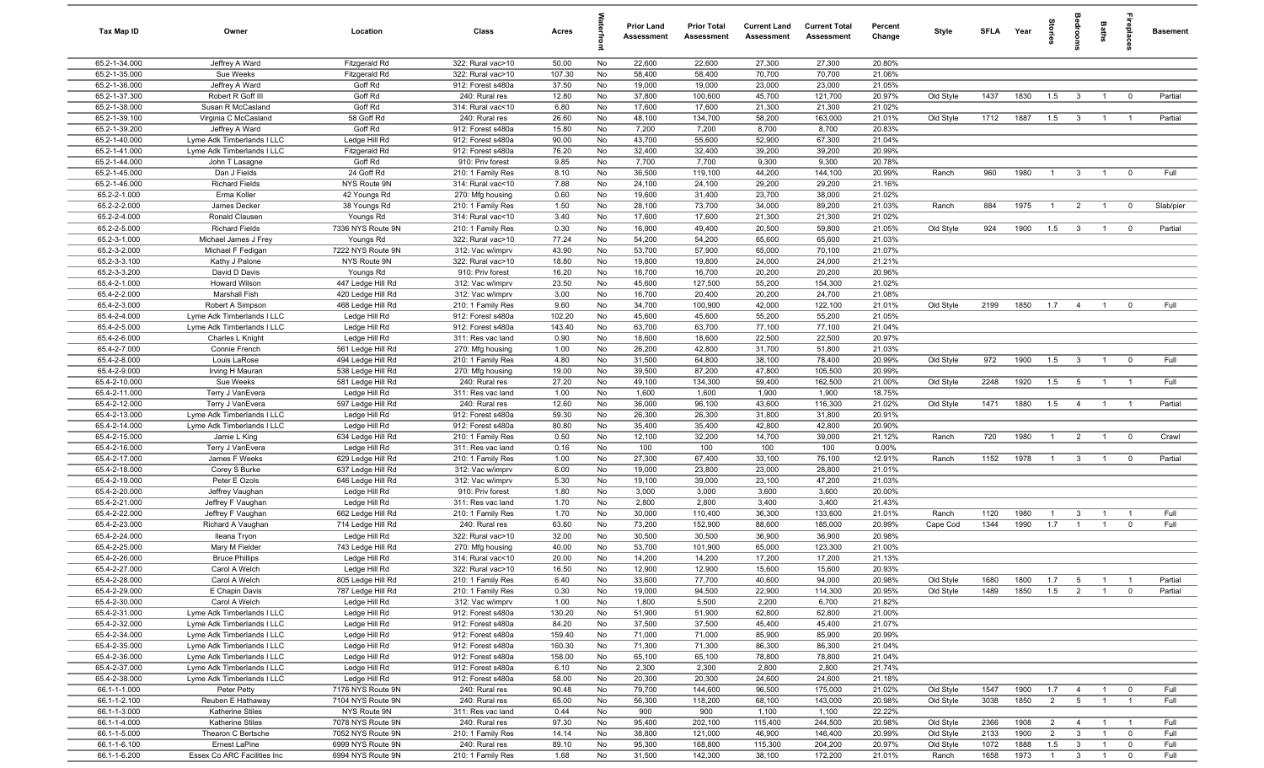| Tax Map ID                     | Owner                                                    | Location                               | Class                                  | Acres           |          | <b>Prior Land</b><br>Assessment | <b>Prior Total</b><br>Assessment | <b>Current Land</b><br>Assessment | <b>Current Total</b><br>Assessment | Percent<br>Change | Style     | SFLA Year |      | tories         | å                       | <b>Baths</b>   | epla                    | <b>Basement</b> |
|--------------------------------|----------------------------------------------------------|----------------------------------------|----------------------------------------|-----------------|----------|---------------------------------|----------------------------------|-----------------------------------|------------------------------------|-------------------|-----------|-----------|------|----------------|-------------------------|----------------|-------------------------|-----------------|
| 65.2-1-34.000                  | Jeffrey A Ward                                           | Fitzgerald Rd                          | 322: Rural vac>10                      | 50.00           | No       | 22,600                          | 22,600                           | 27,300                            | 27,300                             | 20.80%            |           |           |      |                |                         |                |                         |                 |
| 65.2-1-35.000                  | Sue Weeks                                                | Fitzgerald Rd                          | 322: Rural vac>10                      | 107.30          | No       | 58,400                          | 58,400                           | 70,700                            | 70,700                             | 21.06%            |           |           |      |                |                         |                |                         |                 |
| 65.2-1-36.000                  | Jeffrey A Ward                                           | Goff Rd                                | 912: Forest s480a                      | 37.50           | No       | 19,000                          | 19,000                           | 23,000                            | 23,000                             | 21.05%            |           |           |      |                |                         |                |                         |                 |
| 65.2-1-37.300                  | Robert R Goff III                                        | Goff Rd                                | 240: Rural res                         | 12.80           | No       | 37,800                          | 100,600                          | 45,700                            | 121,700                            | 20.97%            | Old Style | 1437      | 1830 | 1.5            | $\overline{3}$          |                | $^{\circ}$              | Partial         |
| 65.2-1-38.000                  | Susan R McCasland                                        | Goff Rd                                | 314: Rural vac<10                      | 6.80            | No       | 17,600                          | 17,600                           | 21,300                            | 21,300                             | 21.02%            |           |           |      |                |                         |                |                         |                 |
| 65.2-1-39.100<br>65.2-1-39.200 | Virginia C McCasland                                     | 58 Goff Rd<br>Goff <sub>Rd</sub>       | 240: Rural res<br>912: Forest s480a    | 26.60<br>15.80  | No<br>No | 48,100<br>7,200                 | 134,700<br>7,200                 | 58,200<br>8,700                   | 163,000<br>8,700                   | 21.01%<br>20.83%  | Old Style | 1712      | 1887 | 1.5            | $\mathbf{3}$            | $\overline{1}$ | $\overline{1}$          | Partial         |
| 65.2-1-40.000                  | Jeffrey A Ward<br>Lyme Adk Timberlands I LLC             | Ledge Hill Rd                          | 912: Forest s480a                      | 90.00           | No       | 43,700                          | 55,600                           | 52,900                            | 67,300                             | 21.04%            |           |           |      |                |                         |                |                         |                 |
| 65.2-1-41.000                  | Lyme Adk Timberlands I LLC                               | Fitzgerald Rd                          | 912: Forest s480a                      | 76.20           | No       | 32,400                          | 32,400                           | 39,200                            | 39,200                             | 20.99%            |           |           |      |                |                         |                |                         |                 |
| 65.2-1-44.000                  | John T Lasagne                                           | Goff Rd                                | 910: Priv forest                       | 9.85            | No       | 7,700                           | 7,700                            | 9,300                             | 9,300                              | 20.78%            |           |           |      |                |                         |                |                         |                 |
| 65.2-1-45.000                  | Dan J Fields                                             | 24 Goff Rd                             | 210: 1 Family Res                      | 8.10            | No       | 36,500                          | 119,100                          | 44,200                            | 144,100                            | 20.99%            | Ranch     | 960       | 1980 | $\overline{1}$ | $\mathbf{3}$            | $\overline{1}$ | $\mathbf 0$             | Full            |
| 65.2-1-46.000                  | <b>Richard Fields</b>                                    | NYS Route 9N                           | 314: Rural vac<10                      | 7.88            | No       | 24,100                          | 24,100                           | 29,200                            | 29,200                             | 21.16%            |           |           |      |                |                         |                |                         |                 |
| 65.2-2-1.000                   | Erma Koller                                              | 42 Youngs Rd                           | 270: Mfg housing                       | 0.60            | No       | 19,600                          | 31,400                           | 23,700                            | 38,000                             | 21.02%            |           |           |      |                |                         |                |                         |                 |
| 65.2-2-2.000                   | James Decker                                             | 38 Youngs Rd                           | 210: 1 Family Res                      | 1.50            | No       | 28,100                          | 73,700                           | 34,000                            | 89,200                             | 21.03%            | Ranch     | 884       | 1975 | $\overline{1}$ | $\overline{2}$          | $\overline{1}$ | $\overline{0}$          | Slab/pier       |
| 65.2-2-4.000                   | Ronald Clausen                                           | Youngs Rd                              | 314: Rural vac<10                      | 3.40            | No       | 17,600                          | 17,600                           | 21,300                            | 21,300                             | 21.02%            |           |           |      |                |                         |                |                         |                 |
| 65.2-2-5.000                   | <b>Richard Fields</b>                                    | 7336 NYS Route 9N                      | 210: 1 Family Res                      | 0.30            | No       | 16,900                          | 49,400                           | 20,500                            | 59,800                             | 21.05%            | Old Style | 924       | 1900 | 1.5            | $\overline{\mathbf{3}}$ | $\overline{1}$ | $\overline{0}$          | Partial         |
| 65.2-3-1.000                   | Michael James J Frey                                     | Youngs Rd                              | 322: Rural vac>10                      | 77.24           | No       | 54,200                          | 54,200                           | 65,600                            | 65,600                             | 21.03%            |           |           |      |                |                         |                |                         |                 |
| 65.2-3-2.000                   | Michael F Fedigan                                        | 7222 NYS Route 9N                      | 312: Vac w/imprv                       | 43.90           | No       | 53,700                          | 57,900                           | 65,000                            | 70,100                             | 21.07%            |           |           |      |                |                         |                |                         |                 |
| 65.2-3-3.100                   | Kathy J Palone                                           | NYS Route 9N                           | 322: Rural vac>10                      | 18.80           | No       | 19,800                          | 19,800                           | 24,000                            | 24,000                             | 21.21%            |           |           |      |                |                         |                |                         |                 |
| 65.2-3-3.200                   | David D Davis                                            | Youngs Rd                              | 910: Priv forest                       | 16.20           | No       | 16,700                          | 16,700                           | 20,200                            | 20,200                             | 20.96%            |           |           |      |                |                         |                |                         |                 |
| 65.4-2-1.000<br>65.4-2-2.000   | Howard Wilson<br>Marshall Fish                           | 447 Ledge Hill Rd<br>420 Ledge Hill Rd | 312: Vac w/imprv<br>312: Vac w/imprv   | 23.50<br>3.00   | No<br>No | 45,600<br>16,700                | 127,500<br>20,400                | 55,200<br>20,200                  | 154,300<br>24,700                  | 21.02%<br>21.08%  |           |           |      |                |                         |                |                         |                 |
| 65.4-2-3.000                   | Robert A Simpson                                         | 468 Ledge Hill Rd                      | 210: 1 Family Res                      | 9.60            | No       | 34,700                          | 100,900                          | 42,000                            | 122,100                            | 21.01%            | Old Style | 2199      | 1850 | 1.7            | $\overline{4}$          | $\overline{1}$ | $\mathbf 0$             | Full            |
| 65.4-2-4.000                   | Lyme Adk Timberlands I LLC                               | Ledge Hill Rd                          | 912: Forest s480a                      | 102.20          | No       | 45,600                          | 45,600                           | 55,200                            | 55,200                             | 21.05%            |           |           |      |                |                         |                |                         |                 |
| 65.4-2-5.000                   | Lyme Adk Timberlands I LLC                               | Ledge Hill Rd                          | 912: Forest s480a                      | 143.40          | No       | 63,700                          | 63,700                           | 77,100                            | 77,100                             | 21.04%            |           |           |      |                |                         |                |                         |                 |
| 65.4-2-6.000                   | Charles L Knight                                         | Ledge Hill Rd                          | 311: Res vac land                      | 0.90            | No       | 18,600                          | 18,600                           | 22,500                            | 22,500                             | 20.97%            |           |           |      |                |                         |                |                         |                 |
| 65.4-2-7.000                   | Connie French                                            | 561 Ledge Hill Rd                      | 270: Mfg housing                       | 1.00            | No       | 26,200                          | 42,800                           | 31,700                            | 51,800                             | 21.03%            |           |           |      |                |                         |                |                         |                 |
| 65.4-2-8.000                   | Louis LaRose                                             | 494 Ledge Hill Rd                      | 210: 1 Family Res                      | 4.80            | No       | 31,500                          | 64,800                           | 38,100                            | 78,400                             | 20.99%            | Old Style | 972       | 1900 | 1.5            | $\overline{3}$          | $\overline{1}$ | $\overline{0}$          | Full            |
| 65.4-2-9.000                   | Irving H Mauran                                          | 538 Ledge Hill Rd                      | 270: Mfg housing                       | 19.00           | No       | 39,500                          | 87,200                           | 47,800                            | 105,500                            | 20.99%            |           |           |      |                |                         |                |                         |                 |
| 65.4-2-10.000                  | Sue Weeks                                                | 581 Ledge Hill Rd                      | 240: Rural res                         | 27.20           | No       | 49,100                          | 134,300                          | 59,400                            | 162,500                            | 21.00%            | Old Style | 2248      | 1920 | 1.5            | $5\overline{5}$         | $\overline{1}$ | $\overline{1}$          | Full            |
| 65.4-2-11.000                  | Terry J VanEvera                                         | Ledge Hill Rd                          | 311: Res vac land                      | 1.00            | No       | 1,600                           | 1,600                            | 1,900                             | 1,900                              | 18.75%            |           |           |      |                |                         |                |                         |                 |
| 65.4-2-12.000                  | Terry J VanEvera                                         | 597 Ledge Hill Rd                      | 240: Rural res                         | 12.60           | No       | 36,000                          | 96,100                           | 43,600                            | 116,300                            | 21.02%            | Old Style | 1471      | 1880 | 1.5            | $\overline{4}$          | $\overline{1}$ | $\overline{1}$          | Partial         |
| 65.4-2-13.000                  | Lyme Adk Timberlands I LLC                               | Ledge Hill Rd                          | 912: Forest s480a                      | 59.30           | No       | 26,300                          | 26,300                           | 31,800                            | 31,800                             | 20.91%            |           |           |      |                |                         |                |                         |                 |
| 65.4-2-14.000                  | Lyme Adk Timberlands I LLC                               | Ledge Hill Rd                          | 912: Forest s480a                      | 80.80           | No       | 35,400                          | 35,400                           | 42,800                            | 42,800                             | 20.90%            |           |           |      |                |                         |                |                         |                 |
| 65.4-2-15.000<br>65.4-2-16.000 | Jamie L King                                             | 634 Ledge Hill Rd                      | 210: 1 Family Res<br>311: Res vac land | 0.50<br>0.16    | No<br>No | 12,100<br>100                   | 32,200<br>100                    | 14,700<br>100                     | 39,000<br>100                      | 21.12%<br>0.00%   | Ranch     | 720       | 1980 | $\overline{1}$ | $\overline{2}$          | $\overline{1}$ | $\overline{0}$          | Crawl           |
| 65.4-2-17.000                  | Terry J VanEvera<br>James F Weeks                        | Ledge Hill Rd<br>629 Ledge Hill Rd     | 210: 1 Family Res                      | 1.00            | No       | 27,300                          | 67,400                           | 33,100                            | 76,100                             | 12.91%            | Ranch     | 1152      | 1978 | $\overline{1}$ | $\mathbf{3}$            | $\overline{1}$ | $\mathbf 0$             | Partial         |
| 65.4-2-18.000                  | Corey S Burke                                            | 637 Ledge Hill Rd                      | 312: Vac w/imprv                       | 6.00            | No       | 19,000                          | 23,800                           | 23,000                            | 28,800                             | 21.01%            |           |           |      |                |                         |                |                         |                 |
| 65.4-2-19.000                  | Peter E Ozols                                            | 646 Ledge Hill Rd                      | 312: Vac w/imprv                       | 5.30            | No       | 19,100                          | 39,000                           | 23,100                            | 47,200                             | 21.03%            |           |           |      |                |                         |                |                         |                 |
| 65.4-2-20.000                  | Jeffrey Vaughan                                          | Ledge Hill Rd                          | 910: Priv forest                       | 1.80            | No       | 3,000                           | 3,000                            | 3,600                             | 3,600                              | 20.00%            |           |           |      |                |                         |                |                         |                 |
| 65.4-2-21.000                  | Jeffrey F Vaughan                                        | Ledge Hill Rd                          | 311: Res vac land                      | 1.70            | No       | 2,800                           | 2,800                            | 3,400                             | 3,400                              | 21.43%            |           |           |      |                |                         |                |                         |                 |
| 65.4-2-22.000                  | Jeffrey F Vaughan                                        | 662 Ledge Hill Rd                      | 210: 1 Family Res                      | 1.70            | No       | 30,000                          | 110,400                          | 36,300                            | 133,600                            | 21.01%            | Ranch     | 1120      | 1980 | $\mathbf{1}$   | $\mathbf{3}$            | $\overline{1}$ | $\overline{1}$          | Full            |
| 65.4-2-23.000                  | Richard A Vaughan                                        | 714 Ledge Hill Rd                      | 240: Rural res                         | 63.60           | No       | 73,200                          | 152,900                          | 88,600                            | 185,000                            | 20.99%            | Cape Cod  | 1344      | 1990 | 1.7            | $\overline{1}$          |                | $\mathbf 0$             | Full            |
| 65.4-2-24.000                  | Ileana Tryon                                             | Ledge Hill Rd                          | 322: Rural vac>10                      | 32.00           | No       | 30,500                          | 30,500                           | 36,900                            | 36,900                             | 20.98%            |           |           |      |                |                         |                |                         |                 |
| 65.4-2-25.000                  | Mary M Fielder                                           | 743 Ledge Hill Rd                      | 270: Mfg housing                       | 40.00           | No       | 53,700                          | 101,900                          | 65,000                            | 123,300                            | 21.00%            |           |           |      |                |                         |                |                         |                 |
| 65.4-2-26.000                  | <b>Bruce Phillips</b>                                    | Ledge Hill Rd                          | 314: Rural vac<10                      | 20.00           | No       | 14,200                          | 14,200                           | 17,200                            | 17,200                             | 21.13%            |           |           |      |                |                         |                |                         |                 |
| 65.4-2-27.000                  | Carol A Welch                                            | Ledge Hill Rd                          | 322: Rural vac>10                      | 16.50           | No       | 12,900                          | 12,900                           | 15,600                            | 15,600                             | 20.93%            |           |           |      |                |                         |                |                         |                 |
| 65.4-2-28.000                  | Carol A Welch                                            | 805 Ledge Hill Rd                      | 210: 1 Family Res                      | 6.40            | No       | 33,600                          | 77,700                           | 40,600                            | 94,000                             | 20.98%            | Old Style | 1680      | 1800 | 1.7            | $5^{\circ}$             | $\overline{1}$ | $\overline{1}$          | Partial         |
| 65.4-2-29.000                  | E Chapin Davis                                           | 787 Ledge Hill Rd                      | 210: 1 Family Res                      | 0.30            | No       | 19,000                          | 94,500                           | 22,900                            | 114,300                            | 20.95%            | Old Style | 1489      | 1850 | 1.5            | 2                       | $\overline{1}$ | $\mathbf 0$             | Partial         |
| 65.4-2-30.000                  | Carol A Welch                                            | Ledge Hill Rd                          | 312: Vac w/imprv                       | 1.00            | No       | 1,800<br>51,900                 | 5,500                            | 2,200                             | 6,700<br>62,800                    | 21.82%<br>21.00%  |           |           |      |                |                         |                |                         |                 |
| 65.4-2-31.000<br>65.4-2-32.000 | Lyme Adk Timberlands I LLC<br>Lyme Adk Timberlands I LLC | Ledge Hill Rd<br>Ledge Hill Rd         | 912: Forest s480a<br>912: Forest s480a | 130.20<br>84.20 | No<br>No | 37,500                          | 51,900<br>37,500                 | 62,800<br>45,400                  | 45,400                             | 21.07%            |           |           |      |                |                         |                |                         |                 |
| 65.4-2-34.000                  | Lyme Adk Timberlands I LLC                               | Ledge Hill Rd                          | 912: Forest s480a                      | 159.40          | No       | 71,000                          | 71,000                           | 85,900                            | 85,900                             | 20.99%            |           |           |      |                |                         |                |                         |                 |
| 65.4-2-35.000                  | Lyme Adk Timberlands I LLC                               | Ledge Hill Rd                          | 912: Forest s480a                      | 160.30          | No       | 71,300                          | 71,300                           | 86,300                            | 86,300                             | 21.04%            |           |           |      |                |                         |                |                         |                 |
| 65.4-2-36.000                  | Lyme Adk Timberlands I LLC                               | Ledge Hill Rd                          | 912: Forest s480a                      | 158.00          | No       | 65,100                          | 65,100                           | 78,800                            | 78,800                             | 21.04%            |           |           |      |                |                         |                |                         |                 |
| 65.4-2-37.000                  | Lyme Adk Timberlands I LLC                               | Ledge Hill Rd                          | 912: Forest s480a                      | 6.10            | No       | 2,300                           | 2,300                            | 2,800                             | 2,800                              | 21.74%            |           |           |      |                |                         |                |                         |                 |
| 65.4-2-38.000                  | Lyme Adk Timberlands I LLC                               | Ledge Hill Rd                          | 912: Forest s480a                      | 58.00           | No       | 20,300                          | 20,300                           | 24,600                            | 24,600                             | 21.18%            |           |           |      |                |                         |                |                         |                 |
| 66.1-1-1.000                   | Peter Petty                                              | 7176 NYS Route 9N                      | 240: Rural res                         | 90.48           | No       | 79,700                          | 144,600                          | 96,500                            | 175,000                            | 21.02%            | Old Style | 1547      | 1900 | 1.7            | $\overline{4}$          | $\overline{1}$ | $\overline{\mathbf{0}}$ | Full            |
| 66.1-1-2.100                   | Reuben E Hathaway                                        | 7104 NYS Route 9N                      | 240: Rural res                         | 65.00           | No       | 56,300                          | 118,200                          | 68,100                            | 143,000                            | 20.98%            | Old Style | 3038      | 1850 | $\overline{2}$ | $5\overline{)}$         | $\overline{1}$ | $\overline{1}$          | Full            |
| 66.1-1-3.000                   | <b>Katherine Stiles</b>                                  | NYS Route 9N                           | 311: Res vac land                      | 0.44            | No       | 900                             | 900                              | 1,100                             | 1,100                              | 22.22%            |           |           |      |                |                         |                |                         |                 |
| 66.1-1-4.000                   | Katherine Stiles                                         | 7078 NYS Route 9N                      | 240: Rural res                         | 97.30           | No       | 95,400                          | 202,100                          | 115,400                           | 244,500                            | 20.98%            | Old Style | 2366      | 1908 | $\overline{2}$ | $\overline{4}$          | $\overline{1}$ | $\overline{1}$          | Full            |
| 66.1-1-5.000                   | Thearon C Bertsche                                       | 7052 NYS Route 9N                      | 210: 1 Family Res                      | 14.14           | No       | 38,800                          | 121,000                          | 46,900                            | 146,400                            | 20.99%            | Old Style | 2133      | 1900 | $\overline{2}$ | $\mathbf{3}$            | $\overline{1}$ | $\mathbf 0$             | Full            |
| 66.1-1-6.100                   | Ernest LaPine                                            | 6999 NYS Route 9N                      | 240: Rural res                         | 89.10           | No       | 95,300                          | 168,800                          | 115,300                           | 204,200                            | 20.97%            | Old Style | 1072      | 1888 | 1.5            | $\mathbf{3}$            | $\overline{1}$ | $\overline{0}$          | Full            |
| 66.1-1-6.200                   | Essex Co ARC Facilities Inc                              | 6994 NYS Route 9N                      | 210: 1 Family Res                      | 1.68            | No       | 31,500                          | 142,300                          | 38,100                            | 172,200                            | 21.01%            | Ranch     | 1658      | 1973 | $\overline{1}$ | $\overline{\mathbf{3}}$ | $\overline{1}$ | $\mathbf 0$             | Full            |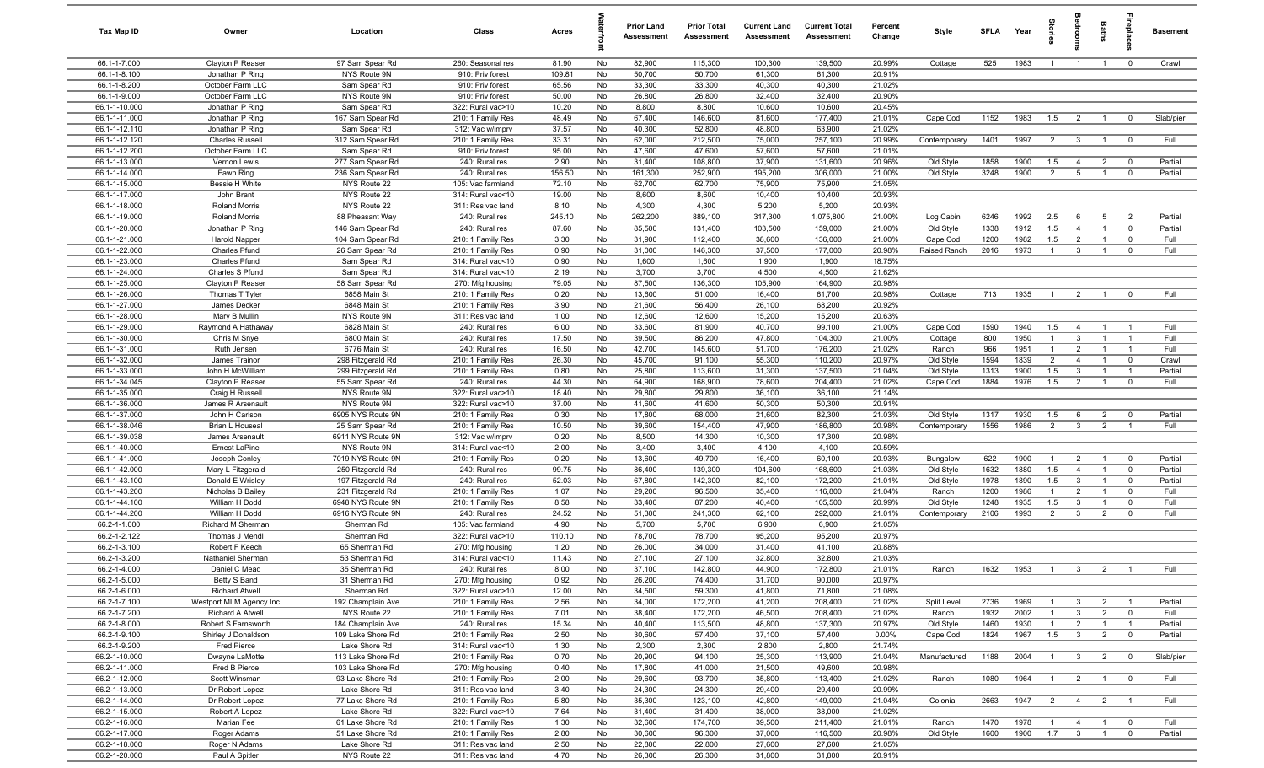| Tax Map ID                     | Owner                              | Location                             | Class                                  | Acres          |          | <b>Prior Land</b><br>Assessment | <b>Prior Total</b><br>Assessment | <b>Current Land</b><br>Assessment | <b>Current Total</b><br>Assessment | Percent<br>Change | Style        | <b>SFLA</b> | Year         | Stories               |                         | <b>Baths</b>   | repla                   | <b>Basement</b> |
|--------------------------------|------------------------------------|--------------------------------------|----------------------------------------|----------------|----------|---------------------------------|----------------------------------|-----------------------------------|------------------------------------|-------------------|--------------|-------------|--------------|-----------------------|-------------------------|----------------|-------------------------|-----------------|
| 66.1-1-7.000                   | Clayton P Reaser                   | 97 Sam Spear Rd                      | 260: Seasonal res                      | 81.90          | No       | 82,900                          | 115,300                          | 100,300                           | 139,500                            | 20.99%            | Cottage      | 525         | 1983         | $\overline{1}$        | $\overline{1}$          | $\overline{1}$ | $\mathbf 0$             | Crawl           |
| 66.1-1-8.100                   | Jonathan P Ring                    | NYS Route 9N                         | 910: Priv forest                       | 109.81         | No       | 50,700                          | 50,700                           | 61,300                            | 61,300                             | 20.91%            |              |             |              |                       |                         |                |                         |                 |
| 66.1-1-8.200                   | October Farm LLC                   | Sam Spear Rd                         | 910: Priv forest                       | 65.56          | No       | 33,300                          | 33,300                           | 40,300                            | 40,300                             | 21.02%            |              |             |              |                       |                         |                |                         |                 |
| 66.1-1-9.000                   | October Farm LLC                   | NYS Route 9N                         | 910: Priv forest                       | 50.00          | No       | 26,800                          | 26,800                           | 32,400                            | 32,400                             | 20.90%            |              |             |              |                       |                         |                |                         |                 |
| 66.1-1-10.000<br>66.1-1-11.000 | Jonathan P Ring<br>Jonathan P Ring | Sam Spear Rd<br>167 Sam Spear Rd     | 322: Rural vac>10<br>210: 1 Family Res | 10.20<br>48.49 | No<br>No | 8,800<br>67,400                 | 8,800<br>146,600                 | 10,600<br>81,600                  | 10,600<br>177,400                  | 20.45%<br>21.01%  | Cape Cod     | 1152        | 1983         | 1.5                   | $\overline{2}$          | $\overline{1}$ | $\mathbf 0$             | Slab/pier       |
| 66.1-1-12.110                  | Jonathan P Ring                    | Sam Spear Rd                         | 312: Vac w/imprv                       | 37.57          | No       | 40,300                          | 52,800                           | 48,800                            | 63,900                             | 21.02%            |              |             |              |                       |                         |                |                         |                 |
| 66.1-1-12.120                  | <b>Charles Russell</b>             | 312 Sam Spear Rd                     | 210: 1 Family Res                      | 33.31          | No       | 62,000                          | 212,500                          | 75,000                            | 257,100                            | 20.99%            | Contemporary | 1401        | 1997         | $\overline{2}$        | $\mathbf{3}$            | $\overline{1}$ | $\mathbf 0$             | Full            |
| 66.1-1-12.200                  | October Farm LLC                   | Sam Spear Rd                         | 910: Priv forest                       | 95.00          | No       | 47,600                          | 47,600                           | 57,600                            | 57,600                             | 21.01%            |              |             |              |                       |                         |                |                         |                 |
| 66.1-1-13.000                  | Vernon Lewis                       | 277 Sam Spear Rd                     | 240: Rural res                         | 2.90           | No       | 31,400                          | 108,800                          | 37,900                            | 131,600                            | 20.96%            | Old Style    | 1858        | 1900         | 1.5                   | $\overline{4}$          | $\overline{2}$ | $\overline{0}$          | Partial         |
| 66.1-1-14.000                  | Fawn Ring                          | 236 Sam Spear Rd                     | 240: Rural res                         | 156.50         | No       | 161,300                         | 252,900                          | 195,200                           | 306,000                            | 21.00%            | Old Style    | 3248        | 1900         | $\overline{2}$        | 5                       | $\overline{1}$ | $\mathbf 0$             | Partial         |
| 66.1-1-15.000                  | Bessie H White                     | NYS Route 22                         | 105: Vac farmland                      | 72.10          | No       | 62,700                          | 62,700                           | 75,900                            | 75,900                             | 21.05%            |              |             |              |                       |                         |                |                         |                 |
| 66.1-1-17.000                  | John Brant                         | NYS Route 22                         | 314: Rural vac<10                      | 19.00          | No       | 8,600                           | 8,600                            | 10,400                            | 10,400                             | 20.93%            |              |             |              |                       |                         |                |                         |                 |
| 66.1-1-18.000                  | Roland Morris                      | NYS Route 22                         | 311: Res vac land                      | 8.10           | No       | 4,300                           | 4,300                            | 5,200                             | 5,200                              | 20.93%            |              |             |              |                       |                         |                |                         |                 |
| 66.1-1-19.000                  | Roland Morris                      | 88 Pheasant Way                      | 240: Rural res                         | 245.10         | No       | 262,200                         | 889,100                          | 317,300                           | 1,075,800                          | 21.00%            | Log Cabin    | 6246        | 1992         | 2.5                   | 6                       | 5              | $\overline{2}$          | Partial         |
| 66.1-1-20.000                  | Jonathan P Ring                    | 146 Sam Spear Rd                     | 240: Rural res                         | 87.60          | No       | 85,500                          | 131,400                          | 103,500                           | 159,000                            | 21.00%            | Old Style    | 1338        | 1912         | 1.5                   | $\overline{4}$          | $\overline{1}$ | $\mathbf 0$             | Partial         |
| 66.1-1-21.000                  | Harold Napper                      | 104 Sam Spear Rd                     | 210: 1 Family Res                      | 3.30           | No       | 31,900                          | 112,400                          | 38,600                            | 136,000                            | 21.00%            | Cape Cod     | 1200        | 1982         | 1.5                   | $\overline{2}$          | $\overline{1}$ | $\mathbf 0$             | Full            |
| 66.1-1-22.000<br>66.1-1-23.000 | Charles Pfund<br>Charles Pfund     | 26 Sam Spear Rd                      | 210: 1 Family Res                      | 0.90<br>0.90   | No       | 31,000                          | 146,300                          | 37,500<br>1,900                   | 177,000<br>1,900                   | 20.98%<br>18.75%  | Raised Ranch | 2016        | 1973         | $\overline{1}$        | $\mathbf{3}$            | $\overline{1}$ | $\mathbf 0$             | Full            |
| 66.1-1-24.000                  | Charles S Pfund                    | Sam Spear Rd<br>Sam Spear Rd         | 314: Rural vac<10<br>314: Rural vac<10 | 2.19           | No<br>No | 1,600<br>3,700                  | 1,600<br>3,700                   | 4,500                             | 4,500                              | 21.62%            |              |             |              |                       |                         |                |                         |                 |
| 66.1-1-25.000                  | Clayton P Reaser                   | 58 Sam Spear Rd                      | 270: Mfg housing                       | 79.05          | No       | 87,500                          | 136,300                          | 105,900                           | 164,900                            | 20.98%            |              |             |              |                       |                         |                |                         |                 |
| 66.1-1-26.000                  | Thomas T Tyler                     | 6858 Main St                         | 210: 1 Family Res                      | 0.20           | No       | 13,600                          | 51,000                           | 16,400                            | 61,700                             | 20.98%            | Cottage      | 713         | 1935         | $\overline{1}$        | $\overline{2}$          | $\overline{1}$ | $\overline{0}$          | Full            |
| 66.1-1-27.000                  | James Decker                       | 6848 Main St                         | 210: 1 Family Res                      | 3.90           | No       | 21,600                          | 56,400                           | 26,100                            | 68,200                             | 20.92%            |              |             |              |                       |                         |                |                         |                 |
| 66.1-1-28.000                  | Mary B Mullin                      | NYS Route 9N                         | 311: Res vac land                      | 1.00           | No       | 12,600                          | 12,600                           | 15,200                            | 15,200                             | 20.63%            |              |             |              |                       |                         |                |                         |                 |
| 66.1-1-29.000                  | Raymond A Hathaway                 | 6828 Main St                         | 240: Rural res                         | 6.00           | No       | 33,600                          | 81,900                           | 40,700                            | 99,100                             | 21.00%            | Cape Cod     | 1590        | 1940         | 1.5                   | $\overline{4}$          | $\overline{1}$ | $\overline{1}$          | Full            |
| 66.1-1-30.000                  | Chris M Snye                       | 6800 Main St                         | 240: Rural res                         | 17.50          | No       | 39,500                          | 86,200                           | 47,800                            | 104,300                            | 21.00%            | Cottage      | 800         | 1950         | $\overline{1}$        | $\mathbf{3}$            | $\overline{1}$ | $\overline{1}$          | Full            |
| 66.1-1-31.000                  | Ruth Jensen                        | 6776 Main St                         | 240: Rural res                         | 16.50          | No       | 42,700                          | 145,600                          | 51,700                            | 176,200                            | 21.02%            | Ranch        | 966         | 1951         | $\overline{1}$        | 2                       | $\overline{1}$ | $\overline{1}$          | Full            |
| 66.1-1-32.000                  | James Trainor                      | 298 Fitzgerald Rd                    | 210: 1 Family Res                      | 26.30          | No       | 45,700                          | 91,100                           | 55,300                            | 110,200                            | 20.97%            | Old Style    | 1594        | 1839         | $\overline{2}$        | $\overline{4}$          | $\overline{1}$ | $\mathbf 0$             | Crawl           |
| 66.1-1-33.000                  | John H McWilliam                   | 299 Fitzgerald Rd                    | 210: 1 Family Res                      | 0.80           | No       | 25,800                          | 113,600                          | 31,300                            | 137,500                            | 21.04%            | Old Style    | 1313        | 1900         | 1.5                   | $\mathbf{3}$            | $\overline{1}$ | $\overline{1}$          | Partial         |
| 66.1-1-34.045                  | Clayton P Reaser                   | 55 Sam Spear Rd                      | 240: Rural res                         | 44.30          | No       | 64,900                          | 168,900                          | 78,600                            | 204,400                            | 21.02%            | Cape Cod     | 1884        | 1976         | 1.5                   | $\overline{2}$          | $\overline{1}$ | $\mathbf 0$             | Full            |
| 66.1-1-35.000                  | Craig H Russell                    | NYS Route 9N                         | 322: Rural vac>10                      | 18.40          | No       | 29,800                          | 29,800                           | 36,100                            | 36,100                             | 21.14%            |              |             |              |                       |                         |                |                         |                 |
| 66.1-1-36.000                  | James R Arsenault                  | NYS Route 9N                         | 322: Rural vac>10                      | 37.00          | No       | 41,600                          | 41,600                           | 50,300                            | 50,300                             | 20.91%            |              |             |              |                       |                         |                |                         |                 |
| 66.1-1-37.000<br>66.1-1-38.046 | John H Carlson                     | 6905 NYS Route 9N                    | 210: 1 Family Res                      | 0.30           | No       | 17,800                          | 68,000<br>154,400                | 21,600<br>47,900                  | 82,300<br>186,800                  | 21.03%            | Old Style    | 1317        | 1930<br>1986 | 1.5<br>$\overline{2}$ | 6                       | $\overline{2}$ | $\mathbf 0$             | Partial<br>Full |
| 66.1-1-39.038                  | Brian L Houseal<br>James Arsenault | 25 Sam Spear Rd<br>6911 NYS Route 9N | 210: 1 Family Res<br>312: Vac w/imprv  | 10.50<br>0.20  | No<br>No | 39,600<br>8,500                 | 14,300                           | 10,300                            | 17,300                             | 20.98%<br>20.98%  | Contemporary | 1556        |              |                       | $\mathbf{3}$            | $\overline{2}$ |                         |                 |
| 66.1-1-40.000                  | Ernest LaPine                      | NYS Route 9N                         | 314: Rural vac<10                      | 2.00           | No       | 3,400                           | 3,400                            | 4,100                             | 4,100                              | 20.59%            |              |             |              |                       |                         |                |                         |                 |
| 66.1-1-41.000                  | Joseph Conley                      | 7019 NYS Route 9N                    | 210: 1 Family Res                      | 0.20           | No       | 13,600                          | 49,700                           | 16,400                            | 60,100                             | 20.93%            | Bungalow     | 622         | 1900         | $\overline{1}$        | $\overline{2}$          | $\overline{1}$ | $\mathbf 0$             | Partial         |
| 66.1-1-42.000                  | Mary L Fitzgerald                  | 250 Fitzgerald Rd                    | 240: Rural res                         | 99.75          | No       | 86,400                          | 139,300                          | 104,600                           | 168,600                            | 21.03%            | Old Style    | 1632        | 1880         | 1.5                   | $\overline{4}$          | $\overline{1}$ | $\mathbf 0$             | Partial         |
| 66.1-1-43.100                  | Donald E Wrisley                   | 197 Fitzgerald Rd                    | 240: Rural res                         | 52.03          | No       | 67,800                          | 142,300                          | 82,100                            | 172,200                            | 21.01%            | Old Style    | 1978        | 1890         | 1.5                   | $\mathbf{3}$            | $\overline{1}$ | $\mathbf 0$             | Partial         |
| 66.1-1-43.200                  | Nicholas B Bailey                  | 231 Fitzgerald Rd                    | 210: 1 Family Res                      | 1.07           | No       | 29,200                          | 96,500                           | 35,400                            | 116,800                            | 21.04%            | Ranch        | 1200        | 1986         | $\overline{1}$        | $\overline{2}$          | $\overline{1}$ | $\mathbf 0$             | Full            |
| 66.1-1-44.100                  | William H Dodd                     | 6948 NYS Route 9N                    | 210: 1 Family Res                      | 8.58           | No       | 33,400                          | 87,200                           | 40,400                            | 105,500                            | 20.99%            | Old Style    | 1248        | 1935         | 1.5                   | $\mathbf{3}$            | $\overline{1}$ | $\mathbf 0$             | Full            |
| 66.1-1-44.200                  | William H Dodd                     | 6916 NYS Route 9N                    | 240: Rural res                         | 24.52          | No       | 51,300                          | 241,300                          | 62,100                            | 292,000                            | 21.01%            | Contemporary | 2106        | 1993         | $\overline{2}$        | $\mathbf{3}$            | $\overline{2}$ | $\mathbf 0$             | Full            |
| 66.2-1-1.000                   | Richard M Sherman                  | Sherman Rd                           | 105: Vac farmland                      | 4.90           | No       | 5,700                           | 5,700                            | 6,900                             | 6,900                              | 21.05%            |              |             |              |                       |                         |                |                         |                 |
| 66.2-1-2.122                   | Thomas J Mendl                     | Sherman Rd                           | 322: Rural vac>10                      | 110.10         | No       | 78,700                          | 78,700                           | 95,200                            | 95,200                             | 20.97%            |              |             |              |                       |                         |                |                         |                 |
| 66.2-1-3.100                   | Robert F Keech                     | 65 Sherman Rd                        | 270: Mfg housing                       | 1.20           | No       | 26,000                          | 34,000                           | 31,400                            | 41,100                             | 20.88%            |              |             |              |                       |                         |                |                         |                 |
| 66.2-1-3.200                   | Nathaniel Sherman                  | 53 Sherman Rd                        | 314: Rural vac<10<br>240: Rural res    | 11.43          | No       | 27,100                          | 27,100                           | 32,800                            | 32,800                             | 21.03%            |              |             |              |                       |                         |                |                         |                 |
| 66.2-1-4.000<br>66.2-1-5.000   | Daniel C Mead<br>Betty S Band      | 35 Sherman Rd<br>31 Sherman Rd       | 270: Mfg housing                       | 8.00<br>0.92   | No<br>No | 37,100<br>26,200                | 142,800<br>74,400                | 44,900<br>31,700                  | 172,800<br>90,000                  | 21.01%<br>20.97%  | Ranch        | 1632        | 1953         |                       |                         |                |                         |                 |
| 66.2-1-6.000                   | <b>Richard Atwell</b>              | Sherman Rd                           | 322: Rural vac>10                      | 12.00          | No       | 34,500                          | 59,300                           | 41,800                            | 71,800                             | 21.08%            |              |             |              |                       |                         |                |                         |                 |
| 66.2-1-7.100                   | Westport MLM Agency Inc            | 192 Champlain Ave                    | 210: 1 Family Res                      | 2.56           | No       | 34,000                          | 172,200                          | 41,200                            | 208,400                            | 21.02%            | Split Level  | 2736        | 1969         | $\overline{1}$        | $\mathbf{3}$            | $\overline{2}$ | $\overline{1}$          | Partial         |
| 66.2-1-7.200                   | Richard A Atwell                   | NYS Route 22                         | 210: 1 Family Res                      | 7.01           | No       | 38,400                          | 172,200                          | 46,500                            | 208,400                            | 21.02%            | Ranch        | 1932        | 2002         | $\overline{1}$        | $\mathbf{3}$            | $\overline{2}$ | $\mathbf 0$             | Full            |
| 66.2-1-8.000                   | Robert S Farnsworth                | 184 Champlain Ave                    | 240: Rural res                         | 15.34          | No       | 40,400                          | 113,500                          | 48,800                            | 137,300                            | 20.97%            | Old Style    | 1460        | 1930         | $\overline{1}$        | $\overline{2}$          | $\overline{1}$ | $\overline{1}$          | Partial         |
| 66.2-1-9.100                   | Shirley J Donaldson                | 109 Lake Shore Rd                    | 210: 1 Family Res                      | 2.50           | No       | 30,600                          | 57,400                           | 37,100                            | 57,400                             | 0.00%             | Cape Cod     | 1824        | 1967         | 1.5                   | $\mathbf{3}$            | $\overline{2}$ | $\mathbf 0$             | Partial         |
| 66.2-1-9.200                   | Fred Pierce                        | Lake Shore Rd                        | 314: Rural vac<10                      | 1.30           | No       | 2,300                           | 2,300                            | 2,800                             | 2,800                              | 21.74%            |              |             |              |                       |                         |                |                         |                 |
| 66.2-1-10.000                  | Dwayne LaMotte                     | 113 Lake Shore Rd                    | 210: 1 Family Res                      | 0.70           | No       | 20,900                          | 94,100                           | 25,300                            | 113,900                            | 21.04%            | Manufactured | 1188        | 2004         | $\overline{1}$        | 3 <sup>3</sup>          | $\overline{2}$ | $\overline{0}$          | Slab/pier       |
| 66.2-1-11.000                  | Fred B Pierce                      | 103 Lake Shore Rd                    | 270: Mfg housing                       | 0.40           | No       | 17,800                          | 41,000                           | 21,500                            | 49,600                             | 20.98%            |              |             |              |                       |                         |                |                         |                 |
| 66.2-1-12.000                  | Scott Winsman                      | 93 Lake Shore Rd                     | 210: 1 Family Res                      | 2.00           | No       | 29,600                          | 93,700                           | 35,800                            | 113,400                            | 21.02%            | Ranch        | 1080        | 1964         | $\overline{1}$        | $\overline{2}$          | $\overline{1}$ | $\overline{\mathbf{0}}$ | Full            |
| 66.2-1-13.000                  | Dr Robert Lopez                    | Lake Shore Rd                        | 311: Res vac land                      | 3.40           | No       | 24,300                          | 24,300                           | 29,400                            | 29,400                             | 20.99%            |              |             |              |                       |                         |                |                         |                 |
| 66.2-1-14.000                  | Dr Robert Lopez                    | 77 Lake Shore Rd                     | 210: 1 Family Res                      | 5.80           | No       | 35,300                          | 123,100                          | 42,800                            | 149,000                            | 21.04%            | Colonial     | 2663        | 1947         | $\overline{2}$        | $\overline{4}$          | $\overline{2}$ |                         | Full            |
| 66.2-1-15.000                  | Robert A Lopez                     | Lake Shore Rd                        | 322: Rural vac>10                      | 7.64           | No       | 31,400                          | 31,400                           | 38,000                            | 38,000                             | 21.02%            |              |             |              |                       |                         |                |                         |                 |
| 66.2-1-16.000                  | Marian Fee                         | 61 Lake Shore Rd                     | 210: 1 Family Res                      | 1.30           | No       | 32,600                          | 174,700                          | 39,500                            | 211,400                            | 21.01%            | Ranch        | 1470        | 1978         | $\overline{1}$        | $\overline{4}$          | $\overline{1}$ | $\overline{\mathbf{0}}$ | Full            |
| 66.2-1-17.000<br>66.2-1-18.000 | Roger Adams<br>Roger N Adams       | 51 Lake Shore Rd<br>Lake Shore Rd    | 210: 1 Family Res<br>311: Res vac land | 2.80<br>2.50   | No<br>No | 30,600<br>22,800                | 96,300<br>22,800                 | 37,000<br>27,600                  | 116,500<br>27,600                  | 20.98%<br>21.05%  | Old Style    | 1600        | 1900         | 1.7                   | $\overline{\mathbf{3}}$ | $\overline{1}$ | $\mathbf 0$             | Partial         |
| 66.2-1-20.000                  | Paul A Spitler                     | NYS Route 22                         | 311: Res vac land                      | 4.70           | No       | 26,300                          | 26,300                           | 31,800                            | 31,800                             | 20.91%            |              |             |              |                       |                         |                |                         |                 |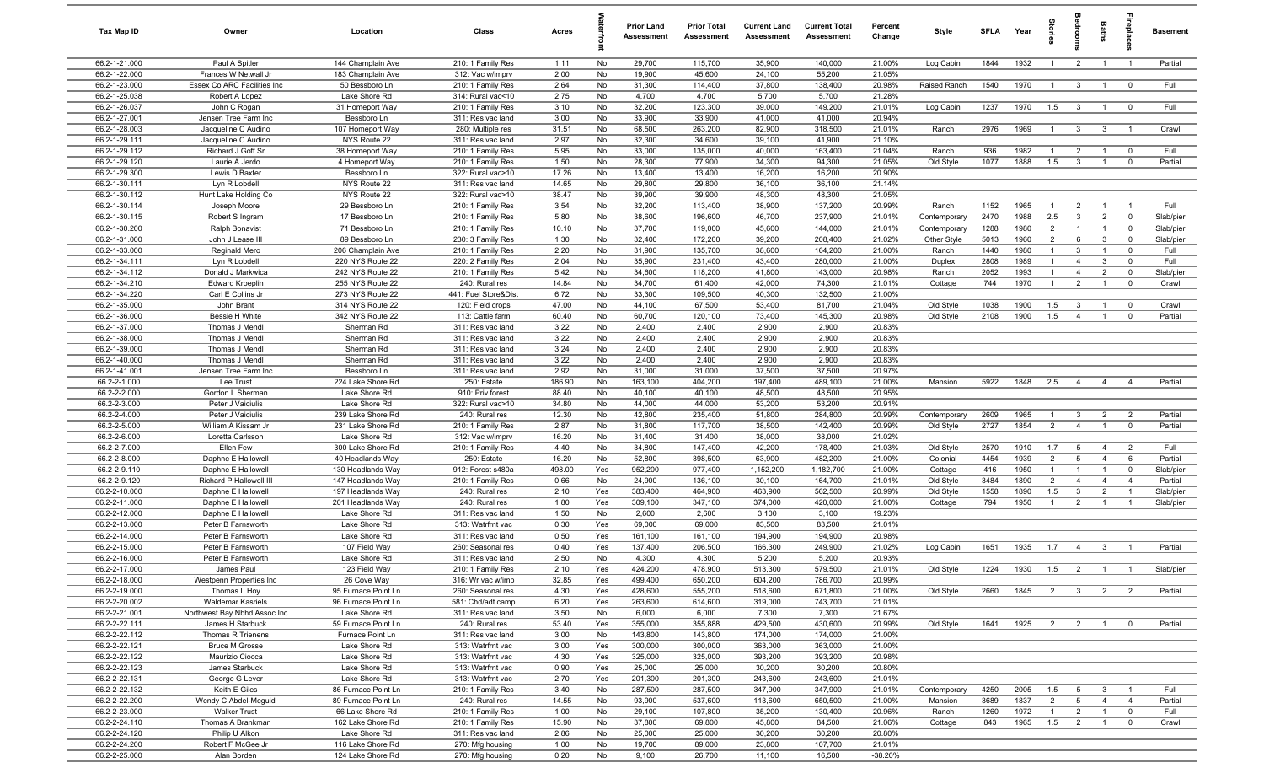| Tax Map ID                     | Owner                                    | Location                              | Class                                  | Acres          |            | <b>Prior Land</b><br>Assessment | <b>Prior Total</b><br>Assessment | <b>Current Land</b><br>Assessment | <b>Current Total</b><br>Assessment | Percent<br>Change | Style           | <b>SFLA</b>  | Year         | ğ                              | groo                    | Baths               | <b>G</b> bia              | Basement     |
|--------------------------------|------------------------------------------|---------------------------------------|----------------------------------------|----------------|------------|---------------------------------|----------------------------------|-----------------------------------|------------------------------------|-------------------|-----------------|--------------|--------------|--------------------------------|-------------------------|---------------------|---------------------------|--------------|
| 66.2-1-21.000                  | Paul A Spitler                           | 144 Champlain Ave                     | 210: 1 Family Res                      | 1.11           | No         | 29,700                          | 115,700                          | 35,900                            | 140,000                            | 21.00%            | Log Cabin       | 1844         | 1932         | $\overline{1}$                 | $\overline{2}$          | $\overline{1}$      | $\overline{1}$            | Partial      |
| 66.2-1-22.000                  | Frances W Netwall Jr                     | 183 Champlain Ave                     | 312: Vac w/imprv                       | 2.00           | No         | 19,900                          | 45,600                           | 24,100                            | 55,200                             | 21.05%            |                 |              |              |                                |                         |                     |                           |              |
| 66.2-1-23.000                  | Essex Co ARC Facilities Inc              | 50 Bessboro Ln                        | 210: 1 Family Res                      | 2.64           | No         | 31,300                          | 114,400                          | 37,800                            | 138,400                            | 20.98%            | Raised Ranch    | 1540         | 1970         | $\overline{1}$                 | $\mathbf{3}$            | $\overline{1}$      | $\overline{\mathbf{0}}$   | Full         |
| 66.2-1-25.038                  | Robert A Lopez                           | Lake Shore Rd                         | 314: Rural vac<10                      | 2.75           | No         | 4,700                           | 4,700                            | 5,700                             | 5,700                              | 21.28%            |                 |              |              |                                |                         |                     |                           |              |
| 66.2-1-26.037<br>66.2-1-27.001 | John C Rogan<br>Jensen Tree Farm Inc     | 31 Homeport Way<br>Bessboro Ln        | 210: 1 Family Res<br>311: Res vac land | 3.10<br>3.00   | No<br>No   | 32,200<br>33,900                | 123,300<br>33,900                | 39,000<br>41,000                  | 149,200<br>41,000                  | 21.01%<br>20.94%  | Log Cabin       | 1237         | 1970         | 1.5                            | $\mathbf{3}$            | $\mathbf{1}$        | $\overline{0}$            | Full         |
| 66.2-1-28.003                  | Jacqueline C Audino                      | 107 Homeport Way                      | 280: Multiple res                      | 31.51          | No         | 68,500                          | 263,200                          | 82,900                            | 318,500                            | 21.01%            | Ranch           | 2976         | 1969         | $\overline{1}$                 | $\mathbf{3}$            | $\mathbf{3}$        | $\overline{1}$            | Crawl        |
| 66.2-1-29.111                  | Jacqueline C Audino                      | NYS Route 22                          | 311: Res vac land                      | 2.97           | No         | 32,300                          | 34,600                           | 39,100                            | 41,900                             | 21.10%            |                 |              |              |                                |                         |                     |                           |              |
| 66.2-1-29.112                  | Richard J Goff Sr                        | 38 Homeport Way                       | 210: 1 Family Res                      | 5.95           | No         | 33,000                          | 135,000                          | 40,000                            | 163,400                            | 21.04%            | Ranch           | 936          | 1982         | $\overline{1}$                 | $\overline{2}$          | $\overline{1}$      | $^{\circ}$                | Full         |
| 66.2-1-29.120                  | Laurie A Jerdo                           | 4 Homeport Way                        | 210: 1 Family Res                      | 1.50           | No         | 28,300                          | 77,900                           | 34,300                            | 94,300                             | 21.05%            | Old Style       | 1077         | 1888         | 1.5                            | $\mathbf{3}$            | $\overline{1}$      | $\mathbf 0$               | Partial      |
| 66.2-1-29.300                  | Lewis D Baxter                           | Bessboro Ln                           | 322: Rural vac>10                      | 17.26          | No         | 13,400                          | 13,400                           | 16,200                            | 16,200                             | 20.90%            |                 |              |              |                                |                         |                     |                           |              |
| 66.2-1-30.111                  | Lyn R Lobdell                            | NYS Route 22                          | 311: Res vac land                      | 14.65          | No         | 29,800                          | 29,800                           | 36,100                            | 36,100                             | 21.14%            |                 |              |              |                                |                         |                     |                           |              |
| 66.2-1-30.112                  | Hunt Lake Holding Co                     | NYS Route 22                          | 322: Rural vac>10                      | 38.47          | No         | 39,900                          | 39,900                           | 48,300                            | 48,300                             | 21.05%            |                 |              |              |                                |                         |                     |                           |              |
| 66.2-1-30.114                  | Joseph Moore                             | 29 Bessboro Ln                        | 210: 1 Family Res                      | 3.54           | No         | 32,200                          | 113,400                          | 38,900                            | 137,200                            | 20.99%            | Ranch           | 1152         | 1965         | $\mathbf{1}$                   | $\overline{2}$          | $\overline{1}$      | $\overline{1}$            | Full         |
| 66.2-1-30.115                  | Robert S Ingram                          | 17 Bessboro Ln                        | 210: 1 Family Res                      | 5.80           | No         | 38,600                          | 196,600                          | 46,700                            | 237,900                            | 21.01%            | Contemporary    | 2470         | 1988         | 2.5                            | $\mathbf{3}$            | $\overline{2}$      | $\mathbf 0$               | Slab/pier    |
| 66.2-1-30.200                  | Ralph Bonavist                           | 71 Bessboro Ln                        | 210: 1 Family Res                      | 10.10          | No         | 37,700                          | 119,000                          | 45,600                            | 144,000                            | 21.01%            | Contemporary    | 1288         | 1980         | $\overline{2}$                 | $\overline{1}$          | $\overline{1}$      | $\mathbf 0$               | Slab/pier    |
| 66.2-1-31.000                  | John J Lease III                         | 89 Bessboro Ln                        | 230: 3 Family Res                      | 1.30           | No         | 32,400<br>31,900                | 172,200                          | 39,200                            | 208,400                            | 21.02%            | Other Style     | 5013         | 1960<br>1980 | $\overline{2}$<br>$\mathbf{1}$ | 6<br>$\mathbf{3}$       | 3<br>$\overline{1}$ | $\mathbf 0$<br>$^{\circ}$ | Slab/pier    |
| 66.2-1-33.000<br>66.2-1-34.111 | Reginald Mero<br>Lyn R Lobdell           | 206 Champlain Ave<br>220 NYS Route 22 | 210: 1 Family Res<br>220: 2 Family Res | 2.20<br>2.04   | No<br>No   | 35,900                          | 135,700<br>231,400               | 38,600<br>43,400                  | 164,200<br>280,000                 | 21.00%<br>21.00%  | Ranch<br>Duplex | 1440<br>2808 | 1989         | $\overline{1}$                 | $\overline{4}$          | 3                   | $\Omega$                  | Full<br>Full |
| 66.2-1-34.112                  | Donald J Markwica                        | 242 NYS Route 22                      | 210: 1 Family Res                      | 5.42           | No         | 34,600                          | 118,200                          | 41,800                            | 143,000                            | 20.98%            | Ranch           | 2052         | 1993         | $\overline{1}$                 | $\overline{4}$          | $\overline{2}$      | $\mathbf 0$               | Slab/pier    |
| 66.2-1-34.210                  | <b>Edward Kroeplin</b>                   | 255 NYS Route 22                      | 240: Rural res                         | 14.84          | No         | 34,700                          | 61,400                           | 42,000                            | 74,300                             | 21.01%            | Cottage         | 744          | 1970         | $\overline{1}$                 | $\overline{2}$          | $\overline{1}$      | $\mathbf 0$               | Crawl        |
| 66.2-1-34.220                  | Carl E Collins Jr                        | 273 NYS Route 22                      | 441: Fuel Store&Dist                   | 6.72           | No         | 33,300                          | 109,500                          | 40,300                            | 132,500                            | 21.00%            |                 |              |              |                                |                         |                     |                           |              |
| 66.2-1-35.000                  | John Brant                               | 314 NYS Route 22                      | 120: Field crops                       | 47.00          | No         | 44,100                          | 67,500                           | 53,400                            | 81,700                             | 21.04%            | Old Style       | 1038         | 1900         | 1.5                            | $\mathbf{3}$            | $\overline{1}$      | $\overline{0}$            | Crawl        |
| 66.2-1-36.000                  | Bessie H White                           | 342 NYS Route 22                      | 113: Cattle farm                       | 60.40          | No         | 60,700                          | 120,100                          | 73,400                            | 145,300                            | 20.98%            | Old Style       | 2108         | 1900         | 1.5                            | $\overline{4}$          | $\overline{1}$      | $^{\circ}$                | Partial      |
| 66.2-1-37.000                  | Thomas J Mendl                           | Sherman Rd                            | 311: Res vac land                      | 3.22           | No         | 2,400                           | 2,400                            | 2,900                             | 2,900                              | 20.83%            |                 |              |              |                                |                         |                     |                           |              |
| 66.2-1-38.000                  | Thomas J Mendl                           | Sherman Rd                            | 311: Res vac land                      | 3.22           | No         | 2,400                           | 2,400                            | 2,900                             | 2,900                              | 20.83%            |                 |              |              |                                |                         |                     |                           |              |
| 66.2-1-39.000                  | Thomas J Mendl                           | Sherman Rd                            | 311: Res vac land                      | 3.24           | No         | 2,400                           | 2,400                            | 2,900                             | 2,900                              | 20.83%            |                 |              |              |                                |                         |                     |                           |              |
| 66.2-1-40.000                  | Thomas J Mendl                           | Sherman Rd                            | 311: Res vac land                      | 3.22           | No         | 2,400                           | 2,400                            | 2,900                             | 2,900                              | 20.83%            |                 |              |              |                                |                         |                     |                           |              |
| 66.2-1-41.001                  | Jensen Tree Farm Inc                     | Bessboro Ln                           | 311: Res vac land                      | 2.92           | No         | 31,000                          | 31,000                           | 37,500                            | 37,500                             | 20.97%            |                 |              |              |                                |                         |                     |                           |              |
| 66.2-2-1.000                   | Lee Trust                                | 224 Lake Shore Rd                     | 250: Estate                            | 186.90         | No         | 163,100                         | 404,200                          | 197,400                           | 489,100                            | 21.00%            | Mansion         | 5922         | 1848         | 2.5                            | $\overline{4}$          | $\overline{4}$      | $\overline{4}$            | Partial      |
| 66.2-2-2.000<br>66.2-2-3.000   | Gordon L Sherman<br>Peter J Vaiciulis    | Lake Shore Rd<br>Lake Shore Rd        | 910: Priv forest<br>322: Rural vac>10  | 88.40<br>34.80 | No<br>No   | 40,100<br>44,000                | 40,100<br>44,000                 | 48,500<br>53,200                  | 48,500<br>53,200                   | 20.95%<br>20.91%  |                 |              |              |                                |                         |                     |                           |              |
| 66.2-2-4.000                   | Peter J Vaiciulis                        | 239 Lake Shore Rd                     | 240: Rural res                         | 12.30          | No         | 42,800                          | 235,400                          | 51,800                            | 284,800                            | 20.99%            | Contemporary    | 2609         | 1965         | $\overline{1}$                 | $\mathbf{3}$            | $\overline{2}$      | $\overline{2}$            | Partial      |
| 66.2-2-5.000                   | William A Kissam Jr                      | 231 Lake Shore Rd                     | 210: 1 Family Res                      | 2.87           | No         | 31,800                          | 117,700                          | 38,500                            | 142,400                            | 20.99%            | Old Style       | 2727         | 1854         | 2                              | $\overline{4}$          | $\overline{1}$      | $\mathbf 0$               | Partial      |
| 66.2-2-6.000                   | Loretta Carlsson                         | Lake Shore Rd                         | 312: Vac w/imprv                       | 16.20          | No         | 31,400                          | 31,400                           | 38,000                            | 38,000                             | 21.02%            |                 |              |              |                                |                         |                     |                           |              |
| 66.2-2-7.000                   | Ellen Few                                | 300 Lake Shore Rd                     | 210: 1 Family Res                      | 4.40           | No         | 34,800                          | 147,400                          | 42,200                            | 178,400                            | 21.03%            | Old Style       | 2570         | 1910         | 1.7                            | 5                       | $\overline{4}$      | $\overline{2}$            | Full         |
| 66.2-2-8.000                   | Daphne E Hallowell                       | 40 Headlands Way                      | 250: Estate                            | 16.20          | No         | 52,800                          | 398,500                          | 63,900                            | 482,200                            | 21.00%            | Colonial        | 4454         | 1939         | $\overline{2}$                 | $5\overline{5}$         | $\overline{4}$      | 6                         | Partial      |
| 66.2-2-9.110                   | Daphne E Hallowell                       | 130 Headlands Way                     | 912: Forest s480a                      | 498.00         | Yes        | 952,200                         | 977,400                          | 1,152,200                         | 1,182,700                          | 21.00%            | Cottage         | 416          | 1950         | $\overline{1}$                 | $\overline{1}$          | $\overline{1}$      | $\mathbf 0$               | Slab/pier    |
| 66.2-2-9.120                   | Richard P Hallowell III                  | 147 Headlands Way                     | 210: 1 Family Res                      | 0.66           | No         | 24,900                          | 136,100                          | 30,100                            | 164,700                            | 21.01%            | Old Style       | 3484         | 1890         | $\overline{2}$                 | $\overline{4}$          | $\overline{4}$      | $\overline{4}$            | Partial      |
| 66.2-2-10.000                  | Daphne E Hallowell                       | 197 Headlands Way                     | 240: Rural res                         | 2.10           | Yes        | 383,400                         | 464,900                          | 463,900                           | 562,500                            | 20.99%            | Old Style       | 1558         | 1890         | 1.5                            | $\overline{3}$          | $\overline{2}$      | $\overline{1}$            | Slab/pier    |
| 66.2-2-11.000                  | Daphne E Hallowell                       | 201 Headlands Way                     | 240: Rural res                         | 1.80           | Yes        | 309,100                         | 347,100                          | 374,000                           | 420,000                            | 21.00%            | Cottage         | 794          | 1950         | $\mathbf{1}$                   | $\overline{2}$          |                     | $\overline{1}$            | Slab/pier    |
| 66.2-2-12.000                  | Daphne E Hallowell                       | Lake Shore Rd                         | 311: Res vac land                      | 1.50           | No         | 2,600                           | 2,600                            | 3,100                             | 3,100                              | 19.23%            |                 |              |              |                                |                         |                     |                           |              |
| 66.2-2-13.000<br>66.2-2-14.000 | Peter B Farnsworth<br>Peter B Farnsworth | Lake Shore Rd<br>Lake Shore Rd        | 313: Watrfrnt vac<br>311: Res vac land | 0.30<br>0.50   | Yes<br>Yes | 69,000<br>161,100               | 69,000<br>161,100                | 83,500<br>194,900                 | 83,500<br>194,900                  | 21.01%<br>20.98%  |                 |              |              |                                |                         |                     |                           |              |
| 66.2-2-15.000                  | Peter B Farnsworth                       | 107 Field Way                         | 260: Seasonal res                      | 0.40           | Yes        | 137,400                         | 206,500                          | 166,300                           | 249,900                            | 21.02%            | Log Cabin       | 1651         | 1935         | 1.7                            | $\overline{4}$          | $\overline{3}$      |                           | Partial      |
| 66.2-2-16.000                  | Peter B Farnsworth                       | Lake Shore Rd                         | 311: Res vac land                      | 2.50           | No         | 4,300                           | 4,300                            | 5,200                             | 5,200                              | 20.93%            |                 |              |              |                                |                         |                     |                           |              |
| 66.2-2-17.000                  | James Paul                               | 123 Field Way                         | 210: 1 Family Res                      | 2.10           | Yes        | 424,200                         | 478,900                          | 513,300                           | 579,500                            | 21.01%            | Old Style       | 1224         | 1930  1.5  2 |                                |                         | $\overline{1}$      |                           | Slab/pier    |
| 66.2-2-18.000                  | Westpenn Properties Inc                  | 26 Cove Way                           | 316: Wr vac w/imp                      | 32.85          | Yes        | 499,400                         | 650,200                          | 604,200                           | 786,700                            | 20.99%            |                 |              |              |                                |                         |                     |                           |              |
| 66.2-2-19.000                  | Thomas L Hoy                             | 95 Furnace Point Ln                   | 260: Seasonal res                      | 4.30           | Yes        | 428,600                         | 555,200                          | 518,600                           | 671,800                            | 21.00%            | Old Style       | 2660         | 1845         | $\overline{2}$                 | $\overline{\mathbf{3}}$ | $\overline{2}$      | $\overline{2}$            | Partial      |
| 66.2-2-20.002                  | <b>Waldemar Kasriels</b>                 | 96 Furnace Point Ln                   | 581: Chd/adt camp                      | 6.20           | Yes        | 263,600                         | 614,600                          | 319,000                           | 743,700                            | 21.01%            |                 |              |              |                                |                         |                     |                           |              |
| 66.2-2-21.001                  | Northwest Bay Nbhd Assoc Inc             | Lake Shore Rd                         | 311: Res vac land                      | 3.50           | No         | 6,000                           | 6,000                            | 7,300                             | 7,300                              | 21.67%            |                 |              |              |                                |                         |                     |                           |              |
| 66.2-2-22.111                  | James H Starbuck                         | 59 Furnace Point Ln                   | 240: Rural res                         | 53.40          | Yes        | 355,000                         | 355,888                          | 429,500                           | 430,600                            | 20.99%            | Old Style       | 1641         | 1925         | $\overline{2}$                 | $\overline{\mathbf{2}}$ | $\overline{1}$      | $\overline{0}$            | Partial      |
| 66.2-2-22.112                  | Thomas R Trienens                        | Furnace Point Ln                      | 311: Res vac land                      | 3.00           | No         | 143,800                         | 143,800                          | 174,000                           | 174,000                            | 21.00%            |                 |              |              |                                |                         |                     |                           |              |
| 66.2-2-22.121                  | <b>Bruce M Grosse</b>                    | Lake Shore Rd                         | 313: Watrfrnt vac                      | 3.00           | Yes        | 300,000                         | 300,000                          | 363,000                           | 363,000                            | 21.00%            |                 |              |              |                                |                         |                     |                           |              |
| 66.2-2-22.122<br>66.2-2-22.123 | Maurizio Ciocca<br>James Starbuck        | Lake Shore Rd<br>Lake Shore Rd        | 313: Watrfrnt vac                      | 4.30<br>0.90   | Yes<br>Yes | 325,000<br>25,000               | 325,000<br>25,000                | 393,200<br>30,200                 | 393,200<br>30,200                  | 20.98%<br>20.80%  |                 |              |              |                                |                         |                     |                           |              |
| 66.2-2-22.131                  | George G Lever                           | Lake Shore Rd                         | 313: Watrfrnt vac<br>313: Watrfrnt vac | 2.70           | Yes        | 201,300                         | 201,300                          | 243,600                           | 243,600                            | 21.01%            |                 |              |              |                                |                         |                     |                           |              |
| 66.2-2-22.132                  | Keith E Giles                            | 86 Furnace Point Ln                   | 210: 1 Family Res                      | 3.40           | No         | 287,500                         | 287,500                          | 347,900                           | 347,900                            | 21.01%            | Contemporary    | 4250         | 2005         | 1.5                            | 5                       | $\mathbf{3}$        | $\overline{1}$            | Full         |
| 66.2-2-22.200                  | Wendy C Abdel-Meguid                     | 89 Furnace Point Ln                   | 240: Rural res                         | 14.55          | No         | 93,900                          | 537,600                          | 113,600                           | 650,500                            | 21.00%            | Mansion         | 3689         | 1837         | $\overline{2}$                 | $5\overline{)}$         | $\overline{4}$      | $\overline{4}$            | Partial      |
| 66.2-2-23.000                  | <b>Walker Trust</b>                      | 66 Lake Shore Rd                      | 210: 1 Family Res                      | 1.00           | No         | 29,100                          | 107,800                          | 35,200                            | 130,400                            | 20.96%            | Ranch           | 1260         | 1972         | $\overline{1}$                 | $\overline{2}$          | $\overline{1}$      | $\overline{0}$            | Full         |
| 66.2-2-24.110                  | Thomas A Brankman                        | 162 Lake Shore Rd                     | 210: 1 Family Res                      | 15.90          | No         | 37,800                          | 69,800                           | 45,800                            | 84,500                             | 21.06%            | Cottage         | 843          | 1965         | 1.5                            | $\overline{2}$          | $\mathbf{1}$        | $\mathbf 0$               | Crawl        |
| 66.2-2-24.120                  | Philip U Alkon                           | Lake Shore Rd                         | 311: Res vac land                      | 2.86           | No         | 25,000                          | 25,000                           | 30,200                            | 30,200                             | 20.80%            |                 |              |              |                                |                         |                     |                           |              |
| 66.2-2-24.200                  | Robert F McGee Jr                        | 116 Lake Shore Rd                     | 270: Mfg housing                       | 1.00           | No         | 19,700                          | 89,000                           | 23,800                            | 107,700                            | 21.01%            |                 |              |              |                                |                         |                     |                           |              |
| 66.2-2-25.000                  | Alan Borden                              | 124 Lake Shore Rd                     | 270: Mfg housing                       | 0.20           | No         | 9,100                           | 26,700                           | 11,100                            | 16,500                             | $-38.20%$         |                 |              |              |                                |                         |                     |                           |              |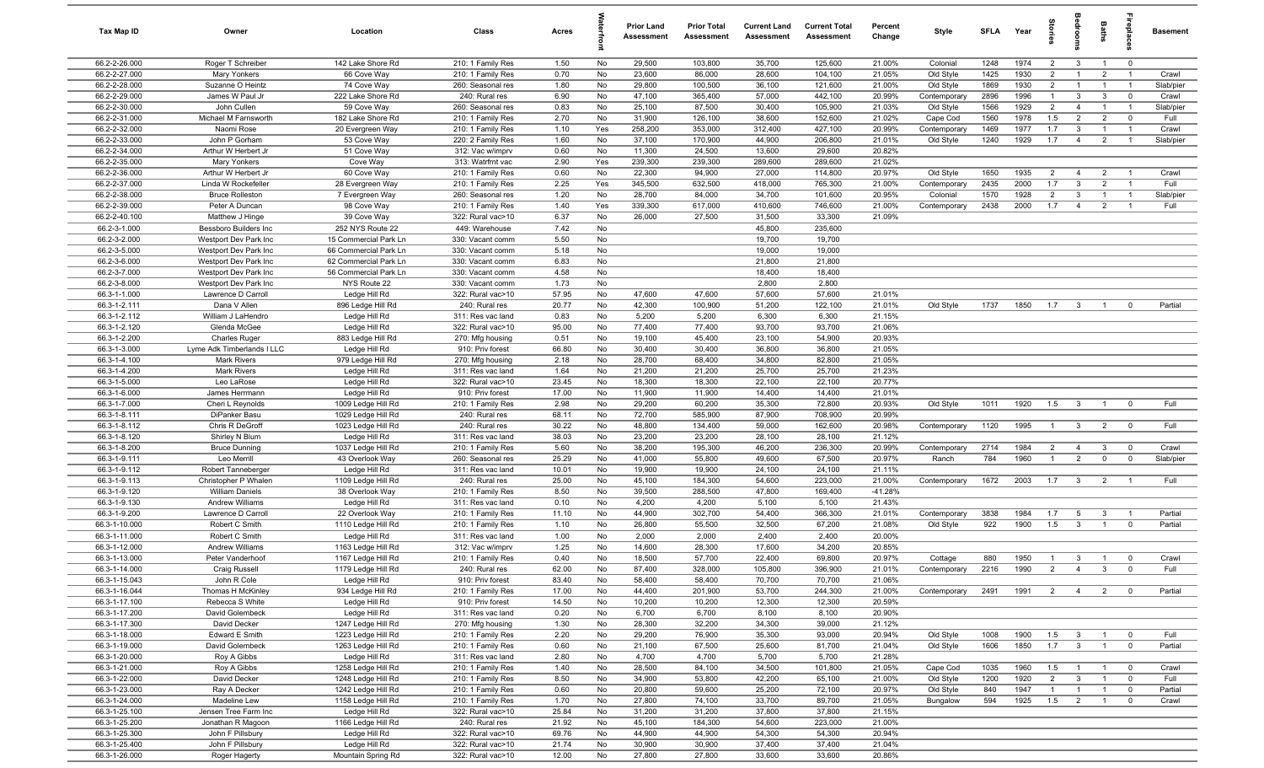| <b>Tax Map ID</b>              | Owner                                          | Location                                       | Class                                  | Acres         |           | <b>Prior Land</b><br>Assessment | <b>Prior Total</b><br>Assessment | <b>Current Land</b><br>Assessment | <b>Current Total</b><br>Assessment | Percent<br>Change | Style                     | <b>SFLA</b>  | Year         | Stories               | ledroo                         | Baths                            |                                                    | <b>Basement</b> |
|--------------------------------|------------------------------------------------|------------------------------------------------|----------------------------------------|---------------|-----------|---------------------------------|----------------------------------|-----------------------------------|------------------------------------|-------------------|---------------------------|--------------|--------------|-----------------------|--------------------------------|----------------------------------|----------------------------------------------------|-----------------|
| 66.2-2-26.000                  | Roger T Schreiber                              | 142 Lake Shore Rd                              | 210: 1 Family Res                      | 1.50          | No        | 29,500                          | 103,800                          | 35,700                            | 125,600                            | 21.00%            | Colonial                  | 1248         | 1974         | $\overline{2}$        | $\overline{3}$                 | $\overline{1}$                   | $\overline{0}$                                     |                 |
| 66.2-2-27.000                  | <b>Mary Yonkers</b>                            | 66 Cove Way                                    | 210: 1 Family Res                      | 0.70          | No        | 23,600                          | 86,000                           | 28,600                            | 104,100                            | 21.05%            | Old Style                 | 1425         | 1930         | $\overline{2}$        | $\mathbf{1}$                   | $\overline{2}$                   | $\overline{1}$                                     | Crawl           |
| 66.2-2-28.000                  | Suzanne O Heintz                               | 74 Cove Way                                    | 260: Seasonal res                      | 1.80          | No        | 29,800                          | 100,500                          | 36,100                            | 121,600                            | 21.00%            | Old Style                 | 1869         | 1930         | $\overline{2}$        | $\overline{1}$                 | $\overline{1}$                   | $\overline{1}$                                     | Slab/pier       |
| 66.2-2-29.000                  | James W Paul Jr                                | 222 Lake Shore Rd                              | 240: Rural res                         | 6.90          | No        | 47,100                          | 365,400                          | 57,000                            | 442,100                            | 20.99%            | Contemporary              | 2896         | 1996         | $\overline{1}$        | $\mathbf{3}$                   | 3                                | $\mathbf 0$                                        | Crawl           |
| 66.2-2-30.000                  | John Cullen                                    | 59 Cove Way                                    | 260: Seasonal res                      | 0.83          | No        | 25,100                          | 87,500                           | 30,400                            | 105,900                            | 21.03%            | Old Style                 | 1566         | 1929         | $\overline{2}$        | $\overline{4}$                 | $\overline{1}$                   | $\overline{1}$                                     | Slab/pier       |
| 66.2-2-31.000<br>66.2-2-32.000 | Michael M Farnsworth                           | 182 Lake Shore Rd                              | 210: 1 Family Res                      | 2.70          | No<br>Yes | 31,900<br>258,200               | 126,100<br>353,000               | 38,600<br>312,400                 | 152,600<br>427,100                 | 21.02%<br>20.99%  | Cape Cod                  | 1560<br>1469 | 1978<br>1977 | 1.5<br>1.7            | $\overline{2}$<br>$\mathbf{3}$ | $\overline{2}$<br>$\overline{1}$ | $\mathbf 0$<br>$\overline{1}$                      | Full<br>Crawl   |
| 66.2-2-33.000                  | Naomi Rose<br>John P Gorham                    | 20 Evergreen Way<br>53 Cove Way                | 210: 1 Family Res<br>220: 2 Family Res | 1.10<br>1.60  | No        | 37,100                          | 170,900                          | 44,900                            | 206,800                            | 21.01%            | Contemporary<br>Old Style | 1240         | 1929         | 1.7                   | $\overline{4}$                 | $\overline{2}$                   | $\overline{1}$                                     | Slab/pier       |
| 66.2-2-34.000                  | Arthur W Herbert Jr                            | 51 Cove Way                                    | 312: Vac w/imprv                       | 0.60          | No        | 11,300                          | 24,500                           | 13,600                            | 29,600                             | 20.82%            |                           |              |              |                       |                                |                                  |                                                    |                 |
| 66.2-2-35.000                  | Mary Yonkers                                   | Cove Way                                       | 313: Watrfrnt vac                      | 2.90          | Yes       | 239,300                         | 239,300                          | 289,600                           | 289,600                            | 21.02%            |                           |              |              |                       |                                |                                  |                                                    |                 |
| 66.2-2-36.000                  | Arthur W Herbert Jr                            | 60 Cove Way                                    | 210: 1 Family Res                      | 0.60          | No        | 22,300                          | 94,900                           | 27,000                            | 114,800                            | 20.97%            | Old Style                 | 1650         | 1935         | 2                     | $\overline{4}$                 | $\overline{2}$                   | $\overline{1}$                                     | Crawl           |
| 66.2-2-37.000                  | Linda W Rockefeller                            | 28 Evergreen Way                               | 210: 1 Family Res                      | 2.25          | Yes       | 345,500                         | 632,500                          | 418,000                           | 765,300                            | 21.00%            | Contemporary              | 2435         | 2000         | 1.7                   | $\mathbf{3}$                   | 2                                | $\overline{1}$                                     | Full            |
| 66.2-2-38.000                  | <b>Bruce Rolleston</b>                         | 7 Evergreen Way                                | 260: Seasonal res                      | 1.20          | No        | 28,700                          | 84,000                           | 34,700                            | 101,600                            | 20.95%            | Colonial                  | 1570         | 1928         | $\overline{2}$        | $\mathbf{3}$                   | $\overline{1}$                   | $\overline{1}$                                     | Slab/pier       |
| 66.2-2-39.000                  | Peter A Duncan                                 | 98 Cove Way                                    | 210: 1 Family Res                      | 1.40          | Yes       | 339,300                         | 617,000                          | 410,600                           | 746,600                            | 21.00%            | Contemporary              | 2438         | 2000         | 1.7                   | $\overline{4}$                 | $\overline{2}$                   | $\overline{1}$                                     | Full            |
| 66.2-2-40.100                  | Matthew J Hinge                                | 39 Cove Way                                    | 322: Rural vac>10                      | 6.37          | No        | 26,000                          | 27,500                           | 31,500                            | 33,300                             | 21.09%            |                           |              |              |                       |                                |                                  |                                                    |                 |
| 66.2-3-1.000                   | Bessboro Builders Inc                          | 252 NYS Route 22                               | 449: Warehouse                         | 7.42          | No        |                                 |                                  | 45,800                            | 235,600                            |                   |                           |              |              |                       |                                |                                  |                                                    |                 |
| 66.2-3-2.000                   | Westport Dev Park Inc                          | 15 Commercial Park Ln                          | 330: Vacant comm                       | 5.50          | No        |                                 |                                  | 19,700                            | 19,700                             |                   |                           |              |              |                       |                                |                                  |                                                    |                 |
| 66.2-3-5.000<br>66.2-3-6.000   | Westport Dev Park Inc<br>Westport Dev Park Inc | 66 Commercial Park Ln<br>62 Commercial Park Ln | 330: Vacant comm<br>330: Vacant comm   | 5.18<br>6.83  | No<br>No  |                                 |                                  | 19,000<br>21,800                  | 19,000<br>21,800                   |                   |                           |              |              |                       |                                |                                  |                                                    |                 |
| 66.2-3-7.000                   | Westport Dev Park Inc                          | 56 Commercial Park Ln                          | 330: Vacant comm                       | 4.58          | No        |                                 |                                  | 18,400                            | 18,400                             |                   |                           |              |              |                       |                                |                                  |                                                    |                 |
| 66.2-3-8.000                   | Westport Dev Park Inc                          | NYS Route 22                                   | 330: Vacant comm                       | 1.73          | No        |                                 |                                  | 2,800                             | 2,800                              |                   |                           |              |              |                       |                                |                                  |                                                    |                 |
| 66.3-1-1.000                   | Lawrence D Carroll                             | Ledge Hill Rd                                  | 322: Rural vac>10                      | 57.95         | No        | 47,600                          | 47,600                           | 57,600                            | 57,600                             | 21.01%            |                           |              |              |                       |                                |                                  |                                                    |                 |
| 66.3-1-2.111                   | Dana V Allen                                   | 896 Ledge Hill Rd                              | 240: Rural res                         | 20.77         | No        | 42,300                          | 100,900                          | 51,200                            | 122,100                            | 21.01%            | Old Style                 | 1737         | 1850         | 1.7                   | $\overline{\mathbf{3}}$        | $\overline{1}$                   | $\mathbf 0$                                        | Partial         |
| 66.3-1-2.112                   | William J LaHendro                             | Ledge Hill Rd                                  | 311: Res vac land                      | 0.83          | No        | 5,200                           | 5,200                            | 6,300                             | 6,300                              | 21.15%            |                           |              |              |                       |                                |                                  |                                                    |                 |
| 66.3-1-2.120                   | Glenda McGee                                   | Ledge Hill Rd                                  | 322: Rural vac>10                      | 95.00         | No        | 77,400                          | 77,400                           | 93,700                            | 93,700                             | 21.06%            |                           |              |              |                       |                                |                                  |                                                    |                 |
| 66.3-1-2.200                   | <b>Charles Ruger</b>                           | 883 Ledge Hill Rd                              | 270: Mfg housing                       | 0.51          | No        | 19,100                          | 45,400                           | 23,100                            | 54,900                             | 20.93%            |                           |              |              |                       |                                |                                  |                                                    |                 |
| 66.3-1-3.000                   | Lyme Adk Timberlands I LLC                     | Ledge Hill Rd                                  | 910: Priv forest                       | 66.80         | No        | 30,400                          | 30,400                           | 36,800                            | 36,800                             | 21.05%            |                           |              |              |                       |                                |                                  |                                                    |                 |
| 66.3-1-4.100                   | <b>Mark Rivers</b>                             | 979 Ledge Hill Rd                              | 270: Mfg housing                       | 2.18          | No        | 28,700                          | 68,400                           | 34,800                            | 82,800                             | 21.05%            |                           |              |              |                       |                                |                                  |                                                    |                 |
| 66.3-1-4.200                   | <b>Mark Rivers</b>                             | Ledge Hill Rd                                  | 311: Res vac land                      | 1.64          | No        | 21,200                          | 21,200                           | 25,700                            | 25,700                             | 21.23%            |                           |              |              |                       |                                |                                  |                                                    |                 |
| 66.3-1-5.000                   | Leo LaRose                                     | Ledge Hill Rd                                  | 322: Rural vac>10                      | 23.45         | No        | 18,300                          | 18,300                           | 22,100                            | 22,100                             | 20.77%            |                           |              |              |                       |                                |                                  |                                                    |                 |
| 66.3-1-6.000<br>66.3-1-7.000   | James Herrmann                                 | Ledge Hill Rd                                  | 910: Priv forest                       | 17.00<br>2.98 | No        | 11,900<br>29,200                | 11,900<br>60,200                 | 14,400<br>35,300                  | 14,400<br>72,800                   | 21.01%<br>20.93%  | Old Style                 | 1011         | 1920         | 1.5                   |                                | $\overline{1}$                   | $\overline{0}$                                     | Full            |
| 66.3-1-8.111                   | Cheri L Reynolds<br>DiPanker Basu              | 1009 Ledge Hill Rd<br>1029 Ledge Hill Rd       | 210: 1 Family Res<br>240: Rural res    | 68.11         | No<br>No  | 72,700                          | 585,900                          | 87,900                            | 708,900                            | 20.99%            |                           |              |              |                       | $\overline{\mathbf{3}}$        |                                  |                                                    |                 |
| 66.3-1-8.112                   | Chris R DeGroff                                | 1023 Ledge Hill Rd                             | 240: Rural res                         | 30.22         | No        | 48,800                          | 134,400                          | 59,000                            | 162,600                            | 20.98%            | Contemporary              | 1120         | 1995         | $\overline{1}$        | $\mathbf{3}$                   | $\overline{2}$                   | $\mathbf 0$                                        | Full            |
| 66.3-1-8.120                   | Shirley N Blum                                 | Ledge Hill Rd                                  | 311: Res vac land                      | 38.03         | No        | 23,200                          | 23,200                           | 28,100                            | 28,100                             | 21.12%            |                           |              |              |                       |                                |                                  |                                                    |                 |
| 66.3-1-8.200                   | <b>Bruce Dunning</b>                           | 1037 Ledge Hill Rd                             | 210: 1 Family Res                      | 5.60          | No        | 38,200                          | 195,300                          | 46,200                            | 236,300                            | 20.99%            | Contemporary              | 2714         | 1984         | $\overline{2}$        | $\overline{4}$                 | $\mathbf{3}$                     | $\overline{0}$                                     | Crawl           |
| 66.3-1-9.111                   | Leo Merrill                                    | 43 Overlook Way                                | 260: Seasonal res                      | 25.29         | No        | 41,000                          | 55,800                           | 49,600                            | 67,500                             | 20.97%            | Ranch                     | 784          | 1960         | $\overline{1}$        | $\overline{2}$                 | $\mathbf 0$                      | $\mathbf 0$                                        | Slab/pier       |
| 66.3-1-9.112                   | Robert Tanneberger                             | Ledge Hill Rd                                  | 311: Res vac land                      | 10.01         | No        | 19,900                          | 19,900                           | 24,100                            | 24,100                             | 21.11%            |                           |              |              |                       |                                |                                  |                                                    |                 |
| 66.3-1-9.113                   | Christopher P Whalen                           | 1109 Ledge Hill Rd                             | 240: Rural res                         | 25.00         | No        | 45,100                          | 184,300                          | 54,600                            | 223,000                            | 21.00%            | Contemporary              | 1672         | 2003         | 1.7                   | $\overline{3}$                 | $\overline{2}$                   | $\overline{1}$                                     | Full            |
| 66.3-1-9.120                   | <b>William Daniels</b>                         | 38 Overlook Way                                | 210: 1 Family Res                      | 8.50          | No        | 39,500                          | 288,500                          | 47,800                            | 169,400                            | $-41.28%$         |                           |              |              |                       |                                |                                  |                                                    |                 |
| 66.3-1-9.130                   | Andrew Williams                                | Ledge Hill Rd                                  | 311: Res vac land                      | 0.10          | No        | 4,200                           | 4,200                            | 5,100                             | 5,100                              | 21.43%            |                           |              |              |                       |                                |                                  |                                                    |                 |
| 66.3-1-9.200                   | Lawrence D Carroll                             | 22 Overlook Way                                | 210: 1 Family Res                      | 11.10         | No        | 44,900                          | 302,700                          | 54,400                            | 366,300                            | 21.01%            | Contemporary              | 3838         | 1984         | 1.7                   | 5                              | $\mathbf{3}$                     | $\overline{1}$                                     | Partial         |
| 66.3-1-10.000                  | Robert C Smith                                 | 1110 Ledge Hill Rd                             | 210: 1 Family Res                      | 1.10          | No        | 26,800                          | 55,500                           | 32,500                            | 67,200                             | 21.08%            | Old Style                 | 922          | 1900         | 1.5                   | $\mathbf{3}$                   | $\overline{1}$                   | $\overline{0}$                                     | Partial         |
| 66.3-1-11.000<br>66.3-1-12.000 | Robert C Smith<br><b>Andrew Williams</b>       | Ledge Hill Rd<br>1163 Ledge Hill Rd            | 311: Res vac land<br>312: Vac w/imprv  | 1.00<br>1.25  | No<br>No  | 2,000<br>14,600                 | 2,000<br>28,300                  | 2,400<br>17,600                   | 2,400<br>34,200                    | 20.00%<br>20.85%  |                           |              |              |                       |                                |                                  |                                                    |                 |
| 66.3-1-13.000                  | Peter Vanderhoof                               | 1167 Ledge Hill Rd                             | 210: 1 Family Res                      | 0.40          | No        | 18,500                          | 57,700                           | 22,400                            | 69,800                             | 20.97%            | Cottage                   | 880          | 1950         | $\overline{1}$        | $\mathbf{3}$                   | $\overline{1}$                   | $\mathbf 0$                                        | Crawl           |
| 66.3-1-14.000                  | Craig Russell                                  | 1179 Ledge Hill Rd                             | 240: Rural res                         | 62.00         | No        | 87,400                          | 328,000                          | 105,800                           | 396,900                            | 21.01%            | Contemporary              | 2216         | 1990         | $\overline{2}$        | $\mathbf{A}$                   |                                  | $\Omega$                                           | Full            |
| 66.3-1-15.043                  | John R Cole                                    | Ledge Hill Rd                                  | 910: Priv forest                       | 83.40         | No        | 58,400                          | 58,400                           | 70,700                            | 70,700                             | 21.06%            |                           |              |              |                       |                                |                                  |                                                    |                 |
| 66.3-1-16.044                  | Thomas H McKinley                              | 934 Ledge Hill Rd                              | 210: 1 Family Res                      | 17.00         | No        | 44,400                          | 201,900                          | 53,700                            | 244,300                            | 21.00%            | Contemporary              | 2491         | 1991         |                       | $2 \t 4$                       | 2                                | $\overline{0}$                                     | Partial         |
| 66.3-1-17.100                  | Rebecca S White                                | Ledge Hill Rd                                  | 910: Priv forest                       | 14.50         | No        | 10,200                          | 10,200                           | 12,300                            | 12,300                             | 20.59%            |                           |              |              |                       |                                |                                  |                                                    |                 |
| 66.3-1-17.200                  | David Golembeck                                | Ledge Hill Rd                                  | 311: Res vac land                      | 0.20          | No        | 6,700                           | 6,700                            | 8,100                             | 8,100                              | 20.90%            |                           |              |              |                       |                                |                                  |                                                    |                 |
| 66.3-1-17.300                  | David Decker                                   | 1247 Ledge Hill Rd                             | 270: Mfg housing                       | 1.30          | No        | 28,300                          | 32,200                           | 34,300                            | 39,000                             | 21.12%            |                           |              |              |                       |                                |                                  |                                                    |                 |
| 66.3-1-18.000                  | Edward E Smith                                 | 1223 Ledge Hill Rd                             | 210: 1 Family Res                      | 2.20          | No        | 29,200                          | 76,900                           | 35,300                            | 93,000                             | 20.94%            | Old Style                 | 1008         | 1900         | 1.5                   | $\overline{\mathbf{3}}$        | $\overline{1}$                   | $\overline{0}$                                     | Full            |
| 66.3-1-19.000                  | David Golembeck                                | 1263 Ledge Hill Rd                             | 210: 1 Family Res                      | 0.60          | No        | 21,100                          | 67,500                           | 25,600                            | 81,700                             | 21.04%            | Old Style                 | 1606         | 1850         | 1.7                   | $\mathbf{3}$                   | $\overline{1}$                   | $\mathbf 0$                                        | Partial         |
| 66.3-1-20.000                  | Roy A Gibbs                                    | Ledge Hill Rd                                  | 311: Res vac land                      | 2.80          | No        | 4,700                           | 4,700                            | 5,700                             | 5,700                              | 21.28%            |                           |              |              |                       |                                |                                  |                                                    |                 |
| 66.3-1-21.000<br>66.3-1-22.000 | Roy A Gibbs                                    | 1258 Ledge Hill Rd                             | 210: 1 Family Res                      | 1.40<br>8.50  | No<br>No  | 28,500<br>34,900                | 84,100<br>53,800                 | 34,500<br>42,200                  | 101,800<br>65,100                  | 21.05%<br>21.00%  | Cape Cod                  | 1035         | 1960<br>1920 | 1.5<br>$\overline{2}$ | $\mathbf{3}$                   | $\overline{1}$<br>$\overline{1}$ | $\overline{\mathbf{0}}$<br>$\overline{\mathbf{0}}$ | Crawl<br>Full   |
| 66.3-1-23.000                  | David Decker<br>Ray A Decker                   | 1248 Ledge Hill Rd<br>1242 Ledge Hill Rd       | 210: 1 Family Res<br>210: 1 Family Res | 0.60          | No        | 20,800                          | 59,600                           | 25,200                            | 72,100                             | 20.97%            | Old Style<br>Old Style    | 1200<br>840  | 1947         | $\overline{1}$        | $\overline{1}$                 | $\overline{1}$                   | $\mathbf 0$                                        | Partial         |
| 66.3-1-24.000                  | Madeline Lew                                   | 1158 Ledge Hill Rd                             | 210: 1 Family Res                      | 1.70          | No        | 27,800                          | 74,100                           | 33,700                            | 89,700                             | 21.05%            | Bungalow                  | 594          | 1925         | 1.5                   | $\overline{2}$                 | $\overline{1}$                   | $\overline{0}$                                     | Crawl           |
| 66.3-1-25.100                  | Jensen Tree Farm Inc                           | Ledge Hill Rd                                  | 322: Rural vac>10                      | 25.84         | No        | 31,200                          | 31,200                           | 37,800                            | 37,800                             | 21.15%            |                           |              |              |                       |                                |                                  |                                                    |                 |
| 66.3-1-25.200                  | Jonathan R Magoon                              | 1166 Ledge Hill Rd                             | 240: Rural res                         | 21.92         | No        | 45,100                          | 184,300                          | 54,600                            | 223,000                            | 21.00%            |                           |              |              |                       |                                |                                  |                                                    |                 |
| 66.3-1-25.300                  | John F Pillsbury                               | Ledge Hill Rd                                  | 322: Rural vac>10                      | 69.76         | No        | 44,900                          | 44,900                           | 54,300                            | 54,300                             | 20.94%            |                           |              |              |                       |                                |                                  |                                                    |                 |
| 66.3-1-25.400                  | John F Pillsbury                               | Ledge Hill Rd                                  | 322: Rural vac>10                      | 21.74         | No        | 30,900                          | 30,900                           | 37,400                            | 37,400                             | 21.04%            |                           |              |              |                       |                                |                                  |                                                    |                 |
| 66.3-1-26.000                  | Roger Hagerty                                  | Mountain Spring Rd                             | 322: Rural vac>10                      | 12.00         | No        | 27,800                          | 27,800                           | 33,600                            | 33,600                             | 20.86%            |                           |              |              |                       |                                |                                  |                                                    |                 |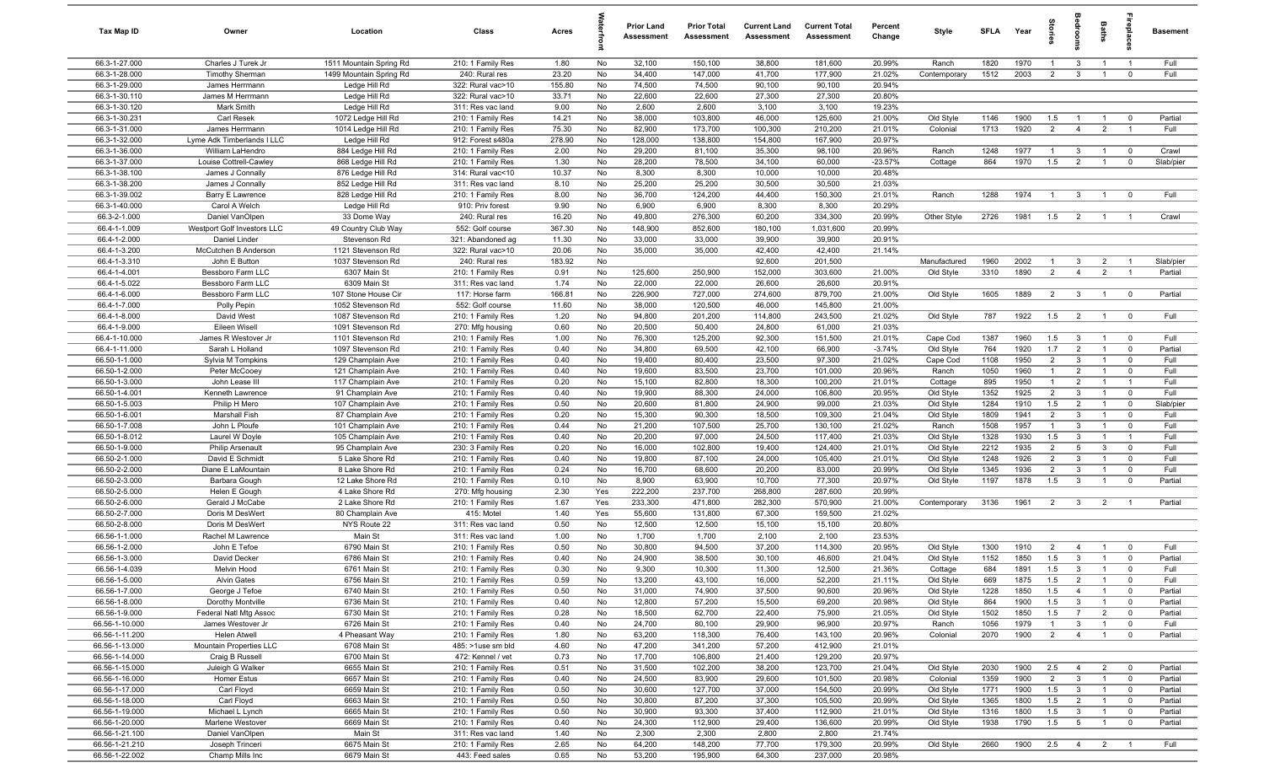| Tax Map ID                       | Owner                                        | Location                               | Class                                  | Acres           |          | <b>Prior Land</b><br>Assessment | <b>Prior Total</b><br>Assessment | <b>Current Land</b><br>Assessment | <b>Current Total</b><br>Assessment | Percent<br>Change  | Style                  | <b>SFI A</b> | Year         | tories                | ăroo                            | Baths                            | repla                      | <b>Basement</b>    |
|----------------------------------|----------------------------------------------|----------------------------------------|----------------------------------------|-----------------|----------|---------------------------------|----------------------------------|-----------------------------------|------------------------------------|--------------------|------------------------|--------------|--------------|-----------------------|---------------------------------|----------------------------------|----------------------------|--------------------|
| 66.3-1-27.000                    | Charles J Turek Jr                           | 1511 Mountain Spring Rd                | 210: 1 Family Res                      | 1.80            | No       | 32,100                          | 150,100                          | 38,800                            | 181,600                            | 20.99%             | Ranch                  | 1820         | 1970         | $\overline{1}$        | $\mathbf{3}$                    | $\overline{1}$                   | $\overline{1}$             | Full               |
| 66.3-1-28.000                    | <b>Timothy Sherman</b>                       | 1499 Mountain Spring Rd                | 240: Rural res                         | 23.20           | No       | 34,400                          | 147,000                          | 41,700                            | 177,900                            | 21.02%             | Contemporary           | 1512         | 2003         | 2                     | $\mathbf{3}$                    | $\overline{1}$                   | $\overline{0}$             | Full               |
| 66.3-1-29.000                    | James Herrmann                               | Ledge Hill Rd                          | 322: Rural vac>10                      | 155.80          | No       | 74,500                          | 74,500                           | 90,100                            | 90,100                             | 20.94%             |                        |              |              |                       |                                 |                                  |                            |                    |
| 66.3-1-30.110<br>66.3-1-30.120   | James M Herrmann<br>Mark Smith               | Ledge Hill Rd<br>Ledge Hill Rd         | 322: Rural vac>10<br>311: Res vac land | 33.71<br>9.00   | No<br>No | 22,600<br>2,600                 | 22,600<br>2,600                  | 27,300<br>3,100                   | 27,300<br>3,100                    | 20.80%<br>19.23%   |                        |              |              |                       |                                 |                                  |                            |                    |
| 66.3-1-30.231                    | Carl Resek                                   | 1072 Ledge Hill Rd                     | 210: 1 Family Res                      | 14.21           | No       | 38,000                          | 103,800                          | 46,000                            | 125,600                            | 21.00%             | Old Style              | 1146         | 1900         | 1.5                   |                                 | $\mathbf{1}$                     | $\mathbf 0$                | Partial            |
| 66.3-1-31.000                    | James Herrmann                               | 1014 Ledge Hill Rd                     | 210: 1 Family Res                      | 75.30           | No       | 82,900                          | 173,700                          | 100,300                           | 210,200                            | 21.01%             | Colonial               | 1713         | 1920         | $\overline{2}$        | $\overline{4}$                  | $\overline{2}$                   |                            | Full               |
| 66.3-1-32.000                    | Lyme Adk Timberlands I LLC                   | Ledge Hill Rd                          | 912: Forest s480a                      | 278.90          | No       | 128,000                         | 138,800                          | 154,800                           | 167,900                            | 20.97%             |                        |              |              |                       |                                 |                                  |                            |                    |
| 66.3-1-36.000                    | William LaHendro                             | 884 Ledge Hill Rd                      | 210: 1 Family Res                      | 2.00            | No       | 29,200                          | 81,100                           | 35,300                            | 98,100                             | 20.96%             | Ranch                  | 1248         | 1977         | $\overline{1}$        | $\overline{3}$                  | $\overline{1}$                   | $\overline{\mathbf{0}}$    | Crawl              |
| 66.3-1-37.000                    | Louise Cottrell-Cawley                       | 868 Ledge Hill Rd                      | 210: 1 Family Res                      | 1.30            | No       | 28,200                          | 78,500                           | 34,100                            | 60,000                             | $-23.57%$          | Cottage                | 864          | 1970         | 1.5                   | $\overline{2}$                  | $\overline{1}$                   | $\mathbf 0$                | Slab/pier          |
| 66.3-1-38.100                    | James J Connally                             | 876 Ledge Hill Rd                      | 314: Rural vac<10                      | 10.37           | No       | 8,300                           | 8,300                            | 10,000                            | 10,000                             | 20.48%             |                        |              |              |                       |                                 |                                  |                            |                    |
| 66.3-1-38.200                    | James J Connally                             | 852 Ledge Hill Rd                      | 311: Res vac land                      | 8.10            | No       | 25,200                          | 25,200                           | 30,500                            | 30,500                             | 21.03%             |                        |              |              |                       |                                 |                                  |                            |                    |
| 66.3-1-39.002                    | Barry E Lawrence                             | 828 Ledge Hill Rd                      | 210: 1 Family Res                      | 8.00            | No       | 36,700                          | 124,200                          | 44,400                            | 150,300                            | 21.01%             | Ranch                  | 1288         | 1974         | $\overline{1}$        | $\mathbf{3}$                    | $\overline{1}$                   | $\mathbf 0$                | Full               |
| 66.3-1-40.000                    | Carol A Welch                                | Ledge Hill Rd                          | 910: Priv forest                       | 9.90            | No       | 6,900                           | 6,900                            | 8,300                             | 8,300                              | 20.29%             |                        |              |              |                       |                                 |                                  |                            |                    |
| 66.3-2-1.000                     | Daniel VanOlpen                              | 33 Dome Way                            | 240: Rural res                         | 16.20           | No       | 49,800                          | 276,300                          | 60,200                            | 334,300                            | 20.99%             | Other Style            | 2726         | 1981         | 1.5                   | $\overline{2}$                  | $\overline{1}$                   | $\overline{1}$             | Crawl              |
| 66.4-1-1.009<br>66.4-1-2.000     | Westport Golf Investors LLC<br>Daniel Linder | 49 Country Club Way<br>Stevenson Rd    | 552: Golf course<br>321: Abandoned ag  | 367.30<br>11.30 | No<br>No | 148,900<br>33,000               | 852,600<br>33,000                | 180,100<br>39,900                 | 1,031,600<br>39,900                | 20.99%<br>20.91%   |                        |              |              |                       |                                 |                                  |                            |                    |
| 66.4-1-3.200                     | McCutchen B Anderson                         | 1121 Stevenson Rd                      | 322: Rural vac>10                      | 20.06           | No       | 35,000                          | 35,000                           | 42,400                            | 42,400                             | 21.14%             |                        |              |              |                       |                                 |                                  |                            |                    |
| 66.4-1-3.310                     | John E Button                                | 1037 Stevenson Rd                      | 240: Rural res                         | 183.92          | No       |                                 |                                  | 92,600                            | 201,500                            |                    | Manufactured           | 1960         | 2002         | -1                    | $\mathbf{3}$                    | $\overline{2}$                   | $\overline{1}$             | Slab/pier          |
| 66.4-1-4.001                     | Bessboro Farm LLC                            | 6307 Main St                           | 210: 1 Family Res                      | 0.91            | No       | 125,600                         | 250,900                          | 152,000                           | 303,600                            | 21.00%             | Old Style              | 3310         | 1890         | $\overline{2}$        | $\overline{4}$                  | $\overline{2}$                   | $\overline{1}$             | Partial            |
| 66.4-1-5.022                     | Bessboro Farm LLC                            | 6309 Main St                           | 311: Res vac land                      | 1.74            | No       | 22,000                          | 22,000                           | 26,600                            | 26,600                             | 20.91%             |                        |              |              |                       |                                 |                                  |                            |                    |
| 66.4-1-6.000                     | Bessboro Farm LLC                            | 107 Stone House Cir                    | 117: Horse farm                        | 166.81          | No       | 226,900                         | 727,000                          | 274,600                           | 879,700                            | 21.00%             | Old Style              | 1605         | 1889         | $\overline{2}$        | $\overline{\mathbf{3}}$         | $\overline{1}$                   | $\overline{\mathbf{0}}$    | Partial            |
| 66.4-1-7.000                     | Polly Pepin                                  | 1052 Stevenson Rd                      | 552: Golf course                       | 11.60           | No       | 38,000                          | 120,500                          | 46,000                            | 145,800                            | 21.00%             |                        |              |              |                       |                                 |                                  |                            |                    |
| 66.4-1-8.000                     | David West                                   | 1087 Stevenson Rd                      | 210: 1 Family Res                      | 1.20            | No       | 94,800                          | 201,200                          | 114,800                           | 243,500                            | 21.02%             | Old Style              | 787          | 1922         | 1.5                   | $\overline{2}$                  | $\overline{1}$                   | $\overline{0}$             | Full               |
| 66.4-1-9.000                     | Eileen Wisell                                | 1091 Stevenson Rd                      | 270: Mfg housing                       | 0.60            | No       | 20,500                          | 50,400                           | 24,800                            | 61,000                             | 21.03%             |                        |              |              |                       |                                 |                                  |                            |                    |
| 66.4-1-10.000                    | James R Westover Jr                          | 1101 Stevenson Rd                      | 210: 1 Family Res                      | 1.00            | No       | 76,300                          | 125,200                          | 92,300                            | 151,500                            | 21.01%             | Cape Cod               | 1387         | 1960         | 1.5                   | $\mathbf{3}$                    | $\overline{1}$                   | $\mathbf 0$                | Full               |
| 66.4-1-11.000<br>66.50-1-1.000   | Sarah L Holland<br>Sylvia M Tompkins         | 1097 Stevenson Rd<br>129 Champlain Ave | 210: 1 Family Res<br>210: 1 Family Res | 0.40<br>0.40    | No<br>No | 34,800<br>19,400                | 69,500<br>80,400                 | 42,100<br>23,500                  | 66,900<br>97,300                   | $-3.74%$<br>21.02% | Old Style<br>Cape Cod  | 764<br>1108  | 1920<br>1950 | 1.7<br>$\overline{2}$ | $\overline{2}$<br>$\mathbf{3}$  | $\overline{1}$<br>$\overline{1}$ | $\mathbf 0$<br>$\mathbf 0$ | Partial<br>Full    |
| 66.50-1-2.000                    | Peter McCooey                                | 121 Champlain Ave                      | 210: 1 Family Res                      | 0.40            | No       | 19,600                          | 83,500                           | 23,700                            | 101,000                            | 20.96%             | Ranch                  | 1050         | 1960         | $\overline{1}$        | 2                               | $\overline{1}$                   | $\mathbf 0$                | Full               |
| 66.50-1-3.000                    | John Lease III                               | 117 Champlain Ave                      | 210: 1 Family Res                      | 0.20            | No       | 15,100                          | 82,800                           | 18,300                            | 100,200                            | 21.01%             | Cottage                | 895          | 1950         | $\overline{1}$        | $\overline{2}$                  | $\overline{1}$                   | $\overline{1}$             | Full               |
| 66.50-1-4.001                    | Kenneth Lawrence                             | 91 Champlain Ave                       | 210: 1 Family Res                      | 0.40            | No       | 19,900                          | 88,300                           | 24,000                            | 106,800                            | 20.95%             | Old Style              | 1352         | 1925         | $\overline{2}$        | 3                               | $\overline{1}$                   | $\mathbf 0$                | Full               |
| 66.50-1-5.003                    | Philip H Mero                                | 107 Champlain Ave                      | 210: 1 Family Res                      | 0.50            | No       | 20,600                          | 81,800                           | 24,900                            | 99,000                             | 21.03%             | Old Style              | 1284         | 1910         | 1.5                   | $\overline{2}$                  | $\overline{1}$                   | $\overline{0}$             | Slab/pier          |
| 66.50-1-6.001                    | <b>Marshall Fish</b>                         | 87 Champlain Ave                       | 210: 1 Family Res                      | 0.20            | No       | 15,300                          | 90,300                           | 18,500                            | 109,300                            | 21.04%             | Old Style              | 1809         | 1941         | $\overline{2}$        | $\mathbf{3}$                    | $\overline{1}$                   | $\mathbf 0$                | Full               |
| 66.50-1-7.008                    | John L Ploufe                                | 101 Champlain Ave                      | 210: 1 Family Res                      | 0.44            | No       | 21,200                          | 107,500                          | 25,700                            | 130,100                            | 21.02%             | Ranch                  | 1508         | 1957         | $\overline{1}$        | $\mathbf{3}$                    | $\overline{1}$                   | $\mathbf 0$                | Full               |
| 66.50-1-8.012                    | Laurel W Doyle                               | 105 Champlain Ave                      | 210: 1 Family Res                      | 0.40            | No       | 20,200                          | 97,000                           | 24,500                            | 117,400                            | 21.03%             | Old Style              | 1328         | 1930         | 1.5                   | $\mathbf{3}$                    | $\overline{1}$                   | $\overline{1}$             | Full               |
| 66.50-1-9.000                    | <b>Philip Arsenault</b>                      | 95 Champlain Ave                       | 230: 3 Family Res                      | 0.20            | No       | 16,000                          | 102,800                          | 19,400                            | 124,400                            | 21.01%             | Old Style              | 2212         | 1935         | $\overline{2}$        | 5                               | 3                                | $\mathbf 0$                | Full               |
| 66.50-2-1.000                    | David E Schmidt                              | 5 Lake Shore Rd                        | 210: 1 Family Res                      | 0.40            | No       | 19,800                          | 87,100                           | 24,000                            | 105,400                            | 21.01%             | Old Style              | 1248         | 1926         | $\overline{2}$        | 3                               | $\overline{1}$                   | $\overline{0}$             | Full               |
| 66.50-2-2.000<br>66.50-2-3.000   | Diane E LaMountain<br>Barbara Gough          | 8 Lake Shore Rd<br>12 Lake Shore Rd    | 210: 1 Family Res<br>210: 1 Family Res | 0.24<br>0.10    | No<br>No | 16,700<br>8,900                 | 68,600<br>63,900                 | 20,200<br>10,700                  | 83,000<br>77,300                   | 20.99%<br>20.97%   | Old Style<br>Old Style | 1345<br>1197 | 1936<br>1878 | $\overline{2}$<br>1.5 | $\mathbf{3}$<br>$\mathbf{3}$    | $\overline{1}$<br>$\overline{1}$ | $\mathbf 0$<br>$\mathbf 0$ | Full<br>Partial    |
| 66.50-2-5.000                    | Helen E Gough                                | 4 Lake Shore Rd                        | 270: Mfg housing                       | 2.30            | Yes      | 222,200                         | 237,700                          | 268,800                           | 287,600                            | 20.99%             |                        |              |              |                       |                                 |                                  |                            |                    |
| 66.50-2-6.000                    | Gerald J McCabe                              | 2 Lake Shore Rd                        | 210: 1 Family Res                      | 1.67            | Yes      | 233,300                         | 471,800                          | 282,300                           | 570,900                            | 21.00%             | Contemporary           | 3136         | 1961         | $\overline{2}$        | $\overline{3}$                  | $\overline{2}$                   | $\overline{1}$             | Partial            |
| 66.50-2-7.000                    | Doris M DesWert                              | 80 Champlain Ave                       | 415: Motel                             | 1.40            | Yes      | 55,600                          | 131,800                          | 67,300                            | 159,500                            | 21.02%             |                        |              |              |                       |                                 |                                  |                            |                    |
| 66.50-2-8.000                    | Doris M DesWert                              | NYS Route 22                           | 311: Res vac land                      | 0.50            | No       | 12,500                          | 12,500                           | 15,100                            | 15,100                             | 20.80%             |                        |              |              |                       |                                 |                                  |                            |                    |
| 66.56-1-1.000                    | Rachel M Lawrence                            | Main St                                | 311: Res vac land                      | 1.00            | No       | 1,700                           | 1,700                            | 2,100                             | 2,100                              | 23.53%             |                        |              |              |                       |                                 |                                  |                            |                    |
| 66.56-1-2.000                    | John E Tefoe                                 | 6790 Main St                           | 210: 1 Family Res                      | 0.50            | No       | 30,800                          | 94,500                           | 37,200                            | 114,300                            | 20.95%             | Old Style              | 1300         | 1910         | $\overline{2}$        | $\overline{4}$                  | $\overline{1}$                   | $\mathbf 0$                | Full               |
| 66.56-1-3.000                    | David Decker                                 | 6786 Main St                           | 210: 1 Family Res                      | 0.40            | No       | 24,900                          | 38,500                           | 30,100                            | 46,600                             | 21.04%             | Old Style              | 1152         | 1850         | 1.5                   | $\overline{3}$                  | $\overline{1}$                   | $\mathbf 0$                | Partial            |
| 66.56-1-4.039                    | Melvin Hood                                  | 6761 Main St                           | 210: 1 Family Res                      | 0.30            | No       | 9,300                           | 10,300                           | 11,300                            | 12,500                             | 21.36%             | Cottage                | 684          | 1891         | 1.5                   | 3                               |                                  |                            | Full               |
| 66.56-1-5.000                    | <b>Alvin Gates</b>                           | 6756 Main St                           | 210: 1 Family Res                      | 0.59            | No       | 13,200                          | 43,100                           | 16,000                            | 52,200                             | 21.11%             | Old Style              | 669          | 1875         | 1.5                   | $\overline{2}$                  | $\overline{1}$                   | $\mathbf 0$                | Full               |
| 66.56-1-7.000<br>66.56-1-8.000   | George J Tefoe<br>Dorothy Montville          | 6740 Main St<br>6736 Main St           | 210: 1 Family Res<br>210: 1 Family Res | 0.50<br>0.40    | No<br>No | 31,000<br>12,800                | 74,900<br>57,200                 | 37,500<br>15,500                  | 90,600<br>69,200                   | 20.96%<br>20.98%   | Old Style<br>Old Style | 1228<br>864  | 1850<br>1900 | 1.5<br>1.5            | $\overline{4}$<br>$\mathbf{3}$  | $\overline{1}$<br>$\overline{1}$ | $\mathbf 0$<br>$\mathbf 0$ | Partial<br>Partial |
| 66.56-1-9.000                    | Federal Natl Mtg Assoc                       | 6730 Main St                           | 210: 1 Family Res                      | 0.28            | No       | 18,500                          | 62,700                           | 22,400                            | 75,900                             | 21.05%             | Old Style              | 1502         | 1850         | 1.5                   | $\overline{7}$                  | $\overline{2}$                   | $\overline{\mathbf{0}}$    | Partial            |
| 66.56-1-10.000                   | James Westover Jr                            | 6726 Main St                           | 210: 1 Family Res                      | 0.40            | No       | 24,700                          | 80,100                           | 29,900                            | 96,900                             | 20.97%             | Ranch                  | 1056         | 1979         | $\overline{1}$        | $\mathbf{3}$                    | $\overline{1}$                   | $\mathbf 0$                | Full               |
| 66.56-1-11.200                   | Helen Atwell                                 | 4 Pheasant Way                         | 210: 1 Family Res                      | 1.80            | No       | 63,200                          | 118,300                          | 76,400                            | 143,100                            | 20.96%             | Colonial               | 2070         | 1900         | $\overline{2}$        | $\overline{4}$                  | $\overline{1}$                   | $\overline{0}$             | Partial            |
| 66.56-1-13.000                   | Mountain Properties LLC                      | 6708 Main St                           | 485: >1use sm bld                      | 4.60            | No       | 47,200                          | 341,200                          | 57,200                            | 412,900                            | 21.01%             |                        |              |              |                       |                                 |                                  |                            |                    |
| 66.56-1-14.000                   | Craig B Russell                              | 6700 Main St                           | 472: Kennel / vet                      | 0.73            | No       | 17,700                          | 106,800                          | 21,400                            | 129,200                            | 20.97%             |                        |              |              |                       |                                 |                                  |                            |                    |
| 66.56-1-15.000                   | Juleigh G Walker                             | 6655 Main St                           | 210: 1 Family Res                      | 0.51            | No       | 31,500                          | 102,200                          | 38,200                            | 123,700                            | 21.04%             | Old Style              | 2030         | 1900         | 2.5                   | $\overline{4}$                  | $\overline{2}$                   | $\overline{\mathbf{0}}$    | Partial            |
| 66.56-1-16.000                   | <b>Homer Estus</b>                           | 6657 Main St                           | 210: 1 Family Res                      | 0.40            | No       | 24,500                          | 83,900                           | 29,600                            | 101,500                            | 20.98%             | Colonial               | 1359         | 1900         | $\overline{2}$        | $\mathbf{3}$                    | $\overline{1}$                   | $\overline{\mathbf{0}}$    | Partial            |
| 66.56-1-17.000                   | Carl Floyd                                   | 6659 Main St                           | 210: 1 Family Res                      | 0.50            | No       | 30,600                          | 127,700                          | 37,000                            | 154,500                            | 20.99%             | Old Style              | 1771         | 1900         | 1.5                   | $\overline{3}$                  | $\overline{1}$                   | $\overline{\mathbf{0}}$    | Partial            |
| 66.56-1-18.000                   | Carl Floyd                                   | 6663 Main St                           | 210: 1 Family Res                      | 0.50            | No       | 30,800                          | 87,200                           | 37,300                            | 105,500                            | 20.99%             | Old Style              | 1365         | 1800         | 1.5                   | $\overline{2}$                  | $\overline{1}$                   | $\overline{\mathbf{0}}$    | Partial            |
| 66.56-1-19.000                   | Michael L Lynch                              | 6665 Main St                           | 210: 1 Family Res                      | 0.50            | No       | 30,900                          | 93,300                           | 37,400                            | 112,900                            | 21.01%             | Old Style              | 1316         | 1800         | 1.5<br>1.5            | $\mathbf{3}$<br>$5\overline{5}$ | $\overline{1}$                   | $\mathbf 0$                | Partial<br>Partial |
| 66.56-1-20.000<br>66.56-1-21.100 | Marlene Westover<br>Daniel VanOlpen          | 6669 Main St<br>Main St                | 210: 1 Family Res<br>311: Res vac land | 0.40<br>1.40    | No<br>No | 24,300<br>2,300                 | 112,900<br>2,300                 | 29,400<br>2,800                   | 136,600<br>2,800                   | 20.99%<br>21.74%   | Old Style              | 1938         | 1790         |                       |                                 | $\overline{1}$                   | $\overline{\mathbf{0}}$    |                    |
| 66.56-1-21.210                   | Joseph Trinceri                              | 6675 Main St                           | 210: 1 Family Res                      | 2.65            | No       | 64,200                          | 148,200                          | 77,700                            | 179,300                            | 20.99%             | Old Style              | 2660         | 1900         | 2.5                   | $\overline{4}$                  | $\overline{2}$                   | $\overline{1}$             | Full               |
| 66.56-1-22.002                   | Champ Mills Inc                              | 6679 Main St                           | 443: Feed sales                        | 0.65            | No       | 53,200                          | 195,900                          | 64,300                            | 237,000                            | 20.98%             |                        |              |              |                       |                                 |                                  |                            |                    |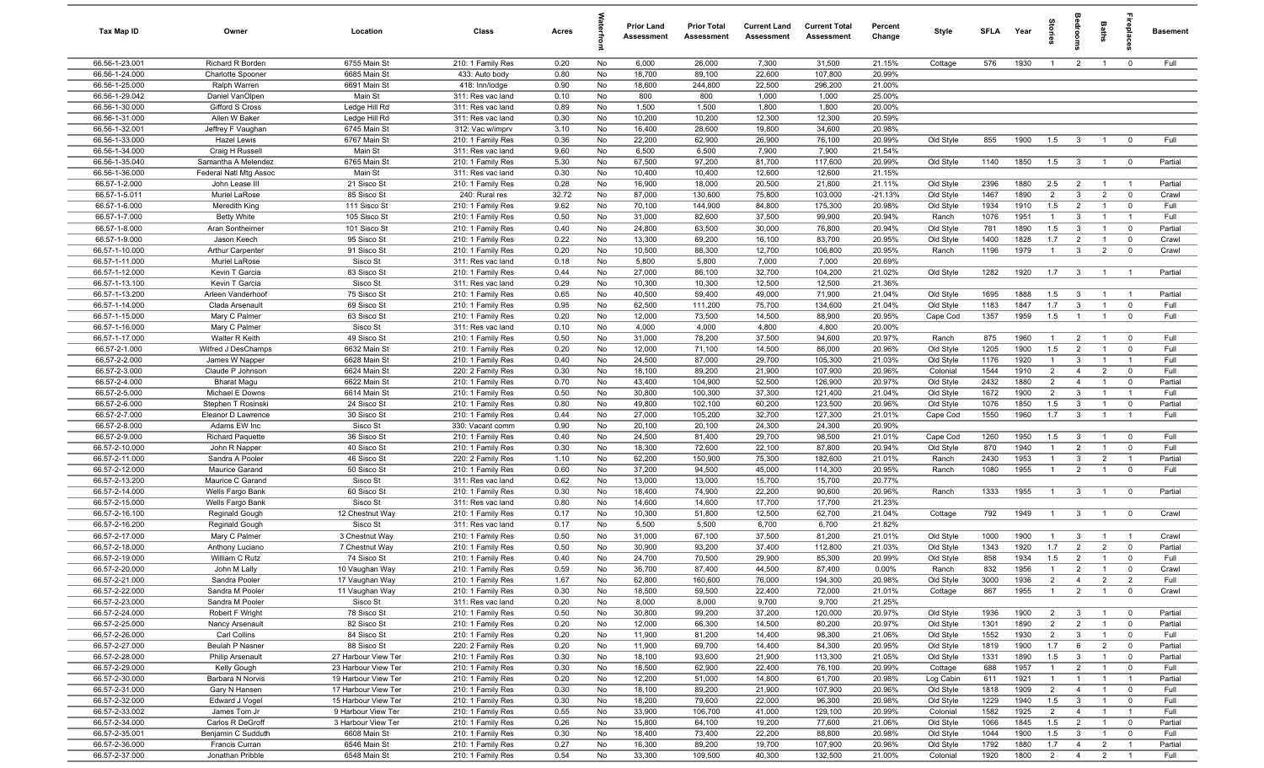| Tax Map ID                       | Owner                                    | Location                         | Class                                  | Acres        |          | <b>Prior Land</b><br>Assessment | <b>Prior Total</b><br>Assessment | <b>Current Land</b><br>Assessment | <b>Current Total</b><br>Assessment | Percent<br>Change | Style                 | <b>SFI A</b> | Year         | ĝ                              | droon                            | Baths                            | ireplac                          | <b>Basement</b> |
|----------------------------------|------------------------------------------|----------------------------------|----------------------------------------|--------------|----------|---------------------------------|----------------------------------|-----------------------------------|------------------------------------|-------------------|-----------------------|--------------|--------------|--------------------------------|----------------------------------|----------------------------------|----------------------------------|-----------------|
| 66.56-1-23.001                   | Richard R Borden                         | 6755 Main St                     | 210: 1 Family Res                      | 0.20         | No       | 6,000                           | 26,000                           | 7,300                             | 31,500                             | 21.15%            | Cottage               | 576          | 1930         | $\overline{1}$                 | $\overline{2}$                   | $\mathbf{1}$                     | $\overline{0}$                   | Full            |
| 66.56-1-24.000                   | <b>Charlotte Spooner</b>                 | 6685 Main St                     | 433: Auto body                         | 0.80         | No       | 18,700                          | 89,100                           | 22,600                            | 107,800                            | 20.99%            |                       |              |              |                                |                                  |                                  |                                  |                 |
| 66.56-1-25.000                   | Ralph Warren                             | 6691 Main St                     | 418: Inn/lodge                         | 0.90         | No       | 18,600                          | 244,800                          | 22,500                            | 296,200                            | 21.00%            |                       |              |              |                                |                                  |                                  |                                  |                 |
| 66.56-1-29.042                   | Daniel VanOlpen                          | Main St                          | 311: Res vac land                      | 0.10         | No       | 800                             | 800                              | 1,000                             | 1,000                              | 25.00%            |                       |              |              |                                |                                  |                                  |                                  |                 |
| 66.56-1-30.000                   | Gifford S Cross                          | Ledge Hill Rd                    | 311: Res vac land                      | 0.89         | No       | 1,500                           | 1,500                            | 1,800                             | 1,800                              | 20.00%            |                       |              |              |                                |                                  |                                  |                                  |                 |
| 66.56-1-31.000<br>66.56-1-32.001 | Allen W Baker                            | Ledge Hill Rd<br>6745 Main St    | 311: Res vac land                      | 0.30<br>3.10 | No<br>No | 10,200<br>16,400                | 10,200<br>28,600                 | 12,300<br>19,800                  | 12,300<br>34,600                   | 20.59%<br>20.98%  |                       |              |              |                                |                                  |                                  |                                  |                 |
| 66.56-1-33.000                   | Jeffrey F Vaughan<br><b>Hazel Lewis</b>  | 6767 Main St                     | 312: Vac w/imprv<br>210: 1 Family Res  | 0.36         | No       | 22,200                          | 62,900                           | 26,900                            | 76,100                             | 20.99%            | Old Style             | 855          | 1900         | 1.5                            | $\mathbf{3}$                     | $\overline{1}$                   | $^{\circ}$                       | Full            |
| 66.56-1-34.000                   | Craig H Russell                          | Main St                          | 311: Res vac land                      | 9.60         | No       | 6,500                           | 6,500                            | 7,900                             | 7,900                              | 21.54%            |                       |              |              |                                |                                  |                                  |                                  |                 |
| 66.56-1-35.040                   | Samantha A Melendez                      | 6765 Main St                     | 210: 1 Family Res                      | 5.30         | No       | 67,500                          | 97,200                           | 81,700                            | 117,600                            | 20.99%            | Old Style             | 1140         | 1850         | 1.5                            | $\mathbf{3}$                     | $\overline{1}$                   | $\overline{0}$                   | Partial         |
| 66.56-1-36.000                   | Federal Natl Mtg Assoc                   | Main St                          | 311: Res vac land                      | 0.30         | No       | 10,400                          | 10,400                           | 12,600                            | 12,600                             | 21.15%            |                       |              |              |                                |                                  |                                  |                                  |                 |
| 66.57-1-2.000                    | John Lease III                           | 21 Sisco St                      | 210: 1 Family Res                      | 0.28         | No       | 16,900                          | 18,000                           | 20,500                            | 21,800                             | 21.11%            | Old Style             | 2396         | 1880         | 2.5                            | $\overline{2}$                   | $\overline{1}$                   | $\overline{1}$                   | Partial         |
| 66.57-1-5.011                    | Muriel LaRose                            | 85 Sisco St                      | 240: Rural res                         | 32.72        | No       | 87,000                          | 130,600                          | 75,800                            | 103,000                            | $-21.13%$         | Old Style             | 1467         | 1890         | 2                              | $\mathbf{3}$                     | $\overline{2}$                   | $\mathbf 0$                      | Crawl           |
| 66.57-1-6.000                    | Meredith King                            | 111 Sisco St                     | 210: 1 Family Res                      | 9.62         | No       | 70,100                          | 144,900                          | 84,800                            | 175,300                            | 20.98%            | Old Style             | 1934         | 1910         | 1.5                            | $\overline{2}$                   | $\overline{1}$                   | $\mathbf 0$                      | Full            |
| 66.57-1-7.000                    | <b>Betty White</b>                       | 105 Sisco St                     | 210: 1 Family Res                      | 0.50         | No       | 31,000                          | 82,600                           | 37,500                            | 99,900                             | 20.94%            | Ranch                 | 1076         | 1951         | $\overline{1}$                 | $\mathbf{3}$                     | $\overline{1}$                   | $\overline{1}$                   | Full            |
| 66.57-1-8.000                    | Aran Sontheimer                          | 101 Sisco St                     | 210: 1 Family Res                      | 0.40         | No       | 24,800                          | 63,500                           | 30,000                            | 76,800                             | 20.94%            | Old Style             | 781          | 1890         | 1.5                            | $\mathbf{3}$                     | $\overline{1}$                   | $\mathbf 0$                      | Partial         |
| 66.57-1-9.000                    | Jason Keech                              | 95 Sisco St                      | 210: 1 Family Res                      | 0.22         | No       | 13,300                          | 69,200                           | 16,100                            | 83,700                             | 20.95%            | Old Style             | 1400         | 1828         | 1.7                            | $\overline{2}$                   | $\overline{1}$                   | $\mathbf 0$                      | Crawl           |
| 66.57-1-10.000                   | Arthur Carpenter                         | 91 Sisco St                      | 210: 1 Family Res                      | 0.20         | No       | 10,500                          | 88,300                           | 12,700                            | 106,800                            | 20.95%            | Ranch                 | 1196         | 1979         | $\mathbf{1}$                   | $\mathbf{3}$                     | $\overline{2}$                   | $\mathbf 0$                      | Crawl           |
| 66.57-1-11.000<br>66.57-1-12.000 | Muriel LaRose                            | Sisco St<br>83 Sisco St          | 311: Res vac land                      | 0.18         | No       | 5,800                           | 5,800                            | 7,000                             | 7,000                              | 20.69%            |                       | 1282         |              |                                |                                  |                                  |                                  |                 |
| 66.57-1-13.100                   | Kevin T Garcia<br>Kevin T Garcia         | Sisco St                         | 210: 1 Family Res<br>311: Res vac land | 0.44<br>0.29 | No<br>No | 27,000<br>10,300                | 86,100<br>10,300                 | 32,700<br>12,500                  | 104,200<br>12,500                  | 21.02%<br>21.36%  | Old Style             |              | 1920         | 1.7                            | $\mathbf{3}$                     | $\overline{1}$                   | $\overline{1}$                   | Partial         |
| 66.57-1-13.200                   | Arleen Vanderhoof                        | 75 Sisco St                      | 210: 1 Family Res                      | 0.65         | No       | 40,500                          | 59,400                           | 49,000                            | 71,900                             | 21.04%            | Old Style             | 1695         | 1888         | 1.5                            | $\mathbf{3}$                     | $\overline{1}$                   | $\overline{1}$                   | Partial         |
| 66.57-1-14.000                   | Clada Arsenault                          | 69 Sisco St                      | 210: 1 Family Res                      | 0.95         | No       | 62,500                          | 111,200                          | 75,700                            | 134,600                            | 21.04%            | Old Style             | 1183         | 1847         | 1.7                            | $\mathbf{3}$                     | $\overline{1}$                   | $\mathbf 0$                      | Full            |
| 66.57-1-15.000                   | Mary C Palmer                            | 63 Sisco St                      | 210: 1 Family Res                      | 0.20         | No       | 12,000                          | 73,500                           | 14,500                            | 88,900                             | 20.95%            | Cape Cod              | 1357         | 1959         | 1.5                            | $\overline{1}$                   | $\mathbf{1}$                     | $\overline{0}$                   | Full            |
| 66.57-1-16.000                   | Mary C Palmer                            | Sisco St                         | 311: Res vac land                      | 0.10         | No       | 4,000                           | 4,000                            | 4,800                             | 4,800                              | 20.00%            |                       |              |              |                                |                                  |                                  |                                  |                 |
| 66.57-1-17.000                   | Walter R Keith                           | 49 Sisco St                      | 210: 1 Family Res                      | 0.50         | No       | 31,000                          | 78,200                           | 37,500                            | 94,600                             | 20.97%            | Ranch                 | 875          | 1960         | $\overline{1}$                 | $\overline{2}$                   | $\overline{1}$                   | $^{\circ}$                       | Full            |
| 66.57-2-1.000                    | Wilfred J DesChamps                      | 6632 Main St                     | 210: 1 Family Res                      | 0.20         | No       | 12,000                          | 71,100                           | 14,500                            | 86,000                             | 20.96%            | Old Style             | 1205         | 1900         | 1.5                            | 2                                | $\overline{1}$                   | $\mathbf 0$                      | Full            |
| 66.57-2-2.000                    | James W Napper                           | 6628 Main St                     | 210: 1 Family Res                      | 0.40         | No       | 24,500                          | 87,000                           | 29,700                            | 105,300                            | 21.03%            | Old Style             | 1176         | 1920         | $\overline{1}$                 | $\mathbf{3}$                     | $\overline{1}$                   | - 1                              | Full            |
| 66.57-2-3.000                    | Claude P Johnson                         | 6624 Main St                     | 220: 2 Family Res                      | 0.30         | No       | 18,100                          | 89,200                           | 21,900                            | 107,900                            | 20.96%            | Colonial              | 1544         | 1910         | $\overline{2}$                 | $\overline{4}$                   | $\overline{2}$                   | $\mathbf 0$                      | Full            |
| 66.57-2-4.000                    | <b>Bharat Magu</b>                       | 6622 Main St                     | 210: 1 Family Res                      | 0.70         | No       | 43,400                          | 104,900                          | 52,500                            | 126,900                            | 20.97%            | Old Style             | 2432         | 1880         | $\overline{2}$                 | $\overline{4}$                   |                                  | $^{\circ}$                       | Partial         |
| 66.57-2-5.000                    | Michael E Downs                          | 6614 Main St                     | 210: 1 Family Res                      | 0.50         | No       | 30,800                          | 100,300                          | 37,300                            | 121,400                            | 21.04%            | Old Style             | 1672         | 1900         | $\overline{2}$                 | $\mathbf{3}$                     |                                  | $\overline{1}$                   | Full            |
| 66.57-2-6.000                    | Stephen T Rosinski                       | 24 Sisco St                      | 210: 1 Family Res                      | 0.80         | No       | 49,800                          | 102,100                          | 60,200                            | 123,500                            | 20.96%            | Old Style             | 1076         | 1850         | 1.5                            | $\mathbf{3}$                     |                                  | $^{\circ}$                       | Partial         |
| 66.57-2-7.000                    | Eleanor D Lawrence                       | 30 Sisco St                      | 210: 1 Family Res                      | 0.44         | No       | 27,000                          | 105,200                          | 32,700                            | 127,300                            | 21.01%            | Cape Cod              | 1550         | 1960         | 1.7                            | $\mathbf{3}$                     |                                  | $\overline{1}$                   | Full            |
| 66.57-2-8.000<br>66.57-2-9.000   | Adams EW Inc                             | Sisco St                         | 330: Vacant comm                       | 0.90         | No<br>No | 20,100                          | 20,100                           | 24,300                            | 24,300<br>98,500                   | 20.90%            |                       |              |              |                                |                                  | $\overline{1}$                   | $^{\circ}$                       | Full            |
| 66.57-2-10.000                   | <b>Richard Paquette</b><br>John R Napper | 36 Sisco St<br>40 Sisco St       | 210: 1 Family Res<br>210: 1 Family Res | 0.40<br>0.30 | No       | 24,500<br>18,300                | 81,400<br>72,600                 | 29,700<br>22,100                  | 87,800                             | 21.01%<br>20.94%  | Cape Cod<br>Old Style | 1260<br>870  | 1950<br>1940 | 1.5<br>$\overline{1}$          | $\mathbf{3}$<br>2                | $\overline{1}$                   | $\mathbf 0$                      | Full            |
| 66.57-2-11.000                   | Sandra A Pooler                          | 46 Sisco St                      | 220: 2 Family Res                      | 1.10         | No       | 62,200                          | 150,900                          | 75,300                            | 182,600                            | 21.01%            | Ranch                 | 2430         | 1953         | $\overline{1}$                 | $\mathbf{3}$                     | $\overline{2}$                   | $\overline{1}$                   | Partial         |
| 66.57-2-12.000                   | Maurice Garand                           | 50 Sisco St                      | 210: 1 Family Res                      | 0.60         | No       | 37,200                          | 94,500                           | 45,000                            | 114,300                            | 20.95%            | Ranch                 | 1080         | 1955         | $\overline{1}$                 | $\overline{2}$                   | $\overline{1}$                   | $^{\circ}$                       | Full            |
| 66.57-2-13.200                   | Maurice C Garand                         | Sisco St                         | 311: Res vac land                      | 0.62         | No       | 13,000                          | 13,000                           | 15,700                            | 15,700                             | 20.77%            |                       |              |              |                                |                                  |                                  |                                  |                 |
| 66.57-2-14.000                   | Wells Fargo Bank                         | 60 Sisco St                      | 210: 1 Family Res                      | 0.30         | No       | 18,400                          | 74,900                           | 22,200                            | 90,600                             | 20.96%            | Ranch                 | 1333         | 1955         | $\overline{1}$                 | $\mathbf{3}$                     | $\overline{1}$                   | $\mathbf 0$                      | Partial         |
| 66.57-2-15.000                   | Wells Fargo Bank                         | Sisco St                         | 311: Res vac land                      | 0.80         | No       | 14,600                          | 14,600                           | 17,700                            | 17,700                             | 21.23%            |                       |              |              |                                |                                  |                                  |                                  |                 |
| 66.57-2-16.100                   | Reginald Gough                           | 12 Chestnut Way                  | 210: 1 Family Res                      | 0.17         | No       | 10,300                          | 51,800                           | 12,500                            | 62,700                             | 21.04%            | Cottage               | 792          | 1949         | $\overline{1}$                 | $\mathbf{3}$                     | $\overline{1}$                   | $\overline{\mathbf{0}}$          | Crawl           |
| 66.57-2-16.200                   | Reginald Gough                           | Sisco St                         | 311: Res vac land                      | 0.17         | No       | 5,500                           | 5,500                            | 6,700                             | 6,700                              | 21.82%            |                       |              |              |                                |                                  |                                  |                                  |                 |
| 66.57-2-17.000                   | Mary C Palmer                            | 3 Chestnut Way                   | 210: 1 Family Res                      | 0.50         | No       | 31,000                          | 67,100                           | 37,500                            | 81,200                             | 21.01%            | Old Style             | 1000         | 1900         | -1                             | 3                                |                                  | $\overline{1}$                   | Crawl           |
| 66.57-2-18.000                   | Anthony Luciano                          | 7 Chestnut Way                   | 210: 1 Family Res                      | 0.50         | No       | 30,900                          | 93,200                           | 37,400                            | 112,800                            | 21.03%            | Old Style             | 1343         | 1920         | 1.7                            | $\overline{2}$                   | $\overline{2}$                   | $\Omega$                         | Partial         |
| 66.57-2-19.000                   | William C Rutz                           | 74 Sisco St                      | 210: 1 Family Res                      | 0.40         | No       | 24,700                          | 70,500                           | 29,900                            | 85,300                             | 20.99%            | Old Style             | 858          | 1934         | 1.5<br>$\overline{1}$          | $\overline{2}$                   | $\overline{1}$                   | $\mathbf 0$                      | Full            |
| 66.57-2-20.000                   | John M Lally                             | 10 Vaughan Way                   | 210: 1 Family Res                      | 0.59         | No       | 36,700                          | 87,400                           | 44,500                            | 87,400                             | 0.00%             | Ranch                 | 832          | 1956         |                                | $\mathcal{P}$                    |                                  |                                  | Crawl           |
| 66.57-2-21.000<br>66.57-2-22.000 | Sandra Pooler<br>Sandra M Pooler         | 17 Vaughan Way<br>11 Vaughan Way | 210: 1 Family Res<br>210: 1 Family Res | 1.67<br>0.30 | No<br>No | 62,800<br>18,500                | 160,600<br>59,500                | 76,000<br>22,400                  | 194,300<br>72,000                  | 20.98%<br>21.01%  | Old Style<br>Cottage  | 3000<br>867  | 1936<br>1955 | $\overline{2}$<br>$\mathbf{1}$ | $\overline{4}$<br>$\overline{2}$ | $\overline{2}$<br>$\mathbf{1}$   | $\overline{2}$<br>$\mathbf 0$    | Full<br>Crawl   |
| 66.57-2-23.000                   | Sandra M Pooler                          | Sisco St                         | 311: Res vac land                      | 0.20         | No       | 8,000                           | 8,000                            | 9,700                             | 9,700                              | 21.25%            |                       |              |              |                                |                                  |                                  |                                  |                 |
| 66.57-2-24.000                   | Robert F Wright                          | 78 Sisco St                      | 210: 1 Family Res                      | 0.50         | No       | 30,800                          | 99,200                           | 37,200                            | 120,000                            | 20.97%            | Old Style             | 1936         | 1900         | $\overline{2}$                 | $\mathbf{3}$                     | $\overline{1}$                   | $\overline{\mathbf{0}}$          | Partial         |
| 66.57-2-25.000                   | Nancy Arsenault                          | 82 Sisco St                      | 210: 1 Family Res                      | 0.20         | No       | 12,000                          | 66,300                           | 14,500                            | 80,200                             | 20.97%            | Old Style             | 1301         | 1890         | $\overline{2}$                 | $\overline{2}$                   | $\mathbf{1}$                     | $\mathbf 0$                      | Partial         |
| 66.57-2-26.000                   | Carl Collins                             | 84 Sisco St                      | 210: 1 Family Res                      | 0.20         | No       | 11,900                          | 81,200                           | 14,400                            | 98,300                             | 21.06%            | Old Style             | 1552         | 1930         | $\overline{2}$                 | $\mathbf{3}$                     | $\mathbf{1}$                     | $\mathbf 0$                      | Full            |
| 66.57-2-27.000                   | Beulah P Nasner                          | 88 Sisco St                      | 220: 2 Family Res                      | 0.20         | No       | 11,900                          | 69,700                           | 14,400                            | 84,300                             | 20.95%            | Old Style             | 1819         | 1900         | 1.7                            | 6                                | $\overline{2}$                   | $\mathbf 0$                      | Partial         |
| 66.57-2-28.000                   | Philip Arsenault                         | 27 Harbour View Ter              | 210: 1 Family Res                      | 0.30         | No       | 18,100                          | 93,600                           | 21,900                            | 113,300                            | 21.05%            | Old Style             | 1331         | 1890         | 1.5                            | $\mathbf{3}$                     | $\overline{1}$                   | $\overline{0}$                   | Partial         |
| 66.57-2-29.000                   | Kelly Gough                              | 23 Harbour View Ter              | 210: 1 Family Res                      | 0.30         | No       | 18,500                          | 62,900                           | 22,400                            | 76,100                             | 20.99%            | Cottage               | 688          | 1957         | $\mathbf{1}$                   | $\overline{2}$                   |                                  | $\mathbf 0$                      | Full            |
| 66.57-2-30.000                   | Barbara N Norvis                         | 19 Harbour View Ter              | 210: 1 Family Res                      | 0.20         | No       | 12,200                          | 51,000                           | 14,800                            | 61,700                             | 20.98%            | Log Cabin             | 611          | 1921         | $\mathbf{1}$                   | $\overline{1}$                   |                                  | $\overline{1}$                   | Partial         |
| 66.57-2-31.000                   | Gary N Hansen                            | 17 Harbour View Ter              | 210: 1 Family Res                      | 0.30         | No       | 18,100                          | 89,200                           | 21,900                            | 107,900                            | 20.96%            | Old Style             | 1818         | 1909         | $\overline{2}$                 | $\overline{4}$                   |                                  | $\mathbf 0$                      | Full            |
| 66.57-2-32.000                   | Edward J Vogel                           | 15 Harbour View Ter              | 210: 1 Family Res                      | 0.30         | No       | 18,200                          | 79,600                           | 22,000                            | 96,300                             | 20.98%            | Old Style             | 1229         | 1940         | 1.5                            | $\overline{3}$                   | $\overline{1}$                   | $\mathbf 0$                      | Full            |
| 66.57-2-33.002                   | James Tom Jr                             | 9 Harbour View Ter               | 210: 1 Family Res                      | 0.55         | No       | 33,900                          | 106,700                          | 41,000                            | 129,100                            | 20.99%            | Colonial              | 1582         | 1925         | $\overline{2}$                 | $\overline{4}$                   | $\overline{1}$                   | $\overline{1}$                   | Full            |
| 66.57-2-34.000                   | Carlos R DeGroff                         | 3 Harbour View Ter               | 210: 1 Family Res                      | 0.26         | No       | 15,800                          | 64,100                           | 19,200                            | 77,600                             | 21.06%            | Old Style             | 1066         | 1845         | 1.5                            | $\overline{2}$                   | $\mathbf{1}$                     | $\overline{0}$                   | Partial         |
| 66.57-2-35.001                   | Benjamin C Sudduth                       | 6608 Main St                     | 210: 1 Family Res                      | 0.30         | No       | 18,400                          | 73,400                           | 22,200                            | 88,800                             | 20.98%            | Old Style             | 1044         | 1900         | 1.5                            | $\mathbf{3}$                     | $\overline{1}$                   | $\overline{0}$                   | Full            |
| 66.57-2-36.000<br>66.57-2-37.000 | Francis Curran<br>Jonathan Pribble       | 6546 Main St<br>6548 Main St     | 210: 1 Family Res<br>210: 1 Family Res | 0.27<br>0.54 | No<br>No | 16,300<br>33,300                | 89,200<br>109,500                | 19,700<br>40,300                  | 107,900<br>132,500                 | 20.96%<br>21.00%  | Old Style<br>Colonial | 1792<br>1920 | 1880<br>1800 | 1.7<br>$\overline{2}$          | $\overline{4}$<br>$\overline{4}$ | $\overline{2}$<br>$\overline{2}$ | $\overline{1}$<br>$\overline{1}$ | Partial<br>Full |
|                                  |                                          |                                  |                                        |              |          |                                 |                                  |                                   |                                    |                   |                       |              |              |                                |                                  |                                  |                                  |                 |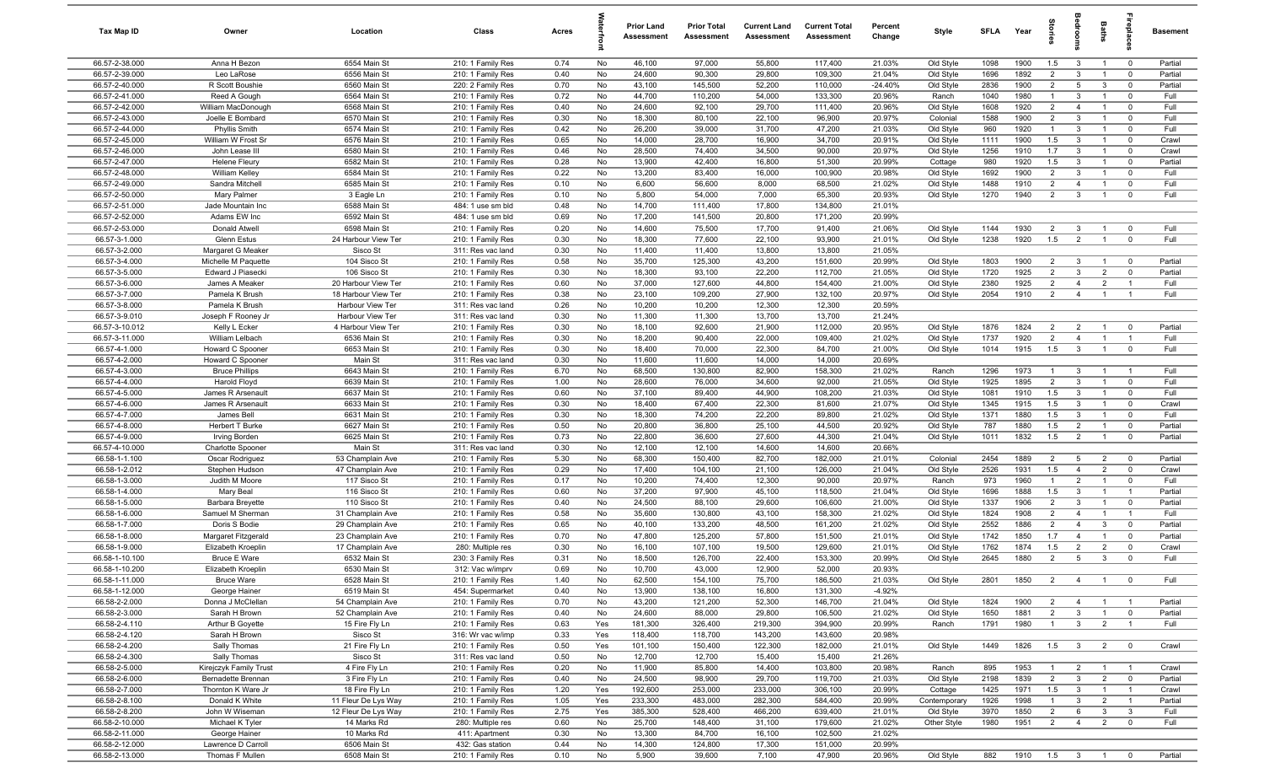| Tax Map ID                       | Owner                                         | Location                               | Class                                  | Acres        |          | <b>Prior Land</b><br>Assessment | <b>Prior Total</b><br>Assessment | <b>Current Land</b><br>Assessment | <b>Current Total</b><br>Assessment | Percent<br>Change | Style                  | <b>SFLA</b>  | Year            | tories                           | a<br>Boo                                  | Baths                            |                                  | <b>Basement</b>  |
|----------------------------------|-----------------------------------------------|----------------------------------------|----------------------------------------|--------------|----------|---------------------------------|----------------------------------|-----------------------------------|------------------------------------|-------------------|------------------------|--------------|-----------------|----------------------------------|-------------------------------------------|----------------------------------|----------------------------------|------------------|
| 66.57-2-38.000                   | Anna H Bezon                                  | 6554 Main St                           | 210: 1 Family Res                      | 0.74         | No       | 46,100                          | 97,000                           | 55,800                            | 117,400                            | 21.03%            | Old Style              | 1098         | 1900            | 1.5                              | $\overline{3}$                            | $\overline{1}$                   | $\overline{0}$                   | Partial          |
| 66.57-2-39.000                   | Leo LaRose                                    | 6556 Main St                           | 210: 1 Family Res                      | 0.40         | No       | 24,600                          | 90,300                           | 29,800                            | 109,300                            | 21.04%            | Old Style              | 1696         | 1892            | $\overline{2}$                   | $\mathbf{3}$                              | $\overline{1}$                   | $\mathbf 0$                      | Partial          |
| 66.57-2-40.000                   | R Scott Boushie                               | 6560 Main St                           | 220: 2 Family Res                      | 0.70         | No       | 43,100                          | 145,500                          | 52,200                            | 110,000                            | $-24.40%$         | Old Style              | 2836         | 1900            | $\overline{2}$                   | $5\overline{5}$                           | $\mathbf{3}$                     | $\mathbf 0$                      | Partial          |
| 66.57-2-41.000                   | Reed A Gough                                  | 6564 Main St                           | 210: 1 Family Res                      | 0.72         | No       | 44,700                          | 110,200                          | 54,000                            | 133,300                            | 20.96%            | Ranch                  | 1040         | 1980            | $\mathbf{1}$                     | 3                                         | $\overline{1}$                   | $\overline{0}$                   | Full             |
| 66.57-2-42.000                   | William MacDonough                            | 6568 Main St                           | 210: 1 Family Res                      | 0.40         | No       | 24,600                          | 92,100                           | 29,700                            | 111,400                            | 20.96%            | Old Style              | 1608         | 1920            | $\overline{2}$                   | $\overline{4}$                            | $\overline{1}$                   | $\mathbf 0$                      | Full             |
| 66.57-2-43.000                   | Joelle E Bombard                              | 6570 Main St                           | 210: 1 Family Res                      | 0.30         | No       | 18,300                          | 80,100                           | 22,100                            | 96,900                             | 20.97%            | Colonial               | 1588         | 1900            | $\overline{2}$                   | 3                                         | $\overline{1}$                   | $\mathbf 0$                      | Full             |
| 66.57-2-44.000                   | <b>Phyllis Smith</b>                          | 6574 Main St                           | 210: 1 Family Res                      | 0.42         | No       | 26,200                          | 39,000                           | 31,700                            | 47,200                             | 21.03%            | Old Style              | 960          | 1920            | $\overline{1}$                   | $\mathbf{3}$                              | $\overline{1}$                   | $\mathbf 0$                      | Full             |
| 66.57-2-45.000                   | William W Frost Sr                            | 6576 Main St                           | 210: 1 Family Res                      | 0.65         | No       | 14,000                          | 28,700                           | 16,900                            | 34,700                             | 20.91%            | Old Style              | 1111         | 1900            | 1.5                              | $\mathbf{3}$                              | $\overline{1}$                   | $\mathbf 0$                      | Crawl            |
| 66.57-2-46.000                   | John Lease III                                | 6580 Main St                           | 210: 1 Family Res                      | 0.46         | No       | 28,500                          | 74,400                           | 34,500                            | 90,000                             | 20.97%            | Old Style              | 1256         | 1910            | 1.7                              | $\mathbf{3}$                              | $\overline{1}$                   | $\mathbf 0$                      | Crawl            |
| 66.57-2-47.000<br>66.57-2-48.000 | <b>Helene Fleury</b><br><b>William Kelley</b> | 6582 Main St<br>6584 Main St           | 210: 1 Family Res<br>210: 1 Family Res | 0.28<br>0.22 | No<br>No | 13,900<br>13,200                | 42,400<br>83,400                 | 16,800<br>16,000                  | 51,300<br>100,900                  | 20.99%<br>20.98%  | Cottage<br>Old Style   | 980<br>1692  | 1920<br>1900    | 1.5<br>$\overline{2}$            | $\mathbf{3}$<br>3                         | $\overline{1}$<br>$\overline{1}$ | $\mathbf 0$<br>$\mathbf 0$       | Partial<br>Full  |
| 66.57-2-49.000                   | Sandra Mitchell                               | 6585 Main St                           | 210: 1 Family Res                      | 0.10         | No       | 6,600                           | 56,600                           | 8,000                             | 68,500                             | 21.02%            | Old Style              | 1488         | 1910            | $\overline{2}$                   | $\overline{4}$                            | $\overline{1}$                   | $\overline{0}$                   | Full             |
| 66.57-2-50.000                   | Mary Palmer                                   | 3 Eagle Ln                             | 210: 1 Family Res                      | 0.10         | No       | 5,800                           | 54,000                           | 7,000                             | 65,300                             | 20.93%            | Old Style              | 1270         | 1940            | $\overline{2}$                   | $\mathbf{3}$                              | $\overline{1}$                   | $\overline{0}$                   | Full             |
| 66.57-2-51.000                   | Jade Mountain Inc                             | 6588 Main St                           | 484: 1 use sm bld                      | 0.48         | No       | 14,700                          | 111,400                          | 17,800                            | 134,800                            | 21.01%            |                        |              |                 |                                  |                                           |                                  |                                  |                  |
| 66.57-2-52.000                   | Adams EW Inc                                  | 6592 Main St                           | 484: 1 use sm bld                      | 0.69         | No       | 17,200                          | 141,500                          | 20,800                            | 171,200                            | 20.99%            |                        |              |                 |                                  |                                           |                                  |                                  |                  |
| 66.57-2-53.000                   | Donald Atwell                                 | 6598 Main St                           | 210: 1 Family Res                      | 0.20         | No       | 14,600                          | 75,500                           | 17,700                            | 91,400                             | 21.06%            | Old Style              | 1144         | 1930            | $\overline{2}$                   | $\mathbf{3}$                              | $\overline{1}$                   | $\mathbf 0$                      | Full             |
| 66.57-3-1.000                    | <b>Glenn Estus</b>                            | 24 Harbour View Ter                    | 210: 1 Family Res                      | 0.30         | No       | 18,300                          | 77,600                           | 22,100                            | 93,900                             | 21.01%            | Old Style              | 1238         | 1920            | 1.5                              | $\overline{2}$                            |                                  | $\mathbf 0$                      | Full             |
| 66.57-3-2.000                    | Margaret G Meaker                             | Sisco St                               | 311: Res vac land                      | 0.30         | No       | 11,400                          | 11,400                           | 13,800                            | 13,800                             | 21.05%            |                        |              |                 |                                  |                                           |                                  |                                  |                  |
| 66.57-3-4.000                    | Michelle M Paquette                           | 104 Sisco St                           | 210: 1 Family Res                      | 0.58         | No       | 35,700                          | 125,300                          | 43,200                            | 151,600                            | 20.99%            | Old Style              | 1803         | 1900            | $\overline{2}$                   | $\overline{\mathbf{3}}$                   | $\overline{1}$                   | $\overline{\mathbf{0}}$          | Partial          |
| 66.57-3-5.000                    | Edward J Piasecki                             | 106 Sisco St                           | 210: 1 Family Res                      | 0.30         | No       | 18,300                          | 93,100                           | 22,200                            | 112,700                            | 21.05%            | Old Style              | 1720         | 1925            | $\overline{2}$                   | $\mathbf{3}$                              | $\overline{2}$                   | $\mathbf 0$                      | Partial          |
| 66.57-3-6.000                    | James A Meaker                                | 20 Harbour View Ter                    | 210: 1 Family Res                      | 0.60         | No       | 37,000                          | 127,600                          | 44,800                            | 154,400                            | 21.00%            | Old Style              | 2380         | 1925            | $\overline{2}$                   | $\overline{4}$                            | $\overline{2}$                   | $\overline{1}$                   | Full             |
| 66.57-3-7.000                    | Pamela K Brush                                | 18 Harbour View Ter                    | 210: 1 Family Res                      | 0.38         | No       | 23,100                          | 109,200                          | 27,900                            | 132,100                            | 20.97%            | Old Style              | 2054         | 1910            | $\overline{2}$                   | $\overline{4}$                            | $\overline{1}$                   | $\overline{1}$                   | Full             |
| 66.57-3-8.000                    | Pamela K Brush                                | Harbour View Ter                       | 311: Res vac land                      | 0.26         | No       | 10,200                          | 10,200                           | 12,300                            | 12,300                             | 20.59%            |                        |              |                 |                                  |                                           |                                  |                                  |                  |
| 66.57-3-9.010<br>66.57-3-10.012  | Joseph F Rooney Jr<br>Kelly L Ecker           | Harbour View Ter<br>4 Harbour View Ter | 311: Res vac land<br>210: 1 Family Res | 0.30<br>0.30 | No<br>No | 11,300<br>18,100                | 11,300<br>92,600                 | 13,700<br>21,900                  | 13,700<br>112,000                  | 21.24%<br>20.95%  | Old Style              | 1876         | 1824            | $\overline{2}$                   | $\overline{2}$                            | $\overline{1}$                   | $\overline{\mathbf{0}}$          | Partial          |
| 66.57-3-11.000                   | William Lelbach                               | 6536 Main St                           | 210: 1 Family Res                      | 0.30         | No       | 18,200                          | 90,400                           | 22,000                            | 109,400                            | 21.02%            | Old Style              | 1737         | 1920            | $\overline{2}$                   | $\overline{4}$                            | $\overline{1}$                   | $\overline{1}$                   | Full             |
| 66.57-4-1.000                    | Howard C Spooner                              | 6653 Main St                           | 210: 1 Family Res                      | 0.30         | No       | 18,400                          | 70,000                           | 22,300                            | 84,700                             | 21.00%            | Old Style              | 1014         | 1915            | 1.5                              | $\mathbf{3}$                              | $\overline{1}$                   | $\mathbf 0$                      | Full             |
| 66.57-4-2.000                    | Howard C Spooner                              | Main St                                | 311: Res vac land                      | 0.30         | No       | 11,600                          | 11,600                           | 14,000                            | 14,000                             | 20.69%            |                        |              |                 |                                  |                                           |                                  |                                  |                  |
| 66.57-4-3.000                    | <b>Bruce Phillips</b>                         | 6643 Main St                           | 210: 1 Family Res                      | 6.70         | No       | 68,500                          | 130,800                          | 82,900                            | 158,300                            | 21.02%            | Ranch                  | 1296         | 1973            | $\mathbf{1}$                     | $\mathbf{3}$                              | $\overline{1}$                   | $\overline{1}$                   | Full             |
| 66.57-4-4.000                    | Harold Floyd                                  | 6639 Main St                           | 210: 1 Family Res                      | 1.00         | No       | 28,600                          | 76,000                           | 34,600                            | 92,000                             | 21.05%            | Old Style              | 1925         | 1895            | $\overline{2}$                   | $\mathbf{3}$                              | $\mathbf{1}$                     | $\mathbf 0$                      | Full             |
| 66.57-4-5.000                    | James R Arsenault                             | 6637 Main St                           | 210: 1 Family Res                      | 0.60         | No       | 37,100                          | 89,400                           | 44,900                            | 108,200                            | 21.03%            | Old Style              | 1081         | 1910            | 1.5                              | $\mathbf{3}$                              | $\overline{1}$                   | $\mathbf 0$                      | Full             |
| 66.57-4-6.000                    | James R Arsenault                             | 6633 Main St                           | 210: 1 Family Res                      | 0.30         | No       | 18,400                          | 67,400                           | 22,300                            | 81,600                             | 21.07%            | Old Style              | 1345         | 1915            | 1.5                              | $\mathbf{3}$                              | $\overline{1}$                   | $\mathbf 0$                      | Crawl            |
| 66.57-4-7.000                    | James Bell                                    | 6631 Main St                           | 210: 1 Family Res                      | 0.30         | No       | 18,300                          | 74,200                           | 22,200                            | 89,800                             | 21.02%            | Old Style              | 1371         | 1880            | 1.5                              | $\mathbf{3}$                              | $\overline{1}$                   | $\mathbf 0$                      | Full             |
| 66.57-4-8.000                    | Herbert T Burke                               | 6627 Main St                           | 210: 1 Family Res                      | 0.50         | No       | 20,800                          | 36,800                           | 25,100                            | 44,500                             | 20.92%            | Old Style              | 787          | 1880            | 1.5                              | $\overline{2}$                            | $\overline{1}$                   | $\mathbf 0$                      | Partial          |
| 66.57-4-9.000                    | <b>Irving Borden</b>                          | 6625 Main St                           | 210: 1 Family Res                      | 0.73         | No       | 22,800                          | 36,600                           | 27,600                            | 44,300                             | 21.04%            | Old Style              | 1011         | 1832            | 1.5                              | $\overline{2}$                            | $\overline{1}$                   | $\mathbf 0$                      | Partial          |
| 66.57-4-10.000                   | Charlotte Spooner                             | Main St                                | 311: Res vac land                      | 0.30         | No       | 12,100                          | 12,100                           | 14,600                            | 14,600                             | 20.66%            |                        |              |                 |                                  |                                           |                                  |                                  |                  |
| 66.58-1-1.100<br>66.58-1-2.012   | Oscar Rodriguez<br>Stephen Hudson             | 53 Champlain Ave<br>47 Champlain Ave   | 210: 1 Family Res<br>210: 1 Family Res | 5.30<br>0.29 | No<br>No | 68,300<br>17,400                | 150,400<br>104,100               | 82,700<br>21,100                  | 182,000<br>126,000                 | 21.01%<br>21.04%  | Colonial<br>Old Style  | 2454<br>2526 | 1889<br>1931    | $\overline{2}$<br>1.5            | 5<br>$\overline{4}$                       | $\overline{2}$<br>$\overline{2}$ | $\mathbf 0$<br>$\mathbf 0$       | Partial<br>Crawl |
| 66.58-1-3.000                    | Judith M Moore                                | 117 Sisco St                           | 210: 1 Family Res                      | 0.17         | No       | 10,200                          | 74,400                           | 12,300                            | 90,000                             | 20.97%            | Ranch                  | 973          | 1960            | $\overline{1}$                   | $\overline{2}$                            | $\overline{1}$                   | $\mathbf 0$                      | Full             |
| 66.58-1-4.000                    | Mary Beal                                     | 116 Sisco St                           | 210: 1 Family Res                      | 0.60         | No       | 37,200                          | 97,900                           | 45,100                            | 118,500                            | 21.04%            | Old Style              | 1696         | 1888            | 1.5                              | $\mathbf{3}$                              | $\overline{1}$                   | $\overline{1}$                   | Partial          |
| 66.58-1-5.000                    | <b>Barbara Breyette</b>                       | 110 Sisco St                           | 210: 1 Family Res                      | 0.40         | No       | 24,500                          | 88,100                           | 29,600                            | 106,600                            | 21.00%            | Old Style              | 1337         | 1906            | $\overline{2}$                   | $\mathbf{3}$                              | $\mathbf{1}$                     | $\mathbf 0$                      | Partial          |
| 66.58-1-6.000                    | Samuel M Sherman                              | 31 Champlain Ave                       | 210: 1 Family Res                      | 0.58         | No       | 35,600                          | 130,800                          | 43,100                            | 158,300                            | 21.02%            | Old Style              | 1824         | 1908            | $\overline{2}$                   | $\overline{4}$                            | $\overline{1}$                   | $\overline{1}$                   | Full             |
| 66.58-1-7.000                    | Doris S Bodie                                 | 29 Champlain Ave                       | 210: 1 Family Res                      | 0.65         | No       | 40,100                          | 133,200                          | 48,500                            | 161,200                            | 21.02%            | Old Style              | 2552         | 1886            | $\overline{2}$                   | $\overline{4}$                            | 3                                | $\overline{0}$                   | Partial          |
| 66.58-1-8.000                    | Margaret Fitzgerald                           | 23 Champlain Ave                       | 210: 1 Family Res                      | 0.70         | No       | 47,800                          | 125,200                          | 57,800                            | 151,500                            | 21.01%            | Old Style              | 1742         | 1850            | 1.7                              | $\overline{4}$                            | $\overline{1}$                   | $\mathbf 0$                      | Partial          |
| 66.58-1-9.000                    | Elizabeth Kroeplin                            | 17 Champlain Ave                       | 280: Multiple res                      | 0.30         | No       | 16,100                          | 107,100                          | 19,500                            | 129,600                            | 21.01%            | Old Style              | 1762         | 1874            | 1.5                              | $\overline{2}$                            | $\overline{2}$                   | $\mathbf 0$                      | Crawl            |
| 66.58-1-10.100                   | <b>Bruce E Ware</b>                           | 6532 Main St                           | 230: 3 Family Res                      | 0.31         | No       | 18,500                          | 126,700                          | 22,400                            | 153,300                            | 20.99%            | Old Style              | 2645         | 1880            | $\overline{2}$                   | $5\overline{5}$                           | $\mathbf{3}$                     | $\overline{0}$                   | Full             |
| 66.58-1-10.200                   | Elizabeth Kroeplin                            | 6530 Main St                           | 312: Vac w/imprv                       | 0.69         | No       | 10,700                          | 43,000                           | 12,900                            | 52,000                             | 20.93%            |                        |              |                 |                                  |                                           |                                  |                                  |                  |
| 66.58-1-11.000                   | <b>Bruce Ware</b>                             | 6528 Main St                           | 210: 1 Family Res                      | 1.40         | No       | 62,500                          | 154,100                          | 75,700                            | 186,500                            | 21.03%            | Old Style              | 2801         | 1850            | $\overline{2}$                   | $\overline{4}$                            | $\overline{1}$                   | $\overline{\mathbf{0}}$          | Full             |
| 66.58-1-12.000                   | George Hainer<br>Donna J McClellan            | 6519 Main St                           | 454: Supermarket                       | 0.40         | No       | 13,900                          | 138,100                          | 16,800                            | 131,300                            | $-4.92%$          |                        |              |                 |                                  |                                           |                                  |                                  | Partial          |
| 66.58-2-2.000<br>66.58-2-3.000   | Sarah H Brown                                 | 54 Champlain Ave<br>52 Champlain Ave   | 210: 1 Family Res<br>210: 1 Family Res | 0.70<br>0.40 | No<br>No | 43,200<br>24,600                | 121,200<br>88,000                | 52,300<br>29,800                  | 146,700<br>106,500                 | 21.04%<br>21.02%  | Old Style<br>Old Style | 1824<br>1650 | 1900<br>1881    | $\overline{2}$<br>$\overline{2}$ | $\overline{4}$<br>$\overline{\mathbf{3}}$ | $\overline{1}$<br>$\overline{1}$ | $\overline{1}$<br>$\overline{0}$ | Partial          |
| 66.58-2-4.110                    | Arthur B Goyette                              | 15 Fire Fly Ln                         | 210: 1 Family Res                      | 0.63         | Yes      | 181,300                         | 326,400                          | 219,300                           | 394,900                            | 20.99%            | Ranch                  | 1791         | 1980            | $\overline{1}$                   | $\overline{3}$                            | $\overline{2}$                   | $\overline{1}$                   | Full             |
| 66.58-2-4.120                    | Sarah H Brown                                 | Sisco St                               | 316: Wr vac w/imp                      | 0.33         | Yes      | 118,400                         | 118,700                          | 143,200                           | 143,600                            | 20.98%            |                        |              |                 |                                  |                                           |                                  |                                  |                  |
| 66.58-2-4.200                    | Sally Thomas                                  | 21 Fire Fly Ln                         | 210: 1 Family Res                      | 0.50         | Yes      | 101,100                         | 150,400                          | 122,300                           | 182,000                            | 21.01%            | Old Style              | 1449         | 1826            | 1.5                              | $\overline{3}$                            | $\overline{2}$                   | $\overline{\mathbf{0}}$          | Crawl            |
| 66.58-2-4.300                    | Sally Thomas                                  | Sisco St                               | 311: Res vac land                      | 0.50         | No       | 12,700                          | 12,700                           | 15,400                            | 15,400                             | 21.26%            |                        |              |                 |                                  |                                           |                                  |                                  |                  |
| 66.58-2-5.000                    | Kirejczyk Family Trust                        | 4 Fire Fly Ln                          | 210: 1 Family Res                      | 0.20         | No       | 11,900                          | 85,800                           | 14,400                            | 103,800                            | 20.98%            | Ranch                  | 895          | 1953            |                                  | $\overline{2}$                            | $\overline{1}$                   | $\overline{1}$                   | Crawl            |
| 66.58-2-6.000                    | Bernadette Brennan                            | 3 Fire Fly Ln                          | 210: 1 Family Res                      | 0.40         | No       | 24,500                          | 98,900                           | 29,700                            | 119,700                            | 21.03%            | Old Style              | 2198         | 1839            | $\overline{2}$                   | $\mathbf{3}$                              | $\overline{2}$                   | $\overline{\mathbf{0}}$          | Partial          |
| 66.58-2-7.000                    | Thornton K Ware Jr                            | 18 Fire Fly Ln                         | 210: 1 Family Res                      | 1.20         | Yes      | 192,600                         | 253,000                          | 233,000                           | 306,100                            | 20.99%            | Cottage                | 1425         | 1971            | 1.5                              | $\overline{\mathbf{3}}$                   | $\overline{1}$                   | $\overline{1}$                   | Crawl            |
| 66.58-2-8.100                    | Donald K White                                | 11 Fleur De Lys Way                    | 210: 1 Family Res                      | 1.05         | Yes      | 233,300                         | 483,000                          | 282,300                           | 584,400                            | 20.99%            | Contemporary           | 1926         | 1998            | $\overline{1}$                   | $\mathbf{3}$                              | $\overline{2}$                   | $\overline{1}$                   | Partial          |
| 66.58-2-8.200                    | John W Wiseman                                | 12 Fleur De Lys Way                    | 210: 1 Family Res                      | 2.75         | Yes      | 385,300                         | 528,400                          | 466,200                           | 639,400                            | 21.01%            | Old Style              | 3970         | 1850            | $\overline{2}$                   | 6                                         | $\mathbf{3}$                     | $\mathbf{3}$                     | Full             |
| 66.58-2-10.000                   | Michael K Tyler                               | 14 Marks Rd                            | 280: Multiple res                      | 0.60         | No       | 25,700                          | 148,400                          | 31,100                            | 179,600                            | 21.02%            | Other Style            | 1980         | 1951            | $\overline{2}$                   | $\overline{4}$                            | $\overline{2}$                   | $\mathbf 0$                      | Full             |
| 66.58-2-11.000<br>66.58-2-12.000 | George Hainer<br>Lawrence D Carroll           | 10 Marks Rd<br>6506 Main St            | 411: Apartment<br>432: Gas station     | 0.30<br>0.44 | No<br>No | 13,300<br>14,300                | 84,700<br>124,800                | 16,100<br>17,300                  | 102,500<br>151,000                 | 21.02%<br>20.99%  |                        |              |                 |                                  |                                           |                                  |                                  |                  |
| 66.58-2-13.000                   | Thomas F Mullen                               | 6508 Main St                           | 210: 1 Family Res                      | 0.10         | No       | 5,900                           | 39,600                           | 7,100                             | 47,900                             | 20.96%            | Old Style              | 882          | 1910  1.5  3  1 |                                  |                                           |                                  | $\overline{0}$                   | Partial          |
|                                  |                                               |                                        |                                        |              |          |                                 |                                  |                                   |                                    |                   |                        |              |                 |                                  |                                           |                                  |                                  |                  |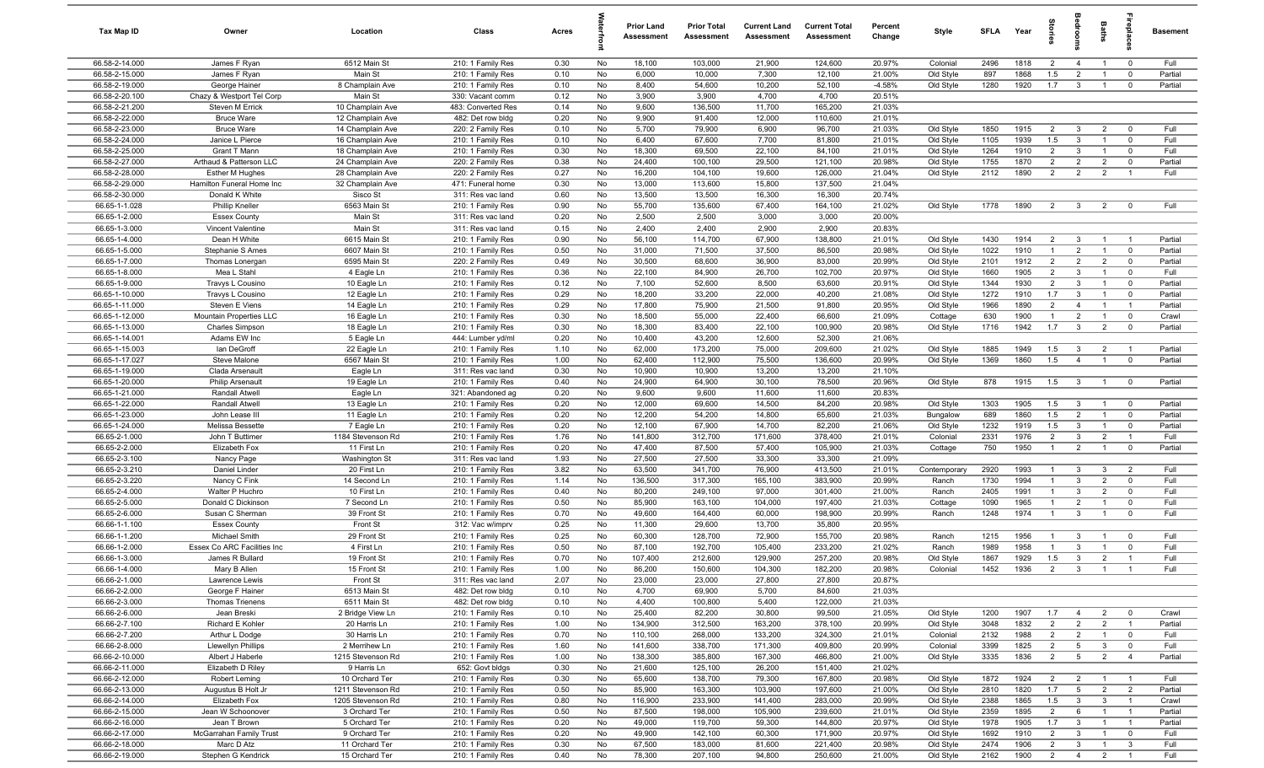| Tax Map ID                       | Owner                                            | Location                             | Class                                  | Acres        |          | <b>Prior Land</b><br>Assessment | <b>Prior Total</b><br>Assessment | <b>Current Land</b><br>Assessment | <b>Current Total</b><br>Assessment | Percent<br>Change | Style                  | <b>SFLA</b>  | Year         | tories                           | <b>B</b>                       | Baths                            |                            | <b>Basement</b> |
|----------------------------------|--------------------------------------------------|--------------------------------------|----------------------------------------|--------------|----------|---------------------------------|----------------------------------|-----------------------------------|------------------------------------|-------------------|------------------------|--------------|--------------|----------------------------------|--------------------------------|----------------------------------|----------------------------|-----------------|
| 66.58-2-14.000                   | James F Ryan                                     | 6512 Main St                         | 210: 1 Family Res                      | 0.30         | No       | 18,100                          | 103,000                          | 21,900                            | 124,600                            | 20.97%            | Colonial               | 2496         | 1818         | $\overline{2}$                   | $\overline{4}$                 | $\overline{1}$                   | $\overline{0}$             | Full            |
| 66.58-2-15.000                   | James F Ryan                                     | Main St                              | 210: 1 Family Res                      | 0.10         | No       | 6,000                           | 10,000                           | 7,300                             | 12,100                             | 21.00%            | Old Style              | 897          | 1868         | 1.5                              | $\overline{2}$                 | $\overline{1}$                   | $\mathbf 0$                | Partial         |
| 66.58-2-19.000                   | George Hainer                                    | 8 Champlain Ave                      | 210: 1 Family Res                      | 0.10         | No       | 8,400                           | 54,600                           | 10,200                            | 52,100                             | $-4.58%$          | Old Style              | 1280         | 1920         | 1.7                              | $\mathbf{3}$                   | $\overline{1}$                   | $\mathbf 0$                | Partial         |
| 66.58-2-20.100                   | Chazy & Westport Tel Corp                        | Main St                              | 330: Vacant comm                       | 0.12         | No       | 3,900                           | 3,900                            | 4,700                             | 4,700                              | 20.51%            |                        |              |              |                                  |                                |                                  |                            |                 |
| 66.58-2-21.200                   | Steven M Errick                                  | 10 Champlain Ave                     | 483: Converted Res                     | 0.14         | No       | 9,600                           | 136,500                          | 11,700                            | 165,200                            | 21.03%            |                        |              |              |                                  |                                |                                  |                            |                 |
| 66.58-2-22.000                   | <b>Bruce Ware</b>                                | 12 Champlain Ave                     | 482: Det row bldg                      | 0.20         | No       | 9,900                           | 91,400                           | 12,000                            | 110,600                            | 21.01%            |                        |              |              |                                  |                                |                                  |                            |                 |
| 66.58-2-23.000                   | <b>Bruce Ware</b>                                | 14 Champlain Ave                     | 220: 2 Family Res                      | 0.10         | No       | 5,700                           | 79,900                           | 6,900                             | 96,700                             | 21.03%            | Old Style              | 1850         | 1915         | $\overline{2}$                   | $\mathbf{3}$                   | $\overline{2}$                   | $\overline{0}$             | Full            |
| 66.58-2-24.000                   | Janice L Pierce                                  | 16 Champlain Ave                     | 210: 1 Family Res<br>210: 1 Family Res | 0.10         | No       | 6,400<br>18,300                 | 67,600                           | 7,700                             | 81,800                             | 21.01%            | Old Style              | 1105         | 1939         | 1.5                              | $\mathbf{3}$                   | $\overline{1}$<br>$\overline{1}$ | $\mathbf 0$                | Full<br>Full    |
| 66.58-2-25.000<br>66.58-2-27.000 | Grant T Mann<br>Arthaud & Patterson LLC          | 18 Champlain Ave<br>24 Champlain Ave | 220: 2 Family Res                      | 0.30<br>0.38 | No<br>No | 24,400                          | 69,500<br>100,100                | 22,100<br>29,500                  | 84,100<br>121,100                  | 21.01%<br>20.98%  | Old Style<br>Old Style | 1264<br>1755 | 1910<br>1870 | $\overline{2}$<br>$\overline{2}$ | $\mathbf{3}$<br>$\overline{2}$ | $\overline{2}$                   | $\mathbf 0$<br>$\mathbf 0$ | Partial         |
| 66.58-2-28.000                   | <b>Esther M Hughes</b>                           | 28 Champlain Ave                     | 220: 2 Family Res                      | 0.27         | No       | 16,200                          | 104,100                          | 19,600                            | 126,000                            | 21.04%            | Old Style              | 2112         | 1890         | 2                                | $\overline{2}$                 | $\overline{2}$                   | $\overline{1}$             | Full            |
| 66.58-2-29.000                   | Hamilton Funeral Home Inc                        | 32 Champlain Ave                     | 471: Funeral home                      | 0.30         | No       | 13,000                          | 113,600                          | 15,800                            | 137,500                            | 21.04%            |                        |              |              |                                  |                                |                                  |                            |                 |
| 66.58-2-30.000                   | Donald K White                                   | Sisco St                             | 311: Res vac land                      | 0.60         | No       | 13,500                          | 13,500                           | 16,300                            | 16,300                             | 20.74%            |                        |              |              |                                  |                                |                                  |                            |                 |
| 66.65-1-1.028                    | <b>Phillip Kneller</b>                           | 6563 Main St                         | 210: 1 Family Res                      | 0.90         | No       | 55,700                          | 135,600                          | 67,400                            | 164,100                            | 21.02%            | Old Style              | 1778         | 1890         | $\overline{2}$                   | $\overline{\mathbf{3}}$        | 2                                | $\overline{0}$             | Full            |
| 66.65-1-2.000                    | <b>Essex County</b>                              | Main St                              | 311: Res vac land                      | 0.20         | No       | 2,500                           | 2,500                            | 3,000                             | 3,000                              | 20.00%            |                        |              |              |                                  |                                |                                  |                            |                 |
| 66.65-1-3.000                    | Vincent Valentine                                | Main St                              | 311: Res vac land                      | 0.15         | No       | 2,400                           | 2,400                            | 2,900                             | 2,900                              | 20.83%            |                        |              |              |                                  |                                |                                  |                            |                 |
| 66.65-1-4.000                    | Dean H White                                     | 6615 Main St                         | 210: 1 Family Res                      | 0.90         | No       | 56,100                          | 114,700                          | 67,900                            | 138,800                            | 21.01%            | Old Style              | 1430         | 1914         | $\overline{2}$                   | $\mathbf{3}$                   | $\overline{1}$                   |                            | Partial         |
| 66.65-1-5.000                    | Stephanie S Ames                                 | 6607 Main St                         | 210: 1 Family Res                      | 0.50         | No       | 31,000                          | 71,500                           | 37,500                            | 86,500                             | 20.98%            | Old Style              | 1022         | 1910         | $\overline{1}$                   | $\overline{2}$                 | $\overline{1}$                   | $\mathbf 0$                | Partial         |
| 66.65-1-7.000                    | Thomas Lonergan                                  | 6595 Main St                         | 220: 2 Family Res                      | 0.49         | No       | 30,500                          | 68,600                           | 36,900                            | 83,000                             | 20.99%            | Old Style              | 2101         | 1912         | $\overline{2}$                   | $\overline{2}$                 | $\overline{2}$                   | $\mathbf 0$                | Partial         |
| 66.65-1-8.000                    | Mea L Stahl                                      | 4 Eagle Ln                           | 210: 1 Family Res                      | 0.36         | No       | 22,100                          | 84,900                           | 26,700                            | 102,700                            | 20.97%            | Old Style              | 1660         | 1905         | $\overline{2}$                   | $\mathbf{3}$                   | $\overline{1}$                   | $\mathbf 0$                | Full            |
| 66.65-1-9.000                    | Travys L Cousino                                 | 10 Eagle Ln                          | 210: 1 Family Res                      | 0.12         | No       | 7,100                           | 52,600                           | 8,500                             | 63,600                             | 20.91%            | Old Style              | 1344         | 1930         | $\overline{2}$                   | $\mathbf{3}$                   | $\overline{1}$                   | $\mathbf 0$                | Partial         |
| 66.65-1-10.000                   | Travys L Cousino                                 | 12 Eagle Ln                          | 210: 1 Family Res                      | 0.29         | No       | 18,200                          | 33,200                           | 22,000                            | 40,200                             | 21.08%            | Old Style              | 1272         | 1910         | 1.7                              | $\mathbf{3}$                   | $\overline{1}$                   | $\mathbf 0$                | Partial         |
| 66.65-1-11.000                   | Steven E Viens                                   | 14 Eagle Ln                          | 210: 1 Family Res                      | 0.29         | No       | 17,800                          | 75,900                           | 21,500                            | 91,800                             | 20.95%            | Old Style              | 1966         | 1890         | $\overline{2}$                   | $\overline{4}$                 | $\overline{1}$                   | $\overline{1}$             | Partial         |
| 66.65-1-12.000                   | Mountain Properties LLC                          | 16 Eagle Ln                          | 210: 1 Family Res                      | 0.30         | No       | 18,500                          | 55,000                           | 22,400                            | 66,600                             | 21.09%            | Cottage                | 630          | 1900         | $\overline{1}$                   | $\overline{2}$                 | $\overline{1}$                   | $\mathbf 0$                | Crawl           |
| 66.65-1-13.000                   | <b>Charles Simpson</b>                           | 18 Eagle Ln                          | 210: 1 Family Res                      | 0.30         | No       | 18,300                          | 83,400                           | 22,100                            | 100,900                            | 20.98%            | Old Style              | 1716         | 1942         | 1.7                              | $\mathbf{3}$                   | $\overline{2}$                   | $\overline{0}$             | Partial         |
| 66.65-1-14.001                   | Adams EW Inc                                     | 5 Eagle Ln                           | 444: Lumber yd/ml                      | 0.20         | No       | 10,400                          | 43,200                           | 12,600                            | 52,300                             | 21.06%            |                        |              |              |                                  |                                |                                  |                            |                 |
| 66.65-1-15.003                   | lan DeGroff                                      | 22 Eagle Ln                          | 210: 1 Family Res                      | 1.10         | No       | 62,000                          | 173,200                          | 75,000                            | 209,600                            | 21.02%            | Old Style              | 1885         | 1949         | 1.5                              | $\overline{3}$                 | $\overline{2}$                   | $\overline{1}$             | Partial         |
| 66.65-1-17.027                   | Steve Malone                                     | 6567 Main St                         | 210: 1 Family Res                      | 1.00         | No       | 62,400                          | 112,900                          | 75,500                            | 136,600                            | 20.99%            | Old Style              | 1369         | 1860         | 1.5                              | $\overline{4}$                 | $\overline{1}$                   | $\mathbf 0$                | Partial         |
| 66.65-1-19.000                   | Clada Arsenault                                  | Eagle Ln                             | 311: Res vac land                      | 0.30         | No       | 10,900                          | 10,900                           | 13,200                            | 13,200                             | 21.10%            |                        |              |              |                                  |                                |                                  |                            |                 |
| 66.65-1-20.000<br>66.65-1-21.000 | <b>Philip Arsenault</b><br><b>Randall Atwell</b> | 19 Eagle Ln<br>Eagle Ln              | 210: 1 Family Res<br>321: Abandoned ag | 0.40<br>0.20 | No<br>No | 24,900<br>9,600                 | 64,900<br>9,600                  | 30,100<br>11,600                  | 78,500<br>11,600                   | 20.96%<br>20.83%  | Old Style              | 878          | 1915         | 1.5                              | $\mathbf{3}$                   | $\overline{1}$                   | $\overline{0}$             | Partial         |
| 66.65-1-22.000                   | Randall Atwell                                   | 13 Eagle Ln                          | 210: 1 Family Res                      | 0.20         | No       | 12,000                          | 69,600                           | 14,500                            | 84,200                             | 20.98%            | Old Style              | 1303         | 1905         | 1.5                              | $\mathbf{3}$                   | $\overline{1}$                   | $\overline{\mathbf{0}}$    | Partial         |
| 66.65-1-23.000                   | John Lease III                                   | 11 Eagle Ln                          | 210: 1 Family Res                      | 0.20         | No       | 12,200                          | 54,200                           | 14,800                            | 65,600                             | 21.03%            | Bungalow               | 689          | 1860         | 1.5                              | $\overline{2}$                 | $\overline{1}$                   | $\mathbf 0$                | Partial         |
| 66.65-1-24.000                   | Melissa Bessette                                 | 7 Eagle Ln                           | 210: 1 Family Res                      | 0.20         | No       | 12,100                          | 67,900                           | 14,700                            | 82,200                             | 21.06%            | Old Style              | 1232         | 1919         | 1.5                              | $\mathbf{3}$                   | $\overline{1}$                   | $\mathbf 0$                | Partial         |
| 66.65-2-1.000                    | John T Buttimer                                  | 1184 Stevenson Rd                    | 210: 1 Family Res                      | 1.76         | No       | 141,800                         | 312,700                          | 171,600                           | 378,400                            | 21.01%            | Colonial               | 2331         | 1976         | $\overline{2}$                   | 3                              | $\overline{2}$                   | $\overline{1}$             | Full            |
| 66.65-2-2.000                    | Elizabeth Fox                                    | 11 First Ln                          | 210: 1 Family Res                      | 0.20         | No       | 47,400                          | 87,500                           | 57,400                            | 105,900                            | 21.03%            | Cottage                | 750          | 1950         | $\overline{1}$                   | $\overline{2}$                 | $\overline{1}$                   | $\mathbf 0$                | Partial         |
| 66.65-2-3.100                    | Nancy Page                                       | Washington St                        | 311: Res vac land                      | 1.93         | No       | 27,500                          | 27,500                           | 33,300                            | 33,300                             | 21.09%            |                        |              |              |                                  |                                |                                  |                            |                 |
| 66.65-2-3.210                    | Daniel Linder                                    | 20 First Ln                          | 210: 1 Family Res                      | 3.82         | No       | 63,500                          | 341,700                          | 76,900                            | 413,500                            | 21.01%            | Contemporary           | 2920         | 1993         | $\overline{1}$                   | $\mathbf{3}$                   | $\mathbf{3}$                     | $\overline{2}$             | Full            |
| 66.65-2-3.220                    | Nancy C Fink                                     | 14 Second Ln                         | 210: 1 Family Res                      | 1.14         | No       | 136,500                         | 317,300                          | 165,100                           | 383,900                            | 20.99%            | Ranch                  | 1730         | 1994         | $\overline{1}$                   | 3                              | $\overline{2}$                   | $\mathbf 0$                | Full            |
| 66.65-2-4.000                    | Walter P Huchro                                  | 10 First Ln                          | 210: 1 Family Res                      | 0.40         | No       | 80,200                          | 249,100                          | 97,000                            | 301,400                            | 21.00%            | Ranch                  | 2405         | 1991         | $\overline{1}$                   | $\mathbf{3}$                   | $\overline{2}$                   | $\mathbf 0$                | Full            |
| 66.65-2-5.000                    | Donald C Dickinson                               | 7 Second Ln                          | 210: 1 Family Res                      | 0.50         | No       | 85,900                          | 163,100                          | 104,000                           | 197,400                            | 21.03%            | Cottage                | 1090         | 1965         | $\overline{1}$                   | $\overline{2}$                 | $\mathbf{1}$                     | $\mathbf 0$                | Full            |
| 66.65-2-6.000                    | Susan C Sherman                                  | 39 Front St                          | 210: 1 Family Res                      | 0.70         | No       | 49,600                          | 164,400                          | 60,000                            | 198,900                            | 20.99%            | Ranch                  | 1248         | 1974         | $\mathbf{1}$                     | $\mathbf{3}$                   | $\overline{1}$                   | $\mathbf 0$                | Full            |
| 66.66-1-1.100                    | <b>Essex County</b>                              | Front St                             | 312: Vac w/imprv                       | 0.25         | No       | 11,300                          | 29,600                           | 13,700                            | 35,800                             | 20.95%            |                        |              |              |                                  |                                |                                  |                            |                 |
| 66.66-1-1.200                    | Michael Smith                                    | 29 Front St                          | 210: 1 Family Res                      | 0.25         | No       | 60,300                          | 128,700                          | 72,900                            | 155,700                            | 20.98%            | Ranch                  | 1215         | 1956         | $\mathbf{1}$                     | $\mathbf{3}$                   | $\overline{1}$                   | $\mathbf 0$                | Full            |
| 66.66-1-2.000                    | Essex Co ARC Facilities Inc                      | 4 First Ln                           | 210: 1 Family Res                      | 0.50         | No       | 87,100                          | 192,700                          | 105,400                           | 233,200                            | 21.02%            | Ranch                  | 1989         | 1958         | $\overline{1}$                   | 3                              | $\overline{1}$                   | $\mathbf 0$                | Full            |
| 66.66-1-3.000                    | James R Bullard                                  | 19 Front St                          | 210: 1 Family Res                      | 0.70         | No       | 107,400                         | 212,600                          | 129,900                           | 257,200                            | 20.98%            | Old Style              | 1867         | 1929         | 1.5<br>$\mathcal{P}$             | $\mathbf{3}$<br>$\mathcal{R}$  | $\overline{2}$<br>$\overline{1}$ | $\overline{1}$             | Full<br>Full    |
| 66.66-1-4.000                    | Mary B Allen                                     | 15 Front St                          | 210: 1 Family Res                      | 1.00         | No       | 86,200                          | 150,600                          | 104,300                           | 182,200                            | 20.98%            | Colonial               | 1452         | 1936         |                                  |                                |                                  |                            |                 |
| 66.66-2-1.000<br>66.66-2-2.000   | Lawrence Lewis<br>George F Hainer                | Front St<br>6513 Main St             | 311: Res vac land<br>482: Det row bldg | 2.07<br>0.10 | No<br>No | 23,000<br>4,700                 | 23,000<br>69,900                 | 27,800<br>5,700                   | 27,800<br>84,600                   | 20.87%<br>21.03%  |                        |              |              |                                  |                                |                                  |                            |                 |
| 66.66-2-3.000                    | <b>Thomas Trienens</b>                           | 6511 Main St                         | 482: Det row bldg                      | 0.10         | No       | 4,400                           | 100,800                          | 5,400                             | 122,000                            | 21.03%            |                        |              |              |                                  |                                |                                  |                            |                 |
| 66.66-2-6.000                    | Jean Breski                                      | 2 Bridge View Ln                     | 210: 1 Family Res                      | 0.10         | No       | 25,400                          | 82,200                           | 30,800                            | 99,500                             | 21.05%            | Old Style              | 1200         | 1907         | 1.7                              | $\overline{4}$                 | $\overline{2}$                   | $\overline{0}$             | Crawl           |
| 66.66-2-7.100                    | Richard E Kohler                                 | 20 Harris Ln                         | 210: 1 Family Res                      | 1.00         | No       | 134,900                         | 312,500                          | 163,200                           | 378,100                            | 20.99%            | Old Style              | 3048         | 1832         | $\overline{2}$                   | $\overline{2}$                 | $\overline{2}$                   | $\overline{1}$             | Partial         |
| 66.66-2-7.200                    | Arthur L Dodge                                   | 30 Harris Ln                         | 210: 1 Family Res                      | 0.70         | No       | 110,100                         | 268,000                          | 133,200                           | 324,300                            | 21.01%            | Colonial               | 2132         | 1988         | $\overline{2}$                   | $\overline{2}$                 | $\overline{1}$                   | $\overline{0}$             | Full            |
| 66.66-2-8.000                    | <b>Llewellyn Phillips</b>                        | 2 Merrihew Ln                        | 210: 1 Family Res                      | 1.60         | No       | 141,600                         | 338,700                          | 171,300                           | 409,800                            | 20.99%            | Colonial               | 3399         | 1825         | $\overline{2}$                   | $5\overline{5}$                | $\mathbf{3}$                     | $\mathbf 0$                | Full            |
| 66.66-2-10.000                   | Albert J Haberle                                 | 1215 Stevenson Rd                    | 210: 1 Family Res                      | 1.00         | No       | 138,300                         | 385,800                          | 167,300                           | 466,800                            | 21.00%            | Old Style              | 3335         | 1836         | $\overline{2}$                   | $5\overline{)}$                | $\overline{2}$                   | $\overline{4}$             | Partial         |
| 66.66-2-11.000                   | Elizabeth D Riley                                | 9 Harris Ln                          | 652: Govt bldgs                        | 0.30         | No       | 21,600                          | 125,100                          | 26,200                            | 151,400                            | 21.02%            |                        |              |              |                                  |                                |                                  |                            |                 |
| 66.66-2-12.000                   | Robert Leming                                    | 10 Orchard Ter                       | 210: 1 Family Res                      | 0.30         | No       | 65,600                          | 138,700                          | 79,300                            | 167,800                            | 20.98%            | Old Style              | 1872         | 1924         | $\overline{2}$                   | $\overline{2}$                 | $\overline{1}$                   | $\overline{1}$             | Full            |
| 66.66-2-13.000                   | Augustus B Holt Jr                               | 1211 Stevenson Rd                    | 210: 1 Family Res                      | 0.50         | No       | 85,900                          | 163,300                          | 103,900                           | 197,600                            | 21.00%            | Old Style              | 2810         | 1820         | 1.7                              | $5\overline{5}$                | $\overline{2}$                   | $\overline{2}$             | Partial         |
| 66.66-2-14.000                   | Elizabeth Fox                                    | 1205 Stevenson Rd                    | 210: 1 Family Res                      | 0.80         | No       | 116,900                         | 233,900                          | 141,400                           | 283,000                            | 20.99%            | Old Style              | 2388         | 1865         | 1.5                              | $\overline{3}$                 | $\mathbf{3}$                     | $\overline{1}$             | Crawl           |
| 66.66-2-15.000                   | Jean W Schoonover                                | 3 Orchard Ter                        | 210: 1 Family Res                      | 0.50         | No       | 87,500                          | 198,000                          | 105,900                           | 239,600                            | 21.01%            | Old Style              | 2359         | 1895         | $\overline{2}$                   | 6                              | $\overline{1}$                   | $\overline{1}$             | Partial         |
| 66.66-2-16.000                   | Jean T Brown                                     | 5 Orchard Ter                        | 210: 1 Family Res                      | 0.20         | No       | 49,000                          | 119,700                          | 59,300                            | 144,800                            | 20.97%            | Old Style              | 1978         | 1905         | 1.7                              | $\mathbf{3}$                   | $\overline{1}$                   | $\overline{1}$             | Partial         |
| 66.66-2-17.000                   | McGarrahan Family Trust                          | 9 Orchard Ter                        | 210: 1 Family Res                      | 0.20         | No       | 49,900                          | 142,100                          | 60,300                            | 171,900                            | 20.97%            | Old Style              | 1692         | 1910         | $\overline{2}$                   | $\mathbf{3}$                   | $\overline{1}$                   | $\mathbf{0}$               | Full            |
| 66.66-2-18.000                   | Marc D Atz                                       | 11 Orchard Ter                       | 210: 1 Family Res                      | 0.30         | No       | 67,500                          | 183,000                          | 81,600                            | 221,400                            | 20.98%            | Old Style              | 2474         | 1906         | $\overline{2}$                   | $\overline{3}$                 | $\overline{1}$                   | $\mathbf{3}$               | Full            |
| 66.66-2-19.000                   | Stephen G Kendrick                               | 15 Orchard Ter                       | 210: 1 Family Res                      | 0.40         | No       | 78,300                          | 207,100                          | 94,800                            | 250,600                            | 21.00%            | Old Style              | 2162         | 1900         | $\overline{2}$                   | $\overline{4}$                 | $\overline{2}$                   | $\overline{1}$             | Full            |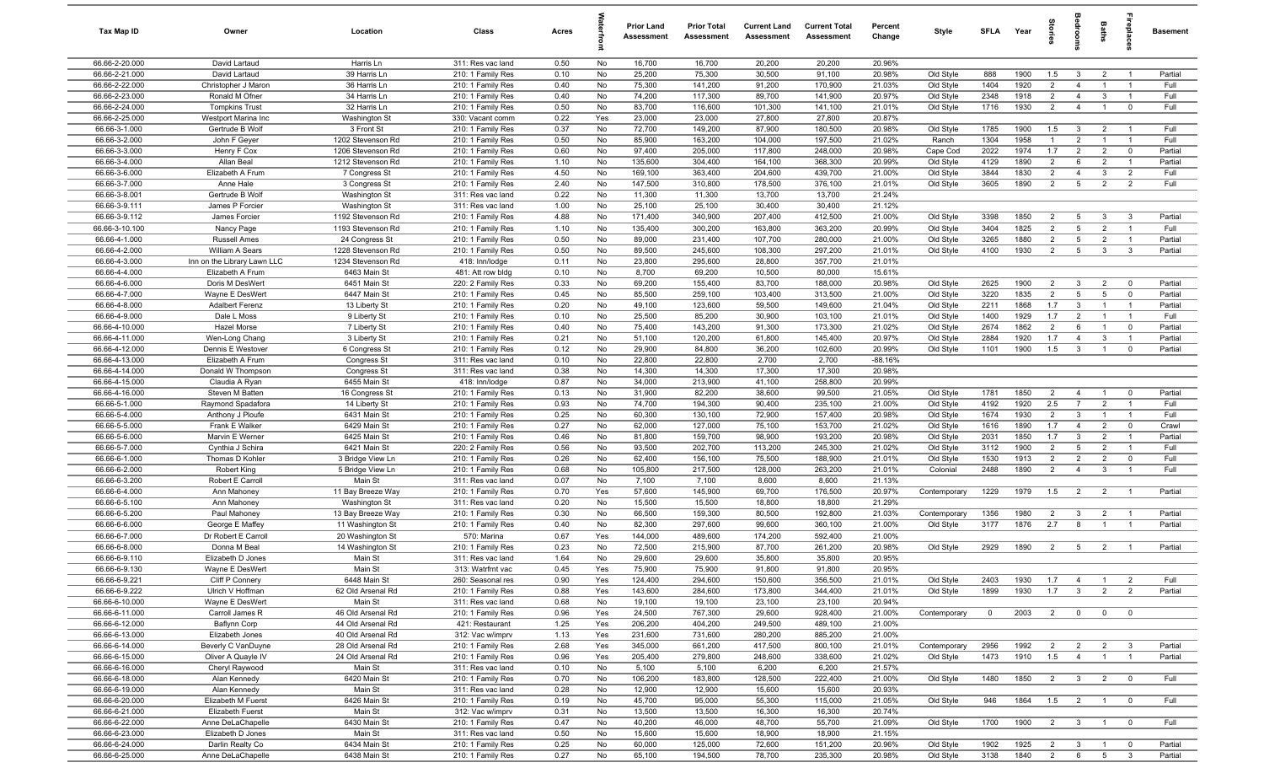| Tax Map ID                       | Owner                                  | Location                             | Class                                  | Acres        |          | <b>Prior Land</b><br>Assessment | <b>Prior Total</b><br>Assessment | <b>Current Land</b><br>Assessment | <b>Current Total</b><br>Assessment | Percent<br>Change | Style                  | <b>SFLA</b>  | Year         | tories                           | alroom                  | Baths                            | ireplace                         | <b>Basement</b> |
|----------------------------------|----------------------------------------|--------------------------------------|----------------------------------------|--------------|----------|---------------------------------|----------------------------------|-----------------------------------|------------------------------------|-------------------|------------------------|--------------|--------------|----------------------------------|-------------------------|----------------------------------|----------------------------------|-----------------|
| 66.66-2-20.000                   | David Lartaud                          | Harris Ln                            | 311: Res vac land                      | 0.50         | No       | 16,700                          | 16,700                           | 20,200                            | 20,200                             | 20.96%            |                        |              |              |                                  |                         |                                  |                                  |                 |
| 66.66-2-21.000                   | David Lartaud                          | 39 Harris Ln                         | 210: 1 Family Res                      | 0.10         | No       | 25,200                          | 75,300                           | 30,500                            | 91,100                             | 20.98%            | Old Style              | 888          | 1900         | 1.5                              | $\mathbf{3}$            | $\overline{2}$                   | $\overline{1}$                   | Partial         |
| 66.66-2-22.000                   | Christopher J Maron                    | 36 Harris Ln                         | 210: 1 Family Res                      | 0.40         | No       | 75,300                          | 141,200                          | 91,200                            | 170,900                            | 21.03%            | Old Style              | 1404         | 1920         | $\overline{2}$                   | $\overline{4}$          |                                  | - 1                              | Full            |
| 66.66-2-23.000                   | Ronald M Ofner                         | 34 Harris Ln                         | 210: 1 Family Res                      | 0.40         | No       | 74,200                          | 117,300                          | 89,700                            | 141,900                            | 20.97%            | Old Style              | 2348         | 1918         | $\overline{2}$                   | $\overline{4}$          | $\mathbf{3}$                     | - 1                              | Full            |
| 66.66-2-24.000                   | <b>Tompkins Trust</b>                  | 32 Harris Ln                         | 210: 1 Family Res                      | 0.50         | No       | 83,700                          | 116,600                          | 101,300                           | 141,100                            | 21.01%            | Old Style              | 1716         | 1930         | $\overline{2}$                   | $\overline{4}$          | $\overline{1}$                   | $\mathbf 0$                      | Full            |
| 66.66-2-25.000                   | Westport Marina Inc                    | Washington St                        | 330: Vacant comm                       | 0.22         | Yes      | 23,000                          | 23,000                           | 27,800                            | 27,800                             | 20.87%            |                        |              |              |                                  |                         |                                  |                                  |                 |
| 66.66-3-1.000                    | Gertrude B Wolf                        | 3 Front St                           | 210: 1 Family Res                      | 0.37         | No       | 72,700                          | 149,200                          | 87,900                            | 180,500                            | 20.98%            | Old Style              | 1785         | 1900         | 1.5                              | $\mathbf{3}$            | $\overline{2}$                   | $\overline{1}$                   | Full            |
| 66.66-3-2.000                    | John F Geyer                           | 1202 Stevenson Rd                    | 210: 1 Family Res                      | 0.50         | No       | 85,900                          | 163,200                          | 104,000                           | 197,500                            | 21.02%            | Ranch                  | 1304         | 1958         | $\overline{1}$                   | $\overline{2}$          |                                  | $\overline{1}$                   | Full            |
| 66.66-3-3.000                    | Henry F Cox                            | 1206 Stevenson Rd                    | 210: 1 Family Res                      | 0.60         | No       | 97,400                          | 205,000                          | 117,800                           | 248,000                            | 20.98%            | Cape Cod               | 2022         | 1974         | 1.7                              | 2                       | $\overline{2}$                   | $\mathbf 0$                      | Partial         |
| 66.66-3-4.000                    | Allan Beal                             | 1212 Stevenson Rd<br>7 Congress St   | 210: 1 Family Res                      | 1.10<br>4.50 | No       | 135,600                         | 304,400                          | 164,100                           | 368,300                            | 20.99%            | Old Style              | 4129<br>3844 | 1890<br>1830 | $\overline{2}$<br>$\overline{2}$ | 6<br>$\overline{4}$     | $\overline{2}$                   | $\overline{1}$                   | Partial         |
| 66.66-3-6.000<br>66.66-3-7.000   | Elizabeth A Frum<br>Anne Hale          | 3 Congress St                        | 210: 1 Family Res<br>210: 1 Family Res | 2.40         | No<br>No | 169,100                         | 363,400                          | 204,600                           | 439,700                            | 21.00%            | Old Style<br>Old Style | 3605         | 1890         | 2                                | $5\overline{5}$         | $\mathbf{3}$<br>$\overline{2}$   | $\overline{2}$<br>$\overline{2}$ | Full<br>Full    |
| 66.66-3-8.001                    | Gertrude B Wolf                        | Washington St                        | 311: Res vac land                      | 0.22         | No       | 147,500<br>11,300               | 310,800<br>11,300                | 178,500<br>13,700                 | 376,100<br>13,700                  | 21.01%<br>21.24%  |                        |              |              |                                  |                         |                                  |                                  |                 |
| 66.66-3-9.111                    | James P Forcier                        | Washington St                        | 311: Res vac land                      | 1.00         | No       | 25,100                          | 25,100                           | 30,400                            | 30,400                             | 21.12%            |                        |              |              |                                  |                         |                                  |                                  |                 |
| 66.66-3-9.112                    | James Forcier                          | 1192 Stevenson Rd                    | 210: 1 Family Res                      | 4.88         | No       | 171,400                         | 340,900                          | 207,400                           | 412,500                            | 21.00%            | Old Style              | 3398         | 1850         | $\overline{2}$                   | 5                       | 3                                | 3                                | Partial         |
| 66.66-3-10.100                   | Nancy Page                             | 1193 Stevenson Rd                    | 210: 1 Family Res                      | 1.10         | No       | 135,400                         | 300,200                          | 163,800                           | 363,200                            | 20.99%            | Old Style              | 3404         | 1825         | $\overline{2}$                   | $5\overline{5}$         | $\overline{2}$                   | $\overline{1}$                   | Full            |
| 66.66-4-1.000                    | <b>Russell Ames</b>                    | 24 Congress St                       | 210: 1 Family Res                      | 0.50         | No       | 89,000                          | 231,400                          | 107,700                           | 280,000                            | 21.00%            | Old Style              | 3265         | 1880         | $\overline{2}$                   | 5                       | $\overline{2}$                   | -1                               | Partial         |
| 66.66-4-2.000                    | William A Sears                        | 1228 Stevenson Rd                    | 210: 1 Family Res                      | 0.50         | No       | 89,500                          | 245,600                          | 108,300                           | 297,200                            | 21.01%            | Old Style              | 4100         | 1930         | $\overline{2}$                   | 5                       | $\mathbf{3}$                     | $\mathbf{3}$                     | Partial         |
| 66.66-4-3.000                    | Inn on the Library Lawn LLC            | 1234 Stevenson Rd                    | 418: Inn/lodge                         | 0.11         | No       | 23,800                          | 295,600                          | 28,800                            | 357,700                            | 21.01%            |                        |              |              |                                  |                         |                                  |                                  |                 |
| 66.66-4-4.000                    | Elizabeth A Frum                       | 6463 Main St                         | 481: Att row bldg                      | 0.10         | No       | 8,700                           | 69,200                           | 10,500                            | 80,000                             | 15.61%            |                        |              |              |                                  |                         |                                  |                                  |                 |
| 66.66-4-6.000                    | Doris M DesWert                        | 6451 Main St                         | 220: 2 Family Res                      | 0.33         | No       | 69,200                          | 155,400                          | 83,700                            | 188,000                            | 20.98%            | Old Style              | 2625         | 1900         | $\overline{2}$                   | $\mathbf{3}$            | $\overline{2}$                   | $\mathbf 0$                      | Partial         |
| 66.66-4-7.000                    | Wayne E DesWert                        | 6447 Main St                         | 210: 1 Family Res                      | 0.45         | No       | 85,500                          | 259,100                          | 103,400                           | 313,500                            | 21.00%            | Old Style              | 3220         | 1835         | $\overline{2}$                   | 5                       | 5                                | $\mathbf 0$                      | Partial         |
| 66.66-4-8.000                    | <b>Adalbert Ferenz</b>                 | 13 Liberty St                        | 210: 1 Family Res                      | 0.20         | No       | 49,100                          | 123,600                          | 59,500                            | 149,600                            | 21.04%            | Old Style              | 2211         | 1868         | 1.7                              | $\mathbf{3}$            | $\overline{1}$                   | $\overline{1}$                   | Partial         |
| 66.66-4-9.000                    | Dale L Moss                            | 9 Liberty St                         | 210: 1 Family Res                      | 0.10         | No       | 25,500                          | 85,200                           | 30,900                            | 103,100                            | 21.01%            | Old Style              | 1400         | 1929         | 1.7                              | $\overline{2}$          | $\overline{1}$                   | $\overline{1}$                   | Full            |
| 66.66-4-10.000                   | <b>Hazel Morse</b>                     | 7 Liberty St                         | 210: 1 Family Res                      | 0.40         | No       | 75,400                          | 143,200                          | 91,300                            | 173,300                            | 21.02%            | Old Style              | 2674         | 1862         | $\overline{2}$                   | 6                       | $\overline{1}$                   | $^{\circ}$                       | Partial         |
| 66.66-4-11.000                   | Wen-Long Chang                         | 3 Liberty St                         | 210: 1 Family Res                      | 0.21         | No       | 51,100                          | 120,200                          | 61,800                            | 145,400                            | 20.97%            | Old Style              | 2884         | 1920         | 1.7                              | $\overline{4}$          | 3                                | $\overline{1}$                   | Partial         |
| 66.66-4-12.000                   | Dennis E Westover                      | 6 Congress St                        | 210: 1 Family Res                      | 0.12         | No       | 29,900                          | 84,800                           | 36,200                            | 102,600                            | 20.99%            | Old Style              | 1101         | 1900         | 1.5                              | $\overline{3}$          | $\overline{1}$                   | $^{\circ}$                       | Partial         |
| 66.66-4-13.000                   | Elizabeth A Frum                       | Congress St                          | 311: Res vac land                      | 0.10         | No       | 22,800                          | 22,800                           | 2,700                             | 2,700                              | $-88.16%$         |                        |              |              |                                  |                         |                                  |                                  |                 |
| 66.66-4-14.000                   | Donald W Thompson                      | Congress St                          | 311: Res vac land                      | 0.38         | No       | 14,300                          | 14,300                           | 17,300                            | 17,300                             | 20.98%            |                        |              |              |                                  |                         |                                  |                                  |                 |
| 66.66-4-15.000                   | Claudia A Ryan                         | 6455 Main St                         | 418: Inn/lodge                         | 0.87         | No       | 34,000                          | 213,900                          | 41,100                            | 258,800                            | 20.99%            |                        |              |              |                                  |                         |                                  |                                  |                 |
| 66.66-4-16.000                   | Steven M Batten                        | 16 Congress St                       | 210: 1 Family Res                      | 0.13         | No       | 31,900                          | 82,200                           | 38,600                            | 99,500                             | 21.05%            | Old Style              | 1781         | 1850         | $\overline{2}$                   | $\overline{4}$          |                                  | $^{\circ}$                       | Partial         |
| 66.66-5-1.000                    | Raymond Spadafora                      | 14 Liberty St                        | 210: 1 Family Res                      | 0.93         | No       | 74,700                          | 194,300                          | 90,400                            | 235,100                            | 21.00%            | Old Style              | 4192         | 1920         | 2.5                              | $\overline{7}$          | $\overline{2}$                   | $\overline{1}$                   | Full            |
| 66.66-5-4.000                    | Anthony J Ploufe                       | 6431 Main St                         | 210: 1 Family Res                      | 0.25         | No       | 60,300                          | 130,100                          | 72,900                            | 157,400                            | 20.98%            | Old Style              | 1674         | 1930         | 2                                | $\mathbf{3}$            | $\overline{1}$                   | $\overline{1}$                   | Full            |
| 66.66-5-5.000                    | Frank E Walker                         | 6429 Main St                         | 210: 1 Family Res                      | 0.27         | No       | 62,000                          | 127,000                          | 75,100                            | 153,700                            | 21.02%            | Old Style              | 1616         | 1890         | 1.7                              | $\overline{4}$          | $\overline{2}$                   | $\mathbf 0$                      | Crawl           |
| 66.66-5-6.000                    | Marvin E Werner                        | 6425 Main St                         | 210: 1 Family Res                      | 0.46         | No       | 81,800                          | 159,700                          | 98,900                            | 193,200                            | 20.98%            | Old Style              | 2031         | 1850<br>1900 | 1.7<br>$\overline{2}$            | $\mathbf{3}$            | $\overline{2}$                   | $\overline{1}$<br>$\overline{1}$ | Partial         |
| 66.66-5-7.000                    | Cynthia J Schira                       | 6421 Main St                         | 220: 2 Family Res                      | 0.56         | No       | 93,500<br>62,400                | 202,700                          | 113,200                           | 245,300                            | 21.02%            | Old Style              | 3112         |              | $\overline{2}$                   | 5<br>2                  | $\overline{2}$<br>$\overline{2}$ | $\mathbf 0$                      | Full<br>Full    |
| 66.66-6-1.000<br>66.66-6-2.000   | Thomas D Kohler                        | 3 Bridge View Ln<br>5 Bridge View Ln | 210: 1 Family Res                      | 0.26<br>0.68 | No<br>No | 105,800                         | 156,100<br>217,500               | 75,500<br>128,000                 | 188,900<br>263,200                 | 21.01%<br>21.01%  | Old Style<br>Colonial  | 1530<br>2488 | 1913<br>1890 | $\overline{2}$                   | $\overline{4}$          | $\mathbf{3}$                     | $\overline{1}$                   | Full            |
| 66.66-6-3.200                    | Robert King<br>Robert E Carroll        | Main St                              | 210: 1 Family Res<br>311: Res vac land | 0.07         | No       | 7,100                           | 7,100                            | 8,600                             | 8,600                              | 21.13%            |                        |              |              |                                  |                         |                                  |                                  |                 |
| 66.66-6-4.000                    | Ann Mahoney                            | 11 Bay Breeze Way                    | 210: 1 Family Res                      | 0.70         | Yes      | 57,600                          | 145,900                          | 69,700                            | 176,500                            | 20.97%            | Contemporary           | 1229         | 1979         | 1.5                              | $\overline{2}$          | $\overline{2}$                   | $\overline{1}$                   | Partial         |
| 66.66-6-5.100                    | Ann Mahoney                            | Washington St                        | 311: Res vac land                      | 0.20         | No       | 15,500                          | 15,500                           | 18,800                            | 18,800                             | 21.29%            |                        |              |              |                                  |                         |                                  |                                  |                 |
| 66.66-6-5.200                    | Paul Mahoney                           | 13 Bay Breeze Way                    | 210: 1 Family Res                      | 0.30         | No       | 66,500                          | 159,300                          | 80,500                            | 192,800                            | 21.03%            | Contemporary           | 1356         | 1980         | $\overline{2}$                   | $\mathbf{3}$            | $\overline{2}$                   | -1                               | Partial         |
| 66.66-6-6.000                    | George E Maffey                        | 11 Washington St                     | 210: 1 Family Res                      | 0.40         | No       | 82,300                          | 297,600                          | 99,600                            | 360,100                            | 21.00%            | Old Style              | 3177         | 1876         | 2.7                              | 8                       |                                  |                                  | Partial         |
| 66.66-6-7.000                    | Dr Robert E Carroll                    | 20 Washington St                     | 570: Marina                            | 0.67         | Yes      | 144,000                         | 489,600                          | 174,200                           | 592,400                            | 21.00%            |                        |              |              |                                  |                         |                                  |                                  |                 |
| 66.66-6-8.000                    | Donna M Beal                           | 14 Washington St                     | 210: 1 Family Res                      | 0.23         | No       | 72,500                          | 215,900                          | 87,700                            | 261,200                            | 20.98%            | Old Style              | 2929         | 1890         | $\overline{2}$                   | 5                       | $\overline{2}$                   | - 1                              | Partial         |
| 66.66-6-9.110                    | Elizabeth D Jones                      | Main St                              | 311: Res vac land                      | 1.64         | No       | 29,600                          | 29,600                           | 35,800                            | 35,800                             | 20.95%            |                        |              |              |                                  |                         |                                  |                                  |                 |
| 66.66-6-9.130                    | Wayne E DesWert                        | Main St                              | 313: Watrfrnt vac                      | 0.45         | Yes      | 75,900                          | 75,900                           | 91,800                            | 91,800                             | 20.95%            |                        |              |              |                                  |                         |                                  |                                  |                 |
| 66.66-6-9.221                    | Cliff P Connery                        | 6448 Main St                         | 260: Seasonal res                      | 0.90         | Yes      | 124,400                         | 294,600                          | 150,600                           | 356,500                            | 21.01%            | Old Style              | 2403         | 1930         | 1.7                              | $\overline{4}$          | $\overline{1}$                   | $\overline{2}$                   | Full            |
| 66.66-6-9.222                    | Ulrich V Hoffman                       | 62 Old Arsenal Rd                    | 210: 1 Family Res                      | 0.88         | Yes      | 143,600                         | 284,600                          | 173,800                           | 344,400                            | 21.01%            | Old Style              | 1899         | 1930         | 1.7                              | $\mathbf{3}$            | $\overline{2}$                   | 2                                | Partial         |
| 66.66-6-10.000                   | Wayne E DesWert                        | Main St                              | 311: Res vac land                      | 0.68         | No       | 19,100                          | 19,100                           | 23,100                            | 23,100                             | 20.94%            |                        |              |              |                                  |                         |                                  |                                  |                 |
| 66.66-6-11.000                   | Carroll James R                        | 46 Old Arsenal Rd                    | 210: 1 Family Res                      | 0.96         | Yes      | 24,500                          | 767,300                          | 29,600                            | 928,400                            | 21.00%            | Contemporary           | $\mathbf 0$  | 2003         | $\overline{2}$                   | $\mathbf{0}$            | $\overline{0}$                   | $\overline{0}$                   |                 |
| 66.66-6-12.000                   | Baflynn Corp                           | 44 Old Arsenal Rd                    | 421: Restaurant                        | 1.25         | Yes      | 206,200                         | 404,200                          | 249,500                           | 489,100                            | 21.00%            |                        |              |              |                                  |                         |                                  |                                  |                 |
| 66.66-6-13.000                   | Elizabeth Jones                        | 40 Old Arsenal Rd                    | 312: Vac w/imprv                       | 1.13         | Yes      | 231,600                         | 731,600                          | 280,200                           | 885,200                            | 21.00%            |                        |              |              |                                  |                         |                                  |                                  |                 |
| 66.66-6-14.000                   | Beverly C VanDuyne                     | 28 Old Arsenal Rd                    | 210: 1 Family Res                      | 2.68         | Yes      | 345,000                         | 661,200                          | 417,500                           | 800,100                            | 21.01%            | Contemporary           | 2956         | 1992         | $\overline{2}$                   | $\overline{2}$          | $\overline{2}$                   | $\mathbf{3}$                     | Partial         |
| 66.66-6-15.000                   | Oliver A Quayle IV                     | 24 Old Arsenal Rd                    | 210: 1 Family Res                      | 0.96         | Yes      | 205,400                         | 279,800                          | 248,600                           | 338,600                            | 21.02%            | Old Style              | 1473         | 1910         | 1.5                              | $\overline{4}$          | $\mathbf{1}$                     | $\overline{1}$                   | Partial         |
| 66.66-6-16.000                   | Cheryl Raywood                         | Main St                              | 311: Res vac land                      | 0.10         | No       | 5,100                           | 5,100                            | 6,200                             | 6,200                              | 21.57%            |                        |              |              |                                  |                         |                                  |                                  |                 |
| 66.66-6-18.000                   | Alan Kennedy                           | 6420 Main St                         | 210: 1 Family Res                      | 0.70         | No       | 106,200                         | 183,800                          | 128,500                           | 222,400                            | 21.00%            | Old Style              | 1480         | 1850         | $\overline{2}$                   | $\overline{\mathbf{3}}$ | $\overline{2}$                   | $\overline{\mathbf{0}}$          | Full            |
| 66.66-6-19.000<br>66.66-6-20.000 | Alan Kennedy                           | Main St<br>6426 Main St              | 311: Res vac land                      | 0.28         | No       | 12,900                          | 12,900<br>95,000                 | 15,600<br>55,300                  | 15,600<br>115,000                  | 20.93%<br>21.05%  |                        |              |              |                                  |                         |                                  |                                  |                 |
| 66.66-6-21.000                   | Elizabeth M Fuerst<br>Elizabeth Fuerst | Main St                              | 210: 1 Family Res<br>312: Vac w/imprv  | 0.19<br>0.31 | No<br>No | 45,700<br>13,500                | 13,500                           | 16,300                            | 16,300                             | 20.74%            | Old Style              | 946          | 1864         | 1.5                              | $\overline{2}$          | $\overline{1}$                   | $\overline{\mathbf{0}}$          | Full            |
| 66.66-6-22.000                   | Anne DeLaChapelle                      | 6430 Main St                         | 210: 1 Family Res                      | 0.47         | No       | 40,200                          | 46,000                           | 48,700                            | 55,700                             | 21.09%            | Old Style              | 1700         | 1900         | $\overline{2}$                   | $\overline{\mathbf{3}}$ | $\overline{1}$                   | $\overline{\mathbf{0}}$          | Full            |
| 66.66-6-23.000                   | Elizabeth D Jones                      | Main St                              | 311: Res vac land                      | 0.50         | No       | 15,600                          | 15,600                           | 18,900                            | 18,900                             | 21.15%            |                        |              |              |                                  |                         |                                  |                                  |                 |
| 66.66-6-24.000                   | Darlin Realty Co                       | 6434 Main St                         | 210: 1 Family Res                      | 0.25         | No       | 60,000                          | 125,000                          | 72,600                            | 151,200                            | 20.96%            | Old Style              | 1902         | 1925         | $\overline{2}$                   | $\mathbf{3}$            | $\overline{1}$                   | $^{\circ}$                       | Partial         |
| 66.66-6-25.000                   | Anne DeLaChapelle                      | 6438 Main St                         | 210: 1 Family Res                      | 0.27         | No       | 65,100                          | 194,500                          | 78,700                            | 235,300                            | 20.98%            | Old Style              | 3138         | 1840         | $\overline{2}$                   | 6                       | 5                                | $\mathbf{3}$                     | Partial         |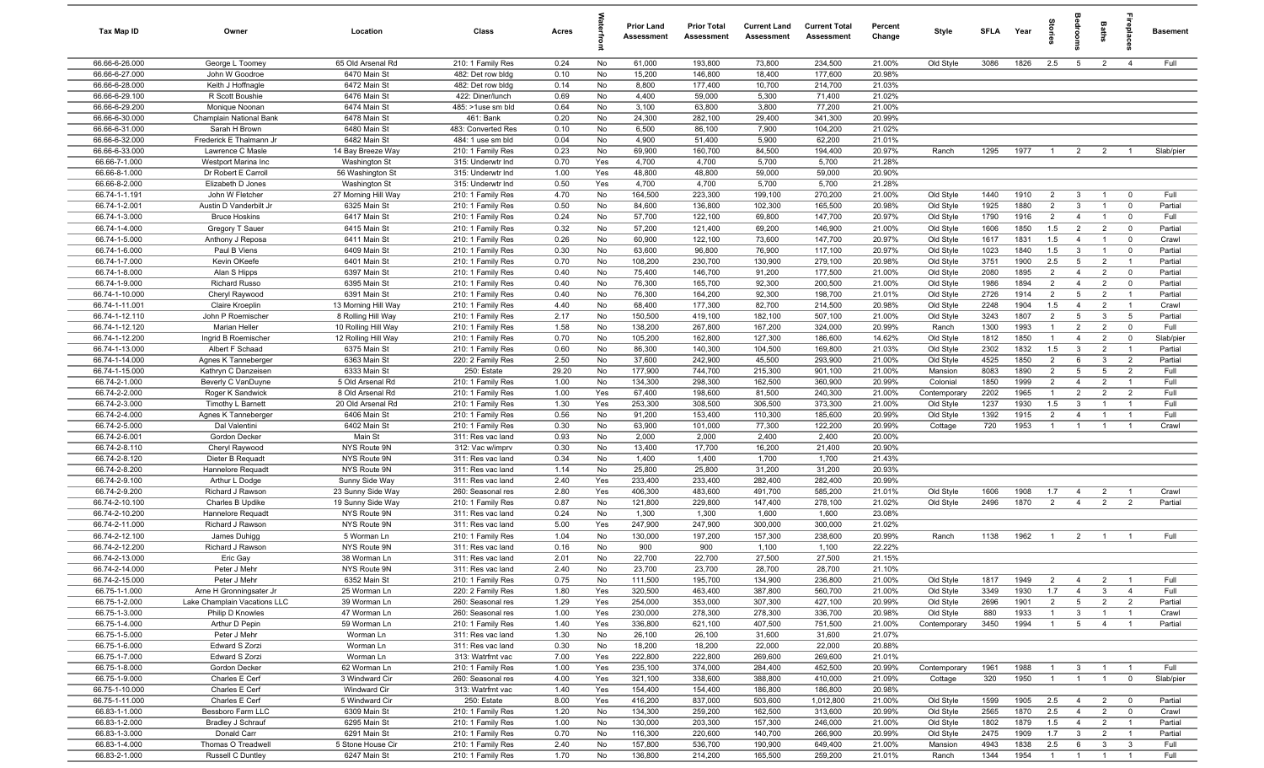| Tax Map ID                       | Owner                                    | Location                     | Class                                  | Acres        |           | <b>Prior Land</b><br>Assessment | <b>Prior Total</b><br>Assessment | <b>Current Land</b><br>Assessment | <b>Current Total</b><br>Assessment | Percent<br>Change | Style                  | <b>SFLA</b>  | Year         | ğ                                | groo                | Baths                            | ne<br>Pla                     | Basement           |
|----------------------------------|------------------------------------------|------------------------------|----------------------------------------|--------------|-----------|---------------------------------|----------------------------------|-----------------------------------|------------------------------------|-------------------|------------------------|--------------|--------------|----------------------------------|---------------------|----------------------------------|-------------------------------|--------------------|
| 66.66-6-26.000                   | George L Toomey                          | 65 Old Arsenal Rd            | 210: 1 Family Res                      | 0.24         | No        | 61,000                          | 193,800                          | 73,800                            | 234,500                            | 21.00%            | Old Style              | 3086         | 1826         | 2.5                              | $5\overline{5}$     | $\overline{2}$                   | $\overline{4}$                | Full               |
| 66.66-6-27.000                   | John W Goodroe                           | 6470 Main St                 | 482: Det row bldg                      | 0.10         | No        | 15,200                          | 146,800                          | 18,400                            | 177,600                            | 20.98%            |                        |              |              |                                  |                     |                                  |                               |                    |
| 66.66-6-28.000                   | Keith J Hoffnagle                        | 6472 Main St                 | 482: Det row bldg                      | 0.14         | No        | 8,800                           | 177,400                          | 10,700                            | 214,700                            | 21.03%            |                        |              |              |                                  |                     |                                  |                               |                    |
| 66.66-6-29.100                   | R Scott Boushie                          | 6476 Main St                 | 422: Diner/lunch                       | 0.69         | No        | 4,400                           | 59,000                           | 5,300                             | 71,400                             | 21.02%            |                        |              |              |                                  |                     |                                  |                               |                    |
| 66.66-6-29.200                   | Monique Noonan                           | 6474 Main St                 | 485: >1use sm bld                      | 0.64         | No        | 3,100                           | 63,800                           | 3,800                             | 77,200                             | 21.00%            |                        |              |              |                                  |                     |                                  |                               |                    |
| 66.66-6-30.000<br>66.66-6-31.000 | Champlain National Bank<br>Sarah H Brown | 6478 Main St<br>6480 Main St | 461: Bank<br>483: Converted Res        | 0.20         | No<br>No  | 24,300<br>6,500                 | 282,100<br>86,100                | 29,400<br>7,900                   | 341,300<br>104,200                 | 20.99%<br>21.02%  |                        |              |              |                                  |                     |                                  |                               |                    |
| 66.66-6-32.000                   | Frederick E Thalmann Jr                  | 6482 Main St                 | 484: 1 use sm bld                      | 0.10<br>0.04 | No        | 4,900                           | 51,400                           | 5,900                             | 62,200                             | 21.01%            |                        |              |              |                                  |                     |                                  |                               |                    |
| 66.66-6-33.000                   | Lawrence C Masle                         | 14 Bay Breeze Way            | 210: 1 Family Res                      | 0.23         | No        | 69,900                          | 160,700                          | 84,500                            | 194,400                            | 20.97%            | Ranch                  | 1295         | 1977         | $\overline{1}$                   | $\overline{2}$      | $\overline{2}$                   | $\overline{1}$                | Slab/pier          |
| 66.66-7-1.000                    | Westport Marina Inc                      | Washington St                | 315: Underwtr Ind                      | 0.70         | Yes       | 4,700                           | 4,700                            | 5,700                             | 5,700                              | 21.28%            |                        |              |              |                                  |                     |                                  |                               |                    |
| 66.66-8-1.000                    | Dr Robert E Carroll                      | 56 Washington St             | 315: Underwtr Ind                      | 1.00         | Yes       | 48,800                          | 48,800                           | 59,000                            | 59,000                             | 20.90%            |                        |              |              |                                  |                     |                                  |                               |                    |
| 66.66-8-2.000                    | Elizabeth D Jones                        | Washington St                | 315: Underwtr Ind                      | 0.50         | Yes       | 4,700                           | 4,700                            | 5,700                             | 5,700                              | 21.28%            |                        |              |              |                                  |                     |                                  |                               |                    |
| 66.74-1-1.191                    | John W Fletcher                          | 27 Morning Hill Way          | 210: 1 Family Res                      | 4.70         | No        | 164,500                         | 223,300                          | 199,100                           | 270,200                            | 21.00%            | Old Style              | 1440         | 1910         | $\overline{2}$                   | $\mathbf{3}$        | $\overline{1}$                   | $^{\circ}$                    | Full               |
| 66.74-1-2.001                    | Austin D Vanderbilt Jr                   | 6325 Main St                 | 210: 1 Family Res                      | 0.50         | No        | 84,600                          | 136,800                          | 102,300                           | 165,500                            | 20.98%            | Old Style              | 1925         | 1880         | $\overline{2}$                   | $\mathbf{3}$        | $\overline{1}$                   | $\mathbf 0$                   | Partial            |
| 66.74-1-3.000                    | <b>Bruce Hoskins</b>                     | 6417 Main St                 | 210: 1 Family Res                      | 0.24         | No        | 57,700                          | 122,100                          | 69,800                            | 147,700                            | 20.97%            | Old Style              | 1790         | 1916         | $\overline{2}$                   | $\overline{4}$      | $\overline{1}$                   | $\mathbf 0$                   | Full               |
| 66.74-1-4.000                    | Gregory T Sauer                          | 6415 Main St                 | 210: 1 Family Res                      | 0.32         | No        | 57,200                          | 121,400                          | 69,200                            | 146,900                            | 21.00%            | Old Style              | 1606         | 1850         | 1.5                              | $\overline{2}$      | $\overline{2}$                   | $\mathbf 0$                   | Partial            |
| 66.74-1-5.000                    | Anthony J Reposa                         | 6411 Main St                 | 210: 1 Family Res                      | 0.26         | No        | 60,900                          | 122,100                          | 73,600                            | 147,700                            | 20.97%            | Old Style              | 1617         | 1831         | 1.5                              | $\overline{4}$      |                                  | $^{\circ}$                    | Crawl              |
| 66.74-1-6.000                    | Paul B Viens                             | 6409 Main St                 | 210: 1 Family Res                      | 0.30         | No        | 63,600                          | 96,800                           | 76,900                            | 117,100                            | 20.97%            | Old Style              | 1023         | 1840         | 1.5                              | $\mathbf{3}$        | $\overline{1}$                   | $^{\circ}$                    | Partial            |
| 66.74-1-7.000                    | Kevin OKeefe                             | 6401 Main St                 | 210: 1 Family Res                      | 0.70         | No        | 108,200                         | 230,700                          | 130,900                           | 279,100                            | 20.98%            | Old Style              | 3751         | 1900         | 2.5                              | 5                   | $\overline{2}$                   | $\overline{1}$                | Partial            |
| 66.74-1-8.000                    | Alan S Hipps                             | 6397 Main St                 | 210: 1 Family Res                      | 0.40         | No        | 75,400                          | 146,700                          | 91,200                            | 177,500                            | 21.00%            | Old Style              | 2080         | 1895         | $\overline{2}$                   | $\overline{4}$      | $\overline{2}$                   | $\overline{0}$                | Partial            |
| 66.74-1-9.000<br>66.74-1-10.000  | <b>Richard Russo</b><br>Cheryl Raywood   | 6395 Main St<br>6391 Main St | 210: 1 Family Res                      | 0.40<br>0.40 | No<br>No  | 76,300<br>76,300                | 165,700<br>164,200               | 92,300<br>92,300                  | 200,500<br>198,700                 | 21.00%<br>21.01%  | Old Style              | 1986<br>2726 | 1894<br>1914 | $\overline{2}$<br>$\overline{2}$ | $\overline{4}$<br>5 | $\overline{2}$<br>$\overline{2}$ | $\mathbf 0$<br>$\overline{1}$ | Partial<br>Partial |
| 66.74-1-11.001                   | Claire Kroeplin                          | 13 Morning Hill Way          | 210: 1 Family Res<br>210: 1 Family Res | 4.40         | No        | 68,400                          | 177,300                          | 82,700                            | 214,500                            | 20.98%            | Old Style<br>Old Style | 2248         | 1904         | 1.5                              | $\overline{4}$      | $\overline{2}$                   | $\overline{1}$                | Crawl              |
| 66.74-1-12.110                   | John P Roemischer                        | 8 Rolling Hill Way           | 210: 1 Family Res                      | 2.17         | No        | 150,500                         | 419,100                          | 182,100                           | 507,100                            | 21.00%            | Old Style              | 3243         | 1807         | $\overline{2}$                   | 5                   | $\mathbf{3}$                     | 5                             | Partial            |
| 66.74-1-12.120                   | Marian Heller                            | 10 Rolling Hill Way          | 210: 1 Family Res                      | 1.58         | No        | 138,200                         | 267,800                          | 167,200                           | 324,000                            | 20.99%            | Ranch                  | 1300         | 1993         | $\mathbf{1}$                     | 2                   | $\overline{2}$                   | $\mathbf 0$                   | Full               |
| 66.74-1-12.200                   | Ingrid B Roemischer                      | 12 Rolling Hill Way          | 210: 1 Family Res                      | 0.70         | No        | 105,200                         | 162,800                          | 127,300                           | 186,600                            | 14.62%            | Old Style              | 1812         | 1850         | $\overline{1}$                   | $\overline{4}$      | $\overline{2}$                   | $\mathbf 0$                   | Slab/pier          |
| 66.74-1-13.000                   | Albert F Schaad                          | 6375 Main St                 | 210: 1 Family Res                      | 0.60         | No        | 86,300                          | 140,300                          | 104,500                           | 169,800                            | 21.03%            | Old Style              | 2302         | 1832         | 1.5                              | $\mathbf{3}$        | $\overline{2}$                   | $\overline{1}$                | Partial            |
| 66.74-1-14.000                   | Agnes K Tanneberger                      | 6363 Main St                 | 220: 2 Family Res                      | 2.50         | No        | 37,600                          | 242,900                          | 45,500                            | 293,900                            | 21.00%            | Old Style              | 4525         | 1850         | $\overline{2}$                   | 6                   | $\mathbf{3}$                     | $\overline{2}$                | Partial            |
| 66.74-1-15.000                   | Kathryn C Danzeisen                      | 6333 Main St                 | 250: Estate                            | 29.20        | No        | 177,900                         | 744,700                          | 215,300                           | 901,100                            | 21.00%            | Mansion                | 8083         | 1890         | $\overline{2}$                   | $5\overline{5}$     | $5\overline{5}$                  | $\overline{2}$                | Full               |
| 66.74-2-1.000                    | Beverly C VanDuyne                       | 5 Old Arsenal Rd             | 210: 1 Family Res                      | 1.00         | No        | 134,300                         | 298,300                          | 162,500                           | 360,900                            | 20.99%            | Colonial               | 1850         | 1999         | $\overline{2}$                   | $\overline{4}$      | $\overline{2}$                   | $\overline{1}$                | Full               |
| 66.74-2-2.000                    | Roger K Sandwick                         | 8 Old Arsenal Rd             | 210: 1 Family Res                      | 1.00         | Yes       | 67,400                          | 198,600                          | 81,500                            | 240,300                            | 21.00%            | Contemporary           | 2202         | 1965         | $\mathbf{1}$                     | $\overline{2}$      | $\overline{2}$                   | $\overline{2}$                | Full               |
| 66.74-2-3.000                    | Timothy L Barnett                        | 20 Old Arsenal Rd            | 210: 1 Family Res                      | 1.30         | Yes       | 253,300                         | 308,500                          | 306,500                           | 373,300                            | 21.00%            | Old Style              | 1237         | 1930         | 1.5                              | $\mathbf{3}$        |                                  | $\overline{1}$                | Full               |
| 66.74-2-4.000                    | Agnes K Tanneberger                      | 6406 Main St                 | 210: 1 Family Res                      | 0.56         | No        | 91,200                          | 153,400                          | 110,300                           | 185,600                            | 20.99%            | Old Style              | 1392         | 1915         | $\overline{2}$                   | $\overline{4}$      | $\overline{1}$                   | $\overline{1}$                | Full               |
| 66.74-2-5.000                    | Dal Valentini                            | 6402 Main St                 | 210: 1 Family Res                      | 0.30         | No        | 63,900                          | 101,000                          | 77,300                            | 122,200                            | 20.99%            | Cottage                | 720          | 1953         | $\overline{1}$                   | $\overline{1}$      | $\overline{1}$                   | $\overline{1}$                | Crawl              |
| 66.74-2-6.001                    | Gordon Decker                            | Main St                      | 311: Res vac land                      | 0.93         | No        | 2,000                           | 2,000                            | 2,400                             | 2,400                              | 20.00%            |                        |              |              |                                  |                     |                                  |                               |                    |
| 66.74-2-8.110<br>66.74-2-8.120   | Cheryl Raywood<br>Dieter B Requadt       | NYS Route 9N<br>NYS Route 9N | 312: Vac w/imprv                       | 0.30<br>0.34 | No<br>No  | 13,400<br>1,400                 | 17,700<br>1,400                  | 16,200<br>1,700                   | 21,400<br>1,700                    | 20.90%<br>21.43%  |                        |              |              |                                  |                     |                                  |                               |                    |
| 66.74-2-8.200                    | Hannelore Requadt                        | NYS Route 9N                 | 311: Res vac land<br>311: Res vac land | 1.14         | No        | 25,800                          | 25,800                           | 31,200                            | 31,200                             | 20.93%            |                        |              |              |                                  |                     |                                  |                               |                    |
| 66.74-2-9.100                    | Arthur L Dodge                           | Sunny Side Way               | 311: Res vac land                      | 2.40         | Yes       | 233,400                         | 233,400                          | 282,400                           | 282,400                            | 20.99%            |                        |              |              |                                  |                     |                                  |                               |                    |
| 66.74-2-9.200                    | Richard J Rawson                         | 23 Sunny Side Way            | 260: Seasonal res                      | 2.80         | Yes       | 406,300                         | 483,600                          | 491,700                           | 585,200                            | 21.01%            | Old Style              | 1606         | 1908         | 1.7                              | $\overline{4}$      | $\overline{2}$                   | $\overline{1}$                | Crawl              |
| 66.74-2-10.100                   | Charles B Updike                         | 19 Sunny Side Way            | 210: 1 Family Res                      | 0.87         | No        | 121,800                         | 229,800                          | 147,400                           | 278,100                            | 21.02%            | Old Style              | 2496         | 1870         | $\overline{2}$                   | $\overline{4}$      | $\overline{2}$                   | $\overline{2}$                | Partial            |
| 66.74-2-10.200                   | Hannelore Requadt                        | NYS Route 9N                 | 311: Res vac land                      | 0.24         | No        | 1,300                           | 1,300                            | 1,600                             | 1,600                              | 23.08%            |                        |              |              |                                  |                     |                                  |                               |                    |
| 66.74-2-11.000                   | Richard J Rawson                         | NYS Route 9N                 | 311: Res vac land                      | 5.00         | Yes       | 247,900                         | 247,900                          | 300,000                           | 300,000                            | 21.02%            |                        |              |              |                                  |                     |                                  |                               |                    |
| 66.74-2-12.100                   | James Duhigg                             | 5 Worman Ln                  | 210: 1 Family Res                      | 1.04         | No        | 130,000                         | 197,200                          | 157,300                           | 238,600                            | 20.99%            | Ranch                  | 1138         | 1962         | $\overline{1}$                   | $\overline{2}$      |                                  |                               | Full               |
| 66.74-2-12.200                   | Richard J Rawson                         | NYS Route 9N                 | 311: Res vac land                      | 0.16         | No        | 900                             | 900                              | 1,100                             | 1,100                              | 22.22%            |                        |              |              |                                  |                     |                                  |                               |                    |
| 66.74-2-13.000                   | Eric Gay                                 | 38 Worman Ln                 | 311: Res vac land                      | 2.01         | No        | 22,700                          | 22,700                           | 27,500                            | 27,500                             | 21.15%            |                        |              |              |                                  |                     |                                  |                               |                    |
| 66.74-2-14.000                   | Peter J Mehr                             | NYS Route 9N                 | 311: Res vac land                      | 2.40         | No        | 23,700                          | 23,700                           | 28,700                            | 28,700                             | 21.10%            |                        |              |              |                                  |                     |                                  |                               |                    |
| 66.74-2-15.000                   | Peter J Mehr                             | 6352 Main St                 | 210: 1 Family Res                      | 0.75         | No        | 111,500                         | 195,700                          | 134,900                           | 236,800                            | 21.00%            | Old Style              | 1817         | 1949         | $\overline{2}$                   | $\overline{4}$      | $\overline{2}$                   | $\overline{1}$                | Full               |
| 66.75-1-1.000                    | Arne H Gronningsater Jr                  | 25 Worman Ln                 | 220: 2 Family Res                      | 1.80         | Yes       | 320,500                         | 463,400                          | 387,800                           | 560,700                            | 21.00%            | Old Style              | 3349         | 1930         | 1.7                              | $\overline{4}$      | $\mathbf{3}$                     | $\overline{4}$                | Full               |
| 66.75-1-2.000                    | Lake Champlain Vacations LLC             | 39 Worman Ln                 | 260: Seasonal res                      | 1.29         | Yes       | 254,000                         | 353,000                          | 307,300                           | 427,100                            | 20.99%            | Old Style              | 2696         | 1901         | $\overline{2}$                   | $5\overline{5}$     | $\overline{2}$                   | $\overline{2}$                | Partial            |
| 66.75-1-3.000                    | Philip D Knowles                         | 47 Worman Ln                 | 260: Seasonal res<br>210: 1 Family Res | 1.00         | Yes       | 230,000                         | 278,300                          | 278,300                           | 336,700                            | 20.98%            | Old Style              | 880          | 1933         | $\mathbf{1}$                     | $\mathbf{3}$        | $\mathbf{1}$                     | $\overline{1}$                | Crawl              |
| 66.75-1-4.000<br>66.75-1-5.000   | Arthur D Pepin<br>Peter J Mehr           | 59 Worman Ln<br>Worman Ln    | 311: Res vac land                      | 1.40<br>1.30 | Yes<br>No | 336,800<br>26,100               | 621,100<br>26,100                | 407,500<br>31,600                 | 751,500<br>31,600                  | 21.00%<br>21.07%  | Contemporary           | 3450         | 1994         | $\mathbf{1}$                     | $5\overline{)}$     | $\overline{4}$                   | $\overline{1}$                | Partial            |
| 66.75-1-6.000                    | Edward S Zorzi                           | Worman Ln                    | 311: Res vac land                      | 0.30         | No        | 18,200                          | 18,200                           | 22,000                            | 22,000                             | 20.88%            |                        |              |              |                                  |                     |                                  |                               |                    |
| 66.75-1-7.000                    | Edward S Zorzi                           | Worman Ln                    | 313: Watrfrnt vac                      | 7.00         | Yes       | 222,800                         | 222,800                          | 269,600                           | 269,600                            | 21.01%            |                        |              |              |                                  |                     |                                  |                               |                    |
| 66.75-1-8.000                    | Gordon Decker                            | 62 Worman Ln                 | 210: 1 Family Res                      | 1.00         | Yes       | 235,100                         | 374,000                          | 284,400                           | 452,500                            | 20.99%            | Contemporary           | 1961         | 1988         | $\mathbf{1}$                     | $\mathbf{3}$        | $\overline{1}$                   | - 1                           | Full               |
| 66.75-1-9.000                    | Charles E Cerf                           | 3 Windward Cir               | 260: Seasonal res                      | 4.00         | Yes       | 321,100                         | 338,600                          | 388,800                           | 410,000                            | 21.09%            | Cottage                | 320          | 1950         | $\overline{1}$                   | $\overline{1}$      | $\mathbf{1}$                     | $\overline{0}$                | Slab/pier          |
| 66.75-1-10.000                   | Charles E Cerf                           | Windward Cir                 | 313: Watrfrnt vac                      | 1.40         | Yes       | 154,400                         | 154,400                          | 186,800                           | 186,800                            | 20.98%            |                        |              |              |                                  |                     |                                  |                               |                    |
| 66.75-1-11.000                   | Charles E Cerf                           | 5 Windward Cir               | 250: Estate                            | 8.00         | Yes       | 416,200                         | 837,000                          | 503,600                           | 1,012,800                          | 21.00%            | Old Style              | 1599         | 1905         | 2.5                              | $\overline{4}$      | $\overline{2}$                   | $\overline{0}$                | Partial            |
| 66.83-1-1.000                    | Bessboro Farm LLC                        | 6309 Main St                 | 210: 1 Family Res                      | 1.20         | No        | 134,300                         | 259,200                          | 162,500                           | 313,600                            | 20.99%            | Old Style              | 2565         | 1870         | 2.5                              | $\overline{4}$      | $\overline{2}$                   | $\overline{0}$                | Crawl              |
| 66.83-1-2.000                    | <b>Bradley J Schrauf</b>                 | 6295 Main St                 | 210: 1 Family Res                      | 1.00         | No        | 130,000                         | 203,300                          | 157,300                           | 246,000                            | 21.00%            | Old Style              | 1802         | 1879         | 1.5                              | $\overline{4}$      | $\overline{2}$                   | $\overline{1}$                | Partial            |
| 66.83-1-3.000                    | Donald Carr                              | 6291 Main St                 | 210: 1 Family Res                      | 0.70         | No        | 116,300                         | 220,600                          | 140,700                           | 266,900                            | 20.99%            | Old Style              | 2475         | 1909         | 1.7                              | $\mathbf{3}$        | $\overline{2}$                   | $\overline{1}$                | Partial            |
| 66.83-1-4.000                    | Thomas O Treadwell                       | 5 Stone House Cir            | 210: 1 Family Res                      | 2.40         | No        | 157,800                         | 536,700                          | 190,900                           | 649,400                            | 21.00%            | Mansion                | 4943         | 1838         | 2.5                              | 6                   | $\mathbf{3}$                     | $\mathbf{3}$                  | Full               |
| 66.83-2-1.000                    | Russell C Duntley                        | 6247 Main St                 | 210: 1 Family Res                      | 1.70         | No        | 136,800                         | 214,200                          | 165,500                           | 259,200                            | 21.01%            | Ranch                  | 1344         | 1954         | $\overline{1}$                   | $\overline{1}$      | $\overline{1}$                   | $\overline{1}$                | Full               |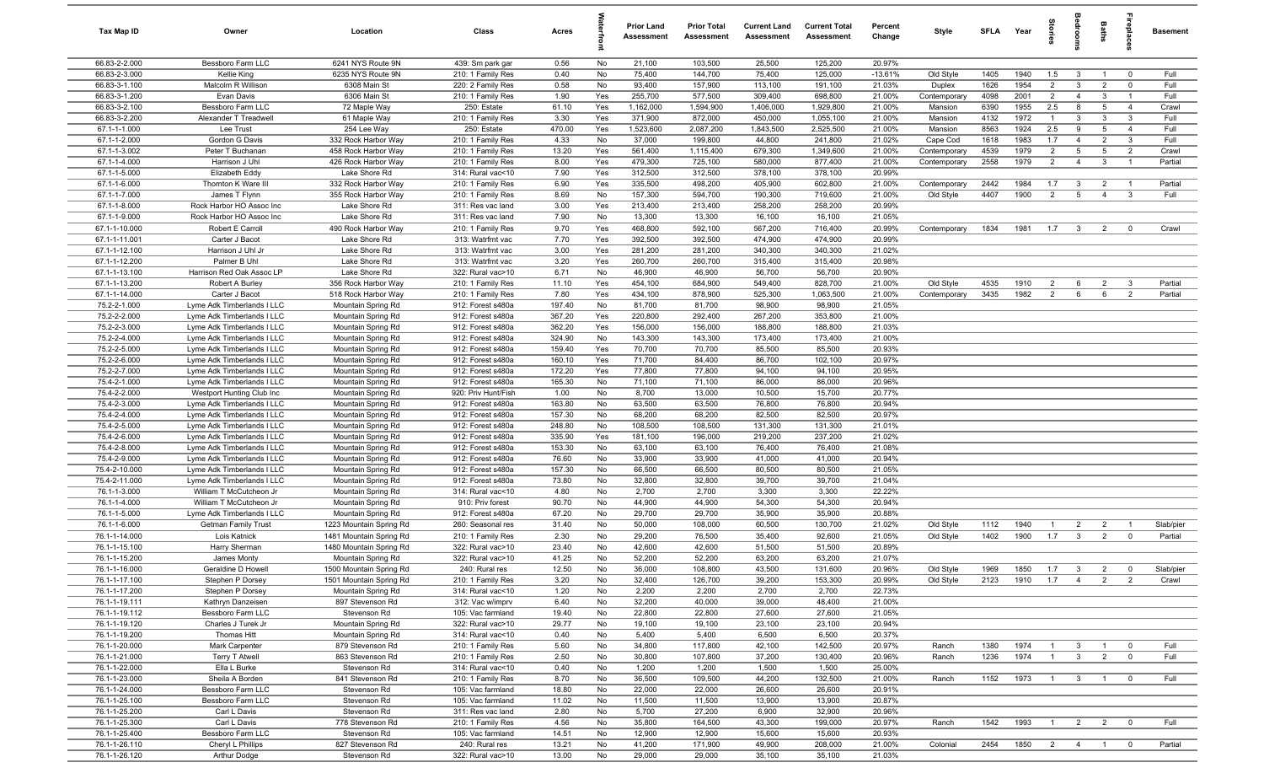| Tax Map ID                     | Owner                                                    | Location                                   | Class                                  | Acres           |           | <b>Prior Land</b><br>Assessment | <b>Prior Total</b><br>Assessment | <b>Current Land</b><br>Assessment | <b>Current Total</b><br>Assessment | Percent<br>Change | Style                     | SFLA Year    |              | tories                           | droom                   | Baths                | repla                          | <b>Basement</b>    |
|--------------------------------|----------------------------------------------------------|--------------------------------------------|----------------------------------------|-----------------|-----------|---------------------------------|----------------------------------|-----------------------------------|------------------------------------|-------------------|---------------------------|--------------|--------------|----------------------------------|-------------------------|----------------------|--------------------------------|--------------------|
| 66.83-2-2.000                  | Bessboro Farm LLC                                        | 6241 NYS Route 9N                          | 439: Sm park gar                       | 0.56            | No        | 21,100                          | 103,500                          | 25,500                            | 125,200                            | 20.97%            |                           |              |              |                                  |                         |                      |                                |                    |
| 66.83-2-3.000                  | Kellie King                                              | 6235 NYS Route 9N                          | 210: 1 Family Res                      | 0.40            | No        | 75,400                          | 144,700                          | 75,400                            | 125,000                            | $-13.61%$         | Old Style                 | 1405         | 1940         | 1.5                              | $\mathbf{3}$            | $\overline{1}$       | $\mathbf 0$                    | Full               |
| 66.83-3-1.100                  | Malcolm R Willison                                       | 6308 Main St                               | 220: 2 Family Res                      | 0.58            | No        | 93,400                          | 157,900                          | 113,100                           | 191,100                            | 21.03%            | Duplex                    | 1626         | 1954         | $\overline{2}$                   | $\mathbf{3}$            | $\overline{2}$       | $\mathbf 0$                    | Full               |
| 66.83-3-1.200                  | Evan Davis                                               | 6306 Main St                               | 210: 1 Family Res                      | 1.90            | Yes       | 255,700                         | 577,500                          | 309,400                           | 698,800                            | 21.00%            | Contemporary              | 4098         | 2001         | $\overline{2}$                   | $\overline{4}$          | 3                    | $\overline{1}$                 | Full               |
| 66.83-3-2.100                  | Bessboro Farm LLC                                        | 72 Maple Way                               | 250: Estate                            | 61.10           | Yes       | 1,162,000                       | 1,594,900                        | 1,406,000                         | 1,929,800                          | 21.00%            | Mansion                   | 6390         | 1955         | 2.5                              | 8                       | 5                    | $\overline{4}$                 | Crawl              |
| 66.83-3-2.200                  | Alexander T Treadwell                                    | 61 Maple Way                               | 210: 1 Family Res<br>250: Estate       | 3.30<br>470.00  | Yes       | 371,900<br>1,523,600            | 872,000<br>2,087,200             | 450,000                           | 1,055,100<br>2,525,500             | 21.00%            | Mansion                   | 4132<br>8563 | 1972<br>1924 | $\overline{1}$<br>2.5            | $\mathbf{3}$<br>9       | 3<br>$5\phantom{.0}$ | $\mathbf{3}$<br>$\overline{4}$ | Full<br>Full       |
| 67.1-1-1.000<br>67.1-1-2.000   | Lee Trust<br>Gordon G Davis                              | 254 Lee Way<br>332 Rock Harbor Way         | 210: 1 Family Res                      | 4.33            | Yes<br>No | 37,000                          | 199,800                          | 1,843,500<br>44,800               | 241,800                            | 21.00%<br>21.02%  | Mansion<br>Cape Cod       | 1618         | 1983         | 1.7                              | $\overline{4}$          | $\overline{2}$       | $\mathbf{3}$                   | Full               |
| 67.1-1-3.002                   | Peter T Buchanan                                         | 458 Rock Harbor Way                        | 210: 1 Family Res                      | 13.20           | Yes       | 561,400                         | 1,115,400                        | 679,300                           | 1,349,600                          | 21.00%            | Contemporary              | 4539         | 1979         | $\overline{2}$                   | $5\overline{5}$         | $5\phantom{.0}$      | $\overline{2}$                 | Crawl              |
| 67.1-1-4.000                   | Harrison J Uhl                                           | 426 Rock Harbor Way                        | 210: 1 Family Res                      | 8.00            | Yes       | 479,300                         | 725,100                          | 580,000                           | 877,400                            | 21.00%            | Contemporary              | 2558         | 1979         | 2                                | $\overline{4}$          | $\mathbf{3}$         | $\overline{1}$                 | Partial            |
| 67.1-1-5.000                   | Elizabeth Eddy                                           | Lake Shore Rd                              | 314: Rural vac<10                      | 7.90            | Yes       | 312,500                         | 312,500                          | 378,100                           | 378,100                            | 20.99%            |                           |              |              |                                  |                         |                      |                                |                    |
| 67.1-1-6.000                   | Thornton K Ware III                                      | 332 Rock Harbor Way                        | 210: 1 Family Res                      | 6.90            | Yes       | 335,500                         | 498,200                          | 405,900                           | 602,800                            | 21.00%            | Contemporary              | 2442         | 1984         | 1.7                              | $\mathbf{3}$            | $\overline{2}$       | $\overline{1}$                 | Partial            |
| 67.1-1-7.000                   | James T Flynn                                            | 355 Rock Harbor Way                        | 210: 1 Family Res                      | 8.69            | No        | 157,300                         | 594,700                          | 190,300                           | 719,600                            | 21.00%            | Old Style                 | 4407         | 1900         | $\overline{2}$                   | $5\overline{5}$         | $\overline{4}$       | $\mathbf{3}$                   | Full               |
| 67.1-1-8.000                   | Rock Harbor HO Assoc Inc                                 | Lake Shore Rd                              | 311: Res vac land                      | 3.00            | Yes       | 213,400                         | 213,400                          | 258,200                           | 258,200                            | 20.99%            |                           |              |              |                                  |                         |                      |                                |                    |
| 67.1-1-9.000                   | Rock Harbor HO Assoc Inc                                 | Lake Shore Rd                              | 311: Res vac land                      | 7.90            | No        | 13,300                          | 13,300                           | 16,100                            | 16,100                             | 21.05%            |                           |              |              |                                  |                         |                      |                                |                    |
| 67.1-1-10.000                  | Robert E Carroll                                         | 490 Rock Harbor Way                        | 210: 1 Family Res                      | 9.70            | Yes       | 468,800                         | 592,100                          | 567,200                           | 716,400                            | 20.99%            | Contemporary              | 1834         | 1981         | 1.7                              | $\mathbf{3}$            | $\overline{2}$       | $\mathbf 0$                    | Crawl              |
| 67.1-1-11.001                  | Carter J Bacot                                           | Lake Shore Rd                              | 313: Watrfrnt vac                      | 7.70            | Yes       | 392,500                         | 392,500                          | 474,900                           | 474,900                            | 20.99%            |                           |              |              |                                  |                         |                      |                                |                    |
| 67.1-1-12.100                  | Harrison J Uhl Jr                                        | Lake Shore Rd                              | 313: Watrfrnt vac                      | 3.00            | Yes       | 281,200                         | 281,200                          | 340,300                           | 340,300                            | 21.02%            |                           |              |              |                                  |                         |                      |                                |                    |
| 67.1-1-12.200                  | Palmer B Uhl                                             | Lake Shore Rd                              | 313: Watrfrnt vac                      | 3.20            | Yes       | 260,700                         | 260,700                          | 315,400                           | 315,400                            | 20.98%            |                           |              |              |                                  |                         |                      |                                |                    |
| 67.1-1-13.100                  | Harrison Red Oak Assoc LP                                | Lake Shore Rd                              | 322: Rural vac>10                      | 6.71            | No        | 46,900                          | 46,900                           | 56,700                            | 56,700                             | 20.90%            |                           |              |              |                                  |                         |                      |                                |                    |
| 67.1-1-13.200<br>67.1-1-14.000 | Robert A Burley<br>Carter J Bacot                        | 356 Rock Harbor Way<br>518 Rock Harbor Way | 210: 1 Family Res<br>210: 1 Family Res | 11.10<br>7.80   | Yes       | 454,100<br>434,100              | 684,900<br>878,900               | 549,400<br>525,300                | 828,700<br>1,063,500               | 21.00%<br>21.00%  | Old Style<br>Contemporary | 4535<br>3435 | 1910<br>1982 | $\overline{2}$<br>$\overline{2}$ | 6<br>6                  | $\overline{2}$<br>6  | $\mathbf{3}$<br>$\overline{2}$ | Partial<br>Partial |
| 75.2-2-1.000                   | Lyme Adk Timberlands I LLC                               | Mountain Spring Rd                         | 912: Forest s480a                      | 197.40          | Yes<br>No | 81,700                          | 81,700                           | 98,900                            | 98,900                             | 21.05%            |                           |              |              |                                  |                         |                      |                                |                    |
| 75.2-2-2.000                   | Lyme Adk Timberlands I LLC                               | Mountain Spring Rd                         | 912: Forest s480a                      | 367.20          | Yes       | 220,800                         | 292,400                          | 267,200                           | 353,800                            | 21.00%            |                           |              |              |                                  |                         |                      |                                |                    |
| 75.2-2-3.000                   | Lyme Adk Timberlands I LLC                               | Mountain Spring Rd                         | 912: Forest s480a                      | 362.20          | Yes       | 156,000                         | 156,000                          | 188,800                           | 188,800                            | 21.03%            |                           |              |              |                                  |                         |                      |                                |                    |
| 75.2-2-4.000                   | Lyme Adk Timberlands I LLC                               | Mountain Spring Rd                         | 912: Forest s480a                      | 324.90          | No        | 143,300                         | 143,300                          | 173,400                           | 173,400                            | 21.00%            |                           |              |              |                                  |                         |                      |                                |                    |
| 75.2-2-5.000                   | Lyme Adk Timberlands I LLC                               | Mountain Spring Rd                         | 912: Forest s480a                      | 159.40          | Yes       | 70,700                          | 70,700                           | 85,500                            | 85,500                             | 20.93%            |                           |              |              |                                  |                         |                      |                                |                    |
| 75.2-2-6.000                   | Lyme Adk Timberlands I LLC                               | Mountain Spring Rd                         | 912: Forest s480a                      | 160.10          | Yes       | 71,700                          | 84,400                           | 86,700                            | 102,100                            | 20.97%            |                           |              |              |                                  |                         |                      |                                |                    |
| 75.2-2-7.000                   | Lyme Adk Timberlands I LLC                               | Mountain Spring Rd                         | 912: Forest s480a                      | 172.20          | Yes       | 77,800                          | 77,800                           | 94,100                            | 94,100                             | 20.95%            |                           |              |              |                                  |                         |                      |                                |                    |
| 75.4-2-1.000                   | Lyme Adk Timberlands I LLC                               | Mountain Spring Rd                         | 912: Forest s480a                      | 165.30          | No        | 71,100                          | 71,100                           | 86,000                            | 86,000                             | 20.96%            |                           |              |              |                                  |                         |                      |                                |                    |
| 75.4-2-2.000                   | Westport Hunting Club Inc                                | Mountain Spring Rd                         | 920: Priv Hunt/Fish                    | 1.00            | No        | 8,700                           | 13,000                           | 10,500                            | 15,700                             | 20.77%            |                           |              |              |                                  |                         |                      |                                |                    |
| 75.4-2-3.000                   | Lyme Adk Timberlands I LLC                               | Mountain Spring Rd                         | 912: Forest s480a                      | 163.80          | No        | 63,500                          | 63,500                           | 76,800                            | 76,800                             | 20.94%            |                           |              |              |                                  |                         |                      |                                |                    |
| 75.4-2-4.000                   | Lyme Adk Timberlands I LLC                               | Mountain Spring Rd                         | 912: Forest s480a                      | 157.30          | No        | 68,200                          | 68,200                           | 82,500                            | 82,500                             | 20.97%            |                           |              |              |                                  |                         |                      |                                |                    |
| 75.4-2-5.000                   | Lyme Adk Timberlands I LLC                               | Mountain Spring Rd                         | 912: Forest s480a                      | 248.80          | No        | 108,500                         | 108,500                          | 131,300                           | 131,300                            | 21.01%            |                           |              |              |                                  |                         |                      |                                |                    |
| 75.4-2-6.000                   | Lyme Adk Timberlands I LLC                               | Mountain Spring Rd                         | 912: Forest s480a                      | 335.90          | Yes       | 181,100                         | 196,000                          | 219,200                           | 237,200                            | 21.02%            |                           |              |              |                                  |                         |                      |                                |                    |
| 75.4-2-8.000<br>75.4-2-9.000   | Lyme Adk Timberlands I LLC<br>Lyme Adk Timberlands I LLC | Mountain Spring Rd<br>Mountain Spring Rd   | 912: Forest s480a                      | 153.30          | No<br>No  | 63,100<br>33,900                | 63,100<br>33,900                 | 76,400<br>41,000                  | 76,400<br>41,000                   | 21.08%<br>20.94%  |                           |              |              |                                  |                         |                      |                                |                    |
| 75.4-2-10.000                  | Lyme Adk Timberlands I LLC                               | Mountain Spring Rd                         | 912: Forest s480a<br>912: Forest s480a | 76.60<br>157.30 | No        | 66,500                          | 66,500                           | 80,500                            | 80,500                             | 21.05%            |                           |              |              |                                  |                         |                      |                                |                    |
| 75.4-2-11.000                  | Lyme Adk Timberlands I LLC                               | Mountain Spring Rd                         | 912: Forest s480a                      | 73.80           | No        | 32,800                          | 32,800                           | 39,700                            | 39,700                             | 21.04%            |                           |              |              |                                  |                         |                      |                                |                    |
| 76.1-1-3.000                   | William T McCutcheon Jr                                  | Mountain Spring Rd                         | 314: Rural vac<10                      | 4.80            | No        | 2,700                           | 2,700                            | 3,300                             | 3,300                              | 22.22%            |                           |              |              |                                  |                         |                      |                                |                    |
| 76.1-1-4.000                   | William T McCutcheon Jr                                  | Mountain Spring Rd                         | 910: Priv forest                       | 90.70           | No        | 44,900                          | 44,900                           | 54,300                            | 54,300                             | 20.94%            |                           |              |              |                                  |                         |                      |                                |                    |
| 76.1-1-5.000                   | Lyme Adk Timberlands I LLC                               | Mountain Spring Rd                         | 912: Forest s480a                      | 67.20           | No        | 29,700                          | 29,700                           | 35,900                            | 35,900                             | 20.88%            |                           |              |              |                                  |                         |                      |                                |                    |
| 76.1-1-6.000                   | Getman Family Trust                                      | 1223 Mountain Spring Rd                    | 260: Seasonal res                      | 31.40           | No        | 50,000                          | 108,000                          | 60,500                            | 130,700                            | 21.02%            | Old Style                 | 1112         | 1940         | $\overline{1}$                   | $\overline{2}$          | $\overline{2}$       | - 1                            | Slab/pier          |
| 76.1-1-14.000                  | Lois Katnick                                             | 1481 Mountain Spring Rd                    | 210: 1 Family Res                      | 2.30            | No        | 29,200                          | 76,500                           | 35,400                            | 92,600                             | 21.05%            | Old Style                 | 1402         | 1900         | 1.7                              | $\overline{3}$          | $\overline{2}$       | $\mathbf 0$                    | Partial            |
| 76.1-1-15.100                  | Harry Sherman                                            | 1480 Mountain Spring Rd                    | 322: Rural vac>10                      | 23.40           | No        | 42,600                          | 42,600                           | 51,500                            | 51,500                             | 20.89%            |                           |              |              |                                  |                         |                      |                                |                    |
| 76.1-1-15.200                  | James Monty                                              | Mountain Spring Rd                         | 322: Rural vac>10                      | 41.25           | No        | 52,200                          | 52,200                           | 63,200                            | 63,200                             | 21.07%            |                           |              |              |                                  |                         |                      |                                |                    |
| 76.1-1-16.000                  | Geraldine D Howell                                       | 1500 Mountain Spring Rd                    | 240: Rural res                         | 12.50           | No        | 36,000                          | 108,800                          | 43,500                            | 131,600                            | 20.96%            | Old Style                 | 1969         | 1850 1.7     |                                  | $\mathbf{3}$            | $\overline{2}$       |                                | Slab/pier          |
| 76.1-1-17.100                  | Stephen P Dorsey                                         | 1501 Mountain Spring Rd                    | 210: 1 Family Res                      | 3.20            | No        | 32,400                          | 126,700                          | 39,200                            | 153,300                            | 20.99%            | Old Style                 | 2123         | 1910         | $1.7 \t 4$                       |                         | 2                    | $\overline{2}$                 | Crawl              |
| 76.1-1-17.200                  | Stephen P Dorsey                                         | Mountain Spring Rd                         | 314: Rural vac<10                      | 1.20            | No        | 2,200                           | 2,200                            | 2,700                             | 2,700                              | 22.73%            |                           |              |              |                                  |                         |                      |                                |                    |
| 76.1-1-19.111                  | Kathryn Danzeisen                                        | 897 Stevenson Rd                           | 312: Vac w/imprv                       | 6.40            | No        | 32,200                          | 40,000                           | 39,000                            | 48,400                             | 21.00%            |                           |              |              |                                  |                         |                      |                                |                    |
| 76.1-1-19.112<br>76.1-1-19.120 | Bessboro Farm LLC<br>Charles J Turek Jr                  | Stevenson Rd<br>Mountain Spring Rd         | 105: Vac farmland<br>322: Rural vac>10 | 19.40<br>29.77  | No        | 22,800<br>19,100                | 22,800<br>19,100                 | 27,600<br>23,100                  | 27,600<br>23,100                   | 21.05%<br>20.94%  |                           |              |              |                                  |                         |                      |                                |                    |
| 76.1-1-19.200                  | Thomas Hitt                                              | Mountain Spring Rd                         | 314: Rural vac<10                      | 0.40            | No<br>No  | 5,400                           | 5,400                            | 6,500                             | 6,500                              | 20.37%            |                           |              |              |                                  |                         |                      |                                |                    |
| 76.1-1-20.000                  | Mark Carpenter                                           | 879 Stevenson Rd                           | 210: 1 Family Res                      | 5.60            | No        | 34,800                          | 117,800                          | 42,100                            | 142,500                            | 20.97%            | Ranch                     | 1380         | 1974         | $\overline{1}$                   | 3                       |                      | $\mathbf 0$                    | Full               |
| 76.1-1-21.000                  | <b>Terry T Atwell</b>                                    | 863 Stevenson Rd                           | 210: 1 Family Res                      | 2.50            | No        | 30,800                          | 107,800                          | 37,200                            | 130,400                            | 20.96%            | Ranch                     | 1236         | 1974         | $\mathbf{1}$                     | 3 <sup>3</sup>          | $\overline{2}$       | $\overline{0}$                 | Full               |
| 76.1-1-22.000                  | Ella L Burke                                             | Stevenson Rd                               | 314: Rural vac<10                      | 0.40            | No        | 1,200                           | 1,200                            | 1,500                             | 1,500                              | 25.00%            |                           |              |              |                                  |                         |                      |                                |                    |
| 76.1-1-23.000                  | Sheila A Borden                                          | 841 Stevenson Rd                           | 210: 1 Family Res                      | 8.70            | No        | 36,500                          | 109,500                          | 44,200                            | 132,500                            | 21.00%            | Ranch                     | 1152         | 1973         | $\overline{1}$                   | $\overline{\mathbf{3}}$ | $\overline{1}$       | $\overline{\mathbf{0}}$        | Full               |
| 76.1-1-24.000                  | Bessboro Farm LLC                                        | Stevenson Rd                               | 105: Vac farmland                      | 18.80           | No        | 22,000                          | 22,000                           | 26,600                            | 26,600                             | 20.91%            |                           |              |              |                                  |                         |                      |                                |                    |
| 76.1-1-25.100                  | Bessboro Farm LLC                                        | Stevenson Rd                               | 105: Vac farmland                      | 11.02           | No        | 11,500                          | 11,500                           | 13,900                            | 13,900                             | 20.87%            |                           |              |              |                                  |                         |                      |                                |                    |
| 76.1-1-25.200                  | Carl L Davis                                             | Stevenson Rd                               | 311: Res vac land                      | 2.80            | No        | 5,700                           | 27,200                           | 6,900                             | 32,900                             | 20.96%            |                           |              |              |                                  |                         |                      |                                |                    |
| 76.1-1-25.300                  | Carl L Davis                                             | 778 Stevenson Rd                           | 210: 1 Family Res                      | 4.56            | No        | 35,800                          | 164,500                          | 43,300                            | 199,000                            | 20.97%            | Ranch                     | 1542         | 1993         | $\overline{1}$                   | $\overline{2}$          | $\overline{2}$       | $^{\circ}$                     | Full               |
| 76.1-1-25.400                  | Bessboro Farm LLC                                        | Stevenson Rd                               | 105: Vac farmland                      | 14.51           | No        | 12,900                          | 12,900                           | 15,600                            | 15,600                             | 20.93%            |                           |              |              |                                  |                         |                      |                                |                    |
| 76.1-1-26.110                  | Cheryl L Phillips                                        | 827 Stevenson Rd                           | 240: Rural res                         | 13.21           | No        | 41,200                          | 171,900                          | 49,900                            | 208,000                            | 21.00%            | Colonial                  | 2454         | 1850         | $\overline{2}$                   | $\overline{4}$          | $\mathbf{1}$         | $\mathbf 0$                    | Partial            |
| 76.1-1-26.120                  | Arthur Dodge                                             | Stevenson Rd                               | 322: Rural vac>10                      | 13.00           | No        | 29,000                          | 29,000                           | 35,100                            | 35,100                             | 21.03%            |                           |              |              |                                  |                         |                      |                                |                    |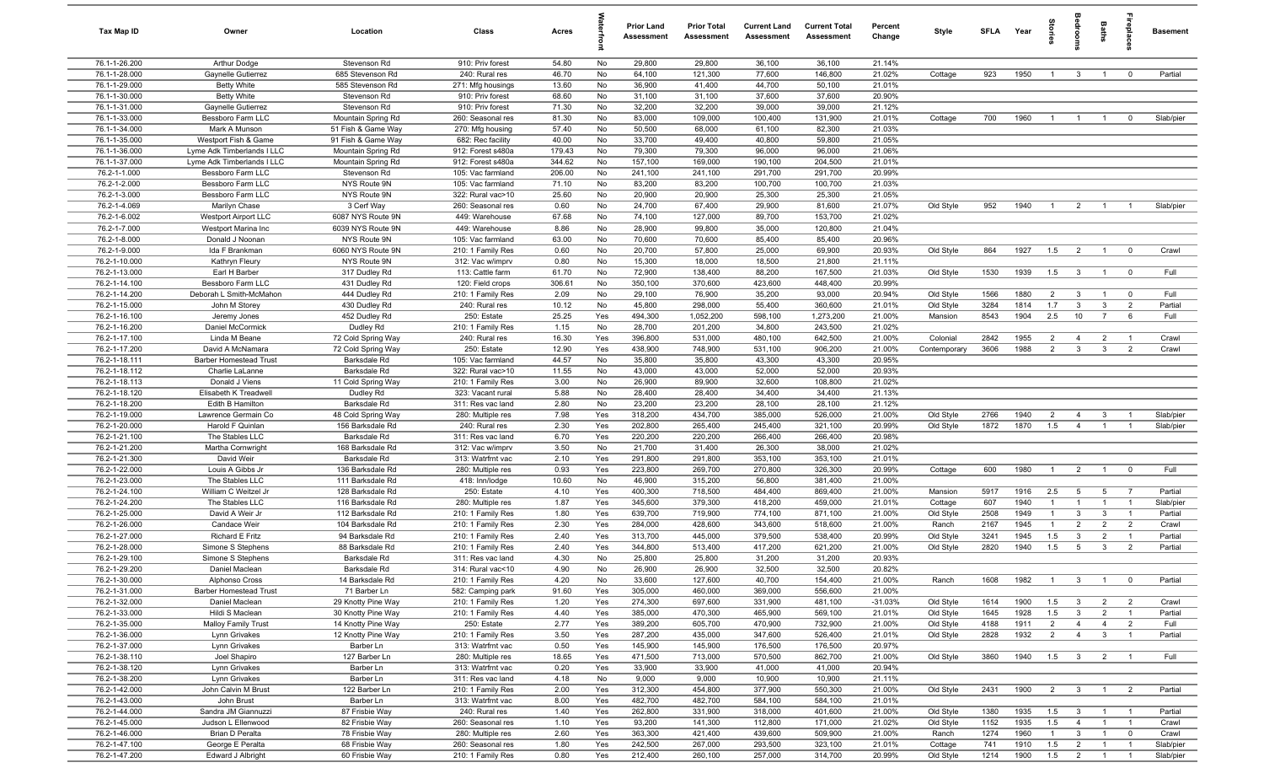| Tax Map ID                     | Owner                                   | Location                             | Class                                  | Acres          |            | <b>Prior Land</b><br>Assessment | <b>Prior Total</b><br>Assessment | <b>Current Land</b><br>Assessment | <b>Current Total</b><br>Assessment | Percent<br>Change | Style                | <b>SFLA</b> | Year         | Stories               | adrooms                          | <b>Baths</b>                     | ireplace                         | <b>Basement</b>        |
|--------------------------------|-----------------------------------------|--------------------------------------|----------------------------------------|----------------|------------|---------------------------------|----------------------------------|-----------------------------------|------------------------------------|-------------------|----------------------|-------------|--------------|-----------------------|----------------------------------|----------------------------------|----------------------------------|------------------------|
| 76.1-1-26.200                  | Arthur Dodge                            | Stevenson Rd                         | 910: Priv forest                       | 54.80          | No         | 29,800                          | 29,800                           | 36,100                            | 36,100                             | 21.14%            |                      |             |              |                       |                                  |                                  |                                  |                        |
| 76.1-1-28.000                  | Gaynelle Gutierrez                      | 685 Stevenson Rd                     | 240: Rural res                         | 46.70          | No         | 64,100                          | 121,300                          | 77,600                            | 146,800                            | 21.02%            | Cottage              | 923         | 1950         | $\overline{1}$        | 3                                | $\overline{1}$                   | $^{\circ}$                       | Partial                |
| 76.1-1-29.000                  | <b>Betty White</b>                      | 585 Stevenson Rd                     | 271: Mfg housings                      | 13.60          | No         | 36,900                          | 41,400                           | 44,700                            | 50,100                             | 21.01%            |                      |             |              |                       |                                  |                                  |                                  |                        |
| 76.1-1-30.000                  | <b>Betty White</b>                      | Stevenson Rd                         | 910: Priv forest                       | 68.60          | No         | 31,100                          | 31,100                           | 37,600                            | 37,600                             | 20.90%            |                      |             |              |                       |                                  |                                  |                                  |                        |
| 76.1-1-31.000                  | Gaynelle Gutierrez                      | Stevenson Rd                         | 910: Priv forest                       | 71.30          | No         | 32,200                          | 32,200                           | 39,000                            | 39,000                             | 21.12%            |                      |             |              |                       |                                  |                                  |                                  |                        |
| 76.1-1-33.000                  | Bessboro Farm LLC                       | Mountain Spring Rd                   | 260: Seasonal res                      | 81.30          | No         | 83,000                          | 109,000                          | 100,400                           | 131,900                            | 21.01%            | Cottage              | 700         | 1960         | $\overline{1}$        | $\overline{1}$                   |                                  | $^{\circ}$                       | Slab/pier              |
| 76.1-1-34.000                  | Mark A Munson                           | 51 Fish & Game Way                   | 270: Mfg housing                       | 57.40          | No         | 50,500                          | 68,000                           | 61,100                            | 82,300                             | 21.03%            |                      |             |              |                       |                                  |                                  |                                  |                        |
| 76.1-1-35.000                  | Westport Fish & Game                    | 91 Fish & Game Way                   | 682: Rec facility                      | 40.00          | No         | 33,700                          | 49,400                           | 40,800                            | 59,800                             | 21.05%            |                      |             |              |                       |                                  |                                  |                                  |                        |
| 76.1-1-36.000                  | Lyme Adk Timberlands I LLC              | Mountain Spring Rd                   | 912: Forest s480a                      | 179.43         | No         | 79,300                          | 79,300                           | 96,000                            | 96,000                             | 21.06%            |                      |             |              |                       |                                  |                                  |                                  |                        |
| 76.1-1-37.000                  | Lyme Adk Timberlands I LLC              | Mountain Spring Rd                   | 912: Forest s480a                      | 344.62         | No         | 157,100                         | 169,000                          | 190,100                           | 204,500                            | 21.01%            |                      |             |              |                       |                                  |                                  |                                  |                        |
| 76.2-1-1.000                   | Bessboro Farm LLC                       | Stevenson Rd                         | 105: Vac farmland                      | 206.00         | No         | 241,100                         | 241,100                          | 291,700                           | 291,700                            | 20.99%            |                      |             |              |                       |                                  |                                  |                                  |                        |
| 76.2-1-2.000                   | Bessboro Farm LLC<br>Bessboro Farm LLC  | NYS Route 9N<br>NYS Route 9N         | 105: Vac farmland<br>322: Rural vac>10 | 71.10<br>25.60 | No         | 83,200<br>20,900                | 83,200<br>20,900                 | 100,700<br>25,300                 | 100,700<br>25,300                  | 21.03%<br>21.05%  |                      |             |              |                       |                                  |                                  |                                  |                        |
| 76.2-1-3.000<br>76.2-1-4.069   | Marilyn Chase                           | 3 Cerf Way                           | 260: Seasonal res                      | 0.60           | No<br>No   | 24,700                          | 67,400                           | 29,900                            | 81,600                             | 21.07%            | Old Style            | 952         | 1940         | $\overline{1}$        | $\overline{2}$                   | $\overline{1}$                   | $\overline{1}$                   | Slab/pier              |
| 76.2-1-6.002                   | <b>Westport Airport LLC</b>             | 6087 NYS Route 9N                    | 449: Warehouse                         | 67.68          | No         | 74,100                          | 127,000                          | 89,700                            | 153,700                            | 21.02%            |                      |             |              |                       |                                  |                                  |                                  |                        |
| 76.2-1-7.000                   | Westport Marina Inc                     | 6039 NYS Route 9N                    | 449: Warehouse                         | 8.86           | No         | 28,900                          | 99,800                           | 35,000                            | 120,800                            | 21.04%            |                      |             |              |                       |                                  |                                  |                                  |                        |
| 76.2-1-8.000                   | Donald J Noonan                         | NYS Route 9N                         | 105: Vac farmland                      | 63.00          | No         | 70,600                          | 70,600                           | 85,400                            | 85,400                             | 20.96%            |                      |             |              |                       |                                  |                                  |                                  |                        |
| 76.2-1-9.000                   | Ida F Brankman                          | 6060 NYS Route 9N                    | 210: 1 Family Res                      | 0.60           | No         | 20,700                          | 57,800                           | 25,000                            | 69,900                             | 20.93%            | Old Style            | 864         | 1927         | 1.5                   | $\overline{2}$                   | $\overline{1}$                   | $\mathbf 0$                      | Crawl                  |
| 76.2-1-10.000                  | Kathryn Fleury                          | NYS Route 9N                         | 312: Vac w/imprv                       | 0.80           | No         | 15,300                          | 18,000                           | 18,500                            | 21,800                             | 21.11%            |                      |             |              |                       |                                  |                                  |                                  |                        |
| 76.2-1-13.000                  | Earl H Barber                           | 317 Dudley Rd                        | 113: Cattle farm                       | 61.70          | No         | 72,900                          | 138,400                          | 88,200                            | 167,500                            | 21.03%            | Old Style            | 1530        | 1939         | 1.5                   | $\mathbf{3}$                     | $\overline{1}$                   | $\overline{0}$                   | Full                   |
| 76.2-1-14.100                  | Bessboro Farm LLC                       | 431 Dudley Rd                        | 120: Field crops                       | 306.61         | No         | 350,100                         | 370,600                          | 423,600                           | 448,400                            | 20.99%            |                      |             |              |                       |                                  |                                  |                                  |                        |
| 76.2-1-14.200                  | Deborah L Smith-McMahon                 | 444 Dudley Rd                        | 210: 1 Family Res                      | 2.09           | No         | 29,100                          | 76,900                           | 35,200                            | 93,000                             | 20.94%            | Old Style            | 1566        | 1880         | $\overline{2}$        | $\mathbf{3}$                     | $\overline{1}$                   | $\overline{0}$                   | Full                   |
| 76.2-1-15.000                  | John M Storey                           | 430 Dudley Rd                        | 240: Rural res                         | 10.12          | No         | 45,800                          | 298,000                          | 55,400                            | 360,600                            | 21.01%            | Old Style            | 3284        | 1814         | 1.7                   | $\mathbf{3}$                     | $\mathbf{3}$                     | $\overline{2}$                   | Partial                |
| 76.2-1-16.100                  | Jeremy Jones                            | 452 Dudley Rd                        | 250: Estate                            | 25.25          | Yes        | 494,300                         | 1,052,200                        | 598,100                           | 1,273,200                          | 21.00%            | Mansion              | 8543        | 1904         | 2.5                   | 10                               | $\overline{7}$                   | 6                                | Full                   |
| 76.2-1-16.200                  | Daniel McCormick                        | Dudley Rd                            | 210: 1 Family Res                      | 1.15           | No         | 28,700                          | 201,200                          | 34,800                            | 243,500                            | 21.02%            |                      |             |              |                       |                                  |                                  |                                  |                        |
| 76.2-1-17.100                  | Linda M Beane                           | 72 Cold Spring Way                   | 240: Rural res                         | 16.30          | Yes        | 396,800                         | 531,000                          | 480,100                           | 642,500                            | 21.00%            | Colonial             | 2842        | 1955         | $\overline{2}$        | $\overline{4}$                   | $\overline{2}$                   | $\overline{1}$                   | Crawl                  |
| 76.2-1-17.200                  | David A McNamara                        | 72 Cold Spring Way                   | 250: Estate                            | 12.90          | Yes        | 438,900                         | 748,900                          | 531,100                           | 906,200                            | 21.00%            | Contemporary         | 3606        | 1988         | $\overline{2}$        | $\mathbf{3}$                     | $\mathbf{3}$                     | 2                                | Crawl                  |
| 76.2-1-18.111                  | <b>Barber Homestead Trust</b>           | Barksdale Rd                         | 105: Vac farmland                      | 44.57          | No         | 35,800                          | 35,800                           | 43,300                            | 43,300                             | 20.95%            |                      |             |              |                       |                                  |                                  |                                  |                        |
| 76.2-1-18.112                  | Charlie LaLanne                         | Barksdale Rd                         | 322: Rural vac>10                      | 11.55          | No         | 43,000                          | 43,000                           | 52,000                            | 52,000                             | 20.93%            |                      |             |              |                       |                                  |                                  |                                  |                        |
| 76.2-1-18.113                  | Donald J Viens                          | 11 Cold Spring Way                   | 210: 1 Family Res                      | 3.00           | No         | 26,900                          | 89,900                           | 32,600                            | 108,800                            | 21.02%            |                      |             |              |                       |                                  |                                  |                                  |                        |
| 76.2-1-18.120                  | Elisabeth K Treadwell                   | Dudley Rd                            | 323: Vacant rural                      | 5.88           | No         | 28,400                          | 28,400                           | 34,400                            | 34,400                             | 21.13%            |                      |             |              |                       |                                  |                                  |                                  |                        |
| 76.2-1-18.200                  | Edith B Hamilton                        | Barksdale Rd                         | 311: Res vac land                      | 2.80           | No         | 23,200                          | 23,200                           | 28,100                            | 28,100                             | 21.12%            |                      |             |              |                       |                                  |                                  |                                  |                        |
| 76.2-1-19.000                  | Lawrence Germain Co                     | 48 Cold Spring Way                   | 280: Multiple res                      | 7.98           | Yes        | 318,200                         | 434,700                          | 385,000                           | 526,000                            | 21.00%            | Old Style            | 2766        | 1940         | $\overline{2}$        | $\overline{4}$                   | $\mathbf{3}$                     | $\overline{1}$                   | Slab/pier              |
| 76.2-1-20.000                  | Harold F Quinlan                        | 156 Barksdale Rd                     | 240: Rural res                         | 2.30           | Yes        | 202,800                         | 265,400                          | 245,400                           | 321,100                            | 20.99%            | Old Style            | 1872        | 1870         | 1.5                   | $\overline{4}$                   |                                  |                                  | Slab/pier              |
| 76.2-1-21.100                  | The Stables LLC                         | Barksdale Rd                         | 311: Res vac land                      | 6.70           | Yes        | 220,200                         | 220,200                          | 266,400                           | 266,400                            | 20.98%            |                      |             |              |                       |                                  |                                  |                                  |                        |
| 76.2-1-21.200                  | Martha Cornwright                       | 168 Barksdale Rd                     | 312: Vac w/imprv                       | 3.50           | No         | 21,700                          | 31,400                           | 26,300                            | 38,000                             | 21.02%            |                      |             |              |                       |                                  |                                  |                                  |                        |
| 76.2-1-21.300                  | David Weir                              | Barksdale Rd                         | 313: Watrfrnt vac                      | 2.10           | Yes        | 291,800                         | 291,800                          | 353,100                           | 353,100                            | 21.01%            |                      |             |              |                       |                                  |                                  |                                  |                        |
| 76.2-1-22.000                  | Louis A Gibbs Jr                        | 136 Barksdale Rd                     | 280: Multiple res                      | 0.93           | Yes        | 223,800                         | 269,700                          | 270,800                           | 326,300                            | 20.99%            | Cottage              | 600         | 1980         | $\overline{1}$        | $\overline{2}$                   | $\overline{1}$                   | $\overline{0}$                   | Full                   |
| 76.2-1-23.000                  | The Stables LLC                         | 111 Barksdale Rd                     | 418: Inn/lodge                         | 10.60          | No         | 46,900                          | 315,200                          | 56,800                            | 381,400                            | 21.00%            |                      |             |              |                       |                                  |                                  |                                  |                        |
| 76.2-1-24.100<br>76.2-1-24.200 | William C Weitzel Jr<br>The Stables LLC | 128 Barksdale Rd<br>116 Barksdale Rd | 250: Estate                            | 4.10<br>1.87   | Yes<br>Yes | 400,300<br>345,600              | 718,500<br>379,300               | 484,400<br>418,200                | 869,400<br>459,000                 | 21.00%<br>21.01%  | Mansion              | 5917<br>607 | 1916<br>1940 | 2.5<br>$\overline{1}$ | 5<br>$\overline{1}$              | 5<br>$\overline{1}$              | $\overline{7}$<br>$\overline{1}$ | Partial<br>Slab/pier   |
| 76.2-1-25.000                  | David A Weir Jr                         | 112 Barksdale Rd                     | 280: Multiple res<br>210: 1 Family Res | 1.80           | Yes        | 639,700                         | 719,900                          | 774,100                           | 871,100                            | 21.00%            | Cottage<br>Old Style | 2508        | 1949         | $\mathbf{1}$          | $\mathbf{3}$                     | $\mathbf{3}$                     | $\overline{1}$                   | Partial                |
| 76.2-1-26.000                  | Candace Weir                            | 104 Barksdale Rd                     | 210: 1 Family Res                      | 2.30           | Yes        | 284,000                         | 428,600                          | 343,600                           | 518,600                            | 21.00%            | Ranch                | 2167        | 1945         | $\overline{1}$        | $\overline{2}$                   | $\overline{2}$                   | $\overline{2}$                   | Crawl                  |
| 76.2-1-27.000                  | Richard E Fritz                         | 94 Barksdale Rd                      | 210: 1 Family Res                      | 2.40           | Yes        | 313,700                         | 445,000                          | 379,500                           | 538,400                            | 20.99%            | Old Style            | 3241        | 1945         | 1.5                   | $\mathbf{3}$                     | $\overline{2}$                   | $\overline{1}$                   | Partial                |
| 76.2-1-28.000                  | Simone S Stephens                       | 88 Barksdale Rd                      | 210: 1 Family Res                      | 2.40           | Yes        | 344,800                         | 513,400                          | 417,200                           | 621,200                            | 21.00%            | Old Style            | 2820        | 1940         | 1.5                   | 5                                | 3                                | $\overline{2}$                   | Partial                |
| 76.2-1-29.100                  | Simone S Stephens                       | Barksdale Rd                         | 311: Res vac land                      | 4.30           | No         | 25,800                          | 25,800                           | 31,200                            | 31,200                             | 20.93%            |                      |             |              |                       |                                  |                                  |                                  |                        |
| 76.2-1-29.200                  | Daniel Maclean                          | Barksdale Rd                         | 314: Rural vac<10                      | 4.90           | No         | 26,900                          | 26,900                           | 32,500                            | 32,500                             | 20.82%            |                      |             |              |                       |                                  |                                  |                                  |                        |
| 76.2-1-30.000                  | Alphonso Cross                          | 14 Barksdale Rd                      | 210: 1 Family Res                      | 4.20           | No         | 33,600                          | 127,600                          | 40,700                            | 154,400                            | 21.00%            | Ranch                | 1608        | 1982         | $\mathbf{1}$          | $\mathbf{3}$                     | $\overline{1}$                   | $\overline{\mathbf{0}}$          | Partial                |
| 76.2-1-31.000                  | <b>Barber Homestead Trust</b>           | 71 Barber Ln                         | 582: Camping park                      | 91.60          | Yes        | 305,000                         | 460,000                          | 369,000                           | 556,600                            | 21.00%            |                      |             |              |                       |                                  |                                  |                                  |                        |
| 76.2-1-32.000                  | Daniel Maclean                          | 29 Knotty Pine Way                   | 210: 1 Family Res                      | 1.20           | Yes        | 274,300                         | 697,600                          | 331,900                           | 481,100                            | $-31.03%$         | Old Style            | 1614        | 1900         | 1.5                   | $\mathbf{3}$                     | $\overline{2}$                   | $\overline{2}$                   | Crawl                  |
| 76.2-1-33.000                  | Hildi S Maclean                         | 30 Knotty Pine Way                   | 210: 1 Family Res                      | 4.40           | Yes        | 385,000                         | 470,300                          | 465,900                           | 569,100                            | 21.01%            | Old Style            | 1645        | 1928         | 1.5                   | $\mathbf{3}$                     | $\overline{2}$                   | $\overline{1}$                   | Partial                |
| 76.2-1-35.000                  | <b>Malloy Family Trust</b>              | 14 Knotty Pine Way                   | 250: Estate                            | 2.77           | Yes        | 389,200                         | 605,700                          | 470,900                           | 732,900                            | 21.00%            | Old Style            | 4188        | 1911         | $\overline{2}$        | $\overline{4}$                   | $\overline{4}$                   | $\overline{2}$                   | Full                   |
| 76.2-1-36.000                  | Lynn Grivakes                           | 12 Knotty Pine Way                   | 210: 1 Family Res                      | 3.50           | Yes        | 287,200                         | 435,000                          | 347,600                           | 526,400                            | 21.01%            | Old Style            | 2828        | 1932         | $\overline{2}$        | $\overline{4}$                   | $\mathbf{3}$                     | $\overline{1}$                   | Partial                |
| 76.2-1-37.000                  | Lynn Grivakes                           | Barber Ln                            | 313: Watrfrnt vac                      | 0.50           | Yes        | 145,900                         | 145,900                          | 176,500                           | 176,500                            | 20.97%            |                      |             |              |                       |                                  |                                  |                                  |                        |
| 76.2-1-38.110                  | Joel Shapiro                            | 127 Barber Ln                        | 280: Multiple res                      | 18.65          | Yes        | 471,500                         | 713,000                          | 570,500                           | 862,700                            | 21.00%            | Old Style            | 3860        | 1940         | 1.5                   | $\overline{\mathbf{3}}$          | $\overline{2}$                   | $\overline{1}$                   | Full                   |
| 76.2-1-38.120                  | Lynn Grivakes                           | Barber Ln                            | 313: Watrfrnt vac                      | 0.20           | Yes        | 33,900                          | 33,900                           | 41,000                            | 41,000                             | 20.94%            |                      |             |              |                       |                                  |                                  |                                  |                        |
| 76.2-1-38.200                  | Lynn Grivakes                           | Barber Ln                            | 311: Res vac land                      | 4.18           | No         | 9,000                           | 9,000                            | 10,900                            | 10,900                             | 21.11%            |                      |             |              |                       |                                  |                                  |                                  |                        |
| 76.2-1-42.000                  | John Calvin M Brust                     | 122 Barber Ln                        | 210: 1 Family Res                      | 2.00           | Yes        | 312,300                         | 454,800                          | 377,900                           | 550,300                            | 21.00%            | Old Style            | 2431        | 1900         | $\overline{2}$        | $\mathbf{3}$                     |                                  | $\overline{2}$                   | Partial                |
| 76.2-1-43.000                  | John Brust                              | Barber Ln                            | 313: Watrfrnt vac                      | 8.00           | Yes        | 482,700                         | 482,700                          | 584,100                           | 584,100                            | 21.01%            |                      |             |              |                       |                                  |                                  |                                  |                        |
| 76.2-1-44.000                  | Sandra JM Giannuzzi                     | 87 Frisbie Way                       | 240: Rural res                         | 1.40           | Yes        | 262,800                         | 331,900                          | 318,000                           | 401,600                            | 21.00%            | Old Style            | 1380        | 1935         | 1.5                   | $\mathbf{3}$                     |                                  | $\overline{1}$                   | Partial                |
| 76.2-1-45.000                  | Judson L Ellenwood                      | 82 Frisbie Way                       | 260: Seasonal res                      | 1.10           | Yes        | 93,200                          | 141,300                          | 112,800                           | 171,000                            | 21.02%            | Old Style            | 1152        | 1935         | 1.5                   | $\overline{4}$                   | $\overline{1}$                   | $\overline{1}$                   | Crawl                  |
| 76.2-1-46.000                  | Brian D Peralta                         | 78 Frisbie Way                       | 280: Multiple res                      | 2.60           | Yes        | 363,300                         | 421,400                          | 439,600                           | 509,900                            | 21.00%            | Ranch                | 1274        | 1960         | $\mathbf{1}$          | $\mathbf{3}$                     | $\overline{1}$                   | $\overline{0}$                   | Crawl                  |
| 76.2-1-47.100<br>76.2-1-47.200 | George E Peralta<br>Edward J Albright   | 68 Frisbie Way<br>60 Frisbie Way     | 260: Seasonal res<br>210: 1 Family Res | 1.80<br>0.80   | Yes<br>Yes | 242,500<br>212,400              | 267,000<br>260,100               | 293,500<br>257,000                | 323,100<br>314,700                 | 21.01%<br>20.99%  | Cottage<br>Old Style | 741<br>1214 | 1910<br>1900 | 1.5<br>1.5            | $\overline{2}$<br>$\overline{2}$ | $\overline{1}$<br>$\overline{1}$ | $\overline{1}$<br>$\overline{1}$ | Slab/pier<br>Slab/pier |
|                                |                                         |                                      |                                        |                |            |                                 |                                  |                                   |                                    |                   |                      |             |              |                       |                                  |                                  |                                  |                        |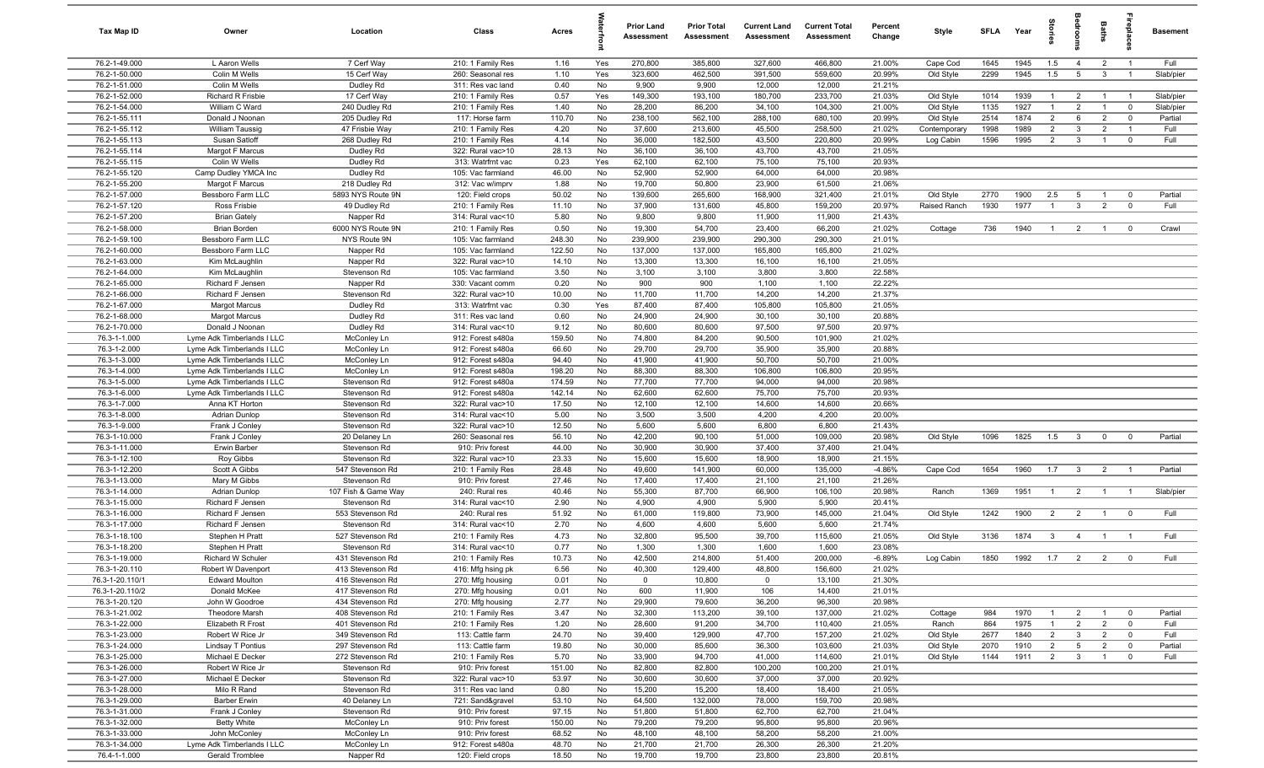| <b>Tax Map ID</b>              | Owner                                   | Location                         | Class                                  | Acres           |          | <b>Prior Land</b><br>Assessment | <b>Prior Total</b><br>Assessment | <b>Current Land</b><br><b>Assessment</b> | <b>Current Total</b><br><b>Assessment</b> | Percent<br>Change  | Style                  | <b>SFLA</b>  | Year         | tories               | g                       | Baths                            | epla                       | <b>Basement</b>      |
|--------------------------------|-----------------------------------------|----------------------------------|----------------------------------------|-----------------|----------|---------------------------------|----------------------------------|------------------------------------------|-------------------------------------------|--------------------|------------------------|--------------|--------------|----------------------|-------------------------|----------------------------------|----------------------------|----------------------|
| 76.2-1-49.000                  | L Aaron Wells                           | 7 Cerf Way                       | 210: 1 Family Res                      | 1.16            | Yes      | 270,800                         | 385,800                          | 327,600                                  | 466,800                                   | 21.00%             | Cape Cod               | 1645         | 1945         | 1.5                  | $\overline{4}$          | $\overline{2}$                   | $\overline{1}$             | Full                 |
| 76.2-1-50.000                  | Colin M Wells                           | 15 Cerf Way                      | 260: Seasonal res                      | 1.10            | Yes      | 323,600                         | 462,500                          | 391,500                                  | 559,600                                   | 20.99%             | Old Style              | 2299         | 1945         | 1.5                  | $5\overline{5}$         | $\overline{\mathbf{3}}$          | $\overline{1}$             | Slab/pier            |
| 76.2-1-51.000                  | Colin M Wells                           | Dudley Rd                        | 311: Res vac land                      | 0.40            | No       | 9,900                           | 9,900                            | 12,000                                   | 12,000                                    | 21.21%             |                        |              |              |                      |                         |                                  |                            |                      |
| 76.2-1-52.000                  | Richard R Frisbie                       | 17 Cerf Way                      | 210: 1 Family Res                      | 0.57            | Yes      | 149,300                         | 193,100                          | 180,700                                  | 233,700                                   | 21.03%             | Old Style              | 1014         | 1939         | $\overline{1}$       | $\overline{2}$          | $\overline{1}$                   |                            | Slab/pier            |
| 76.2-1-54.000<br>76.2-1-55.111 | William C Ward<br>Donald J Noonan       | 240 Dudley Rd<br>205 Dudley Rd   | 210: 1 Family Res<br>117: Horse farm   | 1.40<br>110.70  | No<br>No | 28,200<br>238,100               | 86,200<br>562,100                | 34,100<br>288,100                        | 104,300<br>680,100                        | 21.00%<br>20.99%   | Old Style<br>Old Style | 1135<br>2514 | 1927<br>1874 | -1<br>$\overline{2}$ | $\overline{2}$<br>6     | $\overline{1}$<br>$\overline{2}$ | $\mathbf 0$<br>$\mathbf 0$ | Slab/pier<br>Partial |
| 76.2-1-55.112                  | William Taussig                         | 47 Frisbie Way                   | 210: 1 Family Res                      | 4.20            | No       | 37,600                          | 213,600                          | 45,500                                   | 258,500                                   | 21.02%             | Contemporary           | 1998         | 1989         | $\overline{2}$       | $\mathbf{3}$            | $\overline{2}$                   |                            | Full                 |
| 76.2-1-55.113                  | Susan Satloff                           | 268 Dudley Rd                    | 210: 1 Family Res                      | 4.14            | No       | 36,000                          | 182,500                          | 43,500                                   | 220,800                                   | 20.99%             | Log Cabin              | 1596         | 1995         | $\overline{2}$       | $\mathbf{3}$            | $\overline{1}$                   | $\mathbf{0}$               | Full                 |
| 76.2-1-55.114                  | Margot F Marcus                         | Dudley Rd                        | 322: Rural vac>10                      | 28.13           | No       | 36,100                          | 36,100                           | 43,700                                   | 43,700                                    | 21.05%             |                        |              |              |                      |                         |                                  |                            |                      |
| 76.2-1-55.115                  | Colin W Wells                           | Dudley Rd                        | 313: Watrfrnt vac                      | 0.23            | Yes      | 62,100                          | 62,100                           | 75,100                                   | 75,100                                    | 20.93%             |                        |              |              |                      |                         |                                  |                            |                      |
| 76.2-1-55.120                  | Camp Dudley YMCA Inc                    | Dudley Rd                        | 105: Vac farmland                      | 46.00           | No       | 52,900                          | 52,900                           | 64,000                                   | 64,000                                    | 20.98%             |                        |              |              |                      |                         |                                  |                            |                      |
| 76.2-1-55.200                  | Margot F Marcus                         | 218 Dudley Rd                    | 312: Vac w/imprv                       | 1.88            | No       | 19,700                          | 50,800                           | 23,900                                   | 61,500                                    | 21.06%             |                        |              |              |                      |                         |                                  |                            |                      |
| 76.2-1-57.000                  | Bessboro Farm LLC                       | 5893 NYS Route 9N                | 120: Field crops                       | 50.02           | No       | 139,600                         | 265,600                          | 168,900                                  | 321,400                                   | 21.01%             | Old Style              | 2770         | 1900         | 2.5                  | 5                       | $\overline{1}$                   | $\mathbf 0$                | Partial              |
| 76.2-1-57.120                  | Ross Frisbie                            | 49 Dudley Rd                     | 210: 1 Family Res                      | 11.10           | No       | 37,900                          | 131,600                          | 45,800                                   | 159,200                                   | 20.97%             | Raised Ranch           | 1930         | 1977         | $\overline{1}$       | $\mathbf{3}$            | $\overline{2}$                   | $\mathbf 0$                | Full                 |
| 76.2-1-57.200                  | <b>Brian Gately</b>                     | Napper Rd                        | 314: Rural vac<10                      | 5.80            | No       | 9,800                           | 9,800                            | 11,900                                   | 11,900                                    | 21.43%             |                        |              |              |                      |                         |                                  |                            |                      |
| 76.2-1-58.000                  | Brian Borden                            | 6000 NYS Route 9N                | 210: 1 Family Res                      | 0.50            | No       | 19,300                          | 54,700                           | 23,400                                   | 66,200                                    | 21.02%             | Cottage                | 736          | 1940         | $\overline{1}$       | $\overline{2}$          | $\overline{1}$                   | $\mathbf 0$                | Crawl                |
| 76.2-1-59.100                  | Bessboro Farm LLC                       | NYS Route 9N                     | 105: Vac farmland                      | 248.30          | No       | 239,900                         | 239,900                          | 290,300                                  | 290,300                                   | 21.01%             |                        |              |              |                      |                         |                                  |                            |                      |
| 76.2-1-60.000<br>76.2-1-63.000 | Bessboro Farm LLC                       | Napper Rd<br>Napper Rd           | 105: Vac farmland<br>322: Rural vac>10 | 122.50<br>14.10 | No<br>No | 137,000<br>13,300               | 137,000<br>13,300                | 165,800<br>16,100                        | 165,800<br>16,100                         | 21.02%<br>21.05%   |                        |              |              |                      |                         |                                  |                            |                      |
| 76.2-1-64.000                  | Kim McLaughlin<br>Kim McLaughlin        | Stevenson Rd                     | 105: Vac farmland                      | 3.50            | No       | 3,100                           | 3,100                            | 3,800                                    | 3,800                                     | 22.58%             |                        |              |              |                      |                         |                                  |                            |                      |
| 76.2-1-65.000                  | Richard F Jensen                        | Napper Rd                        | 330: Vacant comm                       | 0.20            | No       | 900                             | 900                              | 1,100                                    | 1,100                                     | 22.22%             |                        |              |              |                      |                         |                                  |                            |                      |
| 76.2-1-66.000                  | Richard F Jensen                        | Stevenson Rd                     | 322: Rural vac>10                      | 10.00           | No       | 11,700                          | 11,700                           | 14,200                                   | 14,200                                    | 21.37%             |                        |              |              |                      |                         |                                  |                            |                      |
| 76.2-1-67.000                  | <b>Margot Marcus</b>                    | Dudley Rd                        | 313: Watrfrnt vac                      | 0.30            | Yes      | 87,400                          | 87,400                           | 105,800                                  | 105,800                                   | 21.05%             |                        |              |              |                      |                         |                                  |                            |                      |
| 76.2-1-68.000                  | <b>Margot Marcus</b>                    | Dudley Rd                        | 311: Res vac land                      | 0.60            | No       | 24,900                          | 24,900                           | 30,100                                   | 30,100                                    | 20.88%             |                        |              |              |                      |                         |                                  |                            |                      |
| 76.2-1-70.000                  | Donald J Noonan                         | Dudley Rd                        | 314: Rural vac<10                      | 9.12            | No       | 80,600                          | 80,600                           | 97,500                                   | 97,500                                    | 20.97%             |                        |              |              |                      |                         |                                  |                            |                      |
| 76.3-1-1.000                   | Lyme Adk Timberlands I LLC              | McConley Ln                      | 912: Forest s480a                      | 159.50          | No       | 74,800                          | 84,200                           | 90,500                                   | 101,900                                   | 21.02%             |                        |              |              |                      |                         |                                  |                            |                      |
| 76.3-1-2.000                   | Lyme Adk Timberlands I LLC              | McConley Ln                      | 912: Forest s480a                      | 66.60           | No       | 29,700                          | 29,700                           | 35,900                                   | 35,900                                    | 20.88%             |                        |              |              |                      |                         |                                  |                            |                      |
| 76.3-1-3.000                   | Lyme Adk Timberlands I LLC              | McConley Ln                      | 912: Forest s480a                      | 94.40           | No       | 41,900                          | 41,900                           | 50,700                                   | 50,700                                    | 21.00%             |                        |              |              |                      |                         |                                  |                            |                      |
| 76.3-1-4.000                   | Lyme Adk Timberlands I LLC              | McConley Ln                      | 912: Forest s480a                      | 198.20          | No       | 88,300                          | 88,300                           | 106,800                                  | 106,800                                   | 20.95%             |                        |              |              |                      |                         |                                  |                            |                      |
| 76.3-1-5.000                   | Lyme Adk Timberlands I LLC              | Stevenson Rd                     | 912: Forest s480a                      | 174.59          | No       | 77,700                          | 77,700                           | 94,000                                   | 94,000                                    | 20.98%             |                        |              |              |                      |                         |                                  |                            |                      |
| 76.3-1-6.000                   | Lyme Adk Timberlands I LLC              | Stevenson Rd                     | 912: Forest s480a                      | 142.14          | No       | 62,600                          | 62,600                           | 75,700                                   | 75,700                                    | 20.93%             |                        |              |              |                      |                         |                                  |                            |                      |
| 76.3-1-7.000                   | Anna KT Horton                          | Stevenson Rd                     | 322: Rural vac>10                      | 17.50           | No<br>No | 12,100                          | 12,100                           | 14,600                                   | 14,600                                    | 20.66%             |                        |              |              |                      |                         |                                  |                            |                      |
| 76.3-1-8.000<br>76.3-1-9.000   | <b>Adrian Dunlop</b><br>Frank J Conley  | Stevenson Rd<br>Stevenson Rd     | 314: Rural vac<10<br>322: Rural vac>10 | 5.00<br>12.50   | No       | 3,500<br>5,600                  | 3,500<br>5,600                   | 4,200<br>6,800                           | 4,200<br>6,800                            | 20.00%<br>21.43%   |                        |              |              |                      |                         |                                  |                            |                      |
| 76.3-1-10.000                  | Frank J Conley                          | 20 Delaney Ln                    | 260: Seasonal res                      | 56.10           | No       | 42,200                          | 90,100                           | 51,000                                   | 109,000                                   | 20.98%             | Old Style              | 1096         | 1825         | 1.5                  | $\mathbf{3}$            | $\mathbf 0$                      | $\mathbf 0$                | Partial              |
| 76.3-1-11.000                  | Erwin Barber                            | Stevenson Rd                     | 910: Priv forest                       | 44.00           | No       | 30,900                          | 30,900                           | 37,400                                   | 37,400                                    | 21.04%             |                        |              |              |                      |                         |                                  |                            |                      |
| 76.3-1-12.100                  | Roy Gibbs                               | Stevenson Rd                     | 322: Rural vac>10                      | 23.33           | No       | 15,600                          | 15,600                           | 18,900                                   | 18,900                                    | 21.15%             |                        |              |              |                      |                         |                                  |                            |                      |
| 76.3-1-12.200                  | Scott A Gibbs                           | 547 Stevenson Rd                 | 210: 1 Family Res                      | 28.48           | No       | 49,600                          | 141,900                          | 60,000                                   | 135,000                                   | $-4.86%$           | Cape Cod               | 1654         | 1960         | 1.7                  | $\overline{\mathbf{3}}$ | $\overline{2}$                   | $\overline{1}$             | Partial              |
| 76.3-1-13.000                  | Mary M Gibbs                            | Stevenson Rd                     | 910: Priv forest                       | 27.46           | No       | 17,400                          | 17,400                           | 21,100                                   | 21,100                                    | 21.26%             |                        |              |              |                      |                         |                                  |                            |                      |
| 76.3-1-14.000                  | Adrian Dunlop                           | 107 Fish & Game Way              | 240: Rural res                         | 40.46           | No       | 55,300                          | 87,700                           | 66,900                                   | 106,100                                   | 20.98%             | Ranch                  | 1369         | 1951         | $\overline{1}$       | $\overline{2}$          | $\overline{1}$                   | $\overline{1}$             | Slab/pier            |
| 76.3-1-15.000                  | Richard F Jensen                        | Stevenson Rd                     | 314: Rural vac<10                      | 2.90            | No       | 4,900                           | 4,900                            | 5,900                                    | 5,900                                     | 20.41%             |                        |              |              |                      |                         |                                  |                            |                      |
| 76.3-1-16.000                  | Richard F Jensen                        | 553 Stevenson Rd                 | 240: Rural res                         | 51.92           | No       | 61,000                          | 119,800                          | 73,900                                   | 145,000                                   | 21.04%             | Old Style              | 1242         | 1900         | $\overline{2}$       | $\overline{2}$          | $\overline{1}$                   | $\mathbf 0$                | Full                 |
| 76.3-1-17.000                  | Richard F Jensen                        | Stevenson Rd                     | 314: Rural vac<10                      | 2.70            | No       | 4,600                           | 4,600                            | 5,600                                    | 5,600                                     | 21.74%             |                        |              |              |                      |                         |                                  |                            |                      |
| 76.3-1-18.100                  | Stephen H Pratt                         | 527 Stevenson Rd                 | 210: 1 Family Res                      | 4.73            | No       | 32,800                          | 95,500                           | 39,700                                   | 115,600                                   | 21.05%             | Old Style              | 3136         | 1874         | $\mathbf{3}$         | $\overline{4}$          | $\overline{1}$                   | $\overline{1}$             | Full                 |
| 76.3-1-18.200<br>76.3-1-19.000 | Stephen H Pratt                         | Stevenson Rd<br>431 Stevenson Rd | 314: Rural vac<10                      | 0.77<br>10.73   | No<br>No | 1,300<br>42,500                 | 1,300<br>214,800                 | 1,600<br>51,400                          | 1,600<br>200,000                          | 23.08%<br>$-6.89%$ | Log Cabin              | 1850         | 1992         | 1.7                  | $\overline{2}$          | $\overline{2}$                   | $\mathbf 0$                | Full                 |
| 76.3-1-20.110                  | Richard W Schuler<br>Robert W Davenport | 413 Stevenson Rd                 | 210: 1 Family Res<br>416: Mfg hsing pk | 6.56            | No       | 40,300                          | 129,400                          | 48,800                                   | 156,600                                   | 21.02%             |                        |              |              |                      |                         |                                  |                            |                      |
| 76.3-1-20.110/1                | <b>Edward Moulton</b>                   | 416 Stevenson Rd                 | 270: Mfg housing                       | 0.01            | No       | $\mathbf 0$                     | 10,800                           | $\overline{0}$                           | 13,100                                    | 21.30%             |                        |              |              |                      |                         |                                  |                            |                      |
| 76.3-1-20.110/2                | Donald McKee                            | 417 Stevenson Rd                 | 270: Mfg housing                       | 0.01            | No       | 600                             | 11,900                           | 106                                      | 14,400                                    | 21.01%             |                        |              |              |                      |                         |                                  |                            |                      |
| 76.3-1-20.120                  | John W Goodroe                          | 434 Stevenson Rd                 | 270: Mfg housing                       | 2.77            | No       | 29,900                          | 79,600                           | 36,200                                   | 96,300                                    | 20.98%             |                        |              |              |                      |                         |                                  |                            |                      |
| 76.3-1-21.002                  | Theodore Marsh                          | 408 Stevenson Rd                 | 210: 1 Family Res                      | 3.47            | No       | 32,300                          | 113,200                          | 39,100                                   | 137,000                                   | 21.02%             | Cottage                | 984          | 1970         | $\overline{1}$       | $\overline{2}$          | $\overline{1}$                   | $\mathbf 0$                | Partial              |
| 76.3-1-22.000                  | Elizabeth R Frost                       | 401 Stevenson Rd                 | 210: 1 Family Res                      | 1.20            | No       | 28,600                          | 91,200                           | 34,700                                   | 110,400                                   | 21.05%             | Ranch                  | 864          | 1975         | $\overline{1}$       | $\overline{2}$          | $\overline{2}$                   | $\mathbf 0$                | Full                 |
| 76.3-1-23.000                  | Robert W Rice Jr                        | 349 Stevenson Rd                 | 113: Cattle farm                       | 24.70           | No       | 39,400                          | 129,900                          | 47,700                                   | 157,200                                   | 21.02%             | Old Style              | 2677         | 1840         | $\overline{2}$       | $\mathbf{3}$            | $\overline{2}$                   | $\overline{0}$             | Full                 |
| 76.3-1-24.000                  | Lindsay T Pontius                       | 297 Stevenson Rd                 | 113: Cattle farm                       | 19.80           | No       | 30,000                          | 85,600                           | 36,300                                   | 103,600                                   | 21.03%             | Old Style              | 2070         | 1910         | $\overline{2}$       | $5\overline{5}$         | $\overline{2}$                   | $\mathbf 0$                | Partial              |
| 76.3-1-25.000                  | Michael E Decker                        | 272 Stevenson Rd                 | 210: 1 Family Res                      | 5.70            | No       | 33,900                          | 94,700                           | 41,000                                   | 114,600                                   | 21.01%             | Old Style              | 1144         | 1911         | $\frac{2}{5}$        | $\overline{\mathbf{3}}$ | $\overline{1}$                   | $\overline{0}$             | Full                 |
| 76.3-1-26.000                  | Robert W Rice Jr                        | Stevenson Rd                     | 910: Priv forest                       | 151.00          | No       | 82,800                          | 82,800                           | 100,200                                  | 100,200                                   | 21.01%             |                        |              |              |                      |                         |                                  |                            |                      |
| 76.3-1-27.000                  | Michael E Decker                        | Stevenson Rd                     | 322: Rural vac>10                      | 53.97           | No       | 30,600                          | 30,600                           | 37,000                                   | 37,000                                    | 20.92%             |                        |              |              |                      |                         |                                  |                            |                      |
| 76.3-1-28.000                  | Milo R Rand                             | Stevenson Rd                     | 311: Res vac land                      | 0.80            | No       | 15,200                          | 15,200                           | 18,400                                   | 18,400                                    | 21.05%             |                        |              |              |                      |                         |                                  |                            |                      |
| 76.3-1-29.000<br>76.3-1-31.000 | Barber Erwin<br>Frank J Conley          | 40 Delaney Ln<br>Stevenson Rd    | 721: Sand&gravel<br>910: Priv forest   | 53.10<br>97.15  | No<br>No | 64,500<br>51,800                | 132,000<br>51,800                | 78,000<br>62,700                         | 159,700<br>62,700                         | 20.98%<br>21.04%   |                        |              |              |                      |                         |                                  |                            |                      |
| 76.3-1-32.000                  | <b>Betty White</b>                      | McConley Ln                      | 910: Priv forest                       | 150.00          | No       | 79,200                          | 79,200                           | 95,800                                   | 95,800                                    | 20.96%             |                        |              |              |                      |                         |                                  |                            |                      |
| 76.3-1-33.000                  | John McConley                           | McConley Ln                      | 910: Priv forest                       | 68.52           | No       | 48,100                          | 48,100                           | 58,200                                   | 58,200                                    | 21.00%             |                        |              |              |                      |                         |                                  |                            |                      |
| 76.3-1-34.000                  | Lyme Adk Timberlands I LLC              | McConley Ln                      | 912: Forest s480a                      | 48.70           | No       | 21,700                          | 21,700                           | 26,300                                   | 26,300                                    | 21.20%             |                        |              |              |                      |                         |                                  |                            |                      |
| 76.4-1-1.000                   | Gerald Tromblee                         | Napper Rd                        | 120: Field crops                       | 18.50           | No       | 19,700                          | 19,700                           | 23,800                                   | 23,800                                    | 20.81%             |                        |              |              |                      |                         |                                  |                            |                      |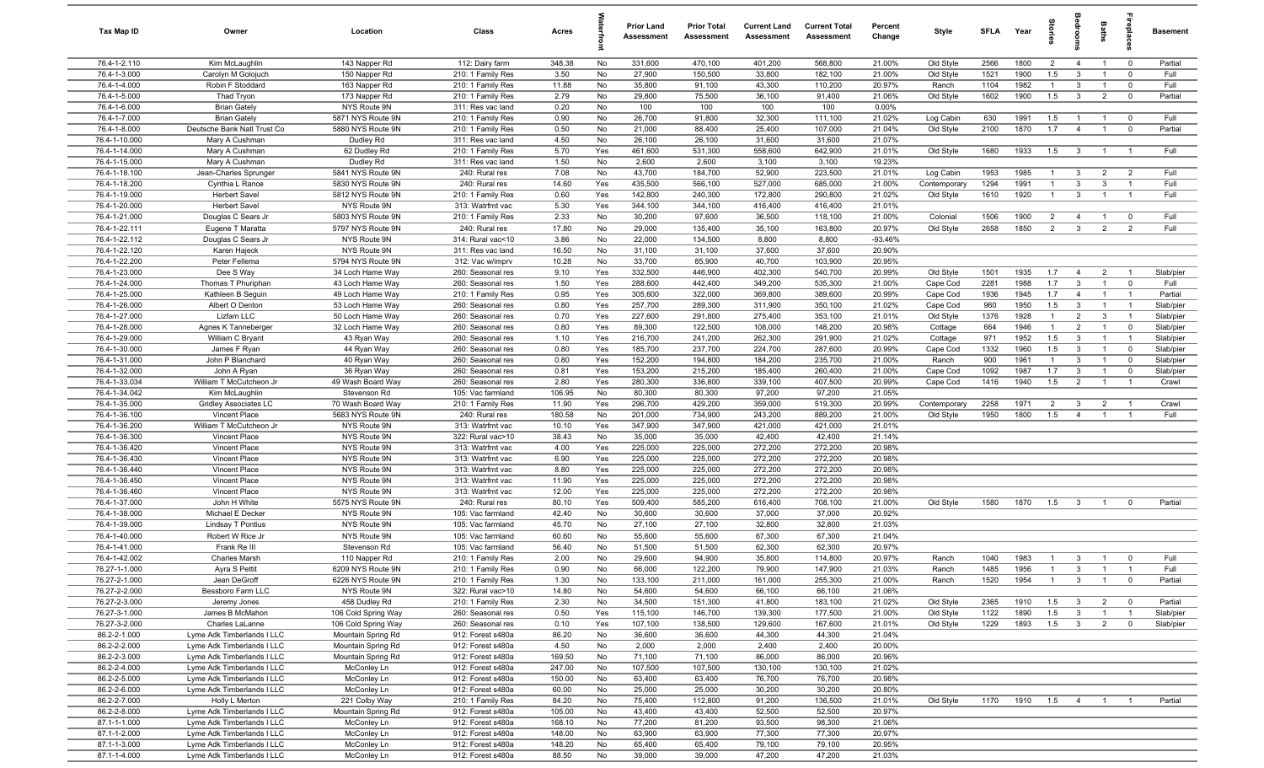| Tax Map ID                     | Owner                                        | Location                               | Class                                  | Acres           |           | <b>Prior Land</b><br>Assessment | <b>Prior Total</b><br><b>Assessment</b> | <b>Current Land</b><br>Assessment | <b>Current Total</b><br>Assessment | Percent<br>Change   | Style                     | <b>SFLA</b>  | Year         | tories                |                                | <b>Baths</b>                     | ireplace                | <b>Basement</b> |
|--------------------------------|----------------------------------------------|----------------------------------------|----------------------------------------|-----------------|-----------|---------------------------------|-----------------------------------------|-----------------------------------|------------------------------------|---------------------|---------------------------|--------------|--------------|-----------------------|--------------------------------|----------------------------------|-------------------------|-----------------|
| 76.4-1-2.110                   | Kim McLaughlin                               | 143 Napper Rd                          | 112: Dairy farm                        | 348.38          | No        | 331,600                         | 470,100                                 | 401,200                           | 568,800                            | 21.00%              | Old Style                 | 2566         | 1800         | $\overline{2}$        | $\overline{4}$                 | $\overline{1}$                   | $\overline{\mathbf{0}}$ | Partial         |
| 76.4-1-3.000                   | Carolyn M Golojuch                           | 150 Napper Rd                          | 210: 1 Family Res                      | 3.50            | No        | 27,900                          | 150,500                                 | 33,800                            | 182,100                            | 21.00%              | Old Style                 | 1521         | 1900         | 1.5                   | $\mathbf{3}$                   | $\overline{1}$                   | $\mathbf 0$             | Full            |
| 76.4-1-4.000                   | Robin F Stoddard                             | 163 Napper Rd                          | 210: 1 Family Res                      | 11.88           | No        | 35,800                          | 91,100                                  | 43,300                            | 110,200                            | 20.97%              | Ranch                     | 1104         | 1982         | $\overline{1}$        | $\mathbf{3}$                   | $\overline{1}$                   | $\mathbf 0$             | Full            |
| 76.4-1-5.000                   | Thad Tryon                                   | 173 Napper Rd                          | 210: 1 Family Res                      | 2.79            | No        | 29,800                          | 75,500                                  | 36,100                            | 91,400                             | 21.06%              | Old Style                 | 1602         | 1900         | 1.5                   | $\mathbf{3}$                   | $\overline{2}$                   | $\mathbf 0$             | Partial         |
| 76.4-1-6.000<br>76.4-1-7.000   | <b>Brian Gately</b><br><b>Brian Gately</b>   | NYS Route 9N<br>5871 NYS Route 9N      | 311: Res vac land<br>210: 1 Family Res | 0.20<br>0.90    | No<br>No  | 100<br>26,700                   | 100<br>91,800                           | 100<br>32,300                     | 100<br>111,100                     | 0.00%<br>21.02%     |                           | 630          | 1991         | 1.5                   | $\overline{1}$                 |                                  | $\mathbf 0$             | Full            |
| 76.4-1-8.000                   | Deutsche Bank Natl Trust Co                  | 5880 NYS Route 9N                      | 210: 1 Family Res                      | 0.50            | No        | 21,000                          | 88,400                                  | 25,400                            | 107,000                            | 21.04%              | Log Cabin<br>Old Style    | 2100         | 1870         | 1.7                   | $\overline{4}$                 | $\overline{1}$                   | $\mathbf 0$             | Partial         |
| 76.4-1-10.000                  | Mary A Cushman                               | Dudley Rd                              | 311: Res vac land                      | 4.50            | No        | 26,100                          | 26,100                                  | 31,600                            | 31,600                             | 21.07%              |                           |              |              |                       |                                |                                  |                         |                 |
| 76.4-1-14.000                  | Mary A Cushman                               | 62 Dudley Rd                           | 210: 1 Family Res                      | 5.70            | Yes       | 461,600                         | 531,300                                 | 558,600                           | 642,900                            | 21.01%              | Old Style                 | 1680         | 1933         | 1.5                   | $\overline{\mathbf{3}}$        | $\overline{1}$                   | $\overline{1}$          | Full            |
| 76.4-1-15.000                  | Mary A Cushman                               | Dudley Rd                              | 311: Res vac land                      | 1.50            | No        | 2,600                           | 2,600                                   | 3,100                             | 3,100                              | 19.23%              |                           |              |              |                       |                                |                                  |                         |                 |
| 76.4-1-18.100                  | Jean-Charles Sprunger                        | 5841 NYS Route 9N                      | 240: Rural res                         | 7.08            | No        | 43,700                          | 184,700                                 | 52,900                            | 223,500                            | 21.01%              | Log Cabin                 | 1953         | 1985         | $\overline{1}$        | $\mathbf{3}$                   | $\overline{2}$                   | $\overline{2}$          | Full            |
| 76.4-1-18.200                  | Cynthia L Rance                              | 5830 NYS Route 9N                      | 240: Rural res                         | 14.60           | Yes       | 435,500                         | 566,100                                 | 527,000                           | 685,000                            | 21.00%              | Contemporary              | 1294         | 1991         | $\overline{1}$        | $\mathbf{3}$                   | $\mathbf{3}$                     | $\overline{1}$          | Full            |
| 76.4-1-19.000                  | <b>Herbert Savel</b>                         | 5812 NYS Route 9N                      | 210: 1 Family Res                      | 0.60            | Yes       | 142,800                         | 240,300                                 | 172,800                           | 290,800                            | 21.02%              | Old Style                 | 1610         | 1920         | $\overline{1}$        | $\mathbf{3}$                   | $\overline{1}$                   | $\overline{1}$          | Full            |
| 76.4-1-20.000                  | Herbert Savel                                | NYS Route 9N                           | 313: Watrfrnt vac                      | 5.30            | Yes       | 344,100                         | 344,100                                 | 416,400                           | 416,400                            | 21.01%              |                           |              |              |                       |                                |                                  |                         |                 |
| 76.4-1-21.000                  | Douglas C Sears Jr                           | 5803 NYS Route 9N                      | 210: 1 Family Res                      | 2.33            | No        | 30,200                          | 97,600                                  | 36,500                            | 118,100                            | 21.00%              | Colonial                  | 1506         | 1900         | $\overline{2}$        | $\overline{4}$                 | $\overline{1}$                   | $\mathbf 0$             | Full            |
| 76.4-1-22.111                  | Eugene T Maratta                             | 5797 NYS Route 9N                      | 240: Rural res                         | 17.80           | No        | 29,000                          | 135,400                                 | 35,100                            | 163,800                            | 20.97%              | Old Style                 | 2658         | 1850         | $\overline{2}$        | $\mathbf{3}$                   | $\overline{2}$                   | $\overline{2}$          | Full            |
| 76.4-1-22.112                  | Douglas C Sears Jr                           | NYS Route 9N                           | 314: Rural vac<10                      | 3.86            | No        | 22,000                          | 134,500                                 | 8,800                             | 8,800                              | $-93.46%$           |                           |              |              |                       |                                |                                  |                         |                 |
| 76.4-1-22.120<br>76.4-1-22.200 | Karen Hajeck<br>Peter Fellema                | NYS Route 9N<br>5794 NYS Route 9N      | 311: Res vac land                      | 16.50<br>10.28  | No<br>No  | 31,100<br>33,700                | 31,100<br>85,900                        | 37,600<br>40,700                  | 37,600<br>103,900                  | 20.90%<br>20.95%    |                           |              |              |                       |                                |                                  |                         |                 |
| 76.4-1-23.000                  | Dee S Way                                    | 34 Loch Hame Way                       | 312: Vac w/imprv<br>260: Seasonal res  | 9.10            | Yes       | 332,500                         | 446,900                                 | 402,300                           | 540,700                            | 20.99%              | Old Style                 | 1501         | 1935         | 1.7                   | $\overline{4}$                 | $\overline{2}$                   |                         | Slab/pier       |
| 76.4-1-24.000                  | Thomas T Phuriphan                           | 43 Loch Hame Way                       | 260: Seasonal res                      | 1.50            | Yes       | 288,600                         | 442,400                                 | 349,200                           | 535,300                            | 21.00%              | Cape Cod                  | 2281         | 1988         | 1.7                   | $\mathbf{3}$                   | $\overline{1}$                   | $\overline{0}$          | Full            |
| 76.4-1-25.000                  | Kathleen B Seguin                            | 49 Loch Hame Way                       | 210: 1 Family Res                      | 0.95            | Yes       | 305,600                         | 322,000                                 | 369,800                           | 389,600                            | 20.99%              | Cape Cod                  | 1936         | 1945         | 1.7                   | $\overline{4}$                 | $\overline{1}$                   | $\overline{1}$          | Partial         |
| 76.4-1-26.000                  | Albert O Denton                              | 53 Loch Hame Way                       | 260: Seasonal res                      | 0.80            | Yes       | 257,700                         | 289,300                                 | 311,900                           | 350,100                            | 21.02%              | Cape Cod                  | 960          | 1950         | 1.5                   | $\mathbf{3}$                   | $\overline{1}$                   | $\overline{1}$          | Slab/pier       |
| 76.4-1-27.000                  | Lizfam LLC                                   | 50 Loch Hame Way                       | 260: Seasonal res                      | 0.70            | Yes       | 227,600                         | 291,800                                 | 275,400                           | 353,100                            | 21.01%              | Old Style                 | 1376         | 1928         | $\overline{1}$        | $\overline{2}$                 | $\mathbf{3}$                     | $\overline{1}$          | Slab/pier       |
| 76.4-1-28.000                  | Agnes K Tanneberger                          | 32 Loch Hame Way                       | 260: Seasonal res                      | 0.80            | Yes       | 89,300                          | 122,500                                 | 108,000                           | 148,200                            | 20.98%              | Cottage                   | 664          | 1946         | $\overline{1}$        | $\overline{2}$                 | $\overline{1}$                   | $\mathbf 0$             | Slab/pier       |
| 76.4-1-29.000                  | William C Bryant                             | 43 Ryan Way                            | 260: Seasonal res                      | 1.10            | Yes       | 216,700                         | 241,200                                 | 262,300                           | 291,900                            | 21.02%              | Cottage                   | 971          | 1952         | 1.5                   | $\mathbf{3}$                   | $\overline{1}$                   | $\overline{1}$          | Slab/pier       |
| 76.4-1-30.000                  | James F Ryan                                 | 44 Ryan Way                            | 260: Seasonal res                      | 0.80            | Yes       | 185,700                         | 237,700                                 | 224,700                           | 287,600                            | 20.99%              | Cape Cod                  | 1332         | 1960         | 1.5                   | $\mathbf{3}$                   | $\overline{1}$                   | $\mathbf 0$             | Slab/pier       |
| 76.4-1-31.000                  | John P Blanchard                             | 40 Ryan Way                            | 260: Seasonal res                      | 0.80            | Yes       | 152,200                         | 194,800                                 | 184,200                           | 235,700                            | 21.00%              | Ranch                     | 900          | 1961         | $\overline{1}$        | $\mathbf{3}$                   | $\overline{1}$                   | $\mathbf 0$             | Slab/pier       |
| 76.4-1-32.000                  | John A Ryan                                  | 36 Ryan Way                            | 260: Seasonal res                      | 0.81            | Yes       | 153,200                         | 215,200                                 | 185,400                           | 260,400                            | 21.00%              | Cape Cod                  | 1092         | 1987         | 1.7                   | $\mathbf{3}$                   | $\overline{1}$                   | $\mathbf 0$             | Slab/pier       |
| 76.4-1-33.034                  | William T McCutcheon Jr                      | 49 Wash Board Way                      | 260: Seasonal res                      | 2.80            | Yes       | 280,300                         | 336,800                                 | 339,100                           | 407,500                            | 20.99%              | Cape Cod                  | 1416         | 1940         | 1.5                   | $\overline{2}$                 |                                  |                         | Crawl           |
| 76.4-1-34.042                  | Kim McLaughlin                               | Stevenson Rd                           | 105: Vac farmland                      | 106.95          | No        | 80,300                          | 80,300                                  | 97,200                            | 97,200                             | 21.05%              |                           |              |              |                       |                                |                                  |                         |                 |
| 76.4-1-35.000<br>76.4-1-36.100 | Gridley Associates LC<br>Vincent Place       | 70 Wash Board Way<br>5683 NYS Route 9N | 210: 1 Family Res<br>240: Rural res    | 11.90<br>180.58 | Yes<br>No | 296,700<br>201,000              | 429,200<br>734,900                      | 359,000<br>243,200                | 519,300<br>889,200                 | 20.99%<br>21.00%    | Contemporary<br>Old Style | 2258<br>1950 | 1971<br>1800 | $\overline{2}$<br>1.5 | $\mathbf{3}$<br>$\overline{4}$ | $\overline{2}$<br>$\overline{1}$ |                         | Crawl<br>Full   |
| 76.4-1-36.200                  | William T McCutcheon Jr                      | NYS Route 9N                           | 313: Watrfrnt vac                      | 10.10           | Yes       | 347,900                         | 347,900                                 | 421,000                           | 421,000                            | 21.01%              |                           |              |              |                       |                                |                                  |                         |                 |
| 76.4-1-36.300                  | Vincent Place                                | NYS Route 9N                           | 322: Rural vac>10                      | 38.43           | No        | 35,000                          | 35,000                                  | 42,400                            | 42,400                             | 21.14%              |                           |              |              |                       |                                |                                  |                         |                 |
| 76.4-1-36.420                  | Vincent Place                                | NYS Route 9N                           | 313: Watrfrnt vac                      | 4.00            | Yes       | 225,000                         | 225,000                                 | 272,200                           | 272,200                            | 20.98%              |                           |              |              |                       |                                |                                  |                         |                 |
| 76.4-1-36.430                  | Vincent Place                                | NYS Route 9N                           | 313: Watrfrnt vac                      | 6.90            | Yes       | 225,000                         | 225,000                                 | 272,200                           | 272,200                            | 20.98%              |                           |              |              |                       |                                |                                  |                         |                 |
| 76.4-1-36.440                  | Vincent Place                                | NYS Route 9N                           | 313: Watrfrnt vac                      | 8.80            | Yes       | 225,000                         | 225,000                                 | 272,200                           | 272,200                            | 20.98%              |                           |              |              |                       |                                |                                  |                         |                 |
| 76.4-1-36.450                  | Vincent Place                                | NYS Route 9N                           | 313: Watrfrnt vac                      | 11.90           | Yes       | 225,000                         | 225,000                                 | 272,200                           | 272,200                            | 20.98%              |                           |              |              |                       |                                |                                  |                         |                 |
| 76.4-1-36.460                  | Vincent Place                                | NYS Route 9N                           | 313: Watrfrnt vac                      | 12.00           | Yes       | 225,000                         | 225,000                                 | 272,200                           | 272,200                            | 20.98%              |                           |              |              |                       |                                |                                  |                         |                 |
| 76.4-1-37.000                  | John H White                                 | 5575 NYS Route 9N                      | 240: Rural res                         | 80.10           | Yes       | 509,400                         | 585,200                                 | 616,400                           | 708,100                            | 21.00%              | Old Style                 | 1580         | 1870         | 1.5                   | $\overline{\mathbf{3}}$        | $\overline{1}$                   | $\mathbf 0$             | Partial         |
| 76.4-1-38.000                  | Michael E Decker                             | NYS Route 9N                           | 105: Vac farmland                      | 42.40           | No        | 30,600                          | 30,600                                  | 37,000                            | 37,000                             | 20.92%              |                           |              |              |                       |                                |                                  |                         |                 |
| 76.4-1-39.000                  | Lindsay T Pontius                            | NYS Route 9N                           | 105: Vac farmland                      | 45.70           | No        | 27,100                          | 27,100                                  | 32,800                            | 32,800                             | 21.03%              |                           |              |              |                       |                                |                                  |                         |                 |
| 76.4-1-40.000                  | Robert W Rice Jr                             | NYS Route 9N                           | 105: Vac farmland                      | 60.60           | No        | 55,600                          | 55,600                                  | 67,300                            | 67,300                             | 21.04%<br>$20.97\%$ |                           |              |              |                       |                                |                                  |                         |                 |
| 76.4-1-41.000<br>76.4-1-42.002 | Frank Re III<br><b>Charles Marsh</b>         | Stevenson Rd<br>110 Napper Rd          | 105: Vac farmland<br>210: 1 Family Res | 56.40<br>2.00   | No<br>No  | 51,500<br>29,600                | 51,500<br>94,900                        | 62,300<br>35,800                  | 62,300<br>114,800                  | 20.97%              | Ranch                     | 1040         | 1983         | $\overline{1}$        | $\mathbf{3}$                   | $\overline{1}$                   | $\Omega$                | Full            |
| 76.27-1-1.000                  | Ayra S Pettit                                | 6209 NYS Route 9N                      | 210: 1 Family Res                      | 0.90            | No        | 66,000                          | 122,200                                 | 79,900                            | 147,900                            | 21.03%              | Ranch                     | 1485         | 1956         | $\overline{1}$        | $\mathbf{3}$                   | $\overline{1}$                   |                         | Full            |
| 76.27-2-1.000                  | Jean DeGroff                                 | 6226 NYS Route 9N                      | 210: 1 Family Res                      | 1.30            | No        | 133,100                         | 211,000                                 | 161,000                           | 255,300                            | 21.00%              | Ranch                     | 1520         | 1954         | $\overline{1}$        | $\mathbf{3}$                   | $\overline{1}$                   | $\overline{\mathbf{0}}$ | Partial         |
| 76.27-2-2.000                  | Bessboro Farm LLC                            | NYS Route 9N                           | 322: Rural vac>10                      | 14.80           | No        | 54,600                          | 54,600                                  | 66,100                            | 66,100                             | 21.06%              |                           |              |              |                       |                                |                                  |                         |                 |
| 76.27-2-3.000                  | Jeremy Jones                                 | 458 Dudley Rd                          | 210: 1 Family Res                      | 2.30            | No        | 34,500                          | 151,300                                 | 41,800                            | 183,100                            | 21.02%              | Old Style                 | 2365         | 1910         | 1.5                   | $\mathbf{3}$                   | $\overline{2}$                   | $\mathbf 0$             | Partial         |
| 76.27-3-1.000                  | James B McMahon                              | 106 Cold Spring Way                    | 260: Seasonal res                      | 0.50            | Yes       | 115,100                         | 146,700                                 | 139,300                           | 177,500                            | 21.00%              | Old Style                 | 1122         | 1890         | 1.5                   | $\mathbf{3}$                   | $\overline{1}$                   | $\overline{1}$          | Slab/pier       |
| 76.27-3-2.000                  | Charles LaLanne                              | 106 Cold Spring Way                    | 260: Seasonal res                      | 0.10            | Yes       | 107,100                         | 138,500                                 | 129,600                           | 167,600                            | 21.01%              | Old Style                 | 1229         | 1893         | 1.5                   | $\mathbf{3}$                   | $\overline{2}$                   | $\mathbf 0$             | Slab/pier       |
| 86.2-2-1.000                   | Lyme Adk Timberlands I LLC                   | Mountain Spring Rd                     | 912: Forest s480a                      | 86.20           | No        | 36,600                          | 36,600                                  | 44,300                            | 44,300                             | 21.04%              |                           |              |              |                       |                                |                                  |                         |                 |
| 86.2-2-2.000                   | Lyme Adk Timberlands I LLC                   | Mountain Spring Rd                     | 912: Forest s480a                      | 4.50            | No        | 2,000                           | 2,000                                   | 2,400                             | 2,400                              | 20.00%              |                           |              |              |                       |                                |                                  |                         |                 |
| 86.2-2-3.000                   | Lyme Adk Timberlands I LLC                   | Mountain Spring Rd                     | 912: Forest s480a                      | 169.50          | No        | 71,100                          | 71,100                                  | 86,000                            | 86,000                             | 20.96%              |                           |              |              |                       |                                |                                  |                         |                 |
| 86.2-2-4.000                   | Lyme Adk Timberlands I LLC                   | McConley Ln                            | 912: Forest s480a                      | 247.00          | No        | 107,500                         | 107,500                                 | 130,100                           | 130,100                            | 21.02%              |                           |              |              |                       |                                |                                  |                         |                 |
| 86.2-2-5.000                   | Lyme Adk Timberlands I LLC                   | McConley Ln                            | 912: Forest s480a                      | 150.00          | No        | 63,400                          | 63,400                                  | 76,700                            | 76,700                             | 20.98%              |                           |              |              |                       |                                |                                  |                         |                 |
| 86.2-2-6.000                   | Lyme Adk Timberlands I LLC                   | McConley Ln                            | 912: Forest s480a                      | 60.00           | No        | 25,000                          | 25,000                                  | 30,200                            | 30,200                             | 20.80%              |                           |              |              |                       |                                |                                  |                         |                 |
| 86.2-2-7.000<br>86.2-2-8.000   | Holly L Merton<br>Lyme Adk Timberlands I LLC | 221 Colby Way<br>Mountain Spring Rd    | 210: 1 Family Res<br>912: Forest s480a | 84.20<br>105.00 | No<br>No  | 75,400<br>43,400                | 112,800<br>43,400                       | 91,200<br>52,500                  | 136,500<br>52,500                  | 21.01%<br>20.97%    | Old Style                 | 1170         | 1910 1.5     |                       | $\overline{4}$                 | $\overline{1}$                   |                         | Partial         |
| 87.1-1-1.000                   | Lyme Adk Timberlands I LLC                   | McConley Ln                            | 912: Forest s480a                      | 168.10          | No        | 77,200                          | 81,200                                  | 93,500                            | 98,300                             | 21.06%              |                           |              |              |                       |                                |                                  |                         |                 |
| 87.1-1-2.000                   | Lyme Adk Timberlands I LLC                   | McConley Ln                            | 912: Forest s480a                      | 148.00          | No        | 63,900                          | 63,900                                  | 77,300                            | 77,300                             | 20.97%              |                           |              |              |                       |                                |                                  |                         |                 |
| 87.1-1-3.000                   | Lyme Adk Timberlands I LLC                   | McConley Ln                            | 912: Forest s480a                      | 148.20          | No        | 65,400                          | 65,400                                  | 79,100                            | 79,100                             | 20.95%              |                           |              |              |                       |                                |                                  |                         |                 |
| 87.1-1-4.000                   | Lyme Adk Timberlands I LLC                   | McConley Ln                            | 912: Forest s480a                      | 88.50           | No        | 39,000                          | 39,000                                  | 47,200                            | 47,200                             | 21.03%              |                           |              |              |                       |                                |                                  |                         |                 |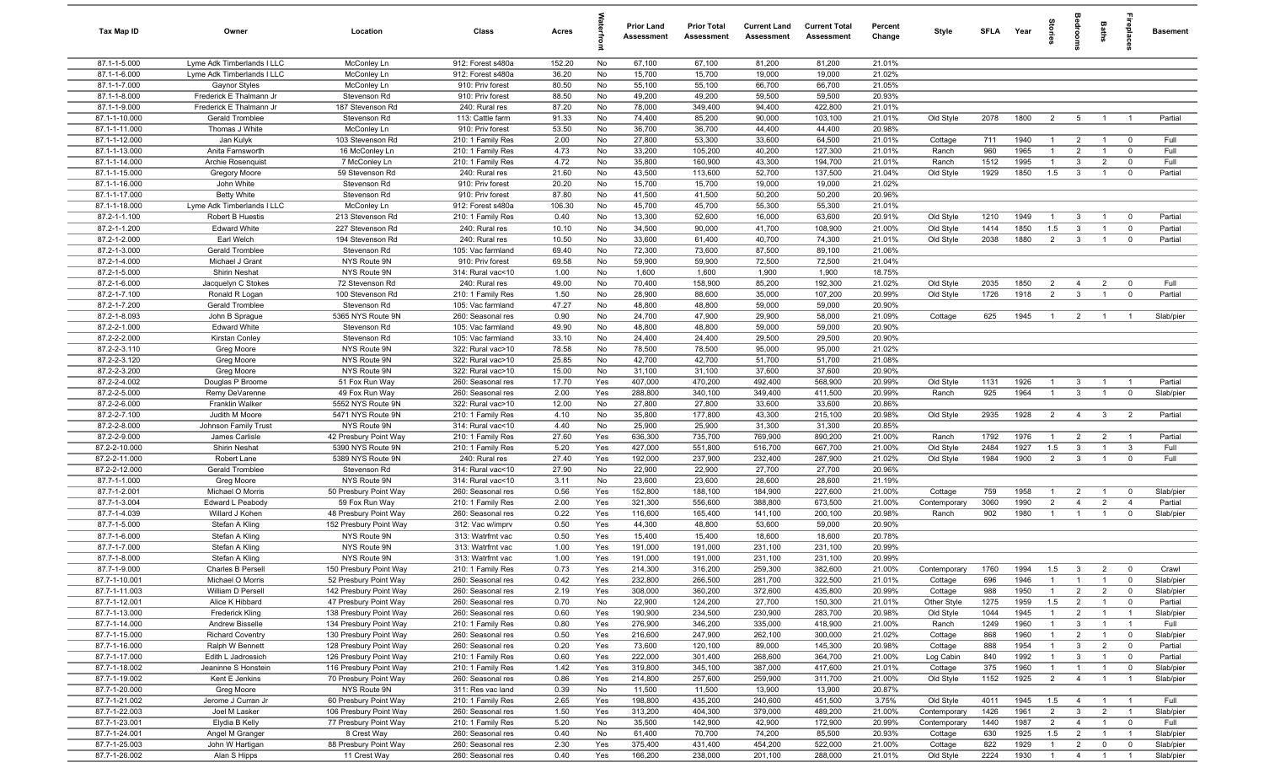| Tax Map ID                     | Owner                                      | Location                                         | Class                                  | Acres          |            | <b>Prior Land</b><br>Assessment | <b>Prior Total</b><br>Assessment | <b>Current Land</b><br>Assessment | <b>Current Total</b><br>Assessment | Percent<br>Change | Style                | SFLA Year  |              | ğ                            | groon                          | Baths                            | <b>Gebla</b>                  | <b>Basement</b>      |
|--------------------------------|--------------------------------------------|--------------------------------------------------|----------------------------------------|----------------|------------|---------------------------------|----------------------------------|-----------------------------------|------------------------------------|-------------------|----------------------|------------|--------------|------------------------------|--------------------------------|----------------------------------|-------------------------------|----------------------|
| 87.1-1-5.000                   | Lyme Adk Timberlands I LLC                 | McConley Ln                                      | 912: Forest s480a                      | 152.20         | No         | 67,100                          | 67,100                           | 81,200                            | 81,200                             | 21.01%            |                      |            |              |                              |                                |                                  |                               |                      |
| 87.1-1-6.000                   | Lyme Adk Timberlands I LLC                 | McConley Ln                                      | 912: Forest s480a                      | 36.20          | No         | 15,700                          | 15,700                           | 19,000                            | 19,000                             | 21.02%            |                      |            |              |                              |                                |                                  |                               |                      |
| 87.1-1-7.000                   | Gaynor Styles                              | McConley Ln                                      | 910: Priv forest                       | 80.50          | No         | 55,100                          | 55,100                           | 66,700                            | 66,700                             | 21.05%            |                      |            |              |                              |                                |                                  |                               |                      |
| 87.1-1-8.000                   | Frederick E Thalmann Jr                    | Stevenson Rd                                     | 910: Priv forest                       | 88.50          | No         | 49,200                          | 49,200                           | 59,500                            | 59,500                             | 20.93%            |                      |            |              |                              |                                |                                  |                               |                      |
| 87.1-1-9.000<br>87.1-1-10.000  | Frederick E Thalmann Jr<br>Gerald Tromblee | 187 Stevenson Rd<br>Stevenson Rd                 | 240: Rural res<br>113: Cattle farm     | 87.20<br>91.33 | No<br>No   | 78,000<br>74,400                | 349,400<br>85,200                | 94,400<br>90,000                  | 422,800<br>103,100                 | 21.01%<br>21.01%  | Old Style            | 2078       | 1800         | $\overline{2}$               | 5                              | $\overline{1}$                   | $\overline{1}$                | Partial              |
| 87.1-1-11.000                  | Thomas J White                             | McConley Ln                                      | 910: Priv forest                       | 53.50          | No         | 36,700                          | 36,700                           | 44,400                            | 44,400                             | 20.98%            |                      |            |              |                              |                                |                                  |                               |                      |
| 87.1-1-12.000                  | Jan Kulyk                                  | 103 Stevenson Rd                                 | 210: 1 Family Res                      | 2.00           | No         | 27,800                          | 53,300                           | 33,600                            | 64,500                             | 21.01%            | Cottage              | 711        | 1940         | $\overline{1}$               | $\overline{2}$                 | $\overline{1}$                   | $\overline{0}$                | Full                 |
| 87.1-1-13.000                  | Anita Farnsworth                           | 16 McConley Ln                                   | 210: 1 Family Res                      | 4.73           | No         | 33,200                          | 105,200                          | 40,200                            | 127,300                            | 21.01%            | Ranch                | 960        | 1965         | $\overline{1}$               | $\overline{2}$                 | $\overline{1}$                   | $\mathbf 0$                   | Full                 |
| 87.1-1-14.000                  | Archie Rosenquist                          | 7 McConley Ln                                    | 210: 1 Family Res                      | 4.72           | No         | 35,800                          | 160,900                          | 43,300                            | 194,700                            | 21.01%            | Ranch                | 1512       | 1995         | $\overline{1}$               | $\mathbf{3}$                   | $\overline{2}$                   | $\mathbf 0$                   | Full                 |
| 87.1-1-15.000                  | Gregory Moore                              | 59 Stevenson Rd                                  | 240: Rural res                         | 21.60          | No         | 43,500                          | 113,600                          | 52,700                            | 137,500                            | 21.04%            | Old Style            | 1929       | 1850         | 1.5                          | $\mathbf{3}$                   | $\overline{1}$                   | $^{\circ}$                    | Partial              |
| 87.1-1-16.000                  | John White                                 | Stevenson Rd                                     | 910: Priv forest                       | 20.20          | No         | 15,700                          | 15,700                           | 19,000                            | 19,000                             | 21.02%            |                      |            |              |                              |                                |                                  |                               |                      |
| 87.1-1-17.000                  | <b>Betty White</b>                         | Stevenson Rd                                     | 910: Priv forest                       | 87.80          | No         | 41,500                          | 41,500                           | 50,200                            | 50,200                             | 20.96%            |                      |            |              |                              |                                |                                  |                               |                      |
| 87.1-1-18.000                  | Lyme Adk Timberlands I LLC                 | McConley Ln                                      | 912: Forest s480a                      | 106.30         | No         | 45,700                          | 45,700                           | 55,300                            | 55,300                             | 21.01%            |                      |            |              |                              |                                |                                  |                               |                      |
| 87.2-1-1.100                   | Robert B Huestis                           | 213 Stevenson Rd                                 | 210: 1 Family Res                      | 0.40           | No         | 13,300                          | 52,600                           | 16,000                            | 63,600                             | 20.91%            | Old Style            | 1210       | 1949         | $\overline{1}$               | $\mathbf{3}$                   |                                  | $^{\circ}$                    | Partial              |
| 87.2-1-1.200                   | <b>Edward White</b>                        | 227 Stevenson Rd                                 | 240: Rural res                         | 10.10          | No         | 34,500                          | 90,000                           | 41,700                            | 108,900                            | 21.00%            | Old Style            | 1414       | 1850         | 1.5                          | $\mathbf{3}$                   |                                  | $\mathbf 0$                   | Partial              |
| 87.2-1-2.000                   | Earl Welch                                 | 194 Stevenson Rd                                 | 240: Rural res                         | 10.50          | No         | 33,600                          | 61,400                           | 40,700                            | 74,300                             | 21.01%            | Old Style            | 2038       | 1880         | $\overline{2}$               | $\mathbf{3}$                   |                                  | $^{\circ}$                    | Partial              |
| 87.2-1-3.000<br>87.2-1-4.000   | Gerald Tromblee<br>Michael J Grant         | Stevenson Rd<br>NYS Route 9N                     | 105: Vac farmland<br>910: Priv forest  | 69.40<br>69.58 | No<br>No   | 72,300<br>59,900                | 73,600<br>59,900                 | 87,500<br>72,500                  | 89,100<br>72,500                   | 21.06%<br>21.04%  |                      |            |              |                              |                                |                                  |                               |                      |
| 87.2-1-5.000                   | Shirin Neshat                              | NYS Route 9N                                     | 314: Rural vac<10                      | 1.00           | No         | 1,600                           | 1,600                            | 1,900                             | 1,900                              | 18.75%            |                      |            |              |                              |                                |                                  |                               |                      |
| 87.2-1-6.000                   | Jacquelyn C Stokes                         | 72 Stevenson Rd                                  | 240: Rural res                         | 49.00          | No         | 70,400                          | 158,900                          | 85,200                            | 192,300                            | 21.02%            | Old Style            | 2035       | 1850         | $\overline{2}$               | $\overline{4}$                 | $\overline{2}$                   | $\mathbf 0$                   | Full                 |
| 87.2-1-7.100                   | Ronald R Logan                             | 100 Stevenson Rd                                 | 210: 1 Family Res                      | 1.50           | No         | 28,900                          | 88,600                           | 35,000                            | 107,200                            | 20.99%            | Old Style            | 1726       | 1918         | $\overline{2}$               | $\mathbf{3}$                   | $\overline{1}$                   | $\mathbf 0$                   | Partial              |
| 87.2-1-7.200                   | Gerald Tromblee                            | Stevenson Rd                                     | 105: Vac farmland                      | 47.27          | No         | 48,800                          | 48,800                           | 59,000                            | 59,000                             | 20.90%            |                      |            |              |                              |                                |                                  |                               |                      |
| 87.2-1-8.093                   | John B Sprague                             | 5365 NYS Route 9N                                | 260: Seasonal res                      | 0.90           | No         | 24,700                          | 47,900                           | 29,900                            | 58,000                             | 21.09%            | Cottage              | 625        | 1945         | $\overline{1}$               | $\overline{2}$                 | $\overline{1}$                   | $\overline{1}$                | Slab/pier            |
| 87.2-2-1.000                   | <b>Edward White</b>                        | Stevenson Rd                                     | 105: Vac farmland                      | 49.90          | No         | 48,800                          | 48,800                           | 59,000                            | 59,000                             | 20.90%            |                      |            |              |                              |                                |                                  |                               |                      |
| 87.2-2-2.000                   | Kirstan Conley                             | Stevenson Rd                                     | 105: Vac farmland                      | 33.10          | No         | 24,400                          | 24,400                           | 29,500                            | 29,500                             | 20.90%            |                      |            |              |                              |                                |                                  |                               |                      |
| 87.2-2-3.110                   | Greg Moore                                 | NYS Route 9N                                     | 322: Rural vac>10                      | 78.58          | No         | 78,500                          | 78,500                           | 95,000                            | 95,000                             | 21.02%            |                      |            |              |                              |                                |                                  |                               |                      |
| 87.2-2-3.120                   | Greg Moore                                 | NYS Route 9N                                     | 322: Rural vac>10                      | 25.85          | No         | 42,700                          | 42,700                           | 51,700                            | 51,700                             | 21.08%            |                      |            |              |                              |                                |                                  |                               |                      |
| 87.2-2-3.200                   | Greg Moore                                 | NYS Route 9N                                     | 322: Rural vac>10                      | 15.00          | No         | 31,100                          | 31,100                           | 37,600                            | 37,600                             | 20.90%            |                      |            |              |                              |                                |                                  |                               |                      |
| 87.2-2-4.002                   | Douglas P Broome                           | 51 Fox Run Way                                   | 260: Seasonal res                      | 17.70          | Yes        | 407,000                         | 470,200                          | 492,400                           | 568,900                            | 20.99%            | Old Style            | 1131       | 1926<br>1964 | $\mathbf{1}$<br>$\mathbf{1}$ | $\mathbf{3}$<br>$\mathbf{3}$   |                                  | $\overline{1}$                | Partial              |
| 87.2-2-5.000<br>87.2-2-6.000   | Remy DeVarenne<br><b>Franklin Walker</b>   | 49 Fox Run Way<br>5552 NYS Route 9N              | 260: Seasonal res<br>322: Rural vac>10 | 2.00<br>12.00  | Yes<br>No  | 288,800<br>27,800               | 340,100<br>27,800                | 349,400<br>33,600                 | 411,500<br>33,600                  | 20.99%<br>20.86%  | Ranch                | 925        |              |                              |                                |                                  | $\mathbf 0$                   | Slab/pier            |
| 87.2-2-7.100                   | Judith M Moore                             | 5471 NYS Route 9N                                | 210: 1 Family Res                      | 4.10           | No         | 35,800                          | 177,800                          | 43,300                            | 215,100                            | 20.98%            | Old Style            | 2935       | 1928         | $\overline{2}$               | $\overline{4}$                 | $\mathbf{3}$                     | $\overline{2}$                | Partial              |
| 87.2-2-8.000                   | Johnson Family Trust                       | NYS Route 9N                                     | 314: Rural vac<10                      | 4.40           | No         | 25,900                          | 25,900                           | 31,300                            | 31,300                             | 20.85%            |                      |            |              |                              |                                |                                  |                               |                      |
| 87.2-2-9.000                   | James Carlisle                             | 42 Presbury Point Way                            | 210: 1 Family Res                      | 27.60          | Yes        | 636,300                         | 735,700                          | 769,900                           | 890,200                            | 21.00%            | Ranch                | 1792       | 1976         | $\overline{1}$               | $\overline{2}$                 | $\overline{2}$                   | $\overline{1}$                | Partial              |
| 87.2-2-10.000                  | Shirin Neshat                              | 5390 NYS Route 9N                                | 210: 1 Family Res                      | 5.20           | Yes        | 427,000                         | 551,800                          | 516,700                           | 667,700                            | 21.00%            | Old Style            | 2484       | 1927         | 1.5                          | $\mathbf{3}$                   | $\overline{1}$                   | $\mathbf{3}$                  | Full                 |
| 87.2-2-11.000                  | Robert Lane                                | 5389 NYS Route 9N                                | 240: Rural res                         | 27.40          | Yes        | 192,000                         | 237,900                          | 232,400                           | 287,900                            | 21.02%            | Old Style            | 1984       | 1900         | $\overline{2}$               | $\overline{3}$                 | $\overline{1}$                   | $^{\circ}$                    | Full                 |
| 87.2-2-12.000                  | Gerald Tromblee                            | Stevenson Rd                                     | 314: Rural vac<10                      | 27.90          | No         | 22,900                          | 22,900                           | 27,700                            | 27,700                             | 20.96%            |                      |            |              |                              |                                |                                  |                               |                      |
| 87.7-1-1.000                   | Greg Moore                                 | NYS Route 9N                                     | 314: Rural vac<10                      | 3.11           | No         | 23,600                          | 23,600                           | 28,600                            | 28,600                             | 21.19%            |                      |            |              |                              |                                |                                  |                               |                      |
| 87.7-1-2.001                   | Michael O Morris                           | 50 Presbury Point Way                            | 260: Seasonal res                      | 0.56           | Yes        | 152,800                         | 188,100                          | 184,900                           | 227,600                            | 21.00%            | Cottage              | 759        | 1958         | $\overline{1}$               | $\overline{2}$                 | $\overline{1}$                   | $\mathbf 0$                   | Slab/pier            |
| 87.7-1-3.004                   | Edward L Peabody                           | 59 Fox Run Way                                   | 210: 1 Family Res                      | 2.00           | Yes        | 321,300                         | 556,600                          | 388,800                           | 673,500                            | 21.00%            | Contemporary         | 3060       | 1990         | $\overline{2}$               | $\overline{4}$                 | $\overline{2}$                   | $\overline{4}$                | Partial              |
| 87.7-1-4.039                   | Willard J Kohen                            | 48 Presbury Point Way                            | 260: Seasonal res                      | 0.22           | Yes        | 116,600                         | 165,400                          | 141,100                           | 200,100                            | 20.98%            | Ranch                | 902        | 1980         | $\overline{1}$               | $\overline{1}$                 | $\overline{1}$                   | $\mathbf 0$                   | Slab/pier            |
| 87.7-1-5.000<br>87.7-1-6.000   | Stefan A Kling<br>Stefan A Kling           | 152 Presbury Point Way<br>NYS Route 9N           | 312: Vac w/imprv<br>313: Watrfrnt vac  | 0.50<br>0.50   | Yes<br>Yes | 44,300<br>15,400                | 48,800<br>15,400                 | 53,600<br>18,600                  | 59,000<br>18,600                   | 20.90%<br>20.78%  |                      |            |              |                              |                                |                                  |                               |                      |
| 87.7-1-7.000                   | Stefan A Kling                             | NYS Route 9N                                     | 313: Watrfrnt vac                      | 1.00           | Yes        | 191,000                         | 191,000                          | 231,100                           | 231,100                            | 20.99%            |                      |            |              |                              |                                |                                  |                               |                      |
| 87.7-1-8.000                   | Stefan A Kling                             | NYS Route 9N                                     | 313: Watrfrnt vac                      | 1.00           | Yes        | 191,000                         | 191,000                          | 231,100                           | 231,100                            | 20.99%            |                      |            |              |                              |                                |                                  |                               |                      |
| 87.7-1-9.000                   | Charles B Persell                          | 150 Presbury Point Way                           | 210: 1 Family Res                      | 0.73           | Yes        | 214,300                         | 316,200                          | 259,300                           | 382,600                            | 21.00%            | Contemporary         | 1760       | 1994         | 1.5                          | $\mathbf{3}$                   | $\overline{2}$                   |                               | Crawl                |
| 87.7-1-10.001                  | Michael O Morris                           | 52 Presbury Point Way                            | 260: Seasonal res                      | 0.42           | Yes        | 232,800                         | 266,500                          | 281,700                           | 322,500                            | 21.01%            | Cottage              | 696        | 1946         | $\overline{1}$               | $\overline{1}$                 | $\overline{1}$                   | $\overline{0}$                | Slab/pier            |
| 87.7-1-11.003                  | William D Persell                          | 142 Presbury Point Way                           | 260: Seasonal res                      | 2.19           | Yes        | 308,000                         | 360,200                          | 372,600                           | 435,800                            | 20.99%            | Cottage              | 988        | 1950         | $\overline{1}$               | $\overline{2}$                 | $\overline{2}$                   | $\mathbf 0$                   | Slab/pier            |
| 87.7-1-12.001                  | Alice K Hibbard                            | 47 Presbury Point Way                            | 260: Seasonal res                      | 0.70           | No         | 22,900                          | 124,200                          | 27,700                            | 150,300                            | 21.01%            | Other Style          | 1275       | 1959         | 1.5                          | $\overline{2}$                 | $\overline{1}$                   | $\mathbf 0$                   | Partial              |
| 87.7-1-13.000                  | <b>Frederick Kling</b>                     | 138 Presbury Point Way                           | 260: Seasonal res                      | 0.60           | Yes        | 190,900                         | 234,500                          | 230,900                           | 283,700                            | 20.98%            | Old Style            | 1044       | 1945         | $\overline{1}$               | $\overline{2}$                 | $\overline{1}$                   | $\overline{1}$                | Slab/pier            |
| 87.7-1-14.000                  | <b>Andrew Bisselle</b>                     | 134 Presbury Point Way                           | 210: 1 Family Res                      | 0.80           | Yes        | 276,900                         | 346,200                          | 335,000                           | 418,900                            | 21.00%            | Ranch                | 1249       | 1960         | $\mathbf{1}$                 | $\mathbf{3}$                   | $\overline{1}$                   | -1                            | Full                 |
| 87.7-1-15.000                  | <b>Richard Coventry</b>                    | 130 Presbury Point Way                           | 260: Seasonal res                      | 0.50           | Yes        | 216,600                         | 247,900                          | 262,100                           | 300,000                            | 21.02%            | Cottage              | 868        | 1960         | $\mathbf{1}$                 | $\overline{2}$                 | $\mathbf{1}$                     | $\overline{0}$                | Slab/pier            |
| 87.7-1-16.000                  | Ralph W Bennett<br>Edith L Jadrossich      | 128 Presbury Point Way                           | 260: Seasonal res                      | 0.20           | Yes        | 73,600                          | 120,100                          | 89,000                            | 145,300                            | 20.98%            | Cottage              | 888        | 1954         | $\mathbf{1}$<br>$\mathbf{1}$ | $\mathbf{3}$                   | $\overline{2}$<br>$\overline{1}$ | $\mathbf 0$                   | Partial              |
| 87.7-1-17.000<br>87.7-1-18.002 | Jeaninne S Honstein                        | 126 Presbury Point Way<br>116 Presbury Point Way | 210: 1 Family Res<br>210: 1 Family Res | 0.60<br>1.42   | Yes<br>Yes | 222,000<br>319,800              | 301,400<br>345,100               | 268,600<br>387,000                | 364,700<br>417,600                 | 21.00%<br>21.01%  | Log Cabin<br>Cottage | 840<br>375 | 1992<br>1960 | $\mathbf{1}$                 | $\mathbf{3}$<br>$\overline{1}$ | $\overline{1}$                   | $\overline{0}$<br>$\mathbf 0$ | Partial<br>Slab/pier |
| 87.7-1-19.002                  | Kent E Jenkins                             | 70 Presbury Point Way                            | 260: Seasonal res                      | 0.86           | Yes        | 214,800                         | 257,600                          | 259,900                           | 311,700                            | 21.00%            | Old Style            | 1152       | 1925         | $\overline{2}$               | $\overline{4}$                 | $\overline{1}$                   | $\overline{1}$                | Slab/pier            |
| 87.7-1-20.000                  | Greg Moore                                 | NYS Route 9N                                     | 311: Res vac land                      | 0.39           | No         | 11,500                          | 11,500                           | 13,900                            | 13,900                             | 20.87%            |                      |            |              |                              |                                |                                  |                               |                      |
| 87.7-1-21.002                  | Jerome J Curran Jr                         | 60 Presbury Point Way                            | 210: 1 Family Res                      | 2.65           | Yes        | 198,800                         | 435,200                          | 240,600                           | 451,500                            | 3.75%             | Old Style            | 4011       | 1945         | 1.5                          | $\overline{4}$                 | $\overline{1}$                   | $\overline{1}$                | Full                 |
| 87.7-1-22.003                  | Joel M Lasker                              | 106 Presbury Point Way                           | 260: Seasonal res                      | 1.50           | Yes        | 313,200                         | 404,300                          | 379,000                           | 489,200                            | 21.00%            | Contemporary         | 1426       | 1961         | $\overline{2}$               | $\mathbf{3}$                   | $\overline{2}$                   | $\overline{1}$                | Slab/pier            |
| 87.7-1-23.001                  | Elydia B Kelly                             | 77 Presbury Point Way                            | 210: 1 Family Res                      | 5.20           | No         | 35,500                          | 142,900                          | 42,900                            | 172,900                            | 20.99%            | Contemporary         | 1440       | 1987         | $\overline{2}$               | $\overline{4}$                 | $\overline{1}$                   | $\overline{0}$                | Full                 |
| 87.7-1-24.001                  | Angel M Granger                            | 8 Crest Way                                      | 260: Seasonal res                      | 0.40           | No         | 61,400                          | 70,700                           | 74,200                            | 85,500                             | 20.93%            | Cottage              | 630        | 1925         | 1.5                          | $\overline{2}$                 | $\overline{1}$                   | $\overline{1}$                | Slab/pier            |
| 87.7-1-25.003                  | John W Hartigan                            | 88 Presbury Point Way                            | 260: Seasonal res                      | 2.30           | Yes        | 375,400                         | 431,400                          | 454,200                           | 522,000                            | 21.00%            | Cottage              | 822        | 1929         | $\mathbf{1}$                 | $\overline{2}$                 | $\mathbf 0$                      | $\mathbf 0$                   | Slab/pier            |
| 87.7-1-26.002                  | Alan S Hipps                               | 11 Crest Way                                     | 260: Seasonal res                      | 0.40           | Yes        | 166,200                         | 238,000                          | 201,100                           | 288,000                            | 21.01%            | Old Style            | 2224       | 1930         | $\overline{1}$               | $\overline{4}$                 | $\overline{1}$                   | $\overline{1}$                | Slab/pier            |